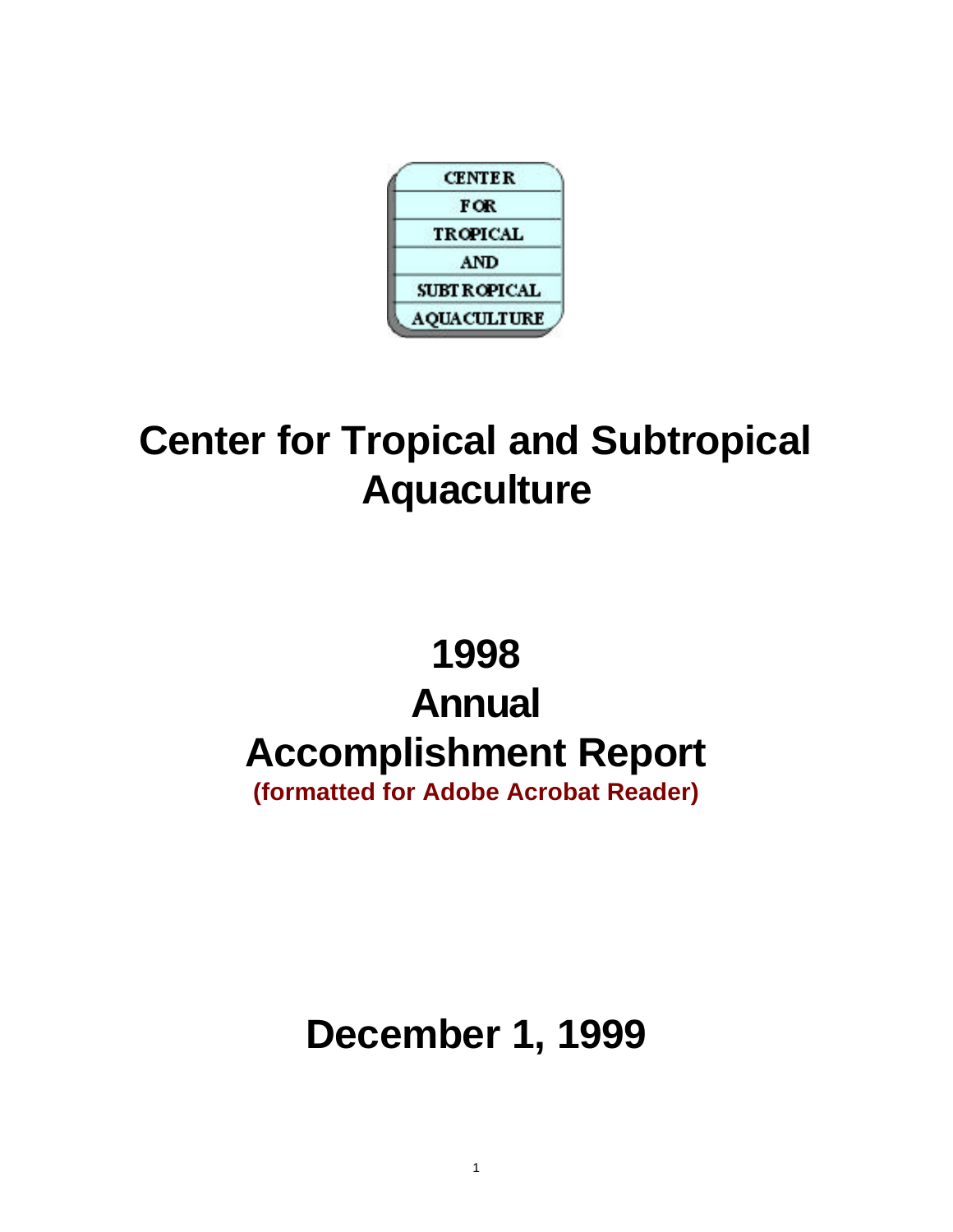

# **Center for Tropical and Subtropical Aquaculture**

# **1998 Annual Accomplishment Report (formatted for Adobe Acrobat Reader)**

# **December 1, 1999**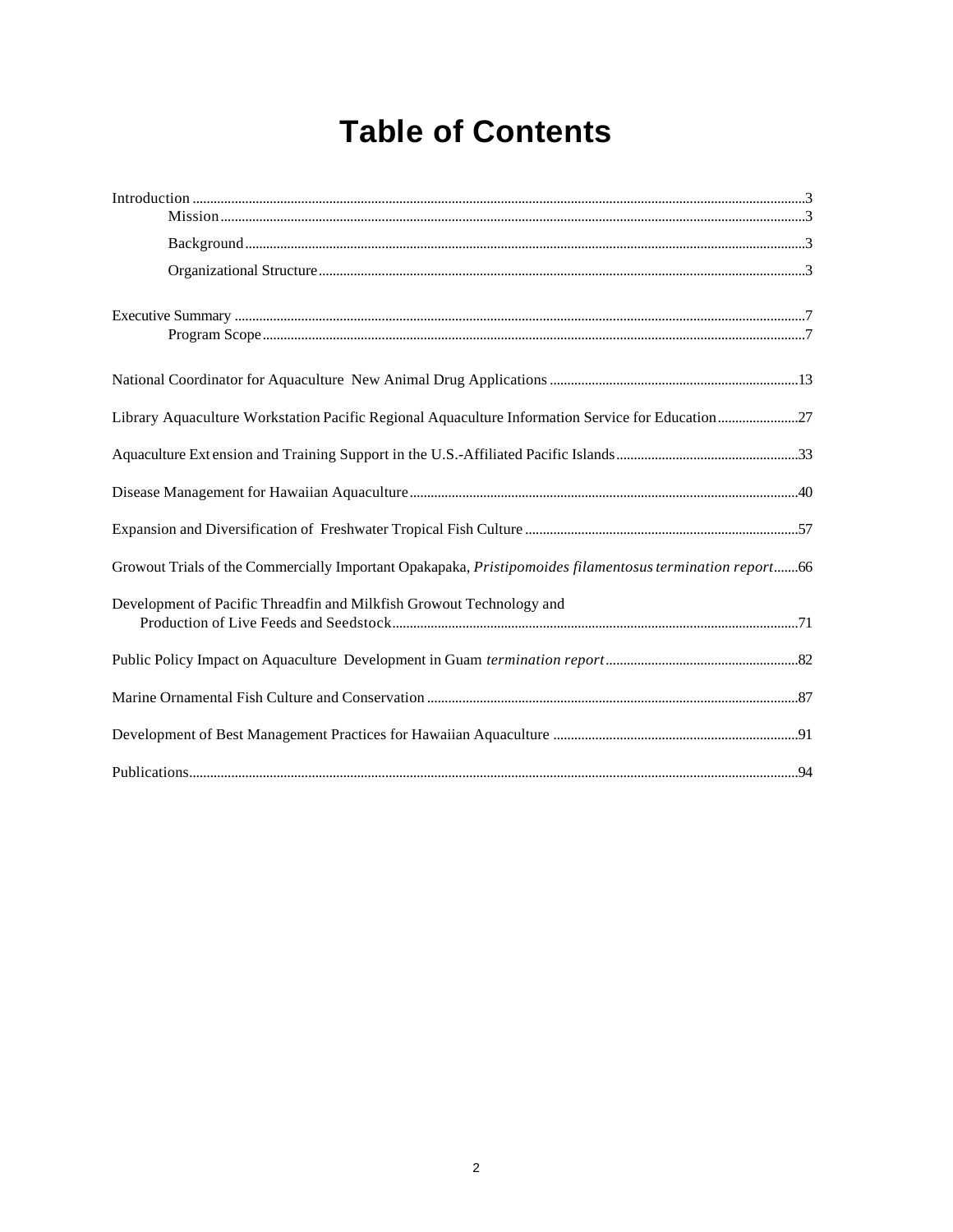# **Table of Contents**

| Library Aquaculture Workstation Pacific Regional Aquaculture Information Service for Education27         |  |
|----------------------------------------------------------------------------------------------------------|--|
|                                                                                                          |  |
|                                                                                                          |  |
|                                                                                                          |  |
| Growout Trials of the Commercially Important Opakapaka, Pristipomoides filamentosus termination report66 |  |
| Development of Pacific Threadfin and Milkfish Growout Technology and                                     |  |
|                                                                                                          |  |
|                                                                                                          |  |
|                                                                                                          |  |
|                                                                                                          |  |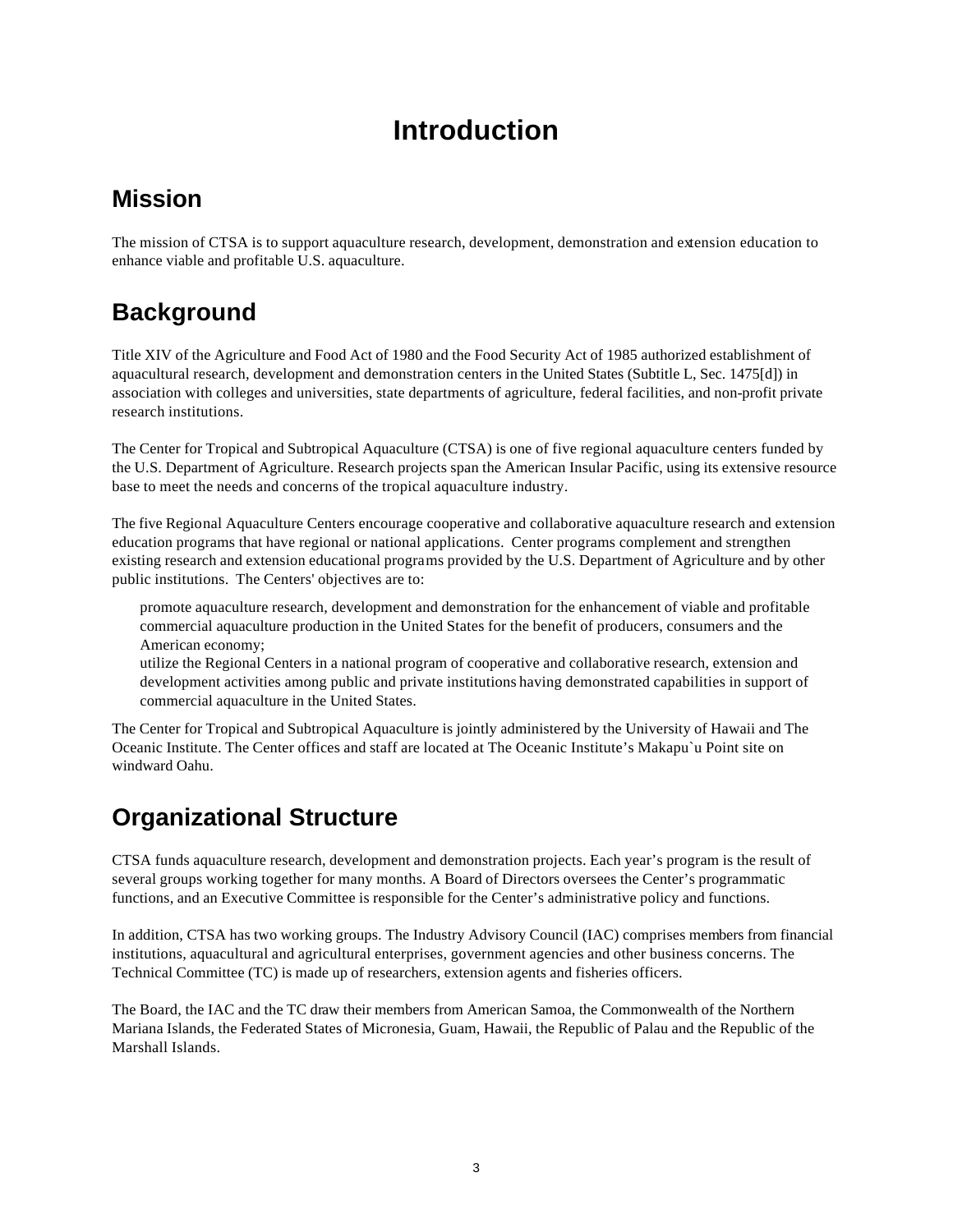# **Introduction**

# **Mission**

The mission of CTSA is to support aquaculture research, development, demonstration and extension education to enhance viable and profitable U.S. aquaculture.

# **Background**

Title XIV of the Agriculture and Food Act of 1980 and the Food Security Act of 1985 authorized establishment of aquacultural research, development and demonstration centers in the United States (Subtitle L, Sec. 1475[d]) in association with colleges and universities, state departments of agriculture, federal facilities, and non-profit private research institutions.

The Center for Tropical and Subtropical Aquaculture (CTSA) is one of five regional aquaculture centers funded by the U.S. Department of Agriculture. Research projects span the American Insular Pacific, using its extensive resource base to meet the needs and concerns of the tropical aquaculture industry.

The five Regional Aquaculture Centers encourage cooperative and collaborative aquaculture research and extension education programs that have regional or national applications. Center programs complement and strengthen existing research and extension educational programs provided by the U.S. Department of Agriculture and by other public institutions. The Centers' objectives are to:

promote aquaculture research, development and demonstration for the enhancement of viable and profitable commercial aquaculture production in the United States for the benefit of producers, consumers and the American economy;

utilize the Regional Centers in a national program of cooperative and collaborative research, extension and development activities among public and private institutions having demonstrated capabilities in support of commercial aquaculture in the United States.

The Center for Tropical and Subtropical Aquaculture is jointly administered by the University of Hawaii and The Oceanic Institute. The Center offices and staff are located at The Oceanic Institute's Makapu`u Point site on windward Oahu.

# **Organizational Structure**

CTSA funds aquaculture research, development and demonstration projects. Each year's program is the result of several groups working together for many months. A Board of Directors oversees the Center's programmatic functions, and an Executive Committee is responsible for the Center's administrative policy and functions.

In addition, CTSA has two working groups. The Industry Advisory Council (IAC) comprises members from financial institutions, aquacultural and agricultural enterprises, government agencies and other business concerns. The Technical Committee (TC) is made up of researchers, extension agents and fisheries officers.

The Board, the IAC and the TC draw their members from American Samoa, the Commonwealth of the Northern Mariana Islands, the Federated States of Micronesia, Guam, Hawaii, the Republic of Palau and the Republic of the Marshall Islands.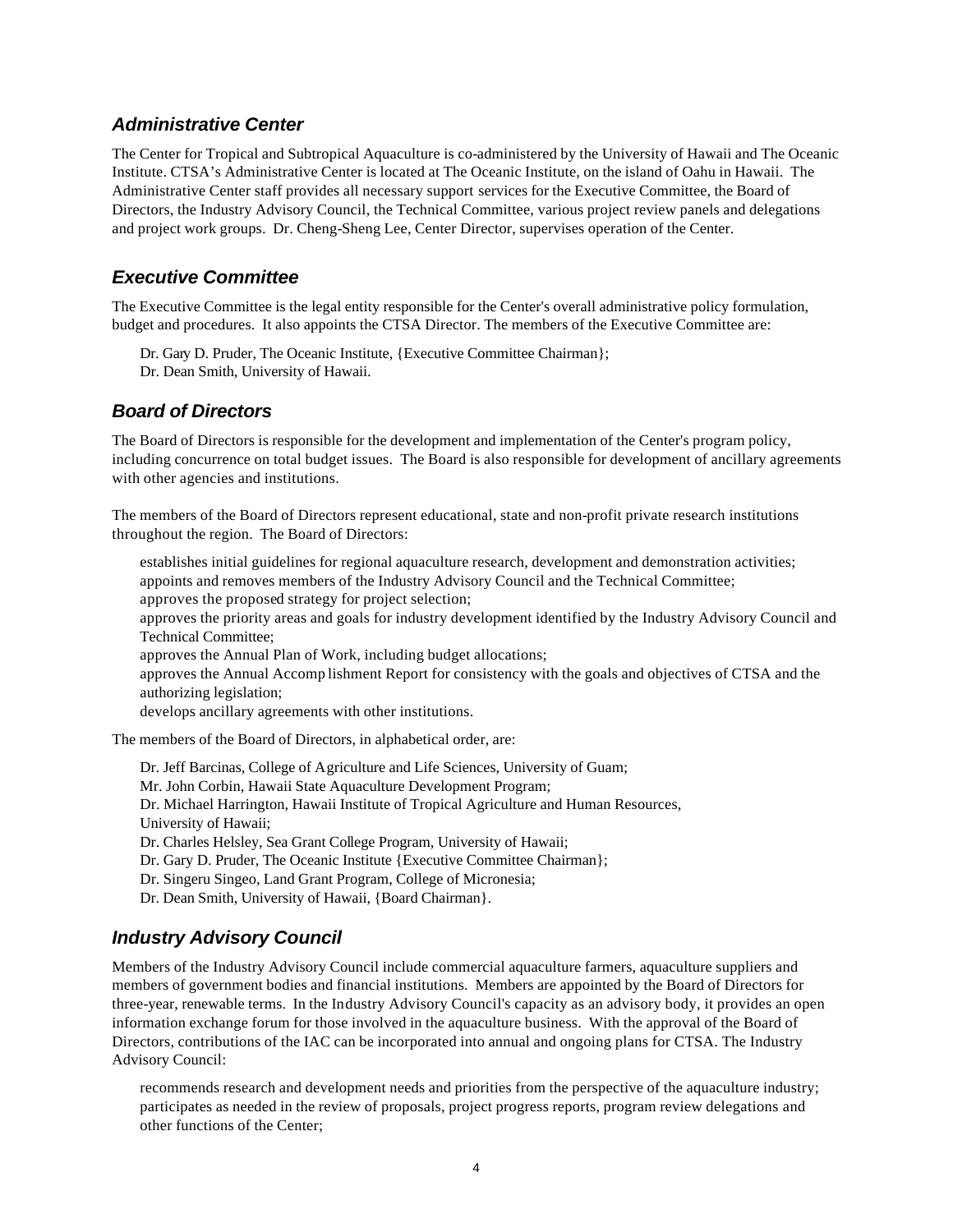#### *Administrative Center*

The Center for Tropical and Subtropical Aquaculture is co-administered by the University of Hawaii and The Oceanic Institute. CTSA's Administrative Center is located at The Oceanic Institute, on the island of Oahu in Hawaii. The Administrative Center staff provides all necessary support services for the Executive Committee, the Board of Directors, the Industry Advisory Council, the Technical Committee, various project review panels and delegations and project work groups. Dr. Cheng-Sheng Lee, Center Director, supervises operation of the Center.

#### *Executive Committee*

The Executive Committee is the legal entity responsible for the Center's overall administrative policy formulation, budget and procedures. It also appoints the CTSA Director. The members of the Executive Committee are:

Dr. Gary D. Pruder, The Oceanic Institute, {Executive Committee Chairman}; Dr. Dean Smith, University of Hawaii.

#### *Board of Directors*

The Board of Directors is responsible for the development and implementation of the Center's program policy, including concurrence on total budget issues. The Board is also responsible for development of ancillary agreements with other agencies and institutions.

The members of the Board of Directors represent educational, state and non-profit private research institutions throughout the region. The Board of Directors:

establishes initial guidelines for regional aquaculture research, development and demonstration activities; appoints and removes members of the Industry Advisory Council and the Technical Committee; approves the proposed strategy for project selection;

approves the priority areas and goals for industry development identified by the Industry Advisory Council and Technical Committee;

approves the Annual Plan of Work, including budget allocations;

approves the Annual Accomp lishment Report for consistency with the goals and objectives of CTSA and the authorizing legislation;

develops ancillary agreements with other institutions.

The members of the Board of Directors, in alphabetical order, are:

Dr. Jeff Barcinas, College of Agriculture and Life Sciences, University of Guam; Mr. John Corbin, Hawaii State Aquaculture Development Program; Dr. Michael Harrington, Hawaii Institute of Tropical Agriculture and Human Resources, University of Hawaii; Dr. Charles Helsley, Sea Grant College Program, University of Hawaii; Dr. Gary D. Pruder, The Oceanic Institute {Executive Committee Chairman}; Dr. Singeru Singeo, Land Grant Program, College of Micronesia; Dr. Dean Smith, University of Hawaii, {Board Chairman}.

#### *Industry Advisory Council*

Members of the Industry Advisory Council include commercial aquaculture farmers, aquaculture suppliers and members of government bodies and financial institutions. Members are appointed by the Board of Directors for three-year, renewable terms. In the Industry Advisory Council's capacity as an advisory body, it provides an open information exchange forum for those involved in the aquaculture business. With the approval of the Board of Directors, contributions of the IAC can be incorporated into annual and ongoing plans for CTSA. The Industry Advisory Council:

recommends research and development needs and priorities from the perspective of the aquaculture industry; participates as needed in the review of proposals, project progress reports, program review delegations and other functions of the Center;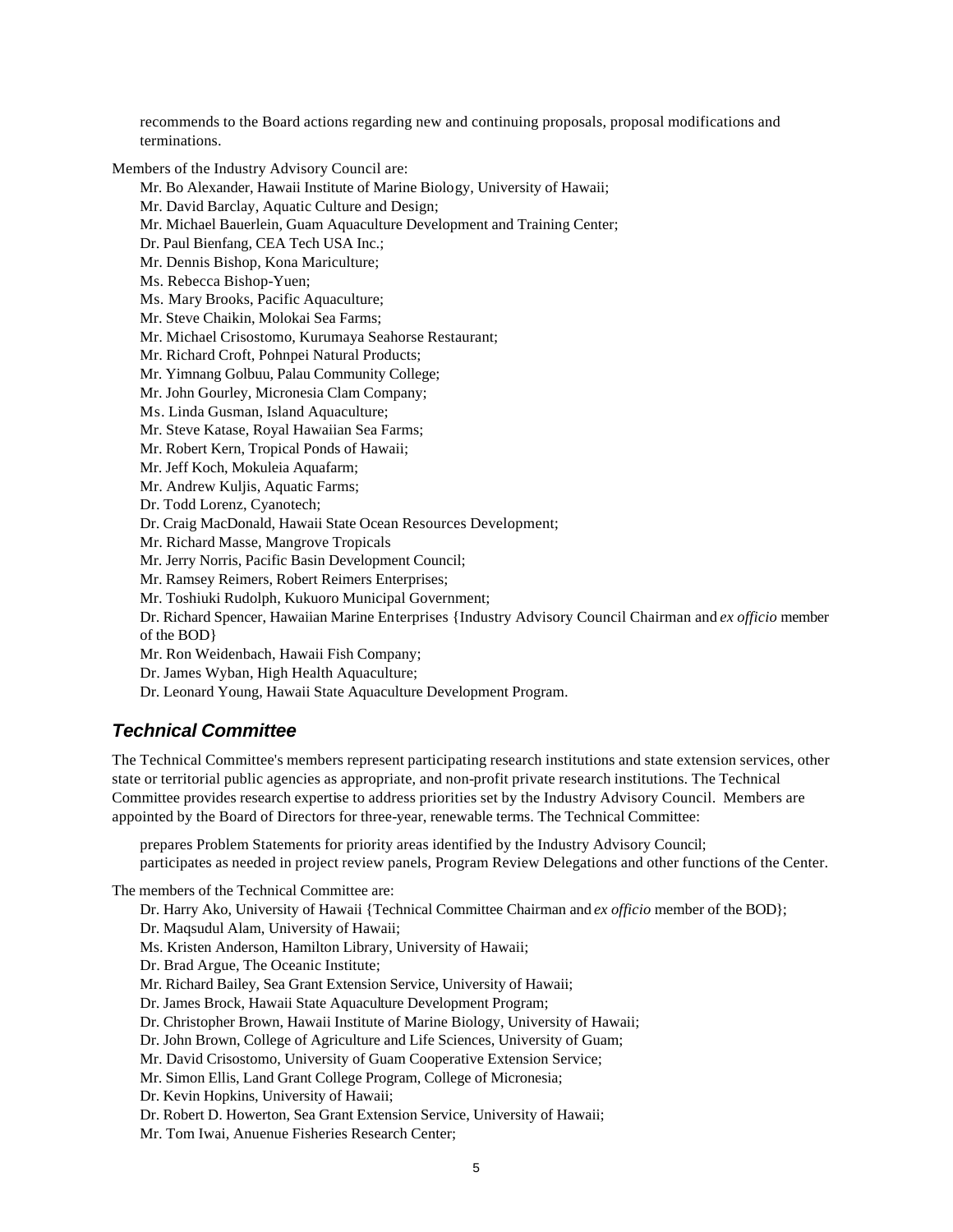recommends to the Board actions regarding new and continuing proposals, proposal modifications and terminations.

Members of the Industry Advisory Council are:

- Mr. Bo Alexander, Hawaii Institute of Marine Biology, University of Hawaii;
- Mr. David Barclay, Aquatic Culture and Design;
- Mr. Michael Bauerlein, Guam Aquaculture Development and Training Center;
- Dr. Paul Bienfang, CEA Tech USA Inc.;
- Mr. Dennis Bishop, Kona Mariculture;
- Ms. Rebecca Bishop-Yuen;
- Ms. Mary Brooks, Pacific Aquaculture;
- Mr. Steve Chaikin, Molokai Sea Farms;
- Mr. Michael Crisostomo, Kurumaya Seahorse Restaurant;
- Mr. Richard Croft, Pohnpei Natural Products;
- Mr. Yimnang Golbuu, Palau Community College;
- Mr. John Gourley, Micronesia Clam Company;
- Ms. Linda Gusman, Island Aquaculture;
- Mr. Steve Katase, Royal Hawaiian Sea Farms;
- Mr. Robert Kern, Tropical Ponds of Hawaii;
- Mr. Jeff Koch, Mokuleia Aquafarm;
- Mr. Andrew Kuljis, Aquatic Farms;
- Dr. Todd Lorenz, Cyanotech;
- Dr. Craig MacDonald, Hawaii State Ocean Resources Development;
- Mr. Richard Masse, Mangrove Tropicals
- Mr. Jerry Norris, Pacific Basin Development Council;
- Mr. Ramsey Reimers, Robert Reimers Enterprises;
- Mr. Toshiuki Rudolph, Kukuoro Municipal Government;
- Dr. Richard Spencer, Hawaiian Marine Enterprises {Industry Advisory Council Chairman and *ex officio* member of the BOD}
- Mr. Ron Weidenbach, Hawaii Fish Company;
- Dr. James Wyban, High Health Aquaculture;
- Dr. Leonard Young, Hawaii State Aquaculture Development Program.

#### *Technical Committee*

The Technical Committee's members represent participating research institutions and state extension services, other state or territorial public agencies as appropriate, and non-profit private research institutions. The Technical Committee provides research expertise to address priorities set by the Industry Advisory Council. Members are appointed by the Board of Directors for three-year, renewable terms. The Technical Committee:

prepares Problem Statements for priority areas identified by the Industry Advisory Council; participates as needed in project review panels, Program Review Delegations and other functions of the Center.

The members of the Technical Committee are:

- Dr. Harry Ako, University of Hawaii {Technical Committee Chairman and *ex officio* member of the BOD};
- Dr. Maqsudul Alam, University of Hawaii; Ms. Kristen Anderson, Hamilton Library, University of Hawaii; Dr. Brad Argue, The Oceanic Institute;
- Mr. Richard Bailey, Sea Grant Extension Service, University of Hawaii;
- Dr. James Brock, Hawaii State Aquaculture Development Program;
- Dr. Christopher Brown, Hawaii Institute of Marine Biology, University of Hawaii;
- Dr. John Brown, College of Agriculture and Life Sciences, University of Guam;
- Mr. David Crisostomo, University of Guam Cooperative Extension Service;
- Mr. Simon Ellis, Land Grant College Program, College of Micronesia;
- Dr. Kevin Hopkins, University of Hawaii;
- Dr. Robert D. Howerton, Sea Grant Extension Service, University of Hawaii;
- Mr. Tom Iwai, Anuenue Fisheries Research Center;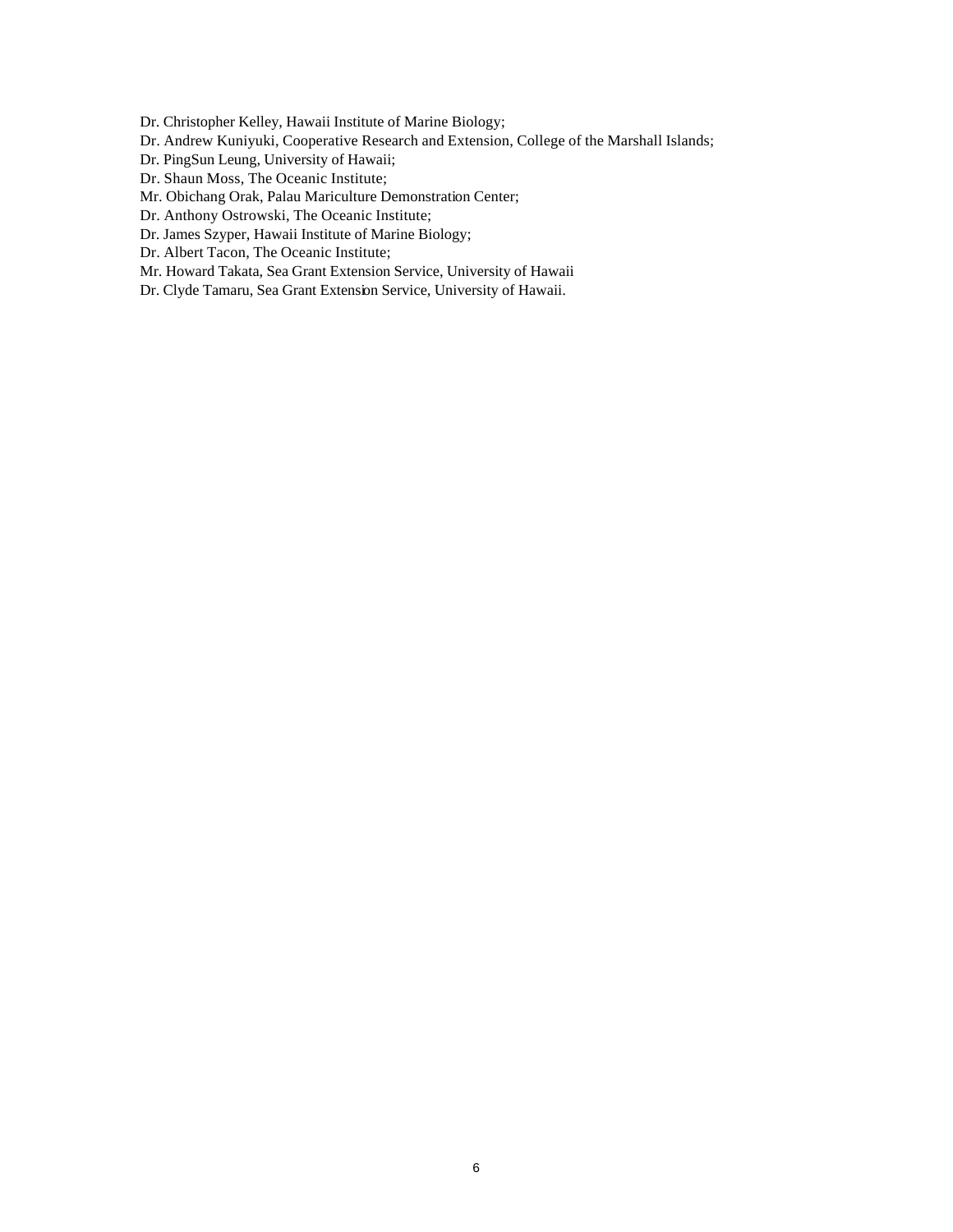Dr. Christopher Kelley, Hawaii Institute of Marine Biology;

- Dr. Andrew Kuniyuki, Cooperative Research and Extension, College of the Marshall Islands;
- Dr. PingSun Leung, University of Hawaii;
- Dr. Shaun Moss, The Oceanic Institute;
- Mr. Obichang Orak, Palau Mariculture Demonstration Center;
- Dr. Anthony Ostrowski, The Oceanic Institute;
- Dr. James Szyper, Hawaii Institute of Marine Biology;
- Dr. Albert Tacon, The Oceanic Institute;
- Mr. Howard Takata, Sea Grant Extension Service, University of Hawaii
- Dr. Clyde Tamaru, Sea Grant Extension Service, University of Hawaii.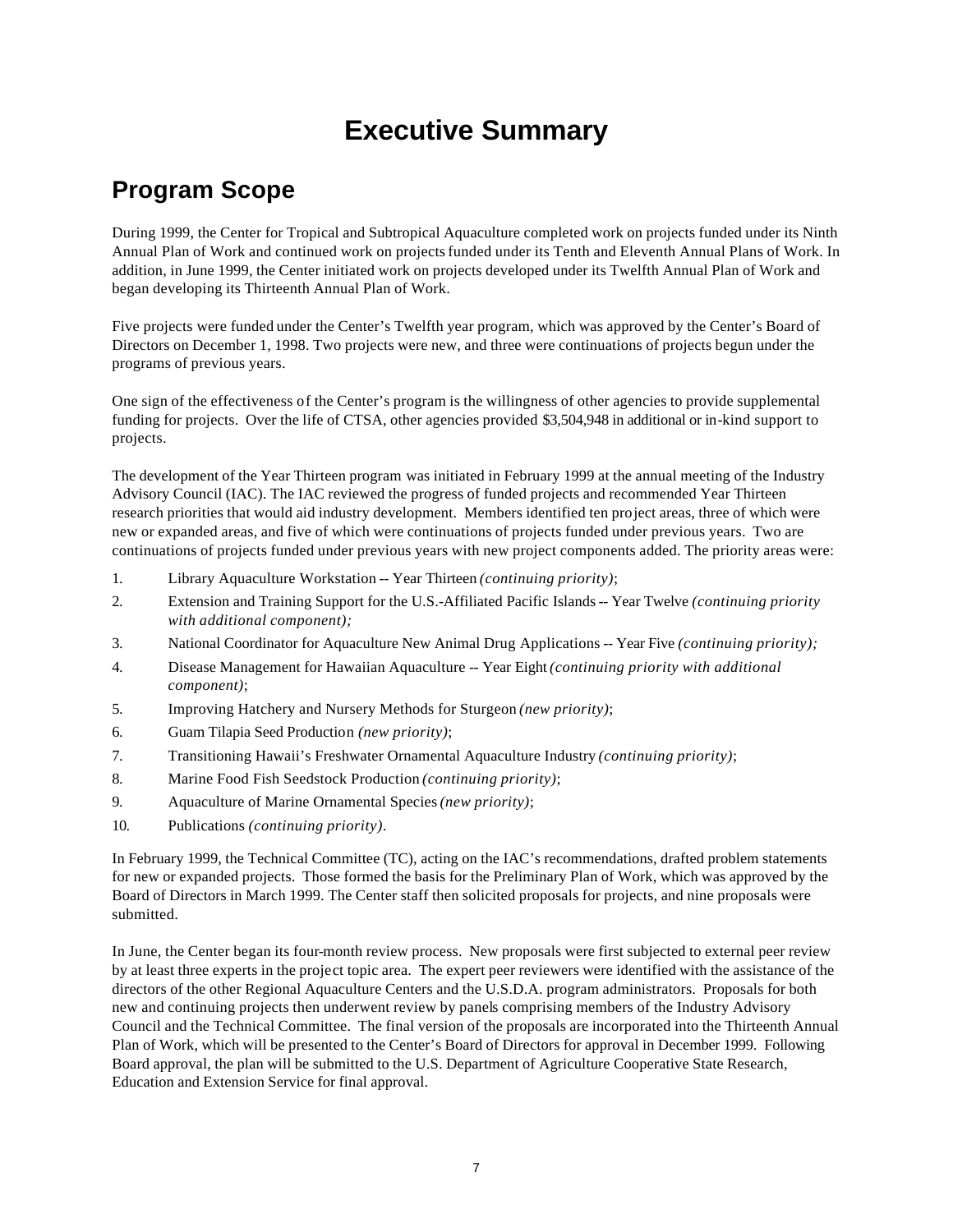# **Executive Summary**

# **Program Scope**

During 1999, the Center for Tropical and Subtropical Aquaculture completed work on projects funded under its Ninth Annual Plan of Work and continued work on projects funded under its Tenth and Eleventh Annual Plans of Work. In addition, in June 1999, the Center initiated work on projects developed under its Twelfth Annual Plan of Work and began developing its Thirteenth Annual Plan of Work.

Five projects were funded under the Center's Twelfth year program, which was approved by the Center's Board of Directors on December 1, 1998. Two projects were new, and three were continuations of projects begun under the programs of previous years.

One sign of the effectiveness of the Center's program is the willingness of other agencies to provide supplemental funding for projects. Over the life of CTSA, other agencies provided \$3,504,948 in additional or in-kind support to projects.

The development of the Year Thirteen program was initiated in February 1999 at the annual meeting of the Industry Advisory Council (IAC). The IAC reviewed the progress of funded projects and recommended Year Thirteen research priorities that would aid industry development. Members identified ten project areas, three of which were new or expanded areas, and five of which were continuations of projects funded under previous years. Two are continuations of projects funded under previous years with new project components added. The priority areas were:

- 1. Library Aquaculture Workstation -- Year Thirteen *(continuing priority)*;
- 2. Extension and Training Support for the U.S.-Affiliated Pacific Islands -- Year Twelve *(continuing priority with additional component);*
- 3. National Coordinator for Aquaculture New Animal Drug Applications -- Year Five *(continuing priority);*
- 4. Disease Management for Hawaiian Aquaculture -- Year Eight *(continuing priority with additional component)*;
- 5. Improving Hatchery and Nursery Methods for Sturgeon *(new priority)*;
- 6. Guam Tilapia Seed Production *(new priority)*;
- 7. Transitioning Hawaii's Freshwater Ornamental Aquaculture Industry *(continuing priority)*;
- 8. Marine Food Fish Seedstock Production *(continuing priority)*;
- 9. Aquaculture of Marine Ornamental Species *(new priority)*;
- 10. Publications *(continuing priority).*

In February 1999, the Technical Committee (TC), acting on the IAC's recommendations, drafted problem statements for new or expanded projects. Those formed the basis for the Preliminary Plan of Work, which was approved by the Board of Directors in March 1999. The Center staff then solicited proposals for projects, and nine proposals were submitted.

In June, the Center began its four-month review process. New proposals were first subjected to external peer review by at least three experts in the project topic area. The expert peer reviewers were identified with the assistance of the directors of the other Regional Aquaculture Centers and the U.S.D.A. program administrators. Proposals for both new and continuing projects then underwent review by panels comprising members of the Industry Advisory Council and the Technical Committee. The final version of the proposals are incorporated into the Thirteenth Annual Plan of Work, which will be presented to the Center's Board of Directors for approval in December 1999. Following Board approval, the plan will be submitted to the U.S. Department of Agriculture Cooperative State Research, Education and Extension Service for final approval.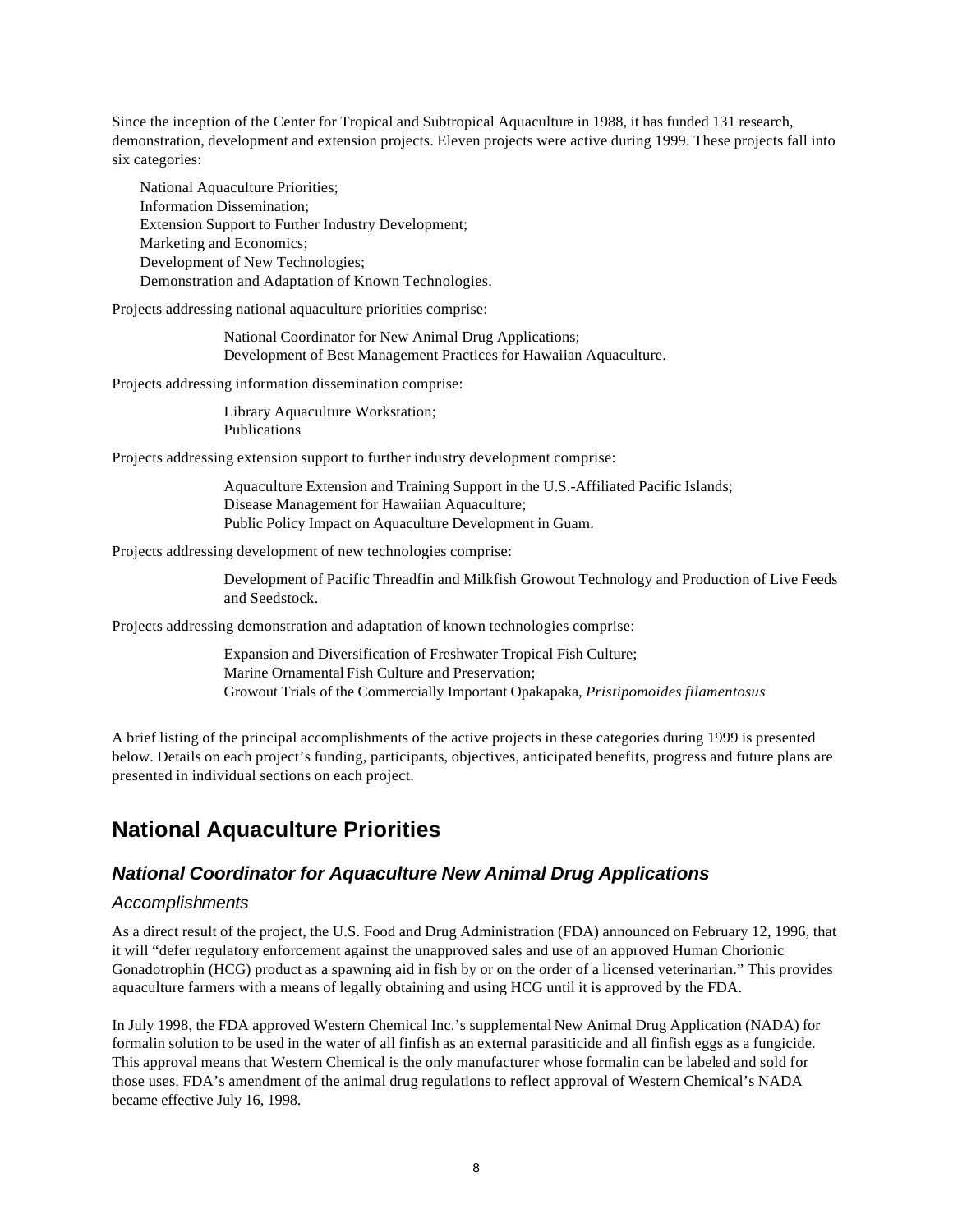Since the inception of the Center for Tropical and Subtropical Aquaculture in 1988, it has funded 131 research, demonstration, development and extension projects. Eleven projects were active during 1999. These projects fall into six categories:

National Aquaculture Priorities; Information Dissemination; Extension Support to Further Industry Development; Marketing and Economics; Development of New Technologies; Demonstration and Adaptation of Known Technologies.

Projects addressing national aquaculture priorities comprise:

National Coordinator for New Animal Drug Applications; Development of Best Management Practices for Hawaiian Aquaculture.

Projects addressing information dissemination comprise:

Library Aquaculture Workstation; Publications

Projects addressing extension support to further industry development comprise:

Aquaculture Extension and Training Support in the U.S.-Affiliated Pacific Islands; Disease Management for Hawaiian Aquaculture; Public Policy Impact on Aquaculture Development in Guam.

Projects addressing development of new technologies comprise:

Development of Pacific Threadfin and Milkfish Growout Technology and Production of Live Feeds and Seedstock.

Projects addressing demonstration and adaptation of known technologies comprise:

Expansion and Diversification of Freshwater Tropical Fish Culture; Marine Ornamental Fish Culture and Preservation; Growout Trials of the Commercially Important Opakapaka, *Pristipomoides filamentosus*

A brief listing of the principal accomplishments of the active projects in these categories during 1999 is presented below. Details on each project's funding, participants, objectives, anticipated benefits, progress and future plans are presented in individual sections on each project.

# **National Aquaculture Priorities**

#### *National Coordinator for Aquaculture New Animal Drug Applications*

#### *Accomplishments*

As a direct result of the project, the U.S. Food and Drug Administration (FDA) announced on February 12, 1996, that it will "defer regulatory enforcement against the unapproved sales and use of an approved Human Chorionic Gonadotrophin (HCG) product as a spawning aid in fish by or on the order of a licensed veterinarian." This provides aquaculture farmers with a means of legally obtaining and using HCG until it is approved by the FDA.

In July 1998, the FDA approved Western Chemical Inc.'s supplemental New Animal Drug Application (NADA) for formalin solution to be used in the water of all finfish as an external parasiticide and all finfish eggs as a fungicide. This approval means that Western Chemical is the only manufacturer whose formalin can be labeled and sold for those uses. FDA's amendment of the animal drug regulations to reflect approval of Western Chemical's NADA became effective July 16, 1998.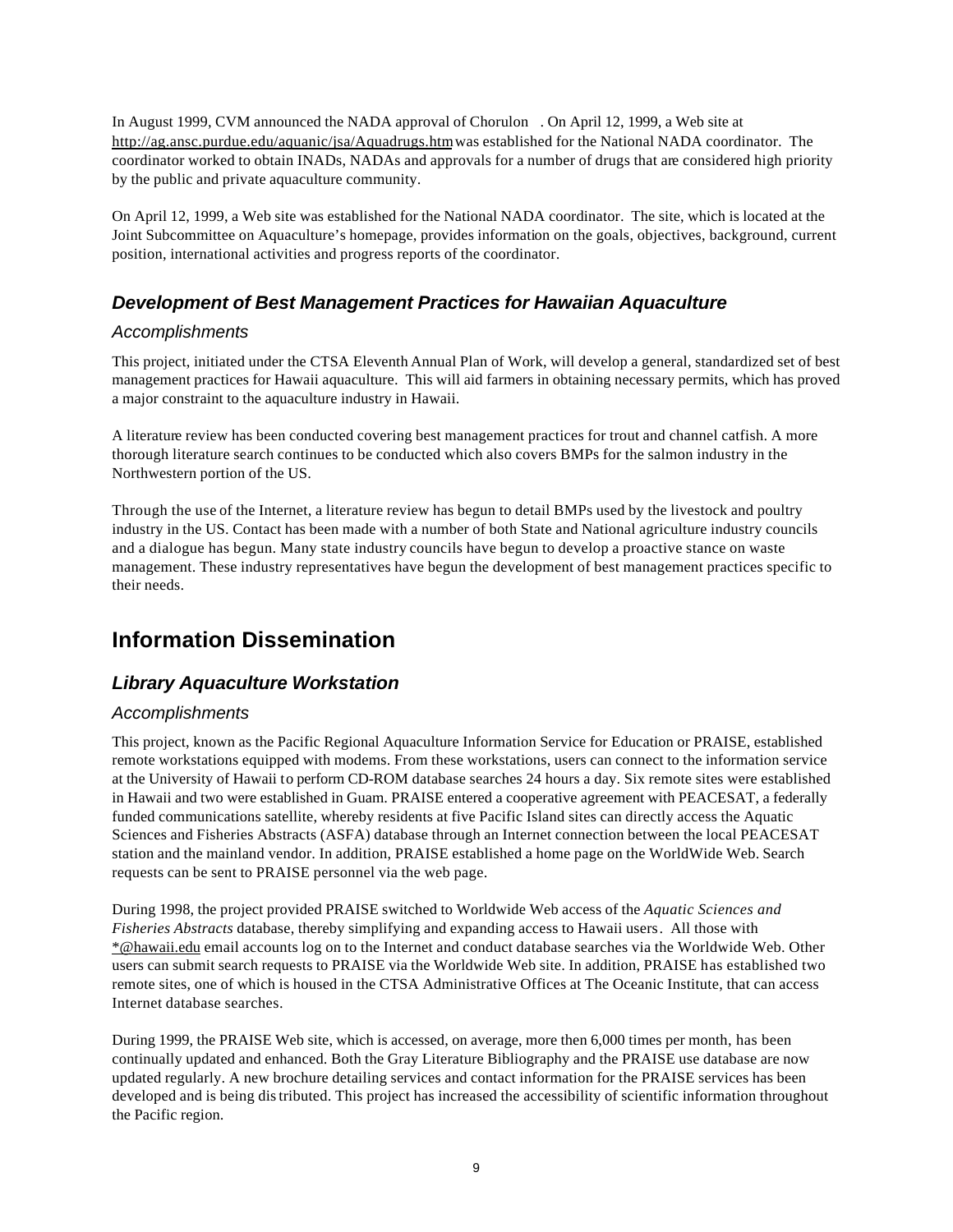In August 1999, CVM announced the NADA approval of Chorulon . On April 12, 1999, a Web site at http://ag.ansc.purdue.edu/aquanic/jsa/Aquadrugs.htm was established for the National NADA coordinator. The coordinator worked to obtain INADs, NADAs and approvals for a number of drugs that are considered high priority by the public and private aquaculture community.

On April 12, 1999, a Web site was established for the National NADA coordinator. The site, which is located at the Joint Subcommittee on Aquaculture's homepage, provides information on the goals, objectives, background, current position, international activities and progress reports of the coordinator.

#### *Development of Best Management Practices for Hawaiian Aquaculture*

#### *Accomplishments*

This project, initiated under the CTSA Eleventh Annual Plan of Work, will develop a general, standardized set of best management practices for Hawaii aquaculture. This will aid farmers in obtaining necessary permits, which has proved a major constraint to the aquaculture industry in Hawaii.

A literature review has been conducted covering best management practices for trout and channel catfish. A more thorough literature search continues to be conducted which also covers BMPs for the salmon industry in the Northwestern portion of the US.

Through the use of the Internet, a literature review has begun to detail BMPs used by the livestock and poultry industry in the US. Contact has been made with a number of both State and National agriculture industry councils and a dialogue has begun. Many state industry councils have begun to develop a proactive stance on waste management. These industry representatives have begun the development of best management practices specific to their needs.

# **Information Dissemination**

#### *Library Aquaculture Workstation*

#### *Accomplishments*

This project, known as the Pacific Regional Aquaculture Information Service for Education or PRAISE, established remote workstations equipped with modems. From these workstations, users can connect to the information service at the University of Hawaii to perform CD-ROM database searches 24 hours a day. Six remote sites were established in Hawaii and two were established in Guam. PRAISE entered a cooperative agreement with PEACESAT, a federally funded communications satellite, whereby residents at five Pacific Island sites can directly access the Aquatic Sciences and Fisheries Abstracts (ASFA) database through an Internet connection between the local PEACESAT station and the mainland vendor. In addition, PRAISE established a home page on the WorldWide Web. Search requests can be sent to PRAISE personnel via the web page.

During 1998, the project provided PRAISE switched to Worldwide Web access of the *Aquatic Sciences and Fisheries Abstracts* database, thereby simplifying and expanding access to Hawaii users. All those with \*@hawaii.edu email accounts log on to the Internet and conduct database searches via the Worldwide Web. Other users can submit search requests to PRAISE via the Worldwide Web site. In addition, PRAISE has established two remote sites, one of which is housed in the CTSA Administrative Offices at The Oceanic Institute, that can access Internet database searches.

During 1999, the PRAISE Web site, which is accessed, on average, more then 6,000 times per month, has been continually updated and enhanced. Both the Gray Literature Bibliography and the PRAISE use database are now updated regularly. A new brochure detailing services and contact information for the PRAISE services has been developed and is being distributed. This project has increased the accessibility of scientific information throughout the Pacific region.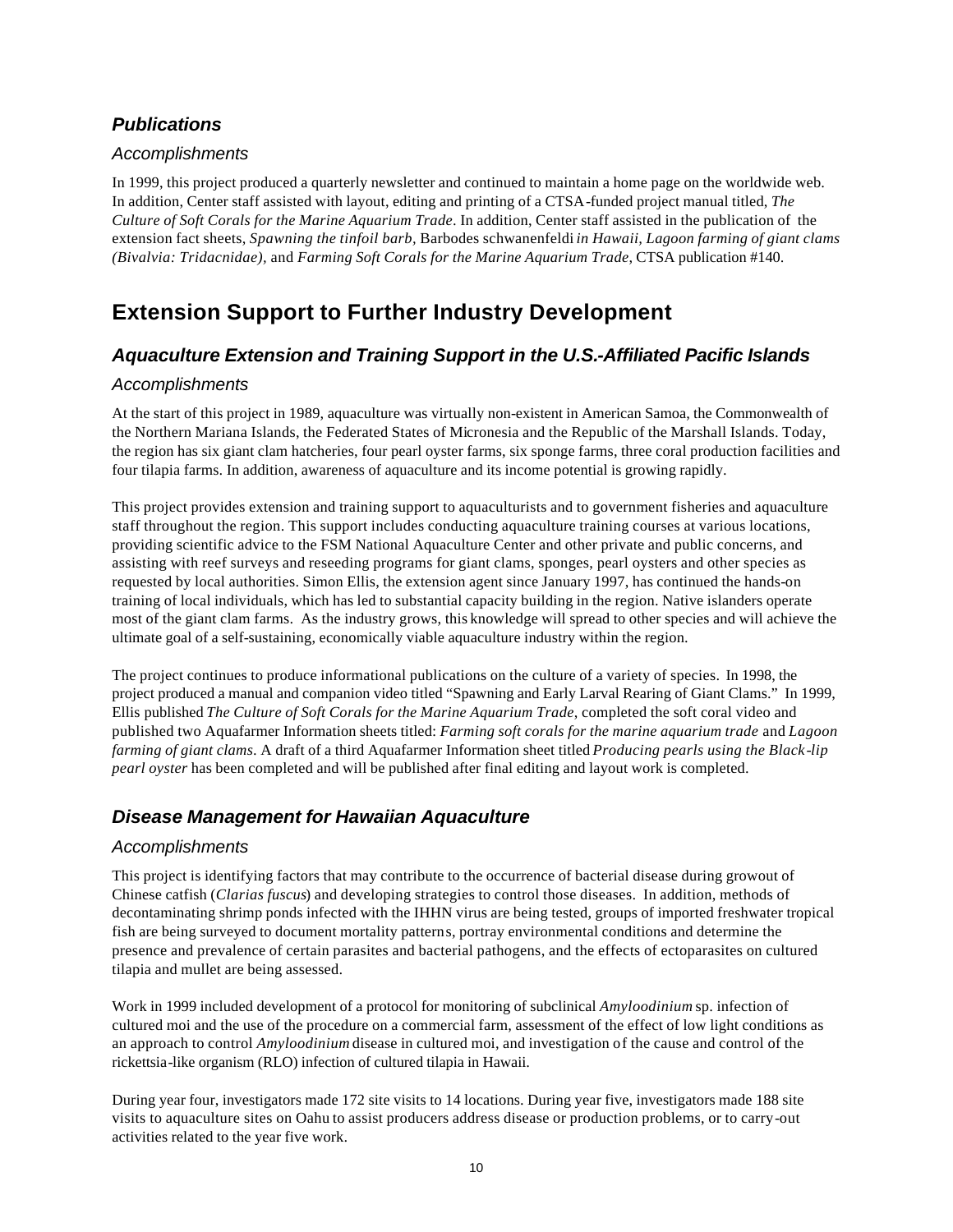#### *Publications*

#### *Accomplishments*

In 1999, this project produced a quarterly newsletter and continued to maintain a home page on the worldwide web. In addition, Center staff assisted with layout, editing and printing of a CTSA-funded project manual titled, *The Culture of Soft Corals for the Marine Aquarium Trade*. In addition, Center staff assisted in the publication of the extension fact sheets, *Spawning the tinfoil barb,* Barbodes schwanenfeldi *in Hawaii, Lagoon farming of giant clams (Bivalvia: Tridacnidae),* and *Farming Soft Corals for the Marine Aquarium Trade*, CTSA publication #140.

# **Extension Support to Further Industry Development**

#### *Aquaculture Extension and Training Support in the U.S.-Affiliated Pacific Islands*

#### *Accomplishments*

At the start of this project in 1989, aquaculture was virtually non-existent in American Samoa, the Commonwealth of the Northern Mariana Islands, the Federated States of Micronesia and the Republic of the Marshall Islands. Today, the region has six giant clam hatcheries, four pearl oyster farms, six sponge farms, three coral production facilities and four tilapia farms. In addition, awareness of aquaculture and its income potential is growing rapidly.

This project provides extension and training support to aquaculturists and to government fisheries and aquaculture staff throughout the region. This support includes conducting aquaculture training courses at various locations, providing scientific advice to the FSM National Aquaculture Center and other private and public concerns, and assisting with reef surveys and reseeding programs for giant clams, sponges, pearl oysters and other species as requested by local authorities. Simon Ellis, the extension agent since January 1997, has continued the hands-on training of local individuals, which has led to substantial capacity building in the region. Native islanders operate most of the giant clam farms. As the industry grows, this knowledge will spread to other species and will achieve the ultimate goal of a self-sustaining, economically viable aquaculture industry within the region.

The project continues to produce informational publications on the culture of a variety of species. In 1998, the project produced a manual and companion video titled "Spawning and Early Larval Rearing of Giant Clams." In 1999, Ellis published *The Culture of Soft Corals for the Marine Aquarium Trade*, completed the soft coral video and published two Aquafarmer Information sheets titled: *Farming soft corals for the marine aquarium trade* and *Lagoon farming of giant clams*. A draft of a third Aquafarmer Information sheet titled *Producing pearls using the Black-lip pearl oyster* has been completed and will be published after final editing and layout work is completed.

#### *Disease Management for Hawaiian Aquaculture*

#### *Accomplishments*

This project is identifying factors that may contribute to the occurrence of bacterial disease during growout of Chinese catfish (*Clarias fuscus*) and developing strategies to control those diseases. In addition, methods of decontaminating shrimp ponds infected with the IHHN virus are being tested, groups of imported freshwater tropical fish are being surveyed to document mortality patterns, portray environmental conditions and determine the presence and prevalence of certain parasites and bacterial pathogens, and the effects of ectoparasites on cultured tilapia and mullet are being assessed.

Work in 1999 included development of a protocol for monitoring of subclinical *Amyloodinium* sp. infection of cultured moi and the use of the procedure on a commercial farm, assessment of the effect of low light conditions as an approach to control *Amyloodinium* disease in cultured moi, and investigation of the cause and control of the rickettsia-like organism (RLO) infection of cultured tilapia in Hawaii.

During year four, investigators made 172 site visits to 14 locations. During year five, investigators made 188 site visits to aquaculture sites on Oahu to assist producers address disease or production problems, or to carry-out activities related to the year five work.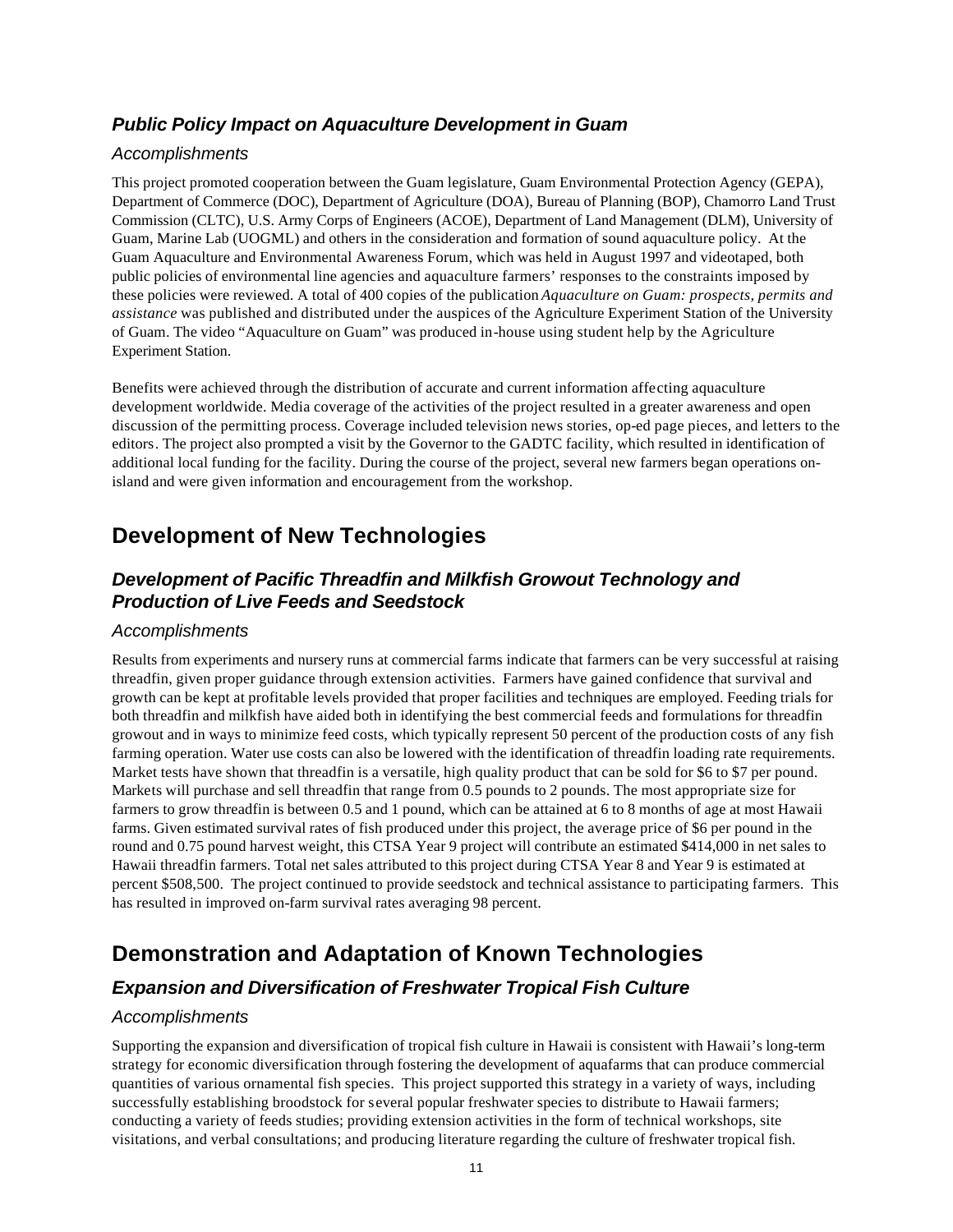#### *Public Policy Impact on Aquaculture Development in Guam*

#### *Accomplishments*

This project promoted cooperation between the Guam legislature, Guam Environmental Protection Agency (GEPA), Department of Commerce (DOC), Department of Agriculture (DOA), Bureau of Planning (BOP), Chamorro Land Trust Commission (CLTC), U.S. Army Corps of Engineers (ACOE), Department of Land Management (DLM), University of Guam, Marine Lab (UOGML) and others in the consideration and formation of sound aquaculture policy. At the Guam Aquaculture and Environmental Awareness Forum, which was held in August 1997 and videotaped, both public policies of environmental line agencies and aquaculture farmers' responses to the constraints imposed by these policies were reviewed. A total of 400 copies of the publication *Aquaculture on Guam: prospects, permits and assistance* was published and distributed under the auspices of the Agriculture Experiment Station of the University of Guam. The video "Aquaculture on Guam" was produced in-house using student help by the Agriculture Experiment Station.

Benefits were achieved through the distribution of accurate and current information affecting aquaculture development worldwide. Media coverage of the activities of the project resulted in a greater awareness and open discussion of the permitting process. Coverage included television news stories, op-ed page pieces, and letters to the editors. The project also prompted a visit by the Governor to the GADTC facility, which resulted in identification of additional local funding for the facility. During the course of the project, several new farmers began operations onisland and were given information and encouragement from the workshop.

# **Development of New Technologies**

#### *Development of Pacific Threadfin and Milkfish Growout Technology and Production of Live Feeds and Seedstock*

#### *Accomplishments*

Results from experiments and nursery runs at commercial farms indicate that farmers can be very successful at raising threadfin, given proper guidance through extension activities. Farmers have gained confidence that survival and growth can be kept at profitable levels provided that proper facilities and techniques are employed. Feeding trials for both threadfin and milkfish have aided both in identifying the best commercial feeds and formulations for threadfin growout and in ways to minimize feed costs, which typically represent 50 percent of the production costs of any fish farming operation. Water use costs can also be lowered with the identification of threadfin loading rate requirements. Market tests have shown that threadfin is a versatile, high quality product that can be sold for \$6 to \$7 per pound. Markets will purchase and sell threadfin that range from 0.5 pounds to 2 pounds. The most appropriate size for farmers to grow threadfin is between 0.5 and 1 pound, which can be attained at 6 to 8 months of age at most Hawaii farms. Given estimated survival rates of fish produced under this project, the average price of \$6 per pound in the round and 0.75 pound harvest weight, this CTSA Year 9 project will contribute an estimated \$414,000 in net sales to Hawaii threadfin farmers. Total net sales attributed to this project during CTSA Year 8 and Year 9 is estimated at percent \$508,500. The project continued to provide seedstock and technical assistance to participating farmers. This has resulted in improved on-farm survival rates averaging 98 percent.

# **Demonstration and Adaptation of Known Technologies**

#### *Expansion and Diversification of Freshwater Tropical Fish Culture*

#### *Accomplishments*

Supporting the expansion and diversification of tropical fish culture in Hawaii is consistent with Hawaii's long-term strategy for economic diversification through fostering the development of aquafarms that can produce commercial quantities of various ornamental fish species. This project supported this strategy in a variety of ways, including successfully establishing broodstock for several popular freshwater species to distribute to Hawaii farmers; conducting a variety of feeds studies; providing extension activities in the form of technical workshops, site visitations, and verbal consultations; and producing literature regarding the culture of freshwater tropical fish.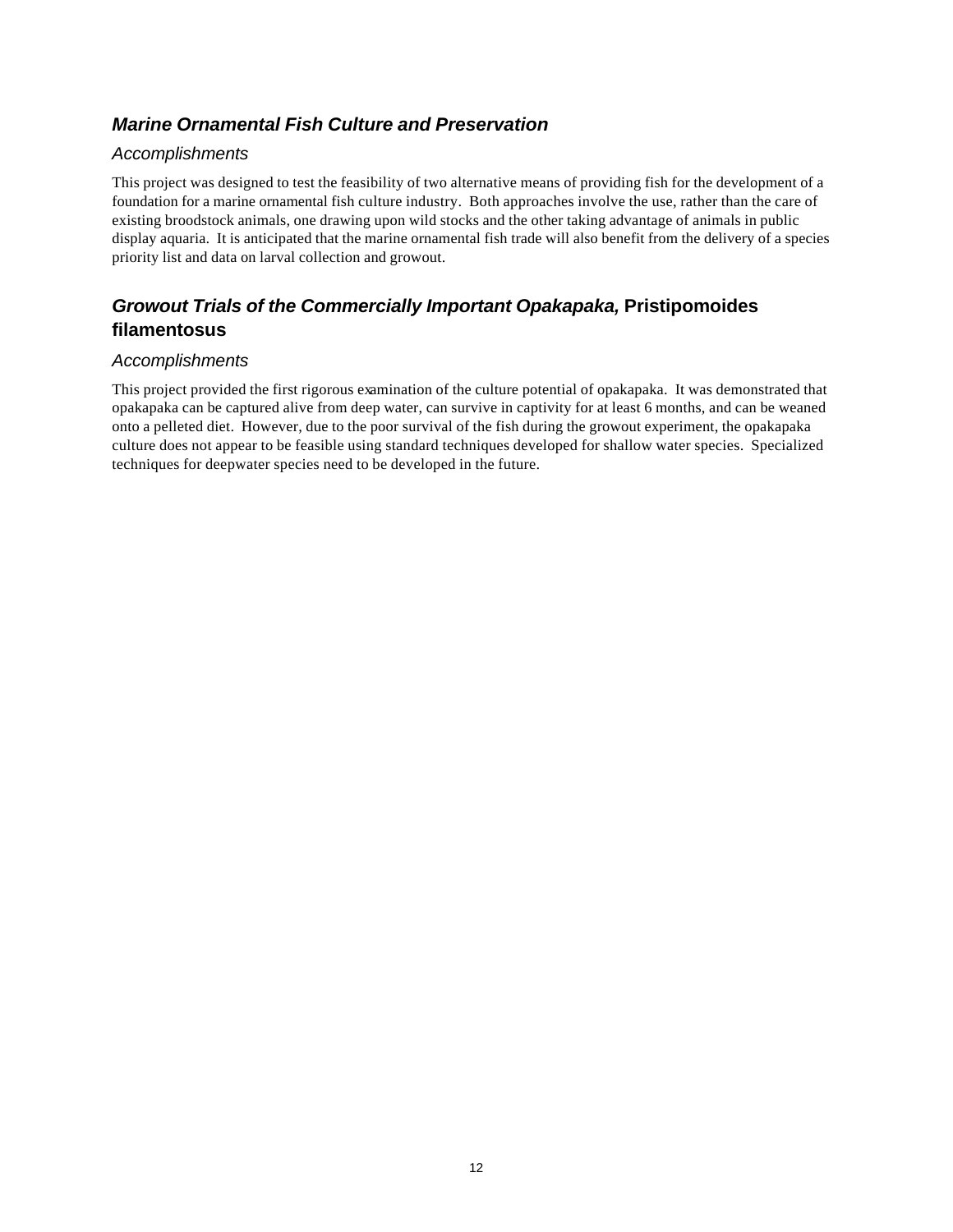#### *Marine Ornamental Fish Culture and Preservation*

#### *Accomplishments*

This project was designed to test the feasibility of two alternative means of providing fish for the development of a foundation for a marine ornamental fish culture industry. Both approaches involve the use, rather than the care of existing broodstock animals, one drawing upon wild stocks and the other taking advantage of animals in public display aquaria. It is anticipated that the marine ornamental fish trade will also benefit from the delivery of a species priority list and data on larval collection and growout.

#### *Growout Trials of the Commercially Important Opakapaka,* **Pristipomoides filamentosus**

#### *Accomplishments*

This project provided the first rigorous examination of the culture potential of opakapaka. It was demonstrated that opakapaka can be captured alive from deep water, can survive in captivity for at least 6 months, and can be weaned onto a pelleted diet. However, due to the poor survival of the fish during the growout experiment, the opakapaka culture does not appear to be feasible using standard techniques developed for shallow water species. Specialized techniques for deepwater species need to be developed in the future.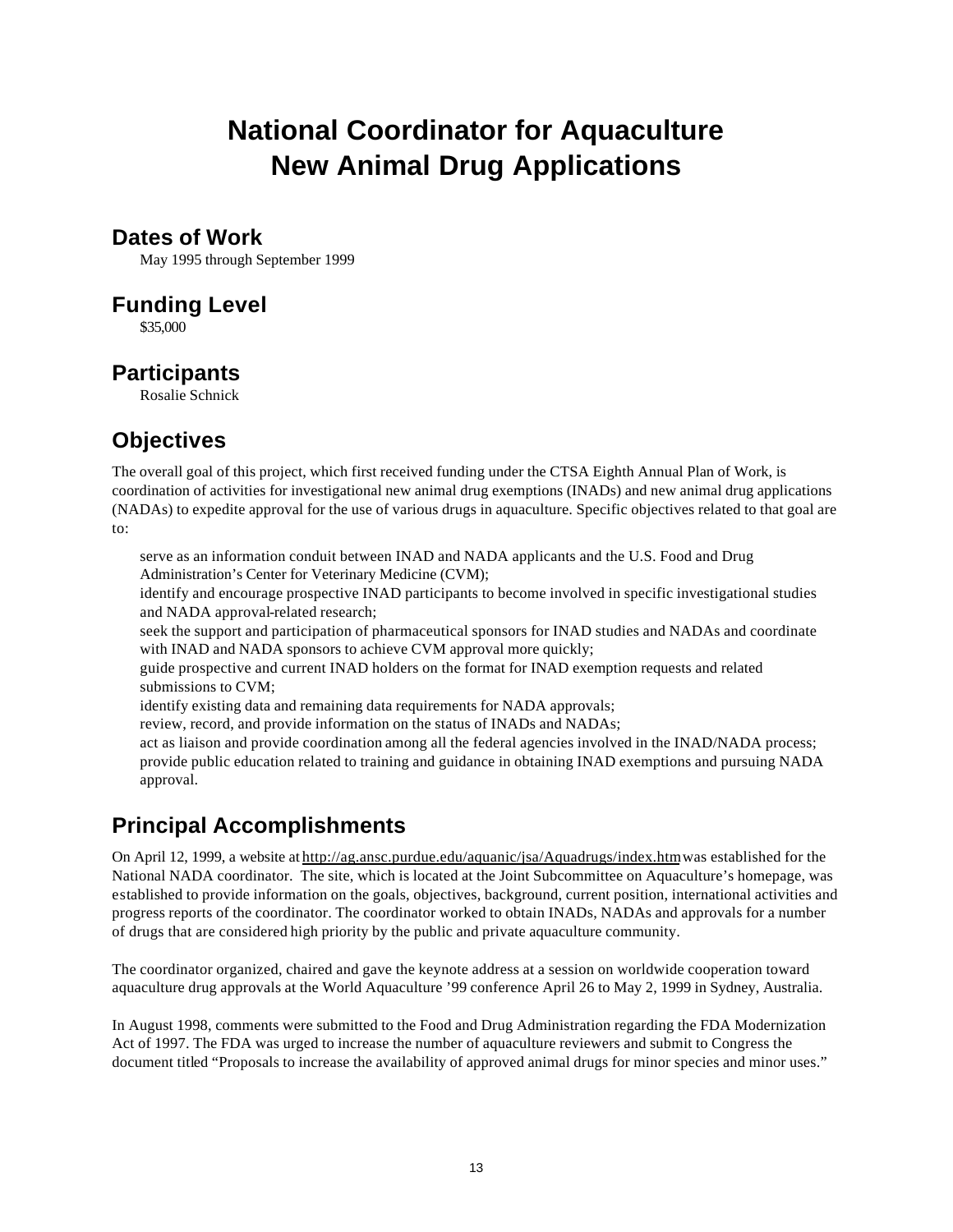# **National Coordinator for Aquaculture New Animal Drug Applications**

#### **Dates of Work**

May 1995 through September 1999

### **Funding Level**

\$35,000

# **Participants**

Rosalie Schnick

# **Objectives**

The overall goal of this project, which first received funding under the CTSA Eighth Annual Plan of Work, is coordination of activities for investigational new animal drug exemptions (INADs) and new animal drug applications (NADAs) to expedite approval for the use of various drugs in aquaculture. Specific objectives related to that goal are to:

serve as an information conduit between INAD and NADA applicants and the U.S. Food and Drug Administration's Center for Veterinary Medicine (CVM);

identify and encourage prospective INAD participants to become involved in specific investigational studies and NADA approval-related research;

seek the support and participation of pharmaceutical sponsors for INAD studies and NADAs and coordinate with INAD and NADA sponsors to achieve CVM approval more quickly;

guide prospective and current INAD holders on the format for INAD exemption requests and related submissions to CVM;

identify existing data and remaining data requirements for NADA approvals;

review, record, and provide information on the status of INADs and NADAs;

act as liaison and provide coordination among all the federal agencies involved in the INAD/NADA process; provide public education related to training and guidance in obtaining INAD exemptions and pursuing NADA approval.

# **Principal Accomplishments**

On April 12, 1999, a website at http://ag.ansc.purdue.edu/aquanic/jsa/Aquadrugs/index.htm was established for the National NADA coordinator. The site, which is located at the Joint Subcommittee on Aquaculture's homepage, was established to provide information on the goals, objectives, background, current position, international activities and progress reports of the coordinator. The coordinator worked to obtain INADs, NADAs and approvals for a number of drugs that are considered high priority by the public and private aquaculture community.

The coordinator organized, chaired and gave the keynote address at a session on worldwide cooperation toward aquaculture drug approvals at the World Aquaculture '99 conference April 26 to May 2, 1999 in Sydney, Australia.

In August 1998, comments were submitted to the Food and Drug Administration regarding the FDA Modernization Act of 1997. The FDA was urged to increase the number of aquaculture reviewers and submit to Congress the document titled "Proposals to increase the availability of approved animal drugs for minor species and minor uses."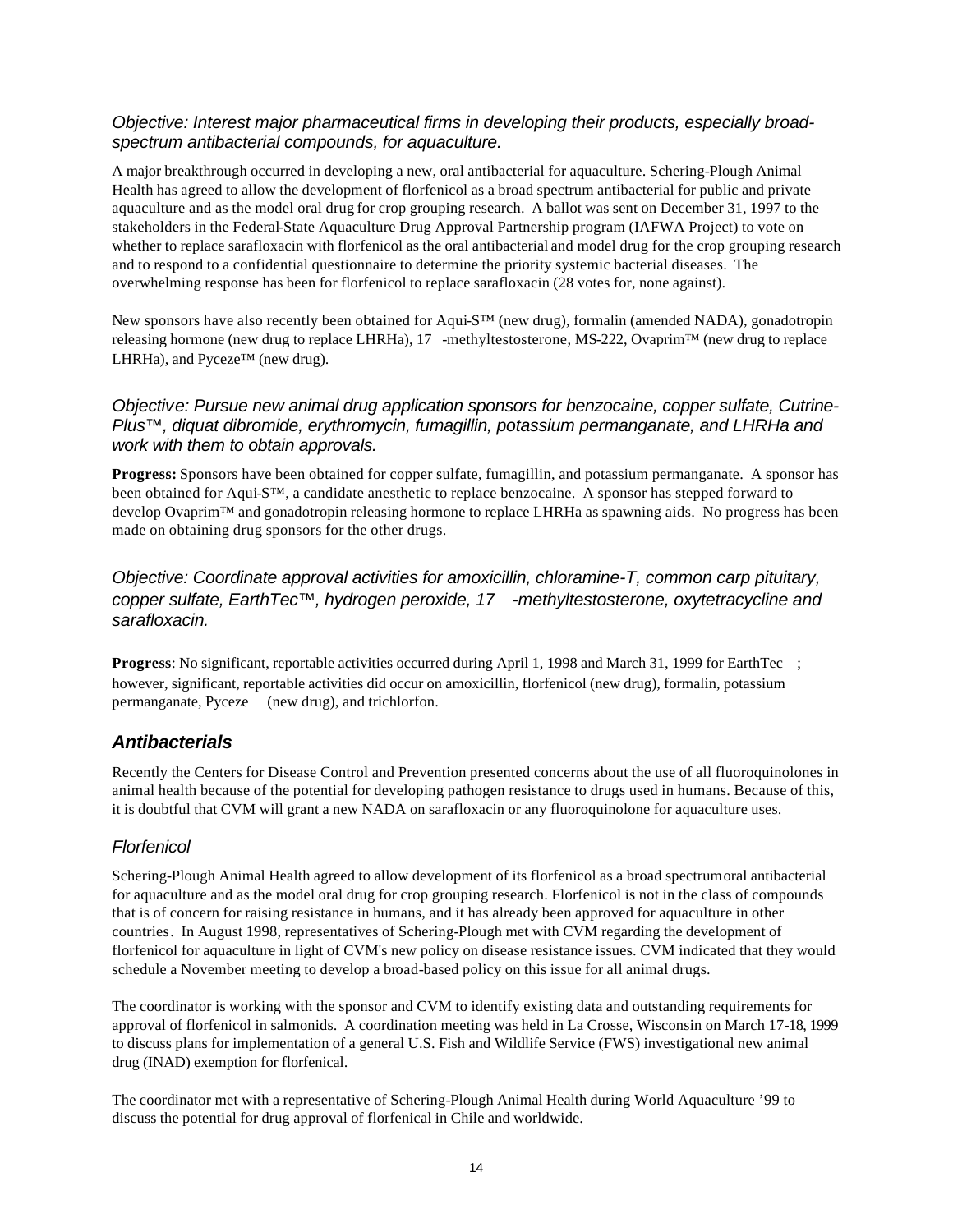#### *Objective: Interest major pharmaceutical firms in developing their products, especially broadspectrum antibacterial compounds, for aquaculture.*

A major breakthrough occurred in developing a new, oral antibacterial for aquaculture. Schering-Plough Animal Health has agreed to allow the development of florfenicol as a broad spectrum antibacterial for public and private aquaculture and as the model oral drug for crop grouping research. A ballot was sent on December 31, 1997 to the stakeholders in the Federal-State Aquaculture Drug Approval Partnership program (IAFWA Project) to vote on whether to replace sarafloxacin with florfenicol as the oral antibacterial and model drug for the crop grouping research and to respond to a confidential questionnaire to determine the priority systemic bacterial diseases. The overwhelming response has been for florfenicol to replace sarafloxacin (28 votes for, none against).

New sponsors have also recently been obtained for Aqui-S™ (new drug), formalin (amended NADA), gonadotropin releasing hormone (new drug to replace LHRHa), 17 -methyltestosterone, MS-222, Ovaprim™ (new drug to replace LHRHa), and Pyceze™ (new drug).

#### *Objective: Pursue new animal drug application sponsors for benzocaine, copper sulfate, Cutrine-Plus™, diquat dibromide, erythromycin, fumagillin, potassium permanganate, and LHRHa and work with them to obtain approvals.*

**Progress:** Sponsors have been obtained for copper sulfate, fumagillin, and potassium permanganate. A sponsor has been obtained for Aqui-S™, a candidate anesthetic to replace benzocaine. A sponsor has stepped forward to develop Ovaprim™ and gonadotropin releasing hormone to replace LHRHa as spawning aids. No progress has been made on obtaining drug sponsors for the other drugs.

*Objective: Coordinate approval activities for amoxicillin, chloramine-T, common carp pituitary, copper sulfate, EarthTec™, hydrogen peroxide, 17 -methyltestosterone, oxytetracycline and sarafloxacin.*

**Progress**: No significant, reportable activities occurred during April 1, 1998 and March 31, 1999 for EarthTec ; however, significant, reportable activities did occur on amoxicillin, florfenicol (new drug), formalin, potassium permanganate, Pyceze (new drug), and trichlorfon.

#### *Antibacterials*

Recently the Centers for Disease Control and Prevention presented concerns about the use of all fluoroquinolones in animal health because of the potential for developing pathogen resistance to drugs used in humans. Because of this, it is doubtful that CVM will grant a new NADA on sarafloxacin or any fluoroquinolone for aquaculture uses.

#### *Florfenicol*

Schering-Plough Animal Health agreed to allow development of its florfenicol as a broad spectrum oral antibacterial for aquaculture and as the model oral drug for crop grouping research. Florfenicol is not in the class of compounds that is of concern for raising resistance in humans, and it has already been approved for aquaculture in other countries. In August 1998, representatives of Schering-Plough met with CVM regarding the development of florfenicol for aquaculture in light of CVM's new policy on disease resistance issues. CVM indicated that they would schedule a November meeting to develop a broad-based policy on this issue for all animal drugs.

The coordinator is working with the sponsor and CVM to identify existing data and outstanding requirements for approval of florfenicol in salmonids. A coordination meeting was held in La Crosse, Wisconsin on March 17-18, 1999 to discuss plans for implementation of a general U.S. Fish and Wildlife Service (FWS) investigational new animal drug (INAD) exemption for florfenical.

The coordinator met with a representative of Schering-Plough Animal Health during World Aquaculture '99 to discuss the potential for drug approval of florfenical in Chile and worldwide.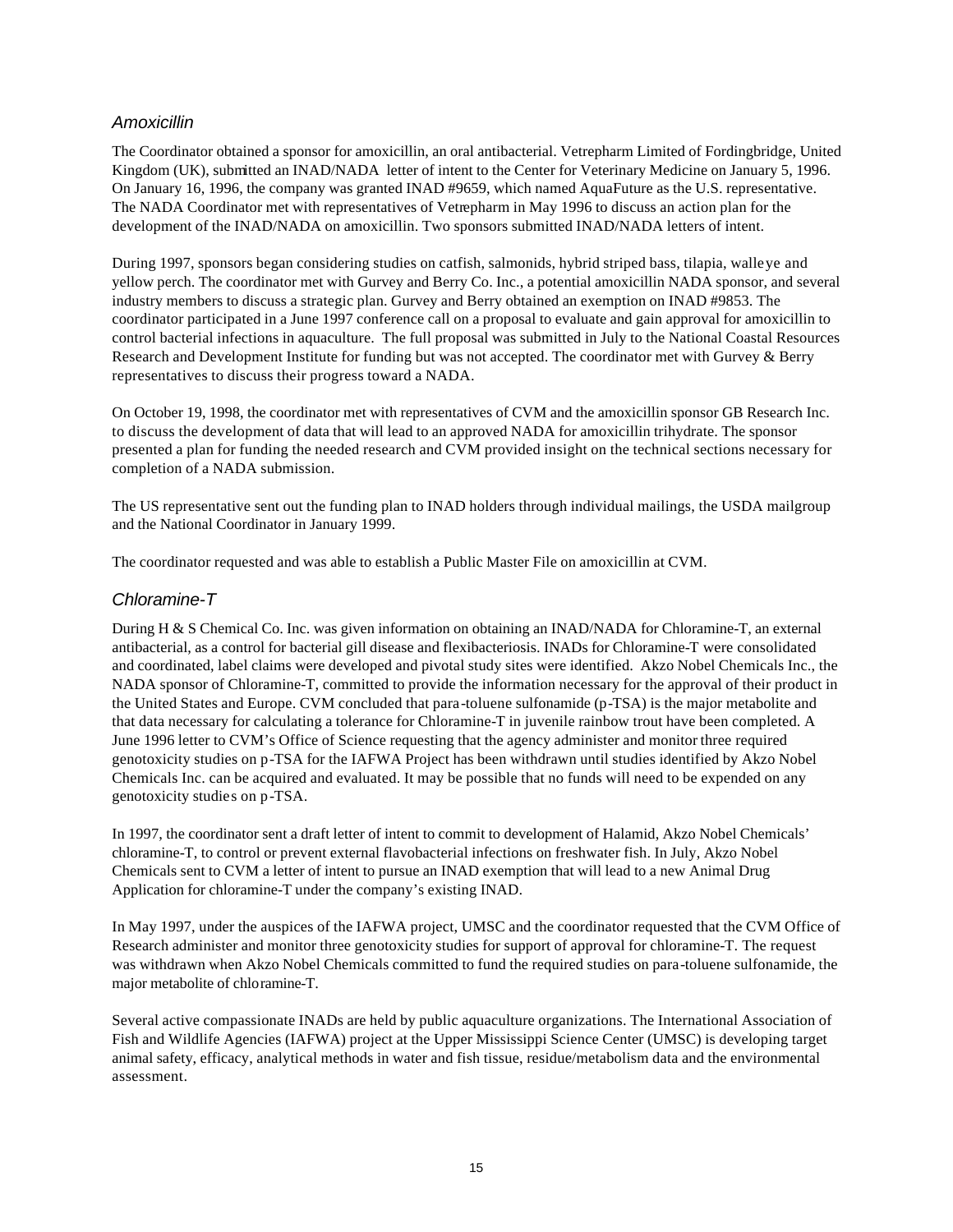#### *Amoxicillin*

The Coordinator obtained a sponsor for amoxicillin, an oral antibacterial. Vetrepharm Limited of Fordingbridge, United Kingdom (UK), submitted an INAD/NADA letter of intent to the Center for Veterinary Medicine on January 5, 1996. On January 16, 1996, the company was granted INAD #9659, which named AquaFuture as the U.S. representative. The NADA Coordinator met with representatives of Vetrepharm in May 1996 to discuss an action plan for the development of the INAD/NADA on amoxicillin. Two sponsors submitted INAD/NADA letters of intent.

During 1997, sponsors began considering studies on catfish, salmonids, hybrid striped bass, tilapia, walleye and yellow perch. The coordinator met with Gurvey and Berry Co. Inc., a potential amoxicillin NADA sponsor, and several industry members to discuss a strategic plan. Gurvey and Berry obtained an exemption on INAD #9853. The coordinator participated in a June 1997 conference call on a proposal to evaluate and gain approval for amoxicillin to control bacterial infections in aquaculture. The full proposal was submitted in July to the National Coastal Resources Research and Development Institute for funding but was not accepted. The coordinator met with Gurvey & Berry representatives to discuss their progress toward a NADA.

On October 19, 1998, the coordinator met with representatives of CVM and the amoxicillin sponsor GB Research Inc. to discuss the development of data that will lead to an approved NADA for amoxicillin trihydrate. The sponsor presented a plan for funding the needed research and CVM provided insight on the technical sections necessary for completion of a NADA submission.

The US representative sent out the funding plan to INAD holders through individual mailings, the USDA mailgroup and the National Coordinator in January 1999.

The coordinator requested and was able to establish a Public Master File on amoxicillin at CVM.

#### *Chloramine-T*

During H & S Chemical Co. Inc. was given information on obtaining an INAD/NADA for Chloramine-T, an external antibacterial, as a control for bacterial gill disease and flexibacteriosis. INADs for Chloramine-T were consolidated and coordinated, label claims were developed and pivotal study sites were identified. Akzo Nobel Chemicals Inc., the NADA sponsor of Chloramine-T, committed to provide the information necessary for the approval of their product in the United States and Europe. CVM concluded that para-toluene sulfonamide (p-TSA) is the major metabolite and that data necessary for calculating a tolerance for Chloramine-T in juvenile rainbow trout have been completed. A June 1996 letter to CVM's Office of Science requesting that the agency administer and monitor three required genotoxicity studies on p-TSA for the IAFWA Project has been withdrawn until studies identified by Akzo Nobel Chemicals Inc. can be acquired and evaluated. It may be possible that no funds will need to be expended on any genotoxicity studies on p-TSA.

In 1997, the coordinator sent a draft letter of intent to commit to development of Halamid, Akzo Nobel Chemicals' chloramine-T, to control or prevent external flavobacterial infections on freshwater fish. In July, Akzo Nobel Chemicals sent to CVM a letter of intent to pursue an INAD exemption that will lead to a new Animal Drug Application for chloramine-T under the company's existing INAD.

In May 1997, under the auspices of the IAFWA project, UMSC and the coordinator requested that the CVM Office of Research administer and monitor three genotoxicity studies for support of approval for chloramine-T. The request was withdrawn when Akzo Nobel Chemicals committed to fund the required studies on para-toluene sulfonamide, the major metabolite of chloramine-T.

Several active compassionate INADs are held by public aquaculture organizations. The International Association of Fish and Wildlife Agencies (IAFWA) project at the Upper Mississippi Science Center (UMSC) is developing target animal safety, efficacy, analytical methods in water and fish tissue, residue/metabolism data and the environmental assessment.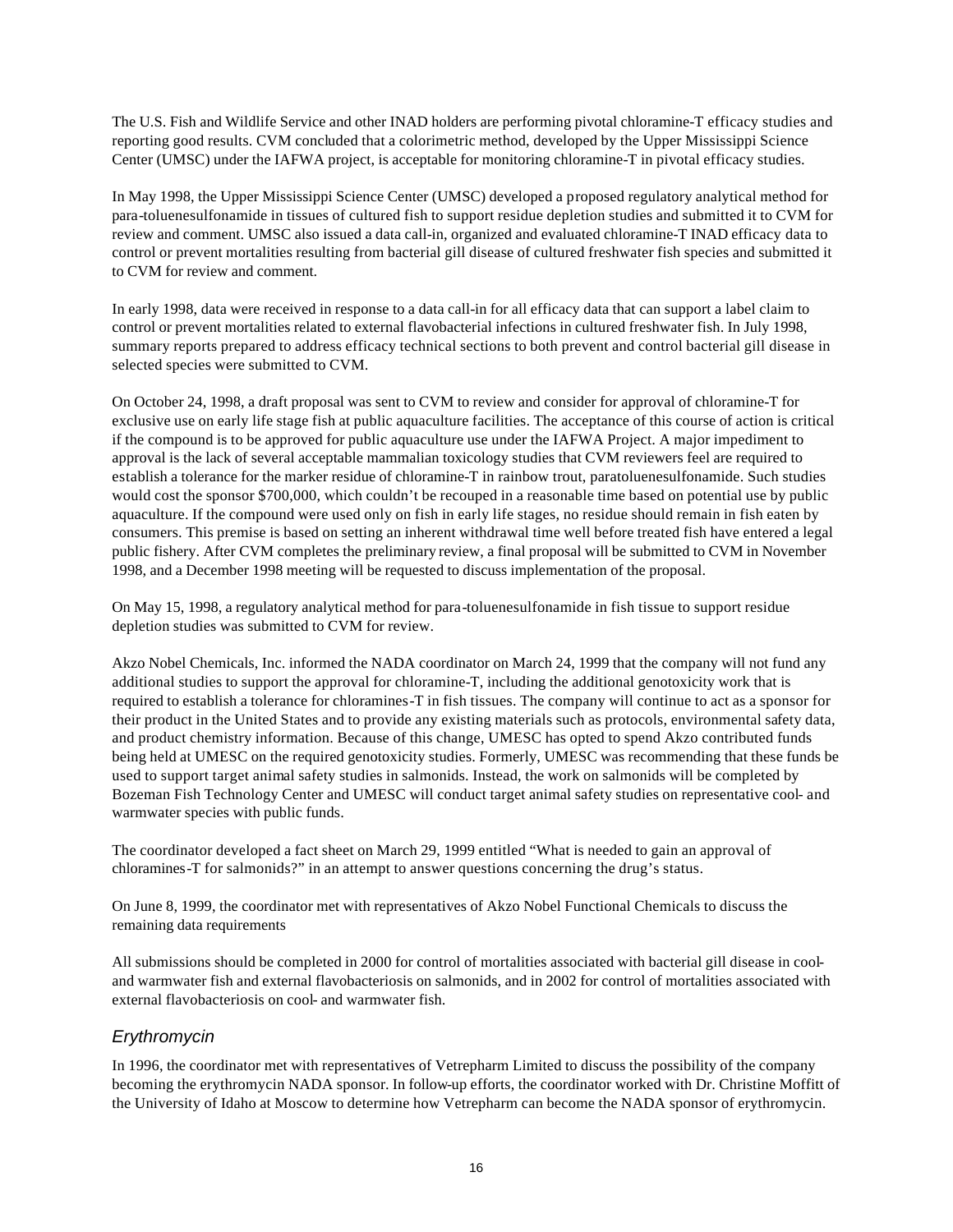The U.S. Fish and Wildlife Service and other INAD holders are performing pivotal chloramine-T efficacy studies and reporting good results. CVM concluded that a colorimetric method, developed by the Upper Mississippi Science Center (UMSC) under the IAFWA project, is acceptable for monitoring chloramine-T in pivotal efficacy studies.

In May 1998, the Upper Mississippi Science Center (UMSC) developed a proposed regulatory analytical method for para-toluenesulfonamide in tissues of cultured fish to support residue depletion studies and submitted it to CVM for review and comment. UMSC also issued a data call-in, organized and evaluated chloramine-T INAD efficacy data to control or prevent mortalities resulting from bacterial gill disease of cultured freshwater fish species and submitted it to CVM for review and comment.

In early 1998, data were received in response to a data call-in for all efficacy data that can support a label claim to control or prevent mortalities related to external flavobacterial infections in cultured freshwater fish. In July 1998, summary reports prepared to address efficacy technical sections to both prevent and control bacterial gill disease in selected species were submitted to CVM.

On October 24, 1998, a draft proposal was sent to CVM to review and consider for approval of chloramine-T for exclusive use on early life stage fish at public aquaculture facilities. The acceptance of this course of action is critical if the compound is to be approved for public aquaculture use under the IAFWA Project. A major impediment to approval is the lack of several acceptable mammalian toxicology studies that CVM reviewers feel are required to establish a tolerance for the marker residue of chloramine-T in rainbow trout, paratoluenesulfonamide. Such studies would cost the sponsor \$700,000, which couldn't be recouped in a reasonable time based on potential use by public aquaculture. If the compound were used only on fish in early life stages, no residue should remain in fish eaten by consumers. This premise is based on setting an inherent withdrawal time well before treated fish have entered a legal public fishery. After CVM completes the preliminary review, a final proposal will be submitted to CVM in November 1998, and a December 1998 meeting will be requested to discuss implementation of the proposal.

On May 15, 1998, a regulatory analytical method for para-toluenesulfonamide in fish tissue to support residue depletion studies was submitted to CVM for review.

Akzo Nobel Chemicals, Inc. informed the NADA coordinator on March 24, 1999 that the company will not fund any additional studies to support the approval for chloramine-T, including the additional genotoxicity work that is required to establish a tolerance for chloramines-T in fish tissues. The company will continue to act as a sponsor for their product in the United States and to provide any existing materials such as protocols, environmental safety data, and product chemistry information. Because of this change, UMESC has opted to spend Akzo contributed funds being held at UMESC on the required genotoxicity studies. Formerly, UMESC was recommending that these funds be used to support target animal safety studies in salmonids. Instead, the work on salmonids will be completed by Bozeman Fish Technology Center and UMESC will conduct target animal safety studies on representative cool- and warmwater species with public funds.

The coordinator developed a fact sheet on March 29, 1999 entitled "What is needed to gain an approval of chloramines-T for salmonids?" in an attempt to answer questions concerning the drug's status.

On June 8, 1999, the coordinator met with representatives of Akzo Nobel Functional Chemicals to discuss the remaining data requirements

All submissions should be completed in 2000 for control of mortalities associated with bacterial gill disease in cooland warmwater fish and external flavobacteriosis on salmonids, and in 2002 for control of mortalities associated with external flavobacteriosis on cool- and warmwater fish.

#### *Erythromycin*

In 1996, the coordinator met with representatives of Vetrepharm Limited to discuss the possibility of the company becoming the erythromycin NADA sponsor. In follow-up efforts, the coordinator worked with Dr. Christine Moffitt of the University of Idaho at Moscow to determine how Vetrepharm can become the NADA sponsor of erythromycin.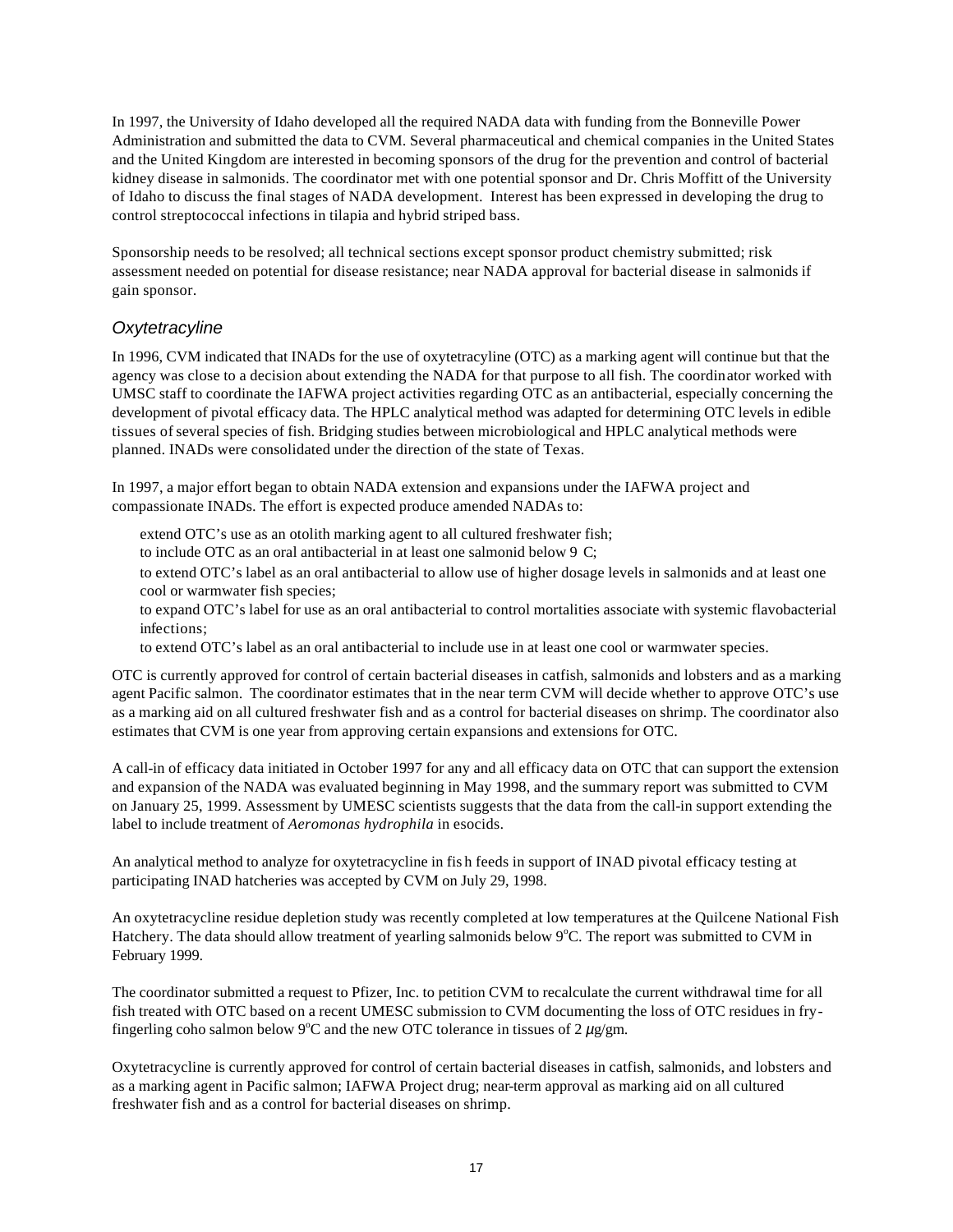In 1997, the University of Idaho developed all the required NADA data with funding from the Bonneville Power Administration and submitted the data to CVM. Several pharmaceutical and chemical companies in the United States and the United Kingdom are interested in becoming sponsors of the drug for the prevention and control of bacterial kidney disease in salmonids. The coordinator met with one potential sponsor and Dr. Chris Moffitt of the University of Idaho to discuss the final stages of NADA development. Interest has been expressed in developing the drug to control streptococcal infections in tilapia and hybrid striped bass.

Sponsorship needs to be resolved; all technical sections except sponsor product chemistry submitted; risk assessment needed on potential for disease resistance; near NADA approval for bacterial disease in salmonids if gain sponsor.

#### *Oxytetracyline*

In 1996, CVM indicated that INADs for the use of oxytetracyline (OTC) as a marking agent will continue but that the agency was close to a decision about extending the NADA for that purpose to all fish. The coordinator worked with UMSC staff to coordinate the IAFWA project activities regarding OTC as an antibacterial, especially concerning the development of pivotal efficacy data. The HPLC analytical method was adapted for determining OTC levels in edible tissues of several species of fish. Bridging studies between microbiological and HPLC analytical methods were planned. INADs were consolidated under the direction of the state of Texas.

In 1997, a major effort began to obtain NADA extension and expansions under the IAFWA project and compassionate INADs. The effort is expected produce amended NADAs to:

extend OTC's use as an otolith marking agent to all cultured freshwater fish;

to include OTC as an oral antibacterial in at least one salmonid below 9 C;

to extend OTC's label as an oral antibacterial to allow use of higher dosage levels in salmonids and at least one cool or warmwater fish species;

to expand OTC's label for use as an oral antibacterial to control mortalities associate with systemic flavobacterial infections;

to extend OTC's label as an oral antibacterial to include use in at least one cool or warmwater species.

OTC is currently approved for control of certain bacterial diseases in catfish, salmonids and lobsters and as a marking agent Pacific salmon. The coordinator estimates that in the near term CVM will decide whether to approve OTC's use as a marking aid on all cultured freshwater fish and as a control for bacterial diseases on shrimp. The coordinator also estimates that CVM is one year from approving certain expansions and extensions for OTC.

A call-in of efficacy data initiated in October 1997 for any and all efficacy data on OTC that can support the extension and expansion of the NADA was evaluated beginning in May 1998, and the summary report was submitted to CVM on January 25, 1999. Assessment by UMESC scientists suggests that the data from the call-in support extending the label to include treatment of *Aeromonas hydrophila* in esocids.

An analytical method to analyze for oxytetracycline in fis h feeds in support of INAD pivotal efficacy testing at participating INAD hatcheries was accepted by CVM on July 29, 1998.

An oxytetracycline residue depletion study was recently completed at low temperatures at the Quilcene National Fish Hatchery. The data should allow treatment of yearling salmonids below  $9^{\circ}$ C. The report was submitted to CVM in February 1999.

The coordinator submitted a request to Pfizer, Inc. to petition CVM to recalculate the current withdrawal time for all fish treated with OTC based on a recent UMESC submission to CVM documenting the loss of OTC residues in fryfingerling coho salmon below 9<sup>o</sup>C and the new OTC tolerance in tissues of 2  $\mu$ g/gm.

Oxytetracycline is currently approved for control of certain bacterial diseases in catfish, salmonids, and lobsters and as a marking agent in Pacific salmon; IAFWA Project drug; near-term approval as marking aid on all cultured freshwater fish and as a control for bacterial diseases on shrimp.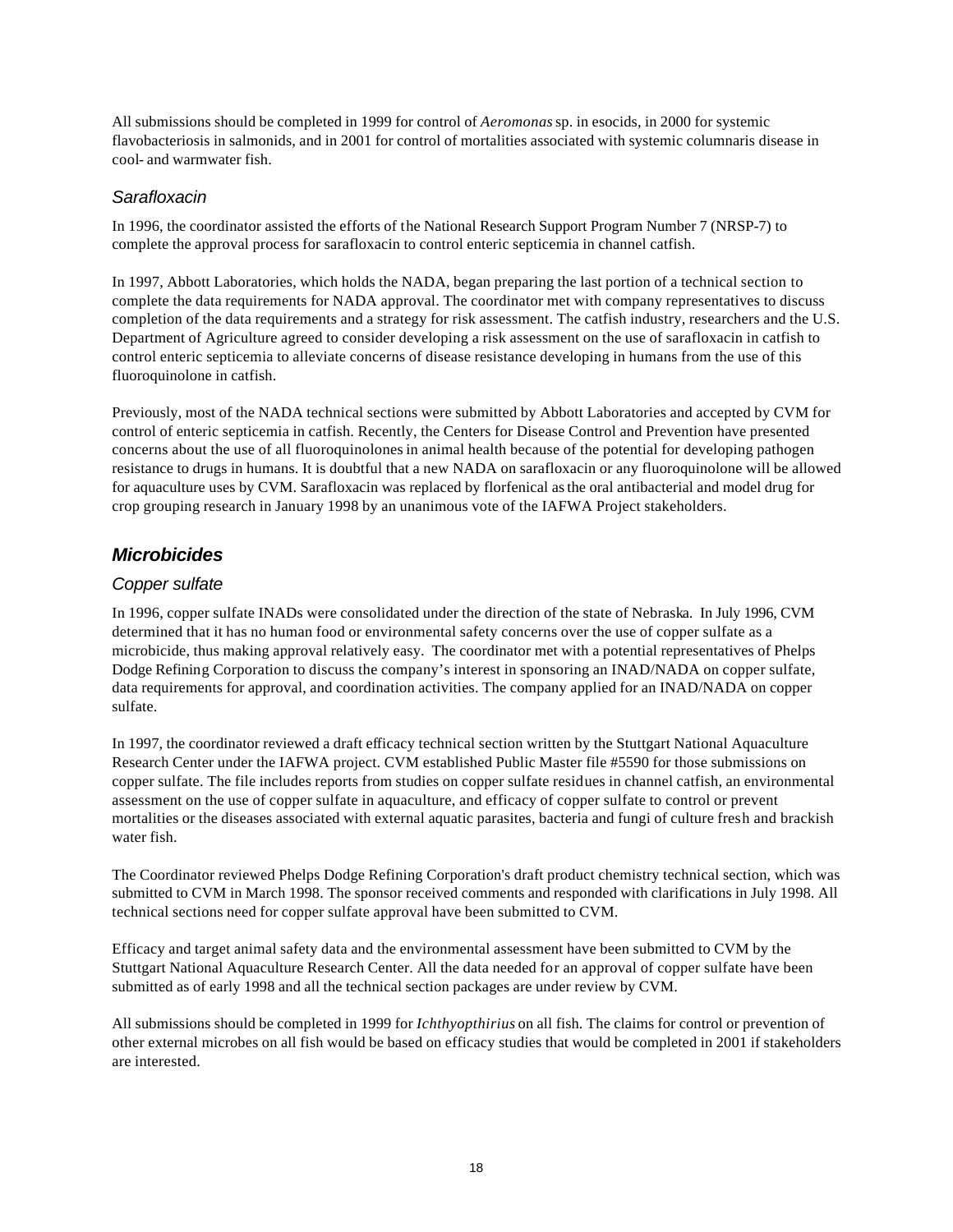All submissions should be completed in 1999 for control of *Aeromonas* sp. in esocids, in 2000 for systemic flavobacteriosis in salmonids, and in 2001 for control of mortalities associated with systemic columnaris disease in cool- and warmwater fish.

#### *Sarafloxacin*

In 1996, the coordinator assisted the efforts of the National Research Support Program Number 7 (NRSP-7) to complete the approval process for sarafloxacin to control enteric septicemia in channel catfish.

In 1997, Abbott Laboratories, which holds the NADA, began preparing the last portion of a technical section to complete the data requirements for NADA approval. The coordinator met with company representatives to discuss completion of the data requirements and a strategy for risk assessment. The catfish industry, researchers and the U.S. Department of Agriculture agreed to consider developing a risk assessment on the use of sarafloxacin in catfish to control enteric septicemia to alleviate concerns of disease resistance developing in humans from the use of this fluoroquinolone in catfish.

Previously, most of the NADA technical sections were submitted by Abbott Laboratories and accepted by CVM for control of enteric septicemia in catfish. Recently, the Centers for Disease Control and Prevention have presented concerns about the use of all fluoroquinolones in animal health because of the potential for developing pathogen resistance to drugs in humans. It is doubtful that a new NADA on sarafloxacin or any fluoroquinolone will be allowed for aquaculture uses by CVM. Sarafloxacin was replaced by florfenical as the oral antibacterial and model drug for crop grouping research in January 1998 by an unanimous vote of the IAFWA Project stakeholders.

#### *Microbicides*

#### *Copper sulfate*

In 1996, copper sulfate INADs were consolidated under the direction of the state of Nebraska. In July 1996, CVM determined that it has no human food or environmental safety concerns over the use of copper sulfate as a microbicide, thus making approval relatively easy. The coordinator met with a potential representatives of Phelps Dodge Refining Corporation to discuss the company's interest in sponsoring an INAD/NADA on copper sulfate, data requirements for approval, and coordination activities. The company applied for an INAD/NADA on copper sulfate.

In 1997, the coordinator reviewed a draft efficacy technical section written by the Stuttgart National Aquaculture Research Center under the IAFWA project. CVM established Public Master file #5590 for those submissions on copper sulfate. The file includes reports from studies on copper sulfate residues in channel catfish, an environmental assessment on the use of copper sulfate in aquaculture, and efficacy of copper sulfate to control or prevent mortalities or the diseases associated with external aquatic parasites, bacteria and fungi of culture fresh and brackish water fish.

The Coordinator reviewed Phelps Dodge Refining Corporation's draft product chemistry technical section, which was submitted to CVM in March 1998. The sponsor received comments and responded with clarifications in July 1998. All technical sections need for copper sulfate approval have been submitted to CVM.

Efficacy and target animal safety data and the environmental assessment have been submitted to CVM by the Stuttgart National Aquaculture Research Center. All the data needed for an approval of copper sulfate have been submitted as of early 1998 and all the technical section packages are under review by CVM.

All submissions should be completed in 1999 for *Ichthyopthirius* on all fish. The claims for control or prevention of other external microbes on all fish would be based on efficacy studies that would be completed in 2001 if stakeholders are interested.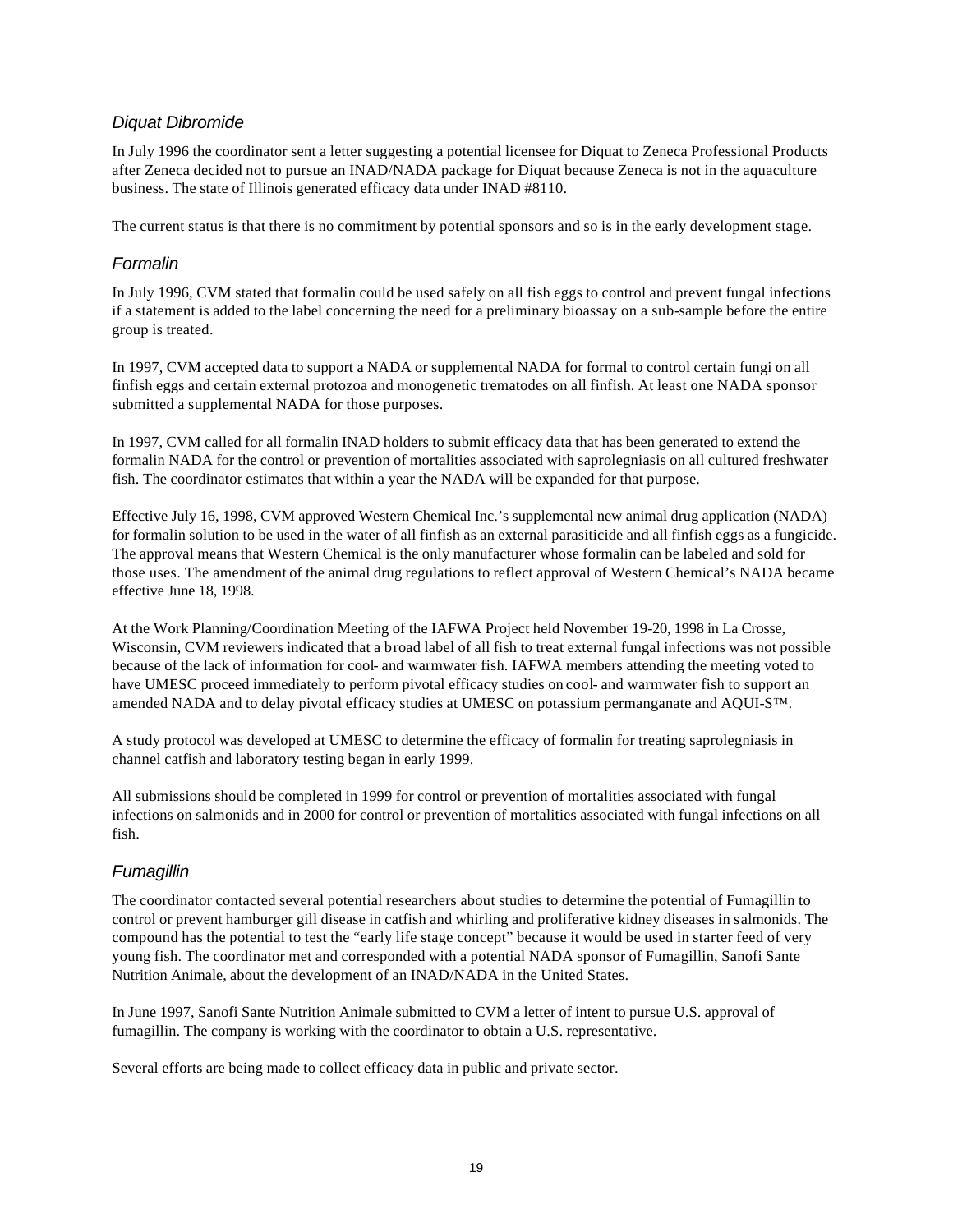#### *Diquat Dibromide*

In July 1996 the coordinator sent a letter suggesting a potential licensee for Diquat to Zeneca Professional Products after Zeneca decided not to pursue an INAD/NADA package for Diquat because Zeneca is not in the aquaculture business. The state of Illinois generated efficacy data under INAD #8110.

The current status is that there is no commitment by potential sponsors and so is in the early development stage.

#### *Formalin*

In July 1996, CVM stated that formalin could be used safely on all fish eggs to control and prevent fungal infections if a statement is added to the label concerning the need for a preliminary bioassay on a sub-sample before the entire group is treated.

In 1997, CVM accepted data to support a NADA or supplemental NADA for formal to control certain fungi on all finfish eggs and certain external protozoa and monogenetic trematodes on all finfish. At least one NADA sponsor submitted a supplemental NADA for those purposes.

In 1997, CVM called for all formalin INAD holders to submit efficacy data that has been generated to extend the formalin NADA for the control or prevention of mortalities associated with saprolegniasis on all cultured freshwater fish. The coordinator estimates that within a year the NADA will be expanded for that purpose.

Effective July 16, 1998, CVM approved Western Chemical Inc.'s supplemental new animal drug application (NADA) for formalin solution to be used in the water of all finfish as an external parasiticide and all finfish eggs as a fungicide. The approval means that Western Chemical is the only manufacturer whose formalin can be labeled and sold for those uses. The amendment of the animal drug regulations to reflect approval of Western Chemical's NADA became effective June 18, 1998.

At the Work Planning/Coordination Meeting of the IAFWA Project held November 19-20, 1998 in La Crosse, Wisconsin, CVM reviewers indicated that a broad label of all fish to treat external fungal infections was not possible because of the lack of information for cool- and warmwater fish. IAFWA members attending the meeting voted to have UMESC proceed immediately to perform pivotal efficacy studies on cool- and warmwater fish to support an amended NADA and to delay pivotal efficacy studies at UMESC on potassium permanganate and AQUI-S™.

A study protocol was developed at UMESC to determine the efficacy of formalin for treating saprolegniasis in channel catfish and laboratory testing began in early 1999.

All submissions should be completed in 1999 for control or prevention of mortalities associated with fungal infections on salmonids and in 2000 for control or prevention of mortalities associated with fungal infections on all fish.

#### *Fumagillin*

The coordinator contacted several potential researchers about studies to determine the potential of Fumagillin to control or prevent hamburger gill disease in catfish and whirling and proliferative kidney diseases in salmonids. The compound has the potential to test the "early life stage concept" because it would be used in starter feed of very young fish. The coordinator met and corresponded with a potential NADA sponsor of Fumagillin, Sanofi Sante Nutrition Animale, about the development of an INAD/NADA in the United States.

In June 1997, Sanofi Sante Nutrition Animale submitted to CVM a letter of intent to pursue U.S. approval of fumagillin. The company is working with the coordinator to obtain a U.S. representative.

Several efforts are being made to collect efficacy data in public and private sector.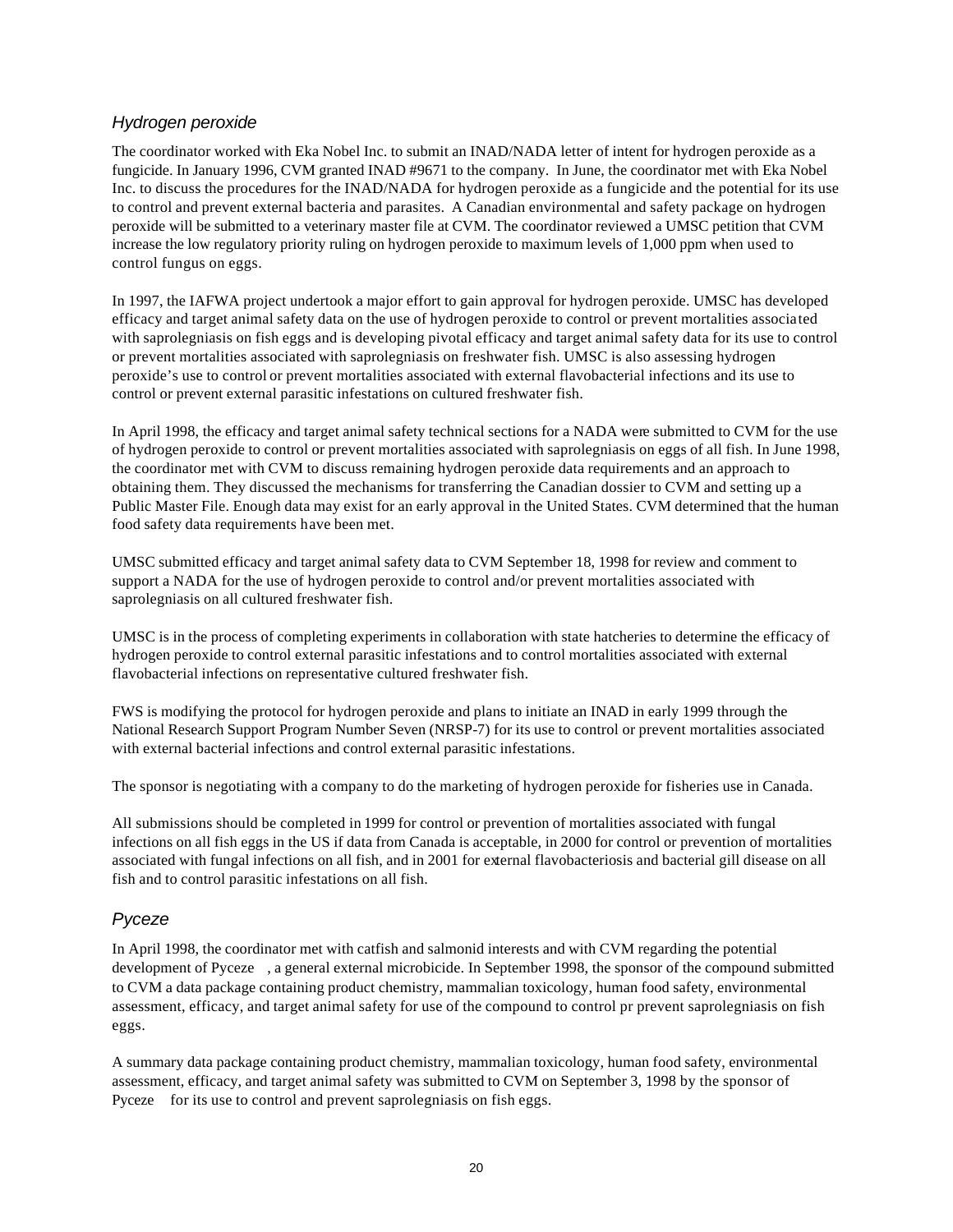#### *Hydrogen peroxide*

The coordinator worked with Eka Nobel Inc. to submit an INAD/NADA letter of intent for hydrogen peroxide as a fungicide. In January 1996, CVM granted INAD #9671 to the company. In June, the coordinator met with Eka Nobel Inc. to discuss the procedures for the INAD/NADA for hydrogen peroxide as a fungicide and the potential for its use to control and prevent external bacteria and parasites. A Canadian environmental and safety package on hydrogen peroxide will be submitted to a veterinary master file at CVM. The coordinator reviewed a UMSC petition that CVM increase the low regulatory priority ruling on hydrogen peroxide to maximum levels of 1,000 ppm when used to control fungus on eggs.

In 1997, the IAFWA project undertook a major effort to gain approval for hydrogen peroxide. UMSC has developed efficacy and target animal safety data on the use of hydrogen peroxide to control or prevent mortalities associated with saprolegniasis on fish eggs and is developing pivotal efficacy and target animal safety data for its use to control or prevent mortalities associated with saprolegniasis on freshwater fish. UMSC is also assessing hydrogen peroxide's use to control or prevent mortalities associated with external flavobacterial infections and its use to control or prevent external parasitic infestations on cultured freshwater fish.

In April 1998, the efficacy and target animal safety technical sections for a NADA were submitted to CVM for the use of hydrogen peroxide to control or prevent mortalities associated with saprolegniasis on eggs of all fish. In June 1998, the coordinator met with CVM to discuss remaining hydrogen peroxide data requirements and an approach to obtaining them. They discussed the mechanisms for transferring the Canadian dossier to CVM and setting up a Public Master File. Enough data may exist for an early approval in the United States. CVM determined that the human food safety data requirements have been met.

UMSC submitted efficacy and target animal safety data to CVM September 18, 1998 for review and comment to support a NADA for the use of hydrogen peroxide to control and/or prevent mortalities associated with saprolegniasis on all cultured freshwater fish.

UMSC is in the process of completing experiments in collaboration with state hatcheries to determine the efficacy of hydrogen peroxide to control external parasitic infestations and to control mortalities associated with external flavobacterial infections on representative cultured freshwater fish.

FWS is modifying the protocol for hydrogen peroxide and plans to initiate an INAD in early 1999 through the National Research Support Program Number Seven (NRSP-7) for its use to control or prevent mortalities associated with external bacterial infections and control external parasitic infestations.

The sponsor is negotiating with a company to do the marketing of hydrogen peroxide for fisheries use in Canada.

All submissions should be completed in 1999 for control or prevention of mortalities associated with fungal infections on all fish eggs in the US if data from Canada is acceptable, in 2000 for control or prevention of mortalities associated with fungal infections on all fish, and in 2001 for external flavobacteriosis and bacterial gill disease on all fish and to control parasitic infestations on all fish.

#### *Pyceze*

In April 1998, the coordinator met with catfish and salmonid interests and with CVM regarding the potential development of Pyceze , a general external microbicide. In September 1998, the sponsor of the compound submitted to CVM a data package containing product chemistry, mammalian toxicology, human food safety, environmental assessment, efficacy, and target animal safety for use of the compound to control pr prevent saprolegniasis on fish eggs.

A summary data package containing product chemistry, mammalian toxicology, human food safety, environmental assessment, efficacy, and target animal safety was submitted to CVM on September 3, 1998 by the sponsor of Pyceze for its use to control and prevent saprolegniasis on fish eggs.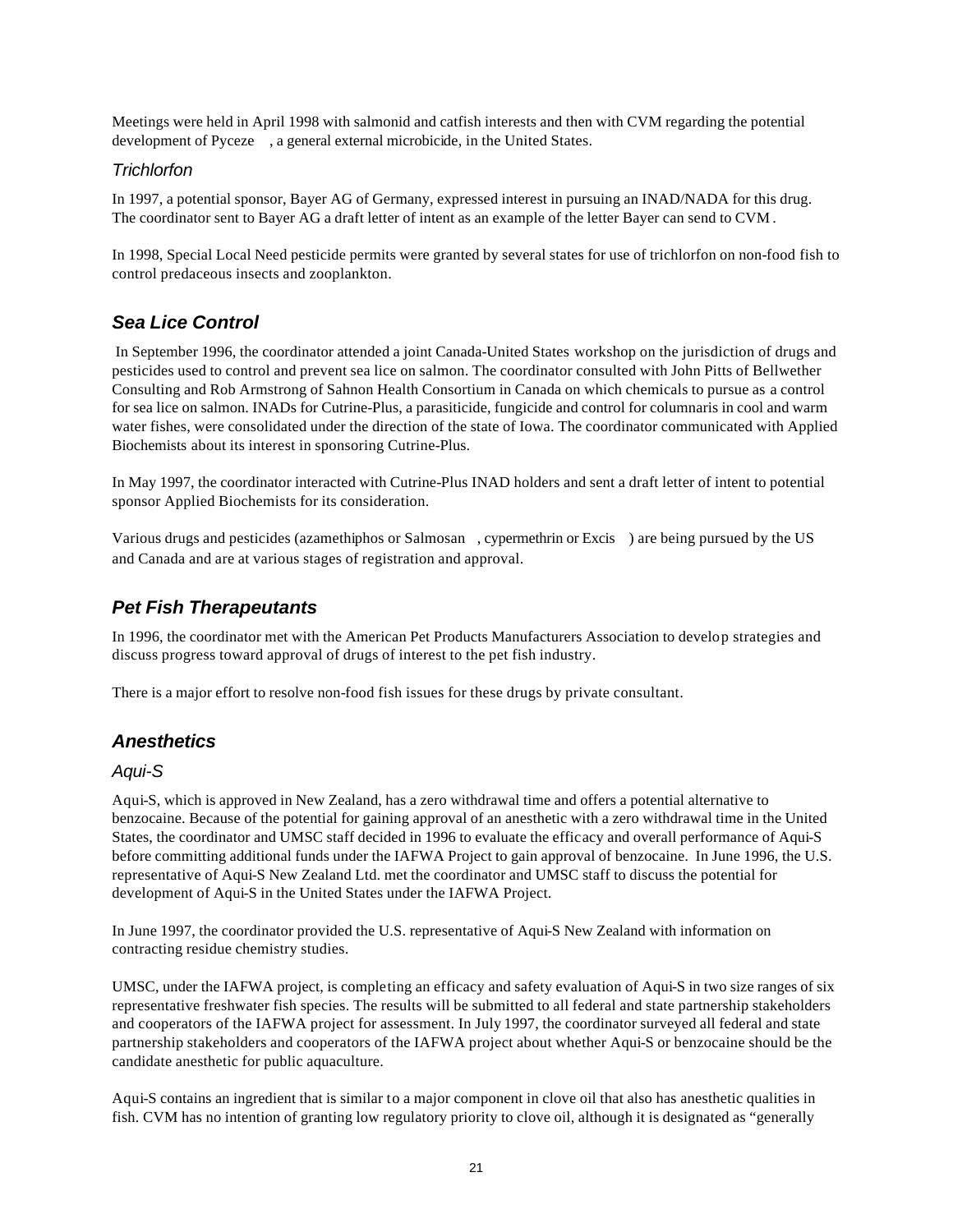Meetings were held in April 1998 with salmonid and catfish interests and then with CVM regarding the potential development of Pyceze , a general external microbicide, in the United States.

#### *Trichlorfon*

In 1997, a potential sponsor, Bayer AG of Germany, expressed interest in pursuing an INAD/NADA for this drug. The coordinator sent to Bayer AG a draft letter of intent as an example of the letter Bayer can send to CVM .

In 1998, Special Local Need pesticide permits were granted by several states for use of trichlorfon on non-food fish to control predaceous insects and zooplankton.

#### *Sea Lice Control*

 In September 1996, the coordinator attended a joint Canada-United States workshop on the jurisdiction of drugs and pesticides used to control and prevent sea lice on salmon. The coordinator consulted with John Pitts of Bellwether Consulting and Rob Armstrong of Sahnon Health Consortium in Canada on which chemicals to pursue as a control for sea lice on salmon. INADs for Cutrine-Plus, a parasiticide, fungicide and control for columnaris in cool and warm water fishes, were consolidated under the direction of the state of Iowa. The coordinator communicated with Applied Biochemists about its interest in sponsoring Cutrine-Plus.

In May 1997, the coordinator interacted with Cutrine-Plus INAD holders and sent a draft letter of intent to potential sponsor Applied Biochemists for its consideration.

Various drugs and pesticides (azamethiphos or Salmosan , cypermethrin or Excis ) are being pursued by the US and Canada and are at various stages of registration and approval.

#### *Pet Fish Therapeutants*

In 1996, the coordinator met with the American Pet Products Manufacturers Association to develop strategies and discuss progress toward approval of drugs of interest to the pet fish industry.

There is a major effort to resolve non-food fish issues for these drugs by private consultant.

#### *Anesthetics*

#### *Aqui-S*

Aqui-S, which is approved in New Zealand, has a zero withdrawal time and offers a potential alternative to benzocaine. Because of the potential for gaining approval of an anesthetic with a zero withdrawal time in the United States, the coordinator and UMSC staff decided in 1996 to evaluate the efficacy and overall performance of Aqui-S before committing additional funds under the IAFWA Project to gain approval of benzocaine. In June 1996, the U.S. representative of Aqui-S New Zealand Ltd. met the coordinator and UMSC staff to discuss the potential for development of Aqui-S in the United States under the IAFWA Project.

In June 1997, the coordinator provided the U.S. representative of Aqui-S New Zealand with information on contracting residue chemistry studies.

UMSC, under the IAFWA project, is completing an efficacy and safety evaluation of Aqui-S in two size ranges of six representative freshwater fish species. The results will be submitted to all federal and state partnership stakeholders and cooperators of the IAFWA project for assessment. In July 1997, the coordinator surveyed all federal and state partnership stakeholders and cooperators of the IAFWA project about whether Aqui-S or benzocaine should be the candidate anesthetic for public aquaculture.

Aqui-S contains an ingredient that is similar to a major component in clove oil that also has anesthetic qualities in fish. CVM has no intention of granting low regulatory priority to clove oil, although it is designated as "generally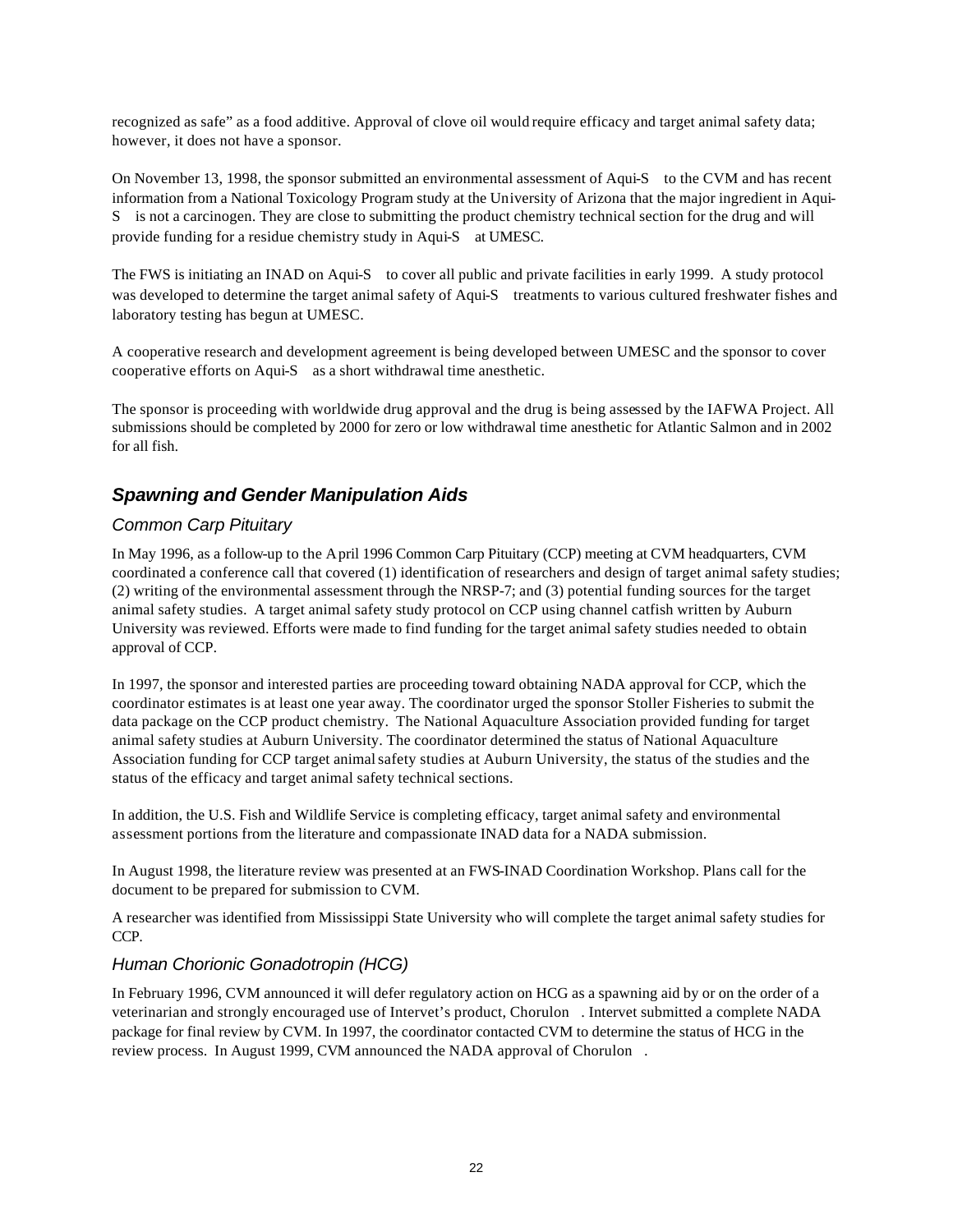recognized as safe" as a food additive. Approval of clove oil would require efficacy and target animal safety data; however, it does not have a sponsor.

On November 13, 1998, the sponsor submitted an environmental assessment of Aqui-S to the CVM and has recent information from a National Toxicology Program study at the University of Arizona that the major ingredient in Aqui-S is not a carcinogen. They are close to submitting the product chemistry technical section for the drug and will provide funding for a residue chemistry study in Aqui-S at UMESC.

The FWS is initiating an INAD on Aqui-S to cover all public and private facilities in early 1999. A study protocol was developed to determine the target animal safety of Aqui-S treatments to various cultured freshwater fishes and laboratory testing has begun at UMESC.

A cooperative research and development agreement is being developed between UMESC and the sponsor to cover cooperative efforts on Aqui-S as a short withdrawal time anesthetic.

The sponsor is proceeding with worldwide drug approval and the drug is being assessed by the IAFWA Project. All submissions should be completed by 2000 for zero or low withdrawal time anesthetic for Atlantic Salmon and in 2002 for all fish.

#### *Spawning and Gender Manipulation Aids*

#### *Common Carp Pituitary*

In May 1996, as a follow-up to the April 1996 Common Carp Pituitary (CCP) meeting at CVM headquarters, CVM coordinated a conference call that covered (1) identification of researchers and design of target animal safety studies; (2) writing of the environmental assessment through the NRSP-7; and (3) potential funding sources for the target animal safety studies. A target animal safety study protocol on CCP using channel catfish written by Auburn University was reviewed. Efforts were made to find funding for the target animal safety studies needed to obtain approval of CCP.

In 1997, the sponsor and interested parties are proceeding toward obtaining NADA approval for CCP, which the coordinator estimates is at least one year away. The coordinator urged the sponsor Stoller Fisheries to submit the data package on the CCP product chemistry. The National Aquaculture Association provided funding for target animal safety studies at Auburn University. The coordinator determined the status of National Aquaculture Association funding for CCP target animal safety studies at Auburn University, the status of the studies and the status of the efficacy and target animal safety technical sections.

In addition, the U.S. Fish and Wildlife Service is completing efficacy, target animal safety and environmental assessment portions from the literature and compassionate INAD data for a NADA submission.

In August 1998, the literature review was presented at an FWS-INAD Coordination Workshop. Plans call for the document to be prepared for submission to CVM.

A researcher was identified from Mississippi State University who will complete the target animal safety studies for CCP.

#### *Human Chorionic Gonadotropin (HCG)*

In February 1996, CVM announced it will defer regulatory action on HCG as a spawning aid by or on the order of a veterinarian and strongly encouraged use of Intervet's product, Chorulon . Intervet submitted a complete NADA package for final review by CVM. In 1997, the coordinator contacted CVM to determine the status of HCG in the review process. In August 1999, CVM announced the NADA approval of Chorulon .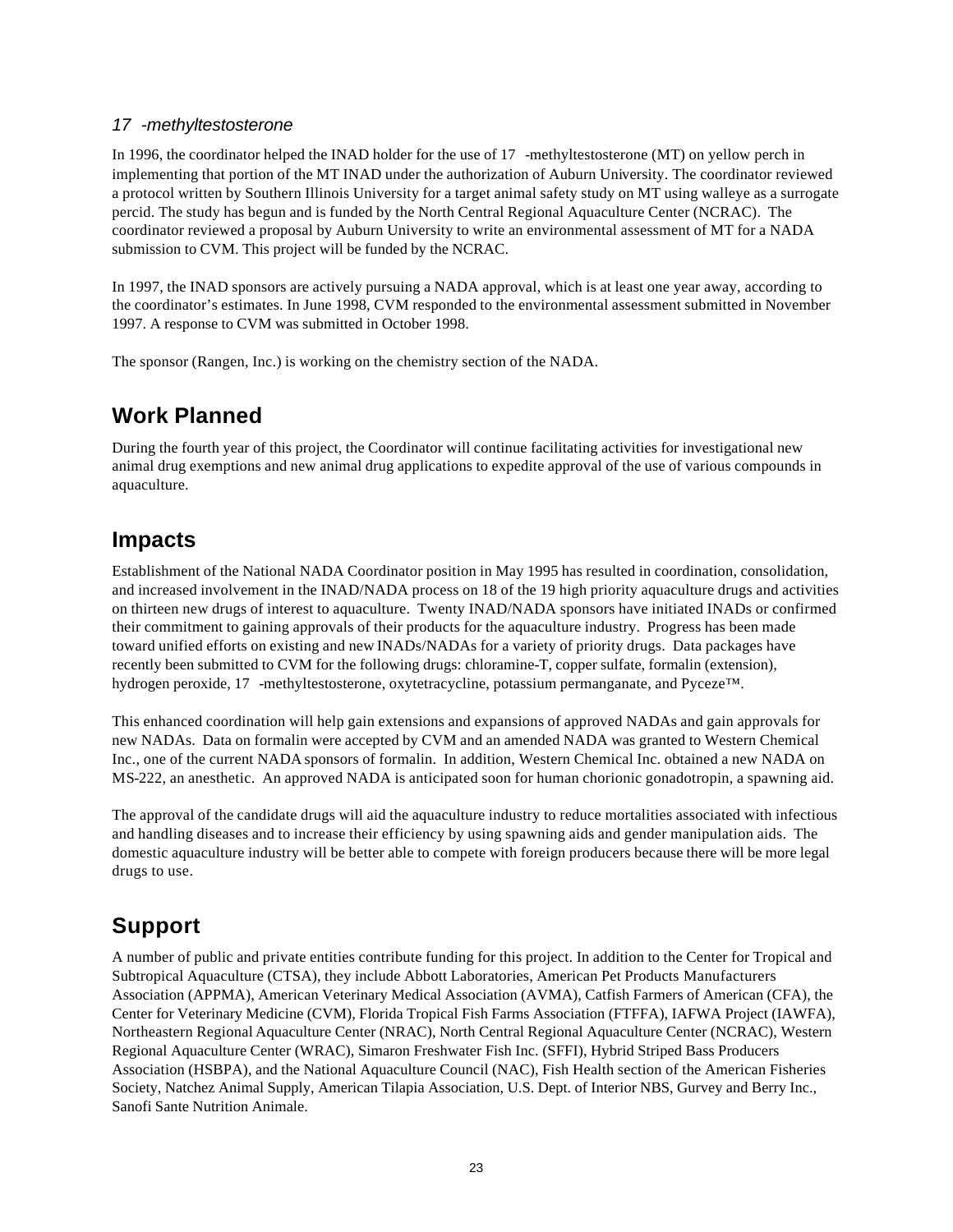#### *17 -methyltestosterone*

In 1996, the coordinator helped the INAD holder for the use of 17 -methyltestosterone (MT) on yellow perch in implementing that portion of the MT INAD under the authorization of Auburn University. The coordinator reviewed a protocol written by Southern Illinois University for a target animal safety study on MT using walleye as a surrogate percid. The study has begun and is funded by the North Central Regional Aquaculture Center (NCRAC). The coordinator reviewed a proposal by Auburn University to write an environmental assessment of MT for a NADA submission to CVM. This project will be funded by the NCRAC.

In 1997, the INAD sponsors are actively pursuing a NADA approval, which is at least one year away, according to the coordinator's estimates. In June 1998, CVM responded to the environmental assessment submitted in November 1997. A response to CVM was submitted in October 1998.

The sponsor (Rangen, Inc.) is working on the chemistry section of the NADA.

# **Work Planned**

During the fourth year of this project, the Coordinator will continue facilitating activities for investigational new animal drug exemptions and new animal drug applications to expedite approval of the use of various compounds in aquaculture.

### **Impacts**

Establishment of the National NADA Coordinator position in May 1995 has resulted in coordination, consolidation, and increased involvement in the INAD/NADA process on 18 of the 19 high priority aquaculture drugs and activities on thirteen new drugs of interest to aquaculture. Twenty INAD/NADA sponsors have initiated INADs or confirmed their commitment to gaining approvals of their products for the aquaculture industry. Progress has been made toward unified efforts on existing and new INADs/NADAs for a variety of priority drugs. Data packages have recently been submitted to CVM for the following drugs: chloramine-T, copper sulfate, formalin (extension), hydrogen peroxide, 17 -methyltestosterone, oxytetracycline, potassium permanganate, and Pyceze™.

This enhanced coordination will help gain extensions and expansions of approved NADAs and gain approvals for new NADAs. Data on formalin were accepted by CVM and an amended NADA was granted to Western Chemical Inc., one of the current NADA sponsors of formalin. In addition, Western Chemical Inc. obtained a new NADA on MS-222, an anesthetic. An approved NADA is anticipated soon for human chorionic gonadotropin, a spawning aid.

The approval of the candidate drugs will aid the aquaculture industry to reduce mortalities associated with infectious and handling diseases and to increase their efficiency by using spawning aids and gender manipulation aids. The domestic aquaculture industry will be better able to compete with foreign producers because there will be more legal drugs to use.

# **Support**

A number of public and private entities contribute funding for this project. In addition to the Center for Tropical and Subtropical Aquaculture (CTSA), they include Abbott Laboratories, American Pet Products Manufacturers Association (APPMA), American Veterinary Medical Association (AVMA), Catfish Farmers of American (CFA), the Center for Veterinary Medicine (CVM), Florida Tropical Fish Farms Association (FTFFA), IAFWA Project (IAWFA), Northeastern Regional Aquaculture Center (NRAC), North Central Regional Aquaculture Center (NCRAC), Western Regional Aquaculture Center (WRAC), Simaron Freshwater Fish Inc. (SFFI), Hybrid Striped Bass Producers Association (HSBPA), and the National Aquaculture Council (NAC), Fish Health section of the American Fisheries Society, Natchez Animal Supply, American Tilapia Association, U.S. Dept. of Interior NBS, Gurvey and Berry Inc., Sanofi Sante Nutrition Animale.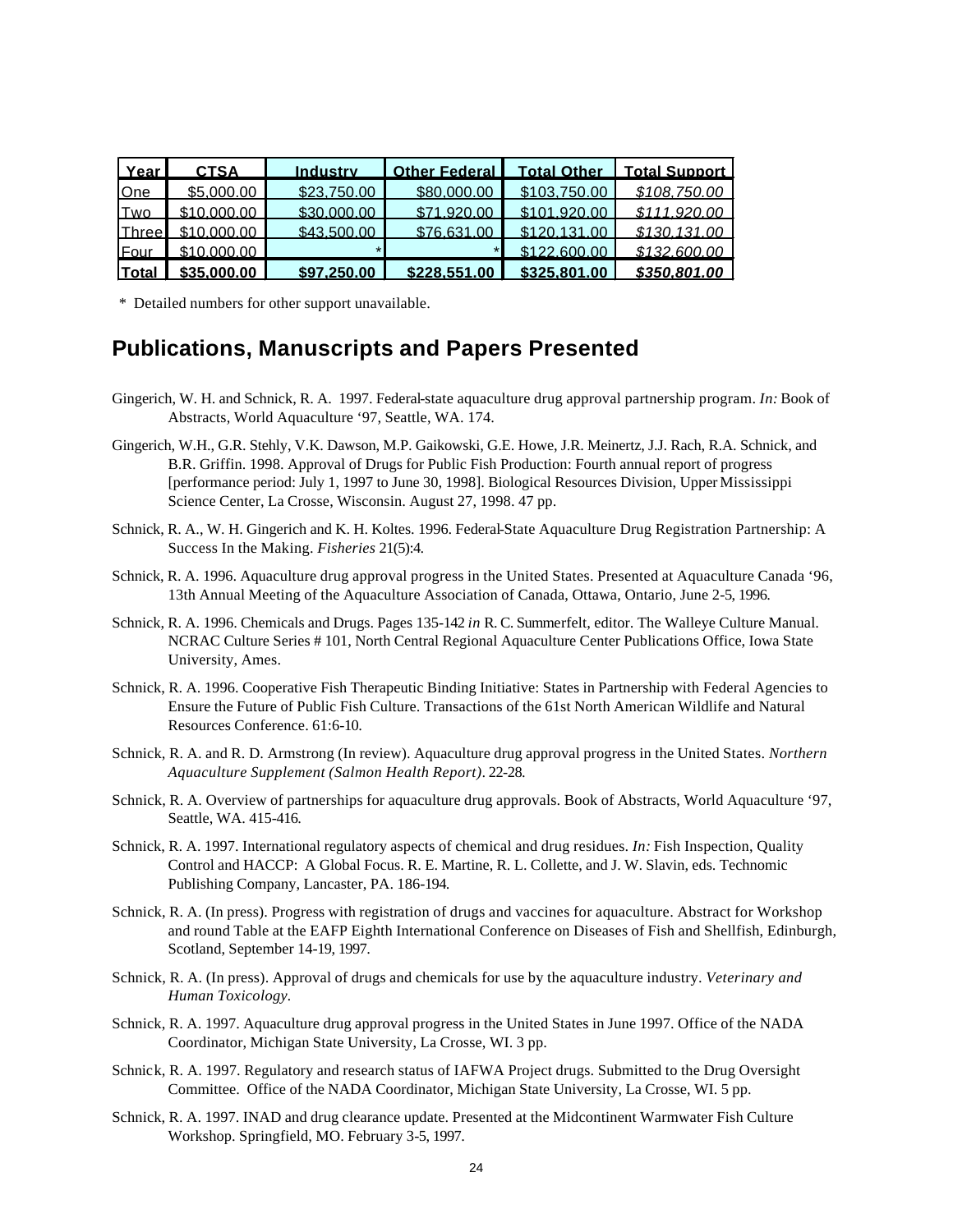| Yearl         | <b>CTSA</b> | Industry    |              |              | Other Federal   Total Other   Total Support |
|---------------|-------------|-------------|--------------|--------------|---------------------------------------------|
| <b>IOne</b>   | \$5,000.00  | \$23,750.00 | \$80,000,00  | \$103,750.00 | \$108,750.00                                |
| <b>ITwo</b>   | \$10,000,00 | \$30,000,00 | \$719200     | \$101.920.00 | \$111.920.00                                |
| <b>IThree</b> | \$10,000.00 | \$43,500,00 | \$76 631 00  | \$120.131.00 | \$130,131.00                                |
| <b>Four</b>   | \$10,000,00 |             | $\star$      | \$1226000    | \$132 600 00                                |
| <b>Total</b>  | \$35,000.00 | \$97.250.00 | \$228.551.00 | \$325.801.00 | \$350.801.00                                |

\* Detailed numbers for other support unavailable.

### **Publications, Manuscripts and Papers Presented**

- Gingerich, W. H. and Schnick, R. A. 1997. Federal-state aquaculture drug approval partnership program. *In:* Book of Abstracts, World Aquaculture '97, Seattle, WA. 174.
- Gingerich, W.H., G.R. Stehly, V.K. Dawson, M.P. Gaikowski, G.E. Howe, J.R. Meinertz, J.J. Rach, R.A. Schnick, and B.R. Griffin. 1998. Approval of Drugs for Public Fish Production: Fourth annual report of progress [performance period: July 1, 1997 to June 30, 1998]. Biological Resources Division, Upper Mississippi Science Center, La Crosse, Wisconsin. August 27, 1998. 47 pp.
- Schnick, R. A., W. H. Gingerich and K. H. Koltes. 1996. Federal-State Aquaculture Drug Registration Partnership: A Success In the Making. *Fisheries* 21(5):4.
- Schnick, R. A. 1996. Aquaculture drug approval progress in the United States. Presented at Aquaculture Canada '96, 13th Annual Meeting of the Aquaculture Association of Canada, Ottawa, Ontario, June 2-5, 1996.
- Schnick, R. A. 1996. Chemicals and Drugs. Pages 135-142 *in* R. C. Summerfelt, editor. The Walleye Culture Manual. NCRAC Culture Series # 101, North Central Regional Aquaculture Center Publications Office, Iowa State University, Ames.
- Schnick, R. A. 1996. Cooperative Fish Therapeutic Binding Initiative: States in Partnership with Federal Agencies to Ensure the Future of Public Fish Culture. Transactions of the 61st North American Wildlife and Natural Resources Conference. 61:6-10.
- Schnick, R. A. and R. D. Armstrong (In review). Aquaculture drug approval progress in the United States. *Northern Aquaculture Supplement (Salmon Health Report)*. 22-28.
- Schnick, R. A. Overview of partnerships for aquaculture drug approvals. Book of Abstracts, World Aquaculture '97, Seattle, WA. 415-416.
- Schnick, R. A. 1997. International regulatory aspects of chemical and drug residues. *In:* Fish Inspection, Quality Control and HACCP: A Global Focus. R. E. Martine, R. L. Collette, and J. W. Slavin, eds. Technomic Publishing Company, Lancaster, PA. 186-194.
- Schnick, R. A. (In press). Progress with registration of drugs and vaccines for aquaculture. Abstract for Workshop and round Table at the EAFP Eighth International Conference on Diseases of Fish and Shellfish, Edinburgh, Scotland, September 14-19, 1997.
- Schnick, R. A. (In press). Approval of drugs and chemicals for use by the aquaculture industry. *Veterinary and Human Toxicology.*
- Schnick, R. A. 1997. Aquaculture drug approval progress in the United States in June 1997. Office of the NADA Coordinator, Michigan State University, La Crosse, WI. 3 pp.
- Schnick, R. A. 1997. Regulatory and research status of IAFWA Project drugs. Submitted to the Drug Oversight Committee. Office of the NADA Coordinator, Michigan State University, La Crosse, WI. 5 pp.
- Schnick, R. A. 1997. INAD and drug clearance update. Presented at the Midcontinent Warmwater Fish Culture Workshop. Springfield, MO. February 3-5, 1997.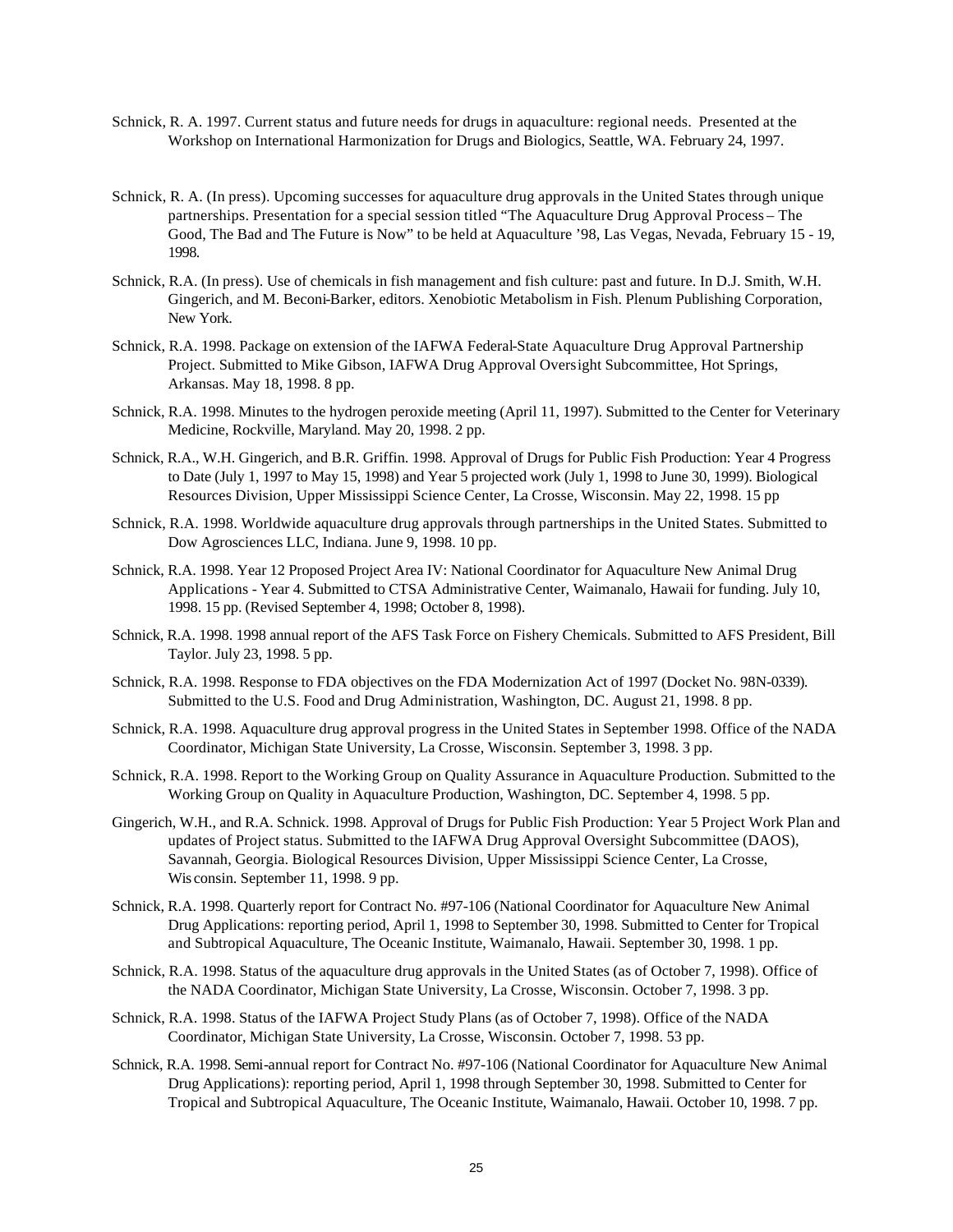- Schnick, R. A. 1997. Current status and future needs for drugs in aquaculture: regional needs. Presented at the Workshop on International Harmonization for Drugs and Biologics, Seattle, WA. February 24, 1997.
- Schnick, R. A. (In press). Upcoming successes for aquaculture drug approvals in the United States through unique partnerships. Presentation for a special session titled "The Aquaculture Drug Approval Process – The Good, The Bad and The Future is Now" to be held at Aquaculture '98, Las Vegas, Nevada, February 15 - 19, 1998.
- Schnick, R.A. (In press). Use of chemicals in fish management and fish culture: past and future. In D.J. Smith, W.H. Gingerich, and M. Beconi-Barker, editors. Xenobiotic Metabolism in Fish. Plenum Publishing Corporation, New York.
- Schnick, R.A. 1998. Package on extension of the IAFWA Federal-State Aquaculture Drug Approval Partnership Project. Submitted to Mike Gibson, IAFWA Drug Approval Oversight Subcommittee, Hot Springs, Arkansas. May 18, 1998. 8 pp.
- Schnick, R.A. 1998. Minutes to the hydrogen peroxide meeting (April 11, 1997). Submitted to the Center for Veterinary Medicine, Rockville, Maryland. May 20, 1998. 2 pp.
- Schnick, R.A., W.H. Gingerich, and B.R. Griffin. 1998. Approval of Drugs for Public Fish Production: Year 4 Progress to Date (July 1, 1997 to May 15, 1998) and Year 5 projected work (July 1, 1998 to June 30, 1999). Biological Resources Division, Upper Mississippi Science Center, La Crosse, Wisconsin. May 22, 1998. 15 pp
- Schnick, R.A. 1998. Worldwide aquaculture drug approvals through partnerships in the United States. Submitted to Dow Agrosciences LLC, Indiana. June 9, 1998. 10 pp.
- Schnick, R.A. 1998. Year 12 Proposed Project Area IV: National Coordinator for Aquaculture New Animal Drug Applications - Year 4. Submitted to CTSA Administrative Center, Waimanalo, Hawaii for funding. July 10, 1998. 15 pp. (Revised September 4, 1998; October 8, 1998).
- Schnick, R.A. 1998. 1998 annual report of the AFS Task Force on Fishery Chemicals. Submitted to AFS President, Bill Taylor. July 23, 1998. 5 pp.
- Schnick, R.A. 1998. Response to FDA objectives on the FDA Modernization Act of 1997 (Docket No. 98N-0339). Submitted to the U.S. Food and Drug Administration, Washington, DC. August 21, 1998. 8 pp.
- Schnick, R.A. 1998. Aquaculture drug approval progress in the United States in September 1998. Office of the NADA Coordinator, Michigan State University, La Crosse, Wisconsin. September 3, 1998. 3 pp.
- Schnick, R.A. 1998. Report to the Working Group on Quality Assurance in Aquaculture Production. Submitted to the Working Group on Quality in Aquaculture Production, Washington, DC. September 4, 1998. 5 pp.
- Gingerich, W.H., and R.A. Schnick. 1998. Approval of Drugs for Public Fish Production: Year 5 Project Work Plan and updates of Project status. Submitted to the IAFWA Drug Approval Oversight Subcommittee (DAOS), Savannah, Georgia. Biological Resources Division, Upper Mississippi Science Center, La Crosse, Wis consin. September 11, 1998. 9 pp.
- Schnick, R.A. 1998. Quarterly report for Contract No. #97-106 (National Coordinator for Aquaculture New Animal Drug Applications: reporting period, April 1, 1998 to September 30, 1998. Submitted to Center for Tropical and Subtropical Aquaculture, The Oceanic Institute, Waimanalo, Hawaii. September 30, 1998. 1 pp.
- Schnick, R.A. 1998. Status of the aquaculture drug approvals in the United States (as of October 7, 1998). Office of the NADA Coordinator, Michigan State University, La Crosse, Wisconsin. October 7, 1998. 3 pp.
- Schnick, R.A. 1998. Status of the IAFWA Project Study Plans (as of October 7, 1998). Office of the NADA Coordinator, Michigan State University, La Crosse, Wisconsin. October 7, 1998. 53 pp.
- Schnick, R.A. 1998. Semi-annual report for Contract No. #97-106 (National Coordinator for Aquaculture New Animal Drug Applications): reporting period, April 1, 1998 through September 30, 1998. Submitted to Center for Tropical and Subtropical Aquaculture, The Oceanic Institute, Waimanalo, Hawaii. October 10, 1998. 7 pp.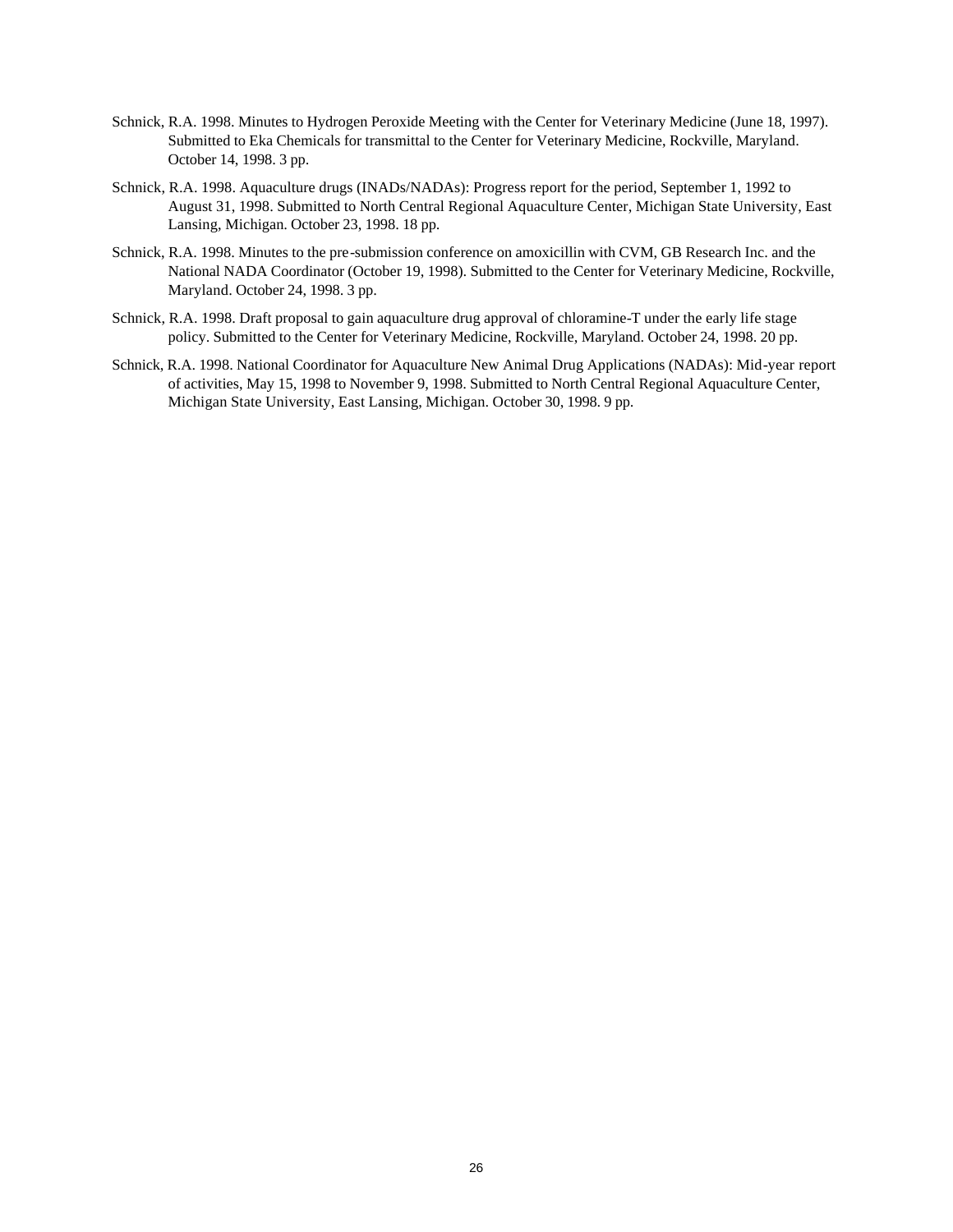- Schnick, R.A. 1998. Minutes to Hydrogen Peroxide Meeting with the Center for Veterinary Medicine (June 18, 1997). Submitted to Eka Chemicals for transmittal to the Center for Veterinary Medicine, Rockville, Maryland. October 14, 1998. 3 pp.
- Schnick, R.A. 1998. Aquaculture drugs (INADs/NADAs): Progress report for the period, September 1, 1992 to August 31, 1998. Submitted to North Central Regional Aquaculture Center, Michigan State University, East Lansing, Michigan. October 23, 1998. 18 pp.
- Schnick, R.A. 1998. Minutes to the pre-submission conference on amoxicillin with CVM, GB Research Inc. and the National NADA Coordinator (October 19, 1998). Submitted to the Center for Veterinary Medicine, Rockville, Maryland. October 24, 1998. 3 pp.
- Schnick, R.A. 1998. Draft proposal to gain aquaculture drug approval of chloramine-T under the early life stage policy. Submitted to the Center for Veterinary Medicine, Rockville, Maryland. October 24, 1998. 20 pp.
- Schnick, R.A. 1998. National Coordinator for Aquaculture New Animal Drug Applications (NADAs): Mid-year report of activities, May 15, 1998 to November 9, 1998. Submitted to North Central Regional Aquaculture Center, Michigan State University, East Lansing, Michigan. October 30, 1998. 9 pp.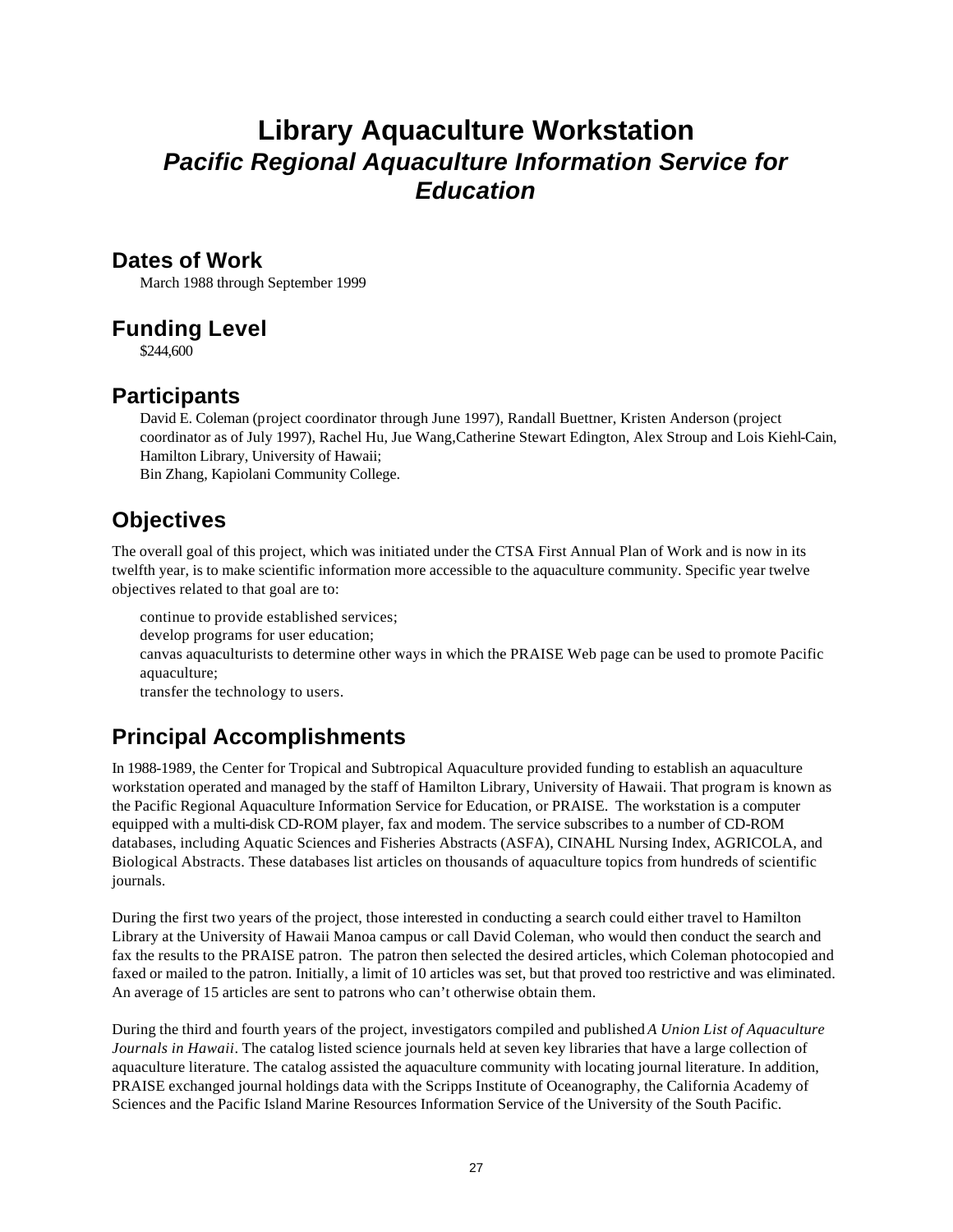# **Library Aquaculture Workstation** *Pacific Regional Aquaculture Information Service for Education*

#### **Dates of Work**

March 1988 through September 1999

# **Funding Level**

\$244,600

# **Participants**

David E. Coleman (project coordinator through June 1997), Randall Buettner, Kristen Anderson (project coordinator as of July 1997), Rachel Hu, Jue Wang,Catherine Stewart Edington, Alex Stroup and Lois Kiehl-Cain, Hamilton Library, University of Hawaii; Bin Zhang, Kapiolani Community College.

**Objectives**

The overall goal of this project, which was initiated under the CTSA First Annual Plan of Work and is now in its twelfth year, is to make scientific information more accessible to the aquaculture community. Specific year twelve objectives related to that goal are to:

continue to provide established services; develop programs for user education; canvas aquaculturists to determine other ways in which the PRAISE Web page can be used to promote Pacific aquaculture; transfer the technology to users.

# **Principal Accomplishments**

In 1988-1989, the Center for Tropical and Subtropical Aquaculture provided funding to establish an aquaculture workstation operated and managed by the staff of Hamilton Library, University of Hawaii. That program is known as the Pacific Regional Aquaculture Information Service for Education, or PRAISE. The workstation is a computer equipped with a multi-disk CD-ROM player, fax and modem. The service subscribes to a number of CD-ROM databases, including Aquatic Sciences and Fisheries Abstracts (ASFA), CINAHL Nursing Index, AGRICOLA, and Biological Abstracts. These databases list articles on thousands of aquaculture topics from hundreds of scientific journals.

During the first two years of the project, those interested in conducting a search could either travel to Hamilton Library at the University of Hawaii Manoa campus or call David Coleman, who would then conduct the search and fax the results to the PRAISE patron. The patron then selected the desired articles, which Coleman photocopied and faxed or mailed to the patron. Initially, a limit of 10 articles was set, but that proved too restrictive and was eliminated. An average of 15 articles are sent to patrons who can't otherwise obtain them.

During the third and fourth years of the project, investigators compiled and published *A Union List of Aquaculture Journals in Hawaii*. The catalog listed science journals held at seven key libraries that have a large collection of aquaculture literature. The catalog assisted the aquaculture community with locating journal literature. In addition, PRAISE exchanged journal holdings data with the Scripps Institute of Oceanography, the California Academy of Sciences and the Pacific Island Marine Resources Information Service of the University of the South Pacific.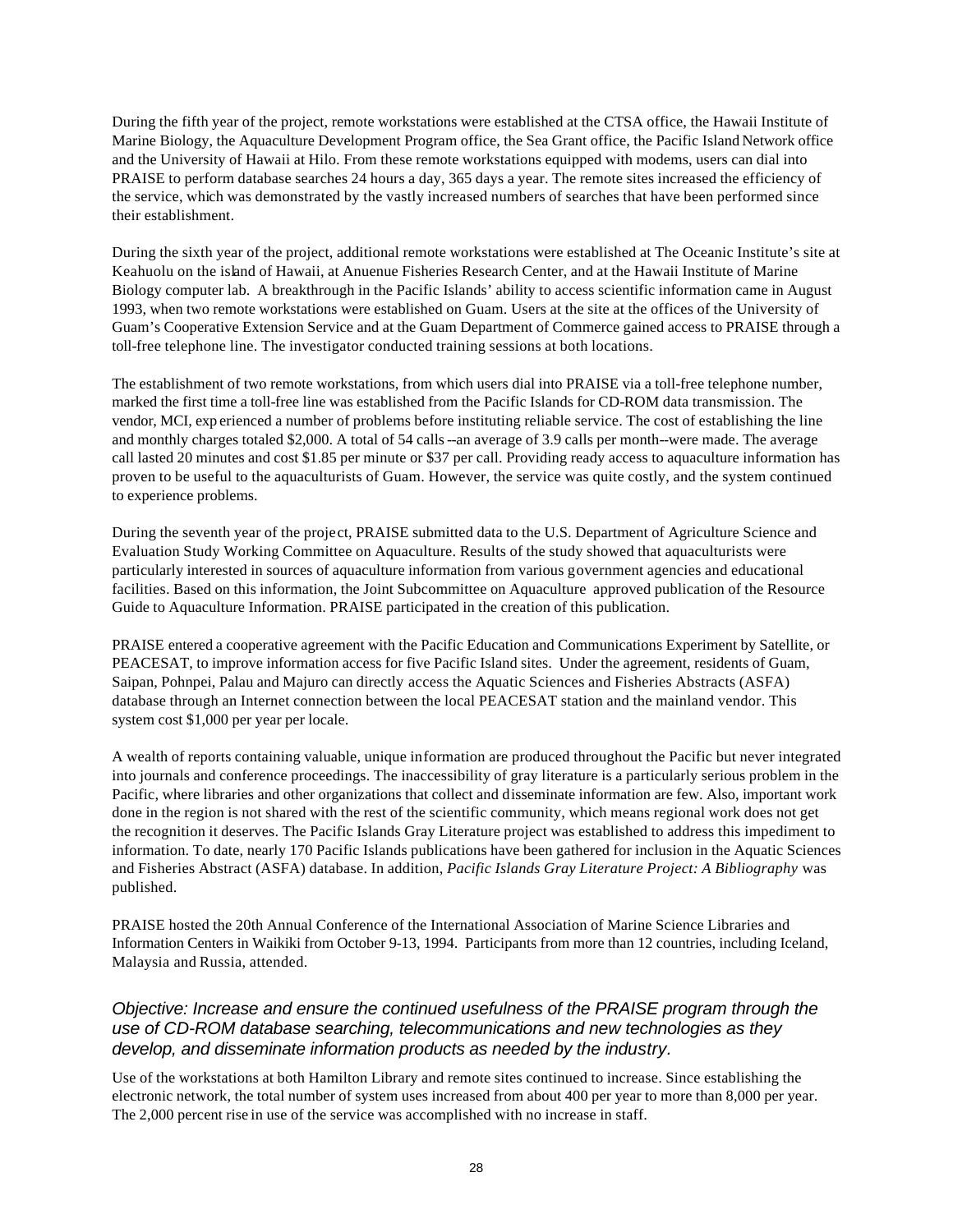During the fifth year of the project, remote workstations were established at the CTSA office, the Hawaii Institute of Marine Biology, the Aquaculture Development Program office, the Sea Grant office, the Pacific Island Network office and the University of Hawaii at Hilo. From these remote workstations equipped with modems, users can dial into PRAISE to perform database searches 24 hours a day, 365 days a year. The remote sites increased the efficiency of the service, which was demonstrated by the vastly increased numbers of searches that have been performed since their establishment.

During the sixth year of the project, additional remote workstations were established at The Oceanic Institute's site at Keahuolu on the island of Hawaii, at Anuenue Fisheries Research Center, and at the Hawaii Institute of Marine Biology computer lab. A breakthrough in the Pacific Islands' ability to access scientific information came in August 1993, when two remote workstations were established on Guam. Users at the site at the offices of the University of Guam's Cooperative Extension Service and at the Guam Department of Commerce gained access to PRAISE through a toll-free telephone line. The investigator conducted training sessions at both locations.

The establishment of two remote workstations, from which users dial into PRAISE via a toll-free telephone number, marked the first time a toll-free line was established from the Pacific Islands for CD-ROM data transmission. The vendor, MCI, exp erienced a number of problems before instituting reliable service. The cost of establishing the line and monthly charges totaled \$2,000. A total of 54 calls--an average of 3.9 calls per month--were made. The average call lasted 20 minutes and cost \$1.85 per minute or \$37 per call. Providing ready access to aquaculture information has proven to be useful to the aquaculturists of Guam. However, the service was quite costly, and the system continued to experience problems.

During the seventh year of the project, PRAISE submitted data to the U.S. Department of Agriculture Science and Evaluation Study Working Committee on Aquaculture. Results of the study showed that aquaculturists were particularly interested in sources of aquaculture information from various government agencies and educational facilities. Based on this information, the Joint Subcommittee on Aquaculture approved publication of the Resource Guide to Aquaculture Information. PRAISE participated in the creation of this publication.

PRAISE entered a cooperative agreement with the Pacific Education and Communications Experiment by Satellite, or PEACESAT, to improve information access for five Pacific Island sites. Under the agreement, residents of Guam, Saipan, Pohnpei, Palau and Majuro can directly access the Aquatic Sciences and Fisheries Abstracts (ASFA) database through an Internet connection between the local PEACESAT station and the mainland vendor. This system cost \$1,000 per year per locale.

A wealth of reports containing valuable, unique information are produced throughout the Pacific but never integrated into journals and conference proceedings. The inaccessibility of gray literature is a particularly serious problem in the Pacific, where libraries and other organizations that collect and disseminate information are few. Also, important work done in the region is not shared with the rest of the scientific community, which means regional work does not get the recognition it deserves. The Pacific Islands Gray Literature project was established to address this impediment to information. To date, nearly 170 Pacific Islands publications have been gathered for inclusion in the Aquatic Sciences and Fisheries Abstract (ASFA) database. In addition, *Pacific Islands Gray Literature Project: A Bibliography* was published.

PRAISE hosted the 20th Annual Conference of the International Association of Marine Science Libraries and Information Centers in Waikiki from October 9-13, 1994. Participants from more than 12 countries, including Iceland, Malaysia and Russia, attended.

#### *Objective: Increase and ensure the continued usefulness of the PRAISE program through the use of CD-ROM database searching, telecommunications and new technologies as they develop, and disseminate information products as needed by the industry.*

Use of the workstations at both Hamilton Library and remote sites continued to increase. Since establishing the electronic network, the total number of system uses increased from about 400 per year to more than 8,000 per year. The 2,000 percent rise in use of the service was accomplished with no increase in staff.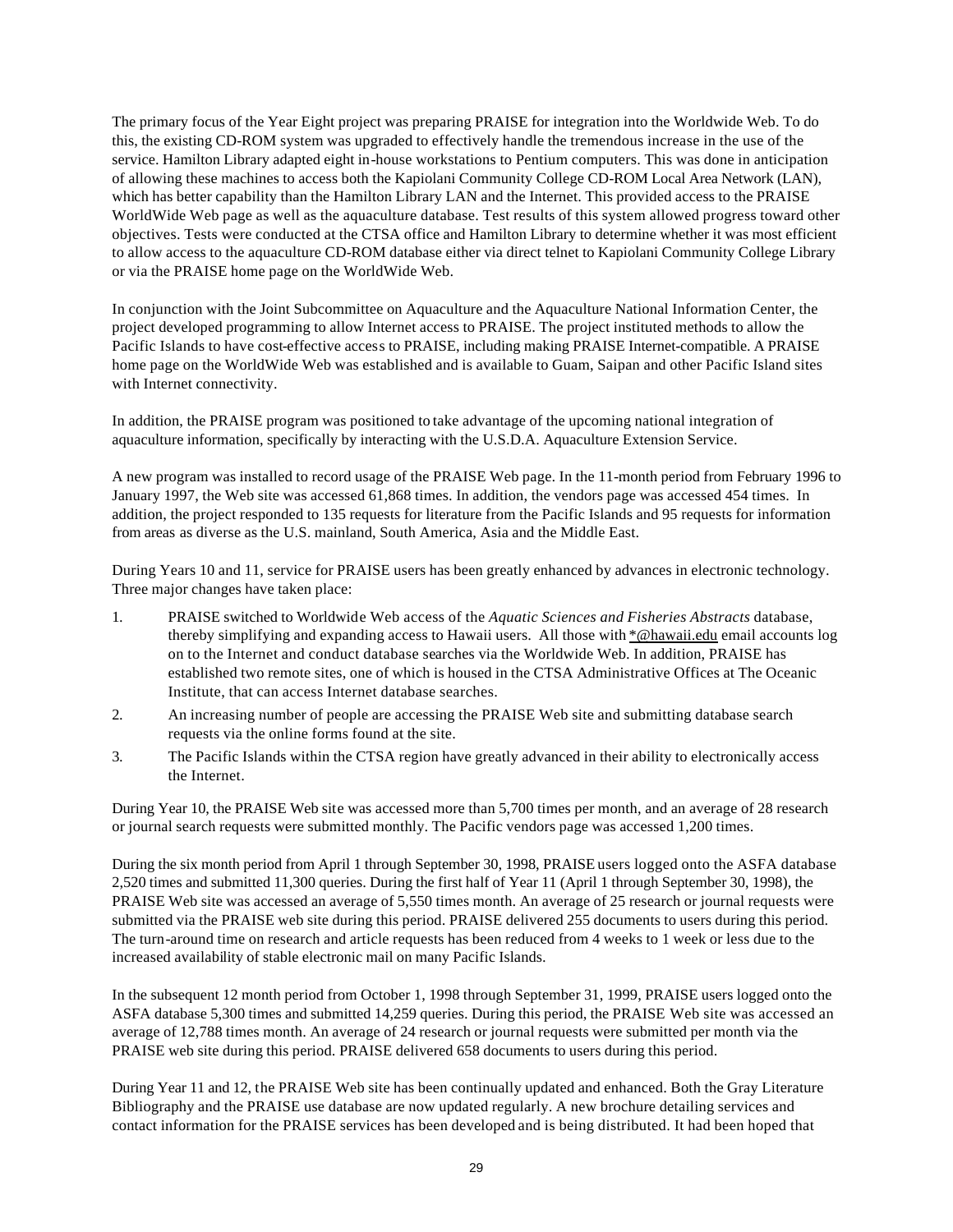The primary focus of the Year Eight project was preparing PRAISE for integration into the Worldwide Web. To do this, the existing CD-ROM system was upgraded to effectively handle the tremendous increase in the use of the service. Hamilton Library adapted eight in-house workstations to Pentium computers. This was done in anticipation of allowing these machines to access both the Kapiolani Community College CD-ROM Local Area Network (LAN), which has better capability than the Hamilton Library LAN and the Internet. This provided access to the PRAISE WorldWide Web page as well as the aquaculture database. Test results of this system allowed progress toward other objectives. Tests were conducted at the CTSA office and Hamilton Library to determine whether it was most efficient to allow access to the aquaculture CD-ROM database either via direct telnet to Kapiolani Community College Library or via the PRAISE home page on the WorldWide Web.

In conjunction with the Joint Subcommittee on Aquaculture and the Aquaculture National Information Center, the project developed programming to allow Internet access to PRAISE. The project instituted methods to allow the Pacific Islands to have cost-effective access to PRAISE, including making PRAISE Internet-compatible. A PRAISE home page on the WorldWide Web was established and is available to Guam, Saipan and other Pacific Island sites with Internet connectivity.

In addition, the PRAISE program was positioned to take advantage of the upcoming national integration of aquaculture information, specifically by interacting with the U.S.D.A. Aquaculture Extension Service.

A new program was installed to record usage of the PRAISE Web page. In the 11-month period from February 1996 to January 1997, the Web site was accessed 61,868 times. In addition, the vendors page was accessed 454 times. In addition, the project responded to 135 requests for literature from the Pacific Islands and 95 requests for information from areas as diverse as the U.S. mainland, South America, Asia and the Middle East.

During Years 10 and 11, service for PRAISE users has been greatly enhanced by advances in electronic technology. Three major changes have taken place:

- 1. PRAISE switched to Worldwide Web access of the *Aquatic Sciences and Fisheries Abstracts* database, thereby simplifying and expanding access to Hawaii users. All those with \*@hawaii.edu email accounts log on to the Internet and conduct database searches via the Worldwide Web. In addition, PRAISE has established two remote sites, one of which is housed in the CTSA Administrative Offices at The Oceanic Institute, that can access Internet database searches.
- 2. An increasing number of people are accessing the PRAISE Web site and submitting database search requests via the online forms found at the site.
- 3. The Pacific Islands within the CTSA region have greatly advanced in their ability to electronically access the Internet.

During Year 10, the PRAISE Web site was accessed more than 5,700 times per month, and an average of 28 research or journal search requests were submitted monthly. The Pacific vendors page was accessed 1,200 times.

During the six month period from April 1 through September 30, 1998, PRAISE users logged onto the ASFA database 2,520 times and submitted 11,300 queries. During the first half of Year 11 (April 1 through September 30, 1998), the PRAISE Web site was accessed an average of 5,550 times month. An average of 25 research or journal requests were submitted via the PRAISE web site during this period. PRAISE delivered 255 documents to users during this period. The turn-around time on research and article requests has been reduced from 4 weeks to 1 week or less due to the increased availability of stable electronic mail on many Pacific Islands.

In the subsequent 12 month period from October 1, 1998 through September 31, 1999, PRAISE users logged onto the ASFA database 5,300 times and submitted 14,259 queries. During this period, the PRAISE Web site was accessed an average of 12,788 times month. An average of 24 research or journal requests were submitted per month via the PRAISE web site during this period. PRAISE delivered 658 documents to users during this period.

During Year 11 and 12, the PRAISE Web site has been continually updated and enhanced. Both the Gray Literature Bibliography and the PRAISE use database are now updated regularly. A new brochure detailing services and contact information for the PRAISE services has been developed and is being distributed. It had been hoped that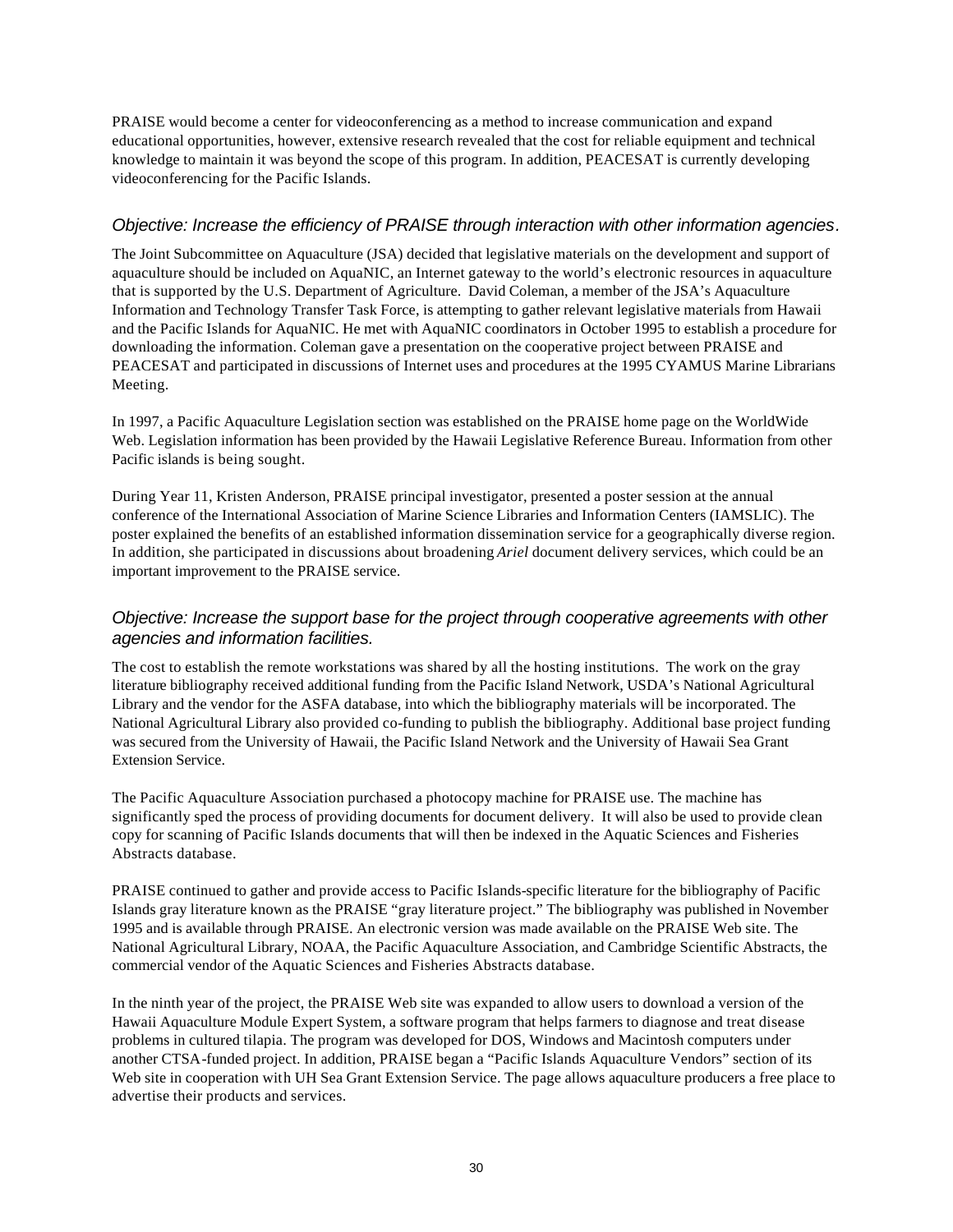PRAISE would become a center for videoconferencing as a method to increase communication and expand educational opportunities, however, extensive research revealed that the cost for reliable equipment and technical knowledge to maintain it was beyond the scope of this program. In addition, PEACESAT is currently developing videoconferencing for the Pacific Islands.

#### *Objective: Increase the efficiency of PRAISE through interaction with other information agencies.*

The Joint Subcommittee on Aquaculture (JSA) decided that legislative materials on the development and support of aquaculture should be included on AquaNIC, an Internet gateway to the world's electronic resources in aquaculture that is supported by the U.S. Department of Agriculture. David Coleman, a member of the JSA's Aquaculture Information and Technology Transfer Task Force, is attempting to gather relevant legislative materials from Hawaii and the Pacific Islands for AquaNIC. He met with AquaNIC coordinators in October 1995 to establish a procedure for downloading the information. Coleman gave a presentation on the cooperative project between PRAISE and PEACESAT and participated in discussions of Internet uses and procedures at the 1995 CYAMUS Marine Librarians Meeting.

In 1997, a Pacific Aquaculture Legislation section was established on the PRAISE home page on the WorldWide Web. Legislation information has been provided by the Hawaii Legislative Reference Bureau. Information from other Pacific islands is being sought.

During Year 11, Kristen Anderson, PRAISE principal investigator, presented a poster session at the annual conference of the International Association of Marine Science Libraries and Information Centers (IAMSLIC). The poster explained the benefits of an established information dissemination service for a geographically diverse region. In addition, she participated in discussions about broadening *Ariel* document delivery services, which could be an important improvement to the PRAISE service.

#### *Objective: Increase the support base for the project through cooperative agreements with other agencies and information facilities.*

The cost to establish the remote workstations was shared by all the hosting institutions. The work on the gray literature bibliography received additional funding from the Pacific Island Network, USDA's National Agricultural Library and the vendor for the ASFA database, into which the bibliography materials will be incorporated. The National Agricultural Library also provided co-funding to publish the bibliography. Additional base project funding was secured from the University of Hawaii, the Pacific Island Network and the University of Hawaii Sea Grant Extension Service.

The Pacific Aquaculture Association purchased a photocopy machine for PRAISE use. The machine has significantly sped the process of providing documents for document delivery. It will also be used to provide clean copy for scanning of Pacific Islands documents that will then be indexed in the Aquatic Sciences and Fisheries Abstracts database.

PRAISE continued to gather and provide access to Pacific Islands-specific literature for the bibliography of Pacific Islands gray literature known as the PRAISE "gray literature project." The bibliography was published in November 1995 and is available through PRAISE. An electronic version was made available on the PRAISE Web site. The National Agricultural Library, NOAA, the Pacific Aquaculture Association, and Cambridge Scientific Abstracts, the commercial vendor of the Aquatic Sciences and Fisheries Abstracts database.

In the ninth year of the project, the PRAISE Web site was expanded to allow users to download a version of the Hawaii Aquaculture Module Expert System, a software program that helps farmers to diagnose and treat disease problems in cultured tilapia. The program was developed for DOS, Windows and Macintosh computers under another CTSA-funded project. In addition, PRAISE began a "Pacific Islands Aquaculture Vendors" section of its Web site in cooperation with UH Sea Grant Extension Service. The page allows aquaculture producers a free place to advertise their products and services.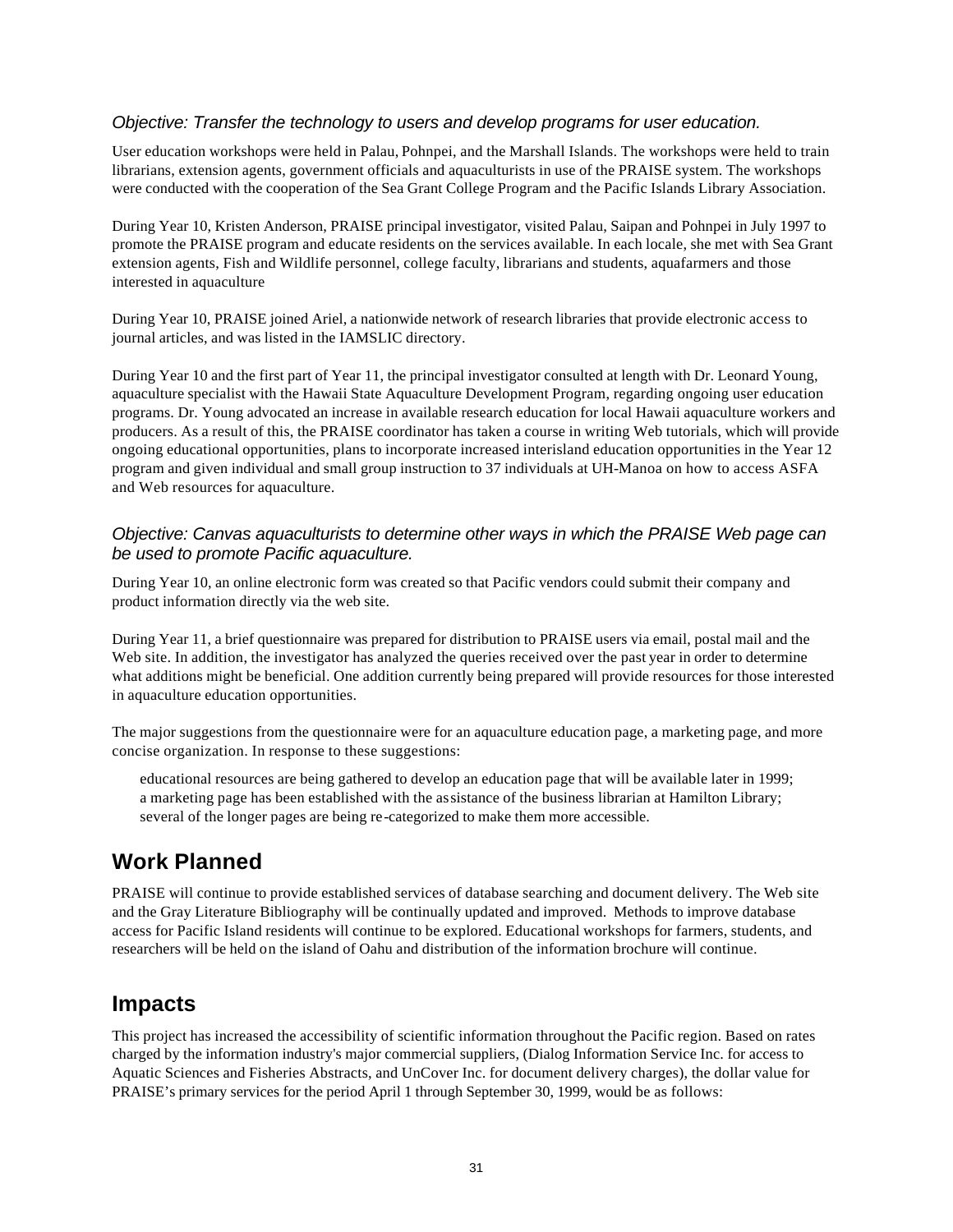#### *Objective: Transfer the technology to users and develop programs for user education.*

User education workshops were held in Palau, Pohnpei, and the Marshall Islands. The workshops were held to train librarians, extension agents, government officials and aquaculturists in use of the PRAISE system. The workshops were conducted with the cooperation of the Sea Grant College Program and the Pacific Islands Library Association.

During Year 10, Kristen Anderson, PRAISE principal investigator, visited Palau, Saipan and Pohnpei in July 1997 to promote the PRAISE program and educate residents on the services available. In each locale, she met with Sea Grant extension agents, Fish and Wildlife personnel, college faculty, librarians and students, aquafarmers and those interested in aquaculture

During Year 10, PRAISE joined Ariel, a nationwide network of research libraries that provide electronic access to journal articles, and was listed in the IAMSLIC directory.

During Year 10 and the first part of Year 11, the principal investigator consulted at length with Dr. Leonard Young, aquaculture specialist with the Hawaii State Aquaculture Development Program, regarding ongoing user education programs. Dr. Young advocated an increase in available research education for local Hawaii aquaculture workers and producers. As a result of this, the PRAISE coordinator has taken a course in writing Web tutorials, which will provide ongoing educational opportunities, plans to incorporate increased interisland education opportunities in the Year 12 program and given individual and small group instruction to 37 individuals at UH-Manoa on how to access ASFA and Web resources for aquaculture.

#### *Objective: Canvas aquaculturists to determine other ways in which the PRAISE Web page can be used to promote Pacific aquaculture.*

During Year 10, an online electronic form was created so that Pacific vendors could submit their company and product information directly via the web site.

During Year 11, a brief questionnaire was prepared for distribution to PRAISE users via email, postal mail and the Web site. In addition, the investigator has analyzed the queries received over the past year in order to determine what additions might be beneficial. One addition currently being prepared will provide resources for those interested in aquaculture education opportunities.

The major suggestions from the questionnaire were for an aquaculture education page, a marketing page, and more concise organization. In response to these suggestions:

educational resources are being gathered to develop an education page that will be available later in 1999; a marketing page has been established with the assistance of the business librarian at Hamilton Library; several of the longer pages are being re-categorized to make them more accessible.

# **Work Planned**

PRAISE will continue to provide established services of database searching and document delivery. The Web site and the Gray Literature Bibliography will be continually updated and improved. Methods to improve database access for Pacific Island residents will continue to be explored. Educational workshops for farmers, students, and researchers will be held on the island of Oahu and distribution of the information brochure will continue.

#### **Impacts**

This project has increased the accessibility of scientific information throughout the Pacific region. Based on rates charged by the information industry's major commercial suppliers, (Dialog Information Service Inc. for access to Aquatic Sciences and Fisheries Abstracts, and UnCover Inc. for document delivery charges), the dollar value for PRAISE's primary services for the period April 1 through September 30, 1999, would be as follows: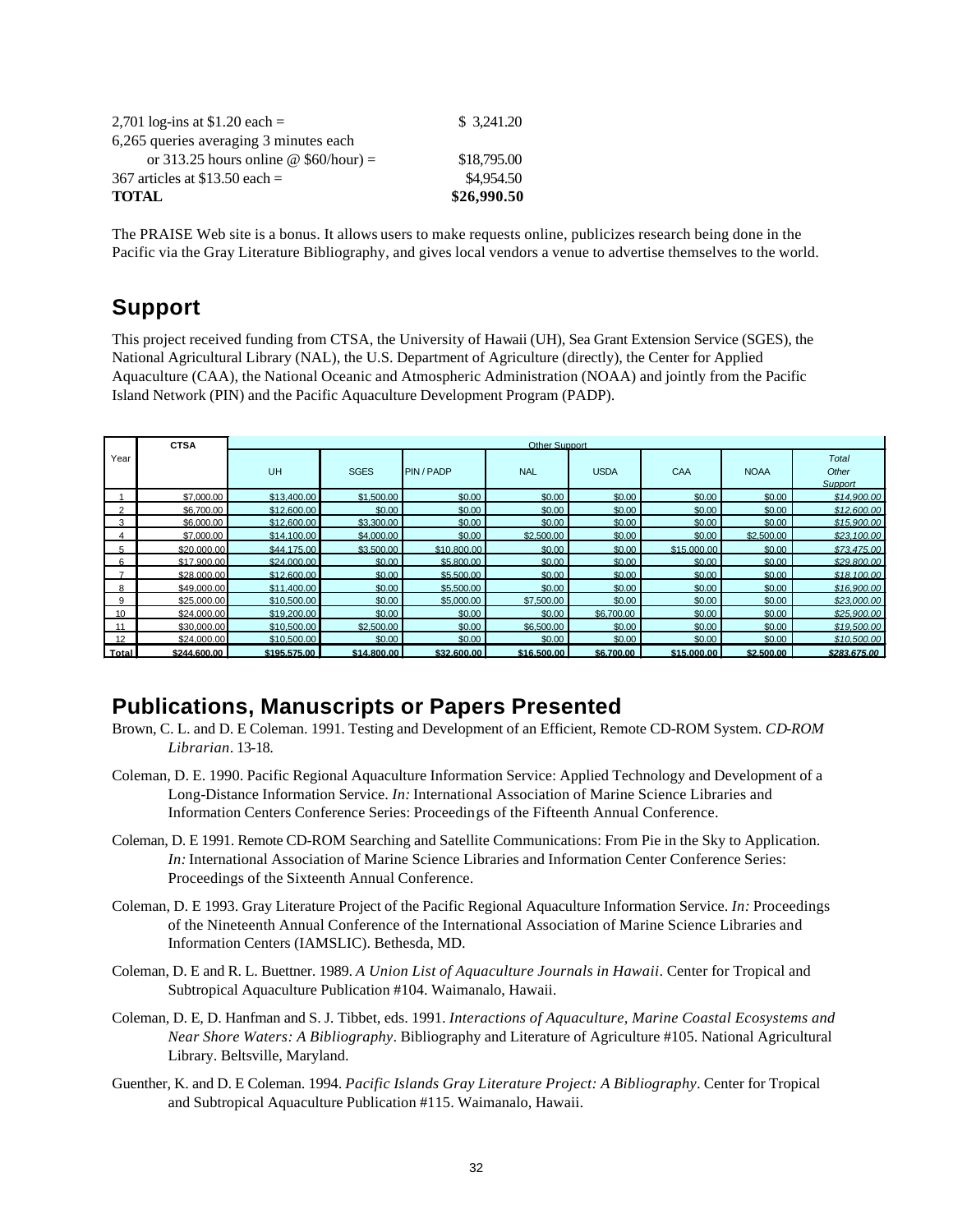| 2,701 log-ins at \$1.20 each =         | \$ 3.241.20 |
|----------------------------------------|-------------|
| 6,265 queries averaging 3 minutes each |             |
| or 313.25 hours online @ $$60/hour$ =  | \$18,795.00 |
| 367 articles at \$13.50 each $=$       | \$4,954.50  |
| <b>TOTAL</b>                           | \$26,990.50 |

The PRAISE Web site is a bonus. It allows users to make requests online, publicizes research being done in the Pacific via the Gray Literature Bibliography, and gives local vendors a venue to advertise themselves to the world.

# **Support**

This project received funding from CTSA, the University of Hawaii (UH), Sea Grant Extension Service (SGES), the National Agricultural Library (NAL), the U.S. Department of Agriculture (directly), the Center for Applied Aquaculture (CAA), the National Oceanic and Atmospheric Administration (NOAA) and jointly from the Pacific Island Network (PIN) and the Pacific Aquaculture Development Program (PADP).

|            | <b>CTSA</b>  | Other Support |             |             |             |             |             |             |                                         |
|------------|--------------|---------------|-------------|-------------|-------------|-------------|-------------|-------------|-----------------------------------------|
| Year       |              | <b>UH</b>     | <b>SGES</b> | PIN / PADP  | <b>NAL</b>  | <b>USDA</b> | <b>CAA</b>  | <b>NOAA</b> | <b>Total</b><br>Other<br><b>Support</b> |
|            | \$7,000.00   | \$13,400.00   | \$1,500.00  | \$0.00      | \$0.00      | \$0.00      | \$0.00      | \$0.00      | \$14,900.00                             |
| $\Omega$   | \$6,700.00   | \$12,600.00   | \$0.00      | \$0.00      | \$0.00      | \$0.00      | \$0.00      | \$0.00      | \$12,600.00                             |
| 3          | \$6,000.00   | \$12,600.00   | \$3,300.00  | \$0.00      | \$0.00      | \$0.00      | \$0.00      | \$0.00      | \$15,900.00                             |
|            | \$7,000.00   | \$14,100.00   | \$4,000.00  | \$0.00      | \$2,500.00  | \$0.00      | \$0.00      | \$2,500.00  | \$23,100.00                             |
| 5          | \$20,000.00  | \$44,175,00   | \$3,500.00  | \$10,800.00 | \$0.00      | \$0.00      | \$15,000.00 | \$0.00      | \$73,475.00                             |
| $\epsilon$ | \$17,900.00  | \$24,000.00   | \$0.00      | \$5,800.00  | \$0.00      | \$0.00      | \$0.00      | \$0.00      | \$29,800.00                             |
|            | \$28,000.00  | \$12,600.00   | \$0.00      | \$5,500.00  | \$0.00      | \$0.00      | \$0.00      | \$0.00      | \$18,100.00                             |
| 8          | \$49,000.00  | \$11,400.00   | \$0.00      | \$5,500.00  | \$0.00      | \$0.00      | \$0.00      | \$0.00      | \$16,900.00                             |
| 9          | \$25,000.00  | \$10,500.00   | \$0.00      | \$5,000.00  | \$7,500.00  | \$0.00      | \$0.00      | \$0.00      | \$23,000.00                             |
| 10         | \$24,000.00  | \$19,200.00   | \$0.00      | \$0.00      | \$0.00      | \$6,700.00  | \$0.00      | \$0.00      | \$25,900.00                             |
| 11         | \$30,000.00  | \$10,500.00   | \$2,500.00  | \$0.00      | \$6,500.00  | \$0.00      | \$0.00      | \$0.00      | \$19,500.00                             |
| 12         | \$24,000.00  | \$10,500.00   | \$0.00      | \$0.00      | \$0.00      | \$0.00      | \$0.00      | \$0.00      | \$10,500.00                             |
| Total      | \$244,600.00 | \$195,575.00  | \$14,800.00 | \$32,600.00 | \$16,500.00 | \$6,700.00  | \$15,000.00 | \$2,500.00  | \$283,675.00                            |

### **Publications, Manuscripts or Papers Presented**

- Brown, C. L. and D. E Coleman. 1991. Testing and Development of an Efficient, Remote CD-ROM System. *CD-ROM Librarian*. 13-18.
- Coleman, D. E. 1990. Pacific Regional Aquaculture Information Service: Applied Technology and Development of a Long-Distance Information Service. *In:* International Association of Marine Science Libraries and Information Centers Conference Series: Proceedings of the Fifteenth Annual Conference.
- Coleman, D. E 1991. Remote CD-ROM Searching and Satellite Communications: From Pie in the Sky to Application. *In:* International Association of Marine Science Libraries and Information Center Conference Series: Proceedings of the Sixteenth Annual Conference.
- Coleman, D. E 1993. Gray Literature Project of the Pacific Regional Aquaculture Information Service. *In:* Proceedings of the Nineteenth Annual Conference of the International Association of Marine Science Libraries and Information Centers (IAMSLIC). Bethesda, MD.
- Coleman, D. E and R. L. Buettner. 1989. *A Union List of Aquaculture Journals in Hawaii*. Center for Tropical and Subtropical Aquaculture Publication #104. Waimanalo, Hawaii.
- Coleman, D. E, D. Hanfman and S. J. Tibbet, eds. 1991. *Interactions of Aquaculture, Marine Coastal Ecosystems and Near Shore Waters: A Bibliography*. Bibliography and Literature of Agriculture #105. National Agricultural Library. Beltsville, Maryland.
- Guenther, K. and D. E Coleman. 1994. *Pacific Islands Gray Literature Project: A Bibliography*. Center for Tropical and Subtropical Aquaculture Publication #115. Waimanalo, Hawaii.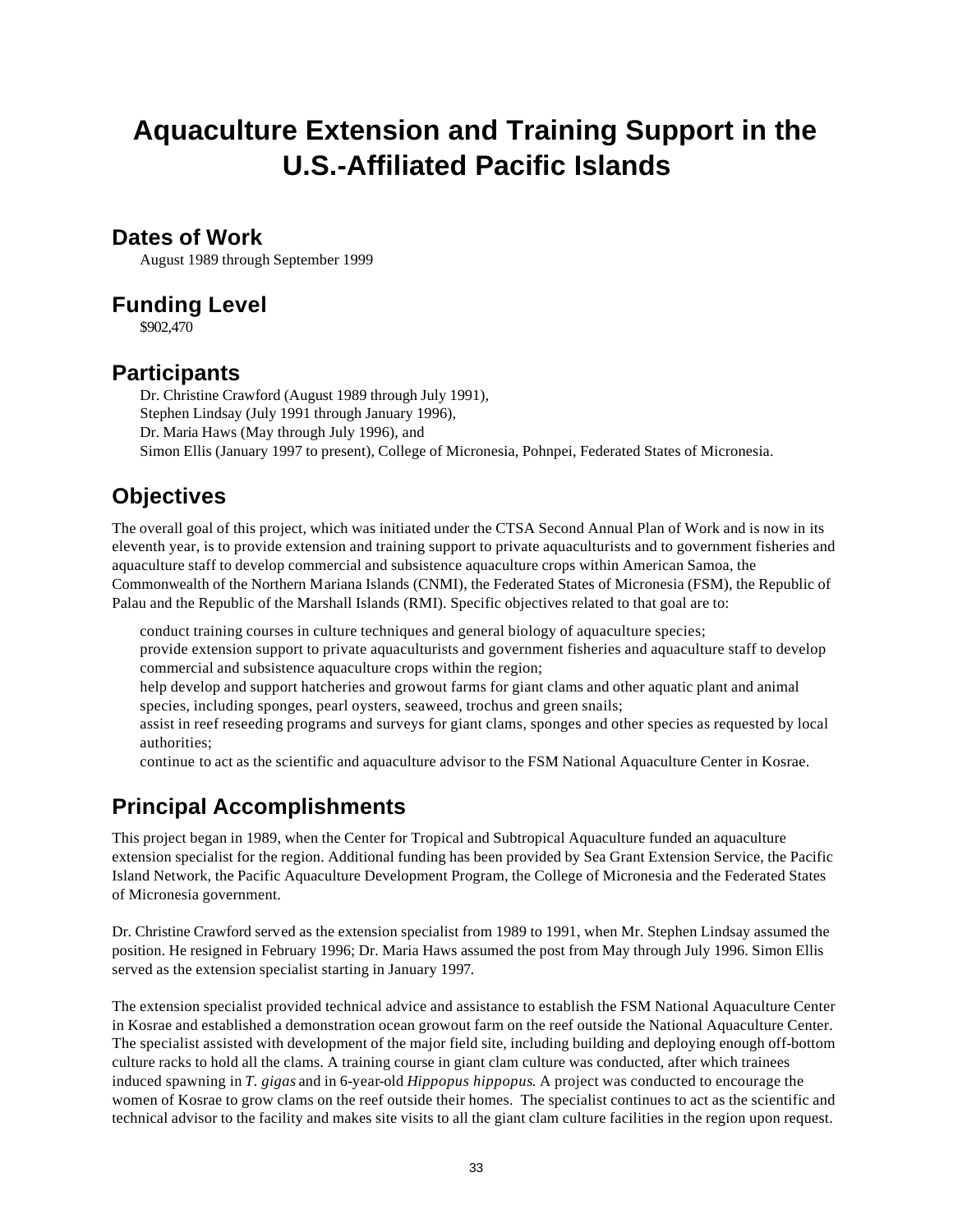# **Aquaculture Extension and Training Support in the U.S.-Affiliated Pacific Islands**

### **Dates of Work**

August 1989 through September 1999

### **Funding Level**

\$902,470

### **Participants**

Dr. Christine Crawford (August 1989 through July 1991), Stephen Lindsay (July 1991 through January 1996), Dr. Maria Haws (May through July 1996), and Simon Ellis (January 1997 to present), College of Micronesia, Pohnpei, Federated States of Micronesia.

# **Objectives**

The overall goal of this project, which was initiated under the CTSA Second Annual Plan of Work and is now in its eleventh year, is to provide extension and training support to private aquaculturists and to government fisheries and aquaculture staff to develop commercial and subsistence aquaculture crops within American Samoa, the Commonwealth of the Northern Mariana Islands (CNMI), the Federated States of Micronesia (FSM), the Republic of Palau and the Republic of the Marshall Islands (RMI). Specific objectives related to that goal are to:

conduct training courses in culture techniques and general biology of aquaculture species;

- provide extension support to private aquaculturists and government fisheries and aquaculture staff to develop commercial and subsistence aquaculture crops within the region;
- help develop and support hatcheries and growout farms for giant clams and other aquatic plant and animal species, including sponges, pearl oysters, seaweed, trochus and green snails;

assist in reef reseeding programs and surveys for giant clams, sponges and other species as requested by local authorities;

continue to act as the scientific and aquaculture advisor to the FSM National Aquaculture Center in Kosrae.

# **Principal Accomplishments**

This project began in 1989, when the Center for Tropical and Subtropical Aquaculture funded an aquaculture extension specialist for the region. Additional funding has been provided by Sea Grant Extension Service, the Pacific Island Network, the Pacific Aquaculture Development Program, the College of Micronesia and the Federated States of Micronesia government.

Dr. Christine Crawford served as the extension specialist from 1989 to 1991, when Mr. Stephen Lindsay assumed the position. He resigned in February 1996; Dr. Maria Haws assumed the post from May through July 1996. Simon Ellis served as the extension specialist starting in January 1997.

The extension specialist provided technical advice and assistance to establish the FSM National Aquaculture Center in Kosrae and established a demonstration ocean growout farm on the reef outside the National Aquaculture Center. The specialist assisted with development of the major field site, including building and deploying enough off-bottom culture racks to hold all the clams. A training course in giant clam culture was conducted, after which trainees induced spawning in *T. gigas* and in 6-year-old *Hippopus hippopus*. A project was conducted to encourage the women of Kosrae to grow clams on the reef outside their homes. The specialist continues to act as the scientific and technical advisor to the facility and makes site visits to all the giant clam culture facilities in the region upon request.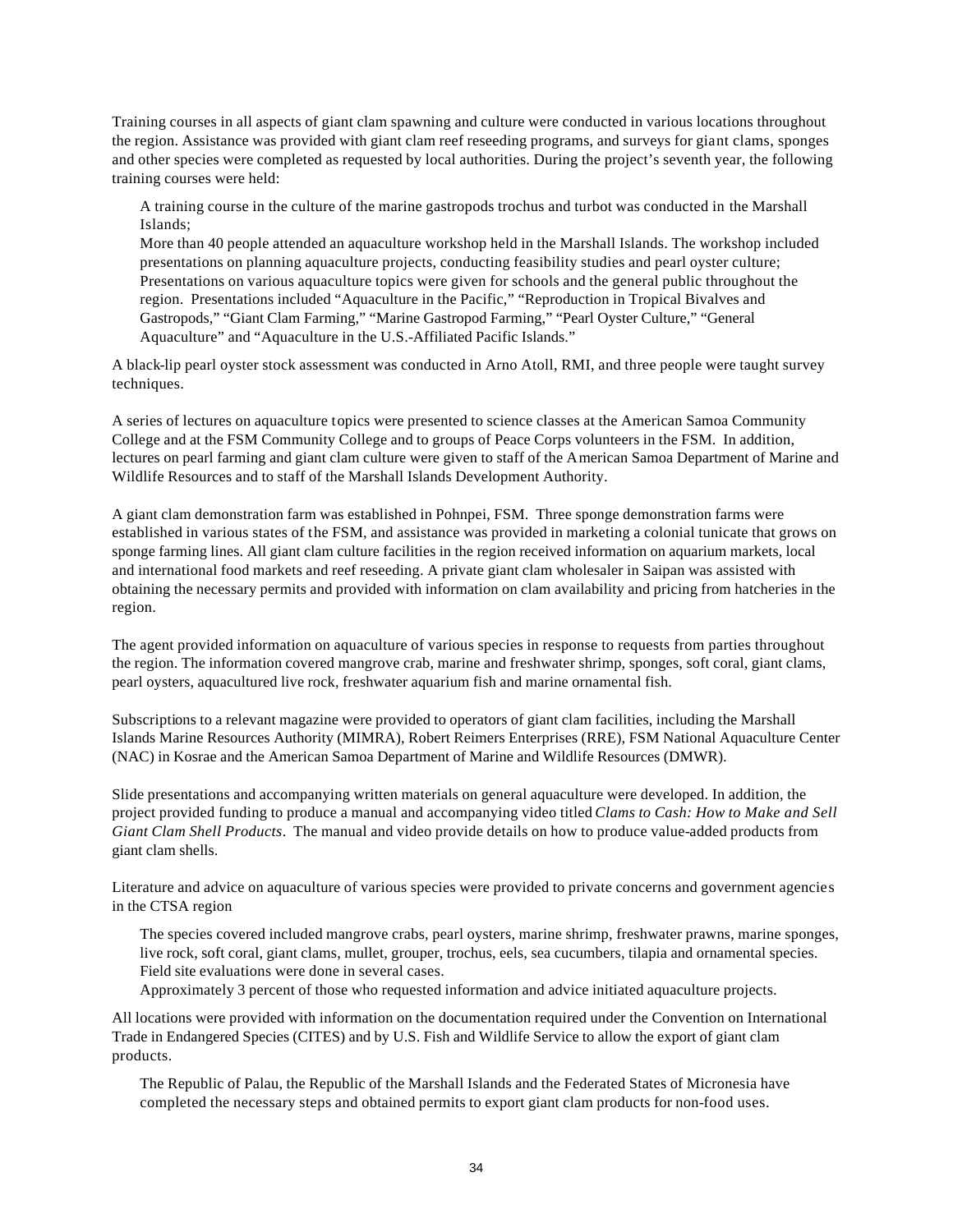Training courses in all aspects of giant clam spawning and culture were conducted in various locations throughout the region. Assistance was provided with giant clam reef reseeding programs, and surveys for giant clams, sponges and other species were completed as requested by local authorities. During the project's seventh year, the following training courses were held:

A training course in the culture of the marine gastropods trochus and turbot was conducted in the Marshall Islands;

More than 40 people attended an aquaculture workshop held in the Marshall Islands. The workshop included presentations on planning aquaculture projects, conducting feasibility studies and pearl oyster culture; Presentations on various aquaculture topics were given for schools and the general public throughout the region. Presentations included "Aquaculture in the Pacific," "Reproduction in Tropical Bivalves and Gastropods," "Giant Clam Farming," "Marine Gastropod Farming," "Pearl Oyster Culture," "General Aquaculture" and "Aquaculture in the U.S.-Affiliated Pacific Islands."

A black-lip pearl oyster stock assessment was conducted in Arno Atoll, RMI, and three people were taught survey techniques.

A series of lectures on aquaculture topics were presented to science classes at the American Samoa Community College and at the FSM Community College and to groups of Peace Corps volunteers in the FSM. In addition, lectures on pearl farming and giant clam culture were given to staff of the American Samoa Department of Marine and Wildlife Resources and to staff of the Marshall Islands Development Authority.

A giant clam demonstration farm was established in Pohnpei, FSM. Three sponge demonstration farms were established in various states of the FSM, and assistance was provided in marketing a colonial tunicate that grows on sponge farming lines. All giant clam culture facilities in the region received information on aquarium markets, local and international food markets and reef reseeding. A private giant clam wholesaler in Saipan was assisted with obtaining the necessary permits and provided with information on clam availability and pricing from hatcheries in the region.

The agent provided information on aquaculture of various species in response to requests from parties throughout the region. The information covered mangrove crab, marine and freshwater shrimp, sponges, soft coral, giant clams, pearl oysters, aquacultured live rock, freshwater aquarium fish and marine ornamental fish.

Subscriptions to a relevant magazine were provided to operators of giant clam facilities, including the Marshall Islands Marine Resources Authority (MIMRA), Robert Reimers Enterprises (RRE), FSM National Aquaculture Center (NAC) in Kosrae and the American Samoa Department of Marine and Wildlife Resources (DMWR).

Slide presentations and accompanying written materials on general aquaculture were developed. In addition, the project provided funding to produce a manual and accompanying video titled *Clams to Cash: How to Make and Sell Giant Clam Shell Products*. The manual and video provide details on how to produce value-added products from giant clam shells.

Literature and advice on aquaculture of various species were provided to private concerns and government agencies in the CTSA region

The species covered included mangrove crabs, pearl oysters, marine shrimp, freshwater prawns, marine sponges, live rock, soft coral, giant clams, mullet, grouper, trochus, eels, sea cucumbers, tilapia and ornamental species. Field site evaluations were done in several cases.

Approximately 3 percent of those who requested information and advice initiated aquaculture projects.

All locations were provided with information on the documentation required under the Convention on International Trade in Endangered Species (CITES) and by U.S. Fish and Wildlife Service to allow the export of giant clam products.

The Republic of Palau, the Republic of the Marshall Islands and the Federated States of Micronesia have completed the necessary steps and obtained permits to export giant clam products for non-food uses.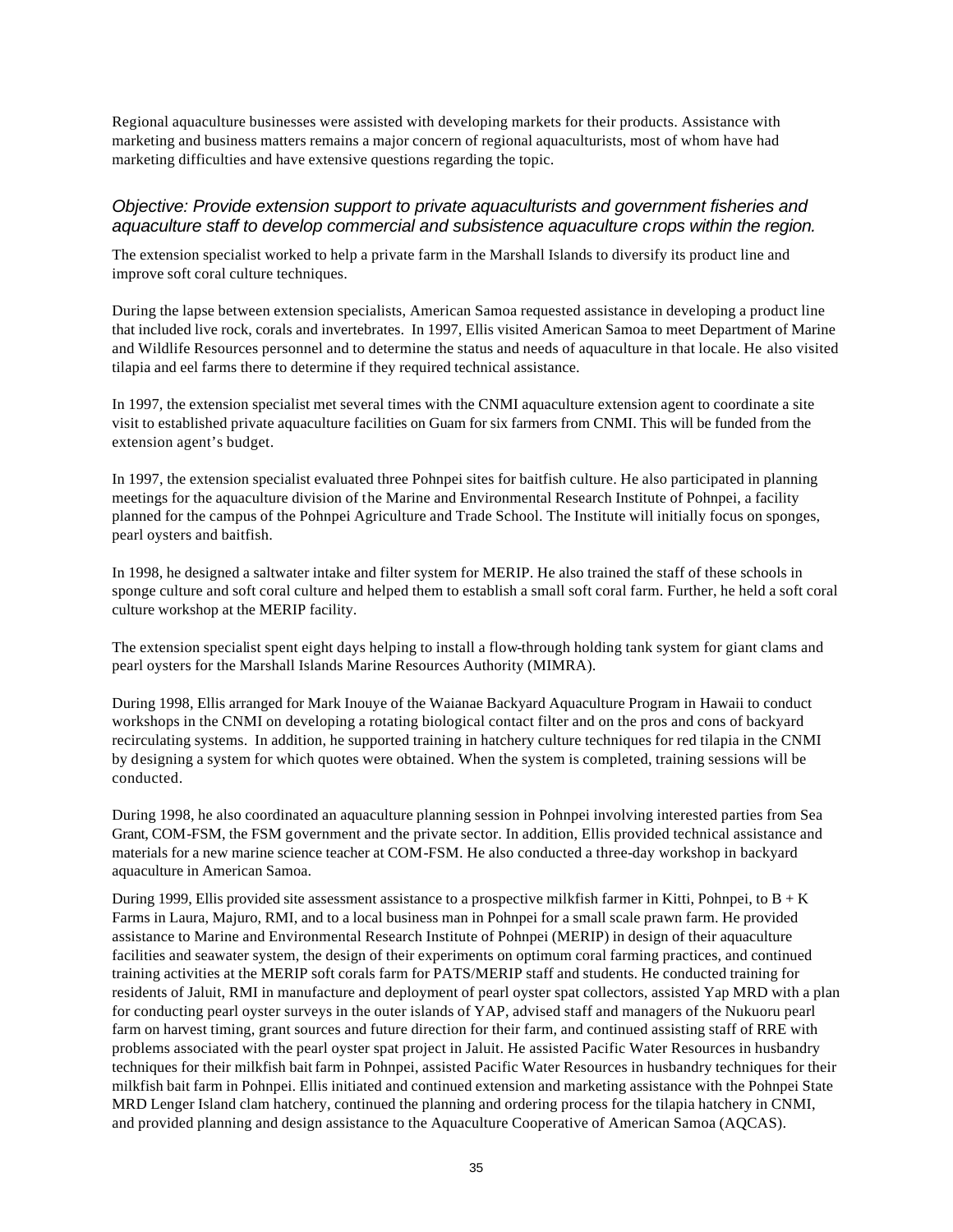Regional aquaculture businesses were assisted with developing markets for their products. Assistance with marketing and business matters remains a major concern of regional aquaculturists, most of whom have had marketing difficulties and have extensive questions regarding the topic.

#### *Objective: Provide extension support to private aquaculturists and government fisheries and aquaculture staff to develop commercial and subsistence aquaculture crops within the region.*

The extension specialist worked to help a private farm in the Marshall Islands to diversify its product line and improve soft coral culture techniques.

During the lapse between extension specialists, American Samoa requested assistance in developing a product line that included live rock, corals and invertebrates. In 1997, Ellis visited American Samoa to meet Department of Marine and Wildlife Resources personnel and to determine the status and needs of aquaculture in that locale. He also visited tilapia and eel farms there to determine if they required technical assistance.

In 1997, the extension specialist met several times with the CNMI aquaculture extension agent to coordinate a site visit to established private aquaculture facilities on Guam for six farmers from CNMI. This will be funded from the extension agent's budget.

In 1997, the extension specialist evaluated three Pohnpei sites for baitfish culture. He also participated in planning meetings for the aquaculture division of the Marine and Environmental Research Institute of Pohnpei, a facility planned for the campus of the Pohnpei Agriculture and Trade School. The Institute will initially focus on sponges, pearl oysters and baitfish.

In 1998, he designed a saltwater intake and filter system for MERIP. He also trained the staff of these schools in sponge culture and soft coral culture and helped them to establish a small soft coral farm. Further, he held a soft coral culture workshop at the MERIP facility.

The extension specialist spent eight days helping to install a flow-through holding tank system for giant clams and pearl oysters for the Marshall Islands Marine Resources Authority (MIMRA).

During 1998, Ellis arranged for Mark Inouye of the Waianae Backyard Aquaculture Program in Hawaii to conduct workshops in the CNMI on developing a rotating biological contact filter and on the pros and cons of backyard recirculating systems. In addition, he supported training in hatchery culture techniques for red tilapia in the CNMI by designing a system for which quotes were obtained. When the system is completed, training sessions will be conducted.

During 1998, he also coordinated an aquaculture planning session in Pohnpei involving interested parties from Sea Grant, COM-FSM, the FSM government and the private sector. In addition, Ellis provided technical assistance and materials for a new marine science teacher at COM-FSM. He also conducted a three-day workshop in backyard aquaculture in American Samoa.

During 1999, Ellis provided site assessment assistance to a prospective milkfish farmer in Kitti, Pohnpei, to  $B + K$ Farms in Laura, Majuro, RMI, and to a local business man in Pohnpei for a small scale prawn farm. He provided assistance to Marine and Environmental Research Institute of Pohnpei (MERIP) in design of their aquaculture facilities and seawater system, the design of their experiments on optimum coral farming practices, and continued training activities at the MERIP soft corals farm for PATS/MERIP staff and students. He conducted training for residents of Jaluit, RMI in manufacture and deployment of pearl oyster spat collectors, assisted Yap MRD with a plan for conducting pearl oyster surveys in the outer islands of YAP, advised staff and managers of the Nukuoru pearl farm on harvest timing, grant sources and future direction for their farm, and continued assisting staff of RRE with problems associated with the pearl oyster spat project in Jaluit. He assisted Pacific Water Resources in husbandry techniques for their milkfish bait farm in Pohnpei, assisted Pacific Water Resources in husbandry techniques for their milkfish bait farm in Pohnpei. Ellis initiated and continued extension and marketing assistance with the Pohnpei State MRD Lenger Island clam hatchery, continued the planning and ordering process for the tilapia hatchery in CNMI, and provided planning and design assistance to the Aquaculture Cooperative of American Samoa (AQCAS).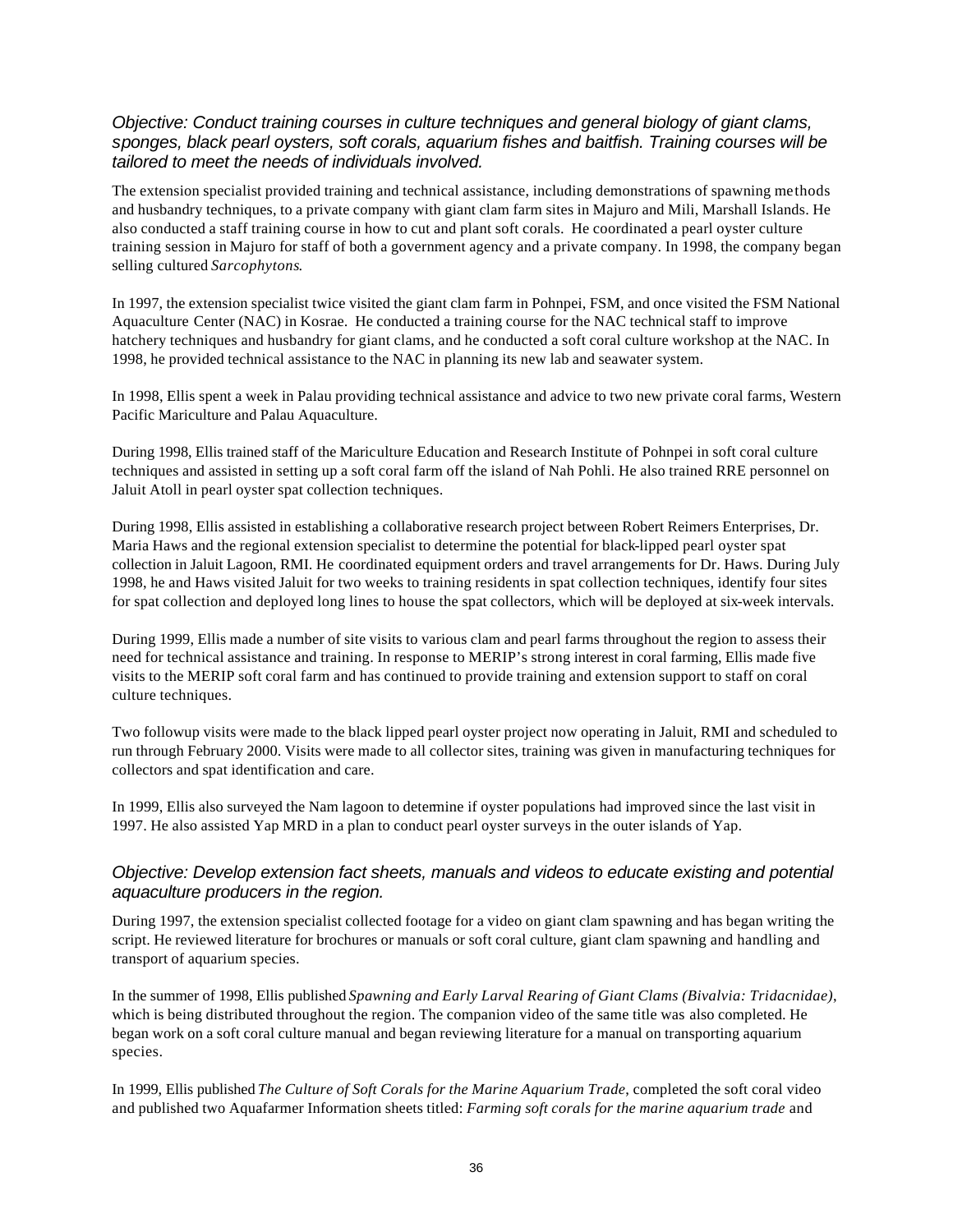#### *Objective: Conduct training courses in culture techniques and general biology of giant clams, sponges, black pearl oysters, soft corals, aquarium fishes and baitfish. Training courses will be tailored to meet the needs of individuals involved.*

The extension specialist provided training and technical assistance, including demonstrations of spawning methods and husbandry techniques, to a private company with giant clam farm sites in Majuro and Mili, Marshall Islands. He also conducted a staff training course in how to cut and plant soft corals. He coordinated a pearl oyster culture training session in Majuro for staff of both a government agency and a private company. In 1998, the company began selling cultured *Sarcophytons*.

In 1997, the extension specialist twice visited the giant clam farm in Pohnpei, FSM, and once visited the FSM National Aquaculture Center (NAC) in Kosrae. He conducted a training course for the NAC technical staff to improve hatchery techniques and husbandry for giant clams, and he conducted a soft coral culture workshop at the NAC. In 1998, he provided technical assistance to the NAC in planning its new lab and seawater system.

In 1998, Ellis spent a week in Palau providing technical assistance and advice to two new private coral farms, Western Pacific Mariculture and Palau Aquaculture.

During 1998, Ellis trained staff of the Mariculture Education and Research Institute of Pohnpei in soft coral culture techniques and assisted in setting up a soft coral farm off the island of Nah Pohli. He also trained RRE personnel on Jaluit Atoll in pearl oyster spat collection techniques.

During 1998, Ellis assisted in establishing a collaborative research project between Robert Reimers Enterprises, Dr. Maria Haws and the regional extension specialist to determine the potential for black-lipped pearl oyster spat collection in Jaluit Lagoon, RMI. He coordinated equipment orders and travel arrangements for Dr. Haws. During July 1998, he and Haws visited Jaluit for two weeks to training residents in spat collection techniques, identify four sites for spat collection and deployed long lines to house the spat collectors, which will be deployed at six-week intervals.

During 1999, Ellis made a number of site visits to various clam and pearl farms throughout the region to assess their need for technical assistance and training. In response to MERIP's strong interest in coral farming, Ellis made five visits to the MERIP soft coral farm and has continued to provide training and extension support to staff on coral culture techniques.

Two followup visits were made to the black lipped pearl oyster project now operating in Jaluit, RMI and scheduled to run through February 2000. Visits were made to all collector sites, training was given in manufacturing techniques for collectors and spat identification and care.

In 1999, Ellis also surveyed the Nam lagoon to determine if oyster populations had improved since the last visit in 1997. He also assisted Yap MRD in a plan to conduct pearl oyster surveys in the outer islands of Yap.

#### *Objective: Develop extension fact sheets, manuals and videos to educate existing and potential aquaculture producers in the region.*

During 1997, the extension specialist collected footage for a video on giant clam spawning and has began writing the script. He reviewed literature for brochures or manuals or soft coral culture, giant clam spawning and handling and transport of aquarium species.

In the summer of 1998, Ellis published *Spawning and Early Larval Rearing of Giant Clams (Bivalvia: Tridacnidae)*, which is being distributed throughout the region. The companion video of the same title was also completed. He began work on a soft coral culture manual and began reviewing literature for a manual on transporting aquarium species.

In 1999, Ellis published *The Culture of Soft Corals for the Marine Aquarium Trade*, completed the soft coral video and published two Aquafarmer Information sheets titled: *Farming soft corals for the marine aquarium trade* and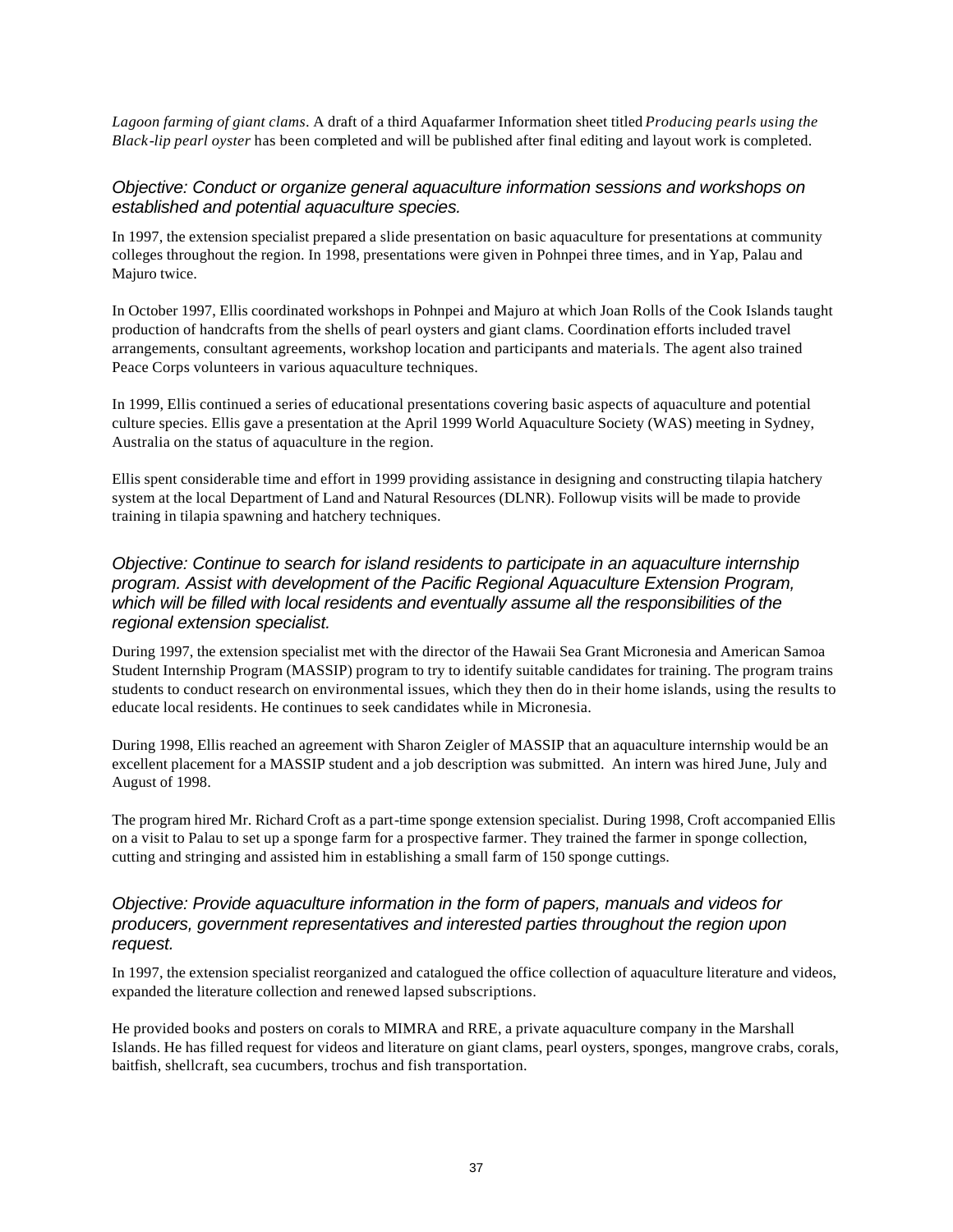*Lagoon farming of giant clams*. A draft of a third Aquafarmer Information sheet titled *Producing pearls using the Black-lip pearl oyster* has been completed and will be published after final editing and layout work is completed.

#### *Objective: Conduct or organize general aquaculture information sessions and workshops on established and potential aquaculture species.*

In 1997, the extension specialist prepared a slide presentation on basic aquaculture for presentations at community colleges throughout the region. In 1998, presentations were given in Pohnpei three times, and in Yap, Palau and Majuro twice.

In October 1997, Ellis coordinated workshops in Pohnpei and Majuro at which Joan Rolls of the Cook Islands taught production of handcrafts from the shells of pearl oysters and giant clams. Coordination efforts included travel arrangements, consultant agreements, workshop location and participants and materials. The agent also trained Peace Corps volunteers in various aquaculture techniques.

In 1999, Ellis continued a series of educational presentations covering basic aspects of aquaculture and potential culture species. Ellis gave a presentation at the April 1999 World Aquaculture Society (WAS) meeting in Sydney, Australia on the status of aquaculture in the region.

Ellis spent considerable time and effort in 1999 providing assistance in designing and constructing tilapia hatchery system at the local Department of Land and Natural Resources (DLNR). Followup visits will be made to provide training in tilapia spawning and hatchery techniques.

#### *Objective: Continue to search for island residents to participate in an aquaculture internship program. Assist with development of the Pacific Regional Aquaculture Extension Program, which will be filled with local residents and eventually assume all the responsibilities of the regional extension specialist.*

During 1997, the extension specialist met with the director of the Hawaii Sea Grant Micronesia and American Samoa Student Internship Program (MASSIP) program to try to identify suitable candidates for training. The program trains students to conduct research on environmental issues, which they then do in their home islands, using the results to educate local residents. He continues to seek candidates while in Micronesia.

During 1998, Ellis reached an agreement with Sharon Zeigler of MASSIP that an aquaculture internship would be an excellent placement for a MASSIP student and a job description was submitted. An intern was hired June, July and August of 1998.

The program hired Mr. Richard Croft as a part-time sponge extension specialist. During 1998, Croft accompanied Ellis on a visit to Palau to set up a sponge farm for a prospective farmer. They trained the farmer in sponge collection, cutting and stringing and assisted him in establishing a small farm of 150 sponge cuttings.

#### *Objective: Provide aquaculture information in the form of papers, manuals and videos for producers, government representatives and interested parties throughout the region upon request.*

In 1997, the extension specialist reorganized and catalogued the office collection of aquaculture literature and videos, expanded the literature collection and renewed lapsed subscriptions.

He provided books and posters on corals to MIMRA and RRE, a private aquaculture company in the Marshall Islands. He has filled request for videos and literature on giant clams, pearl oysters, sponges, mangrove crabs, corals, baitfish, shellcraft, sea cucumbers, trochus and fish transportation.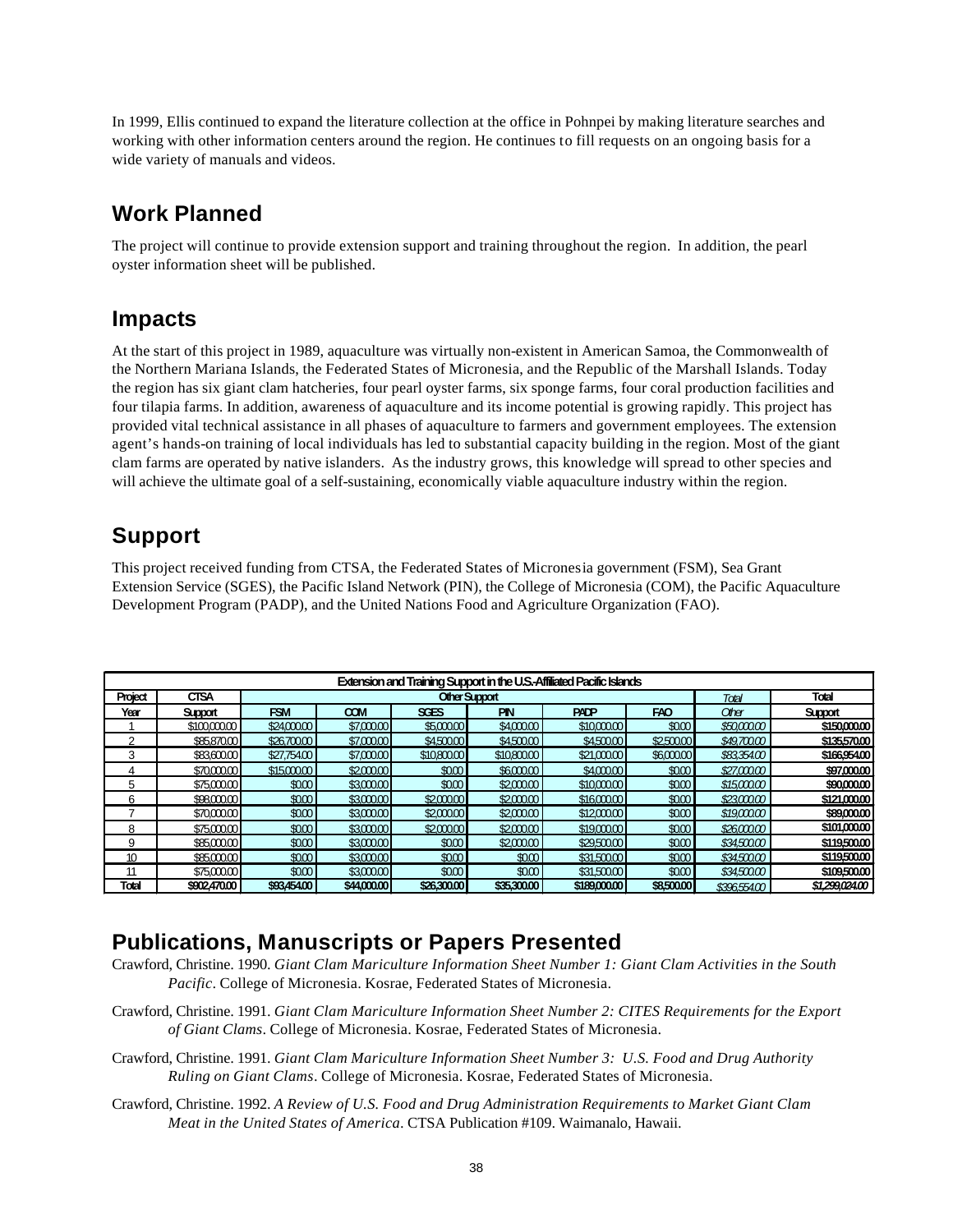In 1999, Ellis continued to expand the literature collection at the office in Pohnpei by making literature searches and working with other information centers around the region. He continues to fill requests on an ongoing basis for a wide variety of manuals and videos.

## **Work Planned**

The project will continue to provide extension support and training throughout the region. In addition, the pearl oyster information sheet will be published.

### **Impacts**

At the start of this project in 1989, aquaculture was virtually non-existent in American Samoa, the Commonwealth of the Northern Mariana Islands, the Federated States of Micronesia, and the Republic of the Marshall Islands. Today the region has six giant clam hatcheries, four pearl oyster farms, six sponge farms, four coral production facilities and four tilapia farms. In addition, awareness of aquaculture and its income potential is growing rapidly. This project has provided vital technical assistance in all phases of aquaculture to farmers and government employees. The extension agent's hands-on training of local individuals has led to substantial capacity building in the region. Most of the giant clam farms are operated by native islanders. As the industry grows, this knowledge will spread to other species and will achieve the ultimate goal of a self-sustaining, economically viable aquaculture industry within the region.

## **Support**

This project received funding from CTSA, the Federated States of Micronesia government (FSM), Sea Grant Extension Service (SGES), the Pacific Island Network (PIN), the College of Micronesia (COM), the Pacific Aquaculture Development Program (PADP), and the United Nations Food and Agriculture Organization (FAO).

| Extension and Training Support in the U.S.-Affiliated Pacific Islands |                |             |             |             |             |              |            |             |                |  |
|-----------------------------------------------------------------------|----------------|-------------|-------------|-------------|-------------|--------------|------------|-------------|----------------|--|
| Project                                                               | <b>CTSA</b>    |             | Total       | Total       |             |              |            |             |                |  |
| Year                                                                  | <b>Support</b> | <b>FSM</b>  | <b>COM</b>  | <b>SGES</b> | <b>PIN</b>  | <b>PADP</b>  | FAO        | Other       | <b>Support</b> |  |
|                                                                       | \$100,000.00   | \$24,000.00 | \$7,00000   | \$5,00000   | \$4,000.00  | \$10,000.00  | \$000      | \$50,000,00 | \$150,000.00   |  |
| っ                                                                     | \$85,870.00    | \$26,700.00 | \$7,000.00  | \$4,500.00  | \$4,500.00  | \$4,500.00   | \$2,500.00 | \$49,700.00 | \$135,570,00   |  |
| 3                                                                     | \$83,600.00    | \$27,754.00 | \$7,00000   | \$10,800.00 | \$10,80000  | \$21,000.00  | \$6,000.00 | \$8335400   | \$166,954.00   |  |
| 4                                                                     | \$70,000.00    | \$15,000,00 | \$2,000.00  | \$000       | \$6,000,00  | \$4,000,00   | \$0.00     | \$27,000,00 | \$97,000,00    |  |
| 5                                                                     | \$75,000.00    | \$000       | \$3,00000   | \$000       | \$2,000.00  | \$10,000.00  | \$000      | \$15,000,00 | \$90,000.00    |  |
| 6                                                                     | \$98,000,00    | \$000       | \$3,000.00  | \$2,000.00  | \$2,000,00  | \$16,000.00  | \$0.00     | \$23000.00  | \$121,000,00   |  |
|                                                                       | \$70,000.00    | \$000       | \$3,00000   | \$2,000.00  | \$2,000.00  | \$12,000.00  | \$000      | \$19,000.00 | \$89,000.00    |  |
| 8                                                                     | \$75,000.00    | \$000       | \$3,000,00  | \$2,000.00  | \$2,000.00  | \$19,000.00  | \$000      | \$26,000,00 | \$101,000.00   |  |
| 9                                                                     | \$85,000.00    | \$000       | \$3,00000   | \$000       | \$2,000.00  | \$29,500.00  | 000        | \$34,50000  | \$119,500.00   |  |
| 10                                                                    | \$85,000.00    | \$000       | \$3,000,00  | \$000       | \$0.00      | \$31,500.00  | \$000      | \$34,500.00 | \$119,500.00   |  |
| 11                                                                    | \$75,000.00    | \$000       | \$3,00000   | \$000       | \$000       | \$31,500.00  | \$0.00     | \$34,50000  | \$109,500.00   |  |
| Total                                                                 | \$902,470.00   | \$93,454.00 | \$44,000.00 | \$26,300.00 | \$35,300.00 | \$189,000.00 | \$8,500.00 | \$396554.00 | \$1,299,024,00 |  |

## **Publications, Manuscripts or Papers Presented**

- Crawford, Christine. 1990. *Giant Clam Mariculture Information Sheet Number 1: Giant Clam Activities in the South Pacific*. College of Micronesia. Kosrae, Federated States of Micronesia.
- Crawford, Christine. 1991. *Giant Clam Mariculture Information Sheet Number 2: CITES Requirements for the Export of Giant Clams*. College of Micronesia. Kosrae, Federated States of Micronesia.
- Crawford, Christine. 1991. *Giant Clam Mariculture Information Sheet Number 3: U.S. Food and Drug Authority Ruling on Giant Clams*. College of Micronesia. Kosrae, Federated States of Micronesia.
- Crawford, Christine. 1992. *A Review of U.S. Food and Drug Administration Requirements to Market Giant Clam Meat in the United States of America*. CTSA Publication #109. Waimanalo, Hawaii.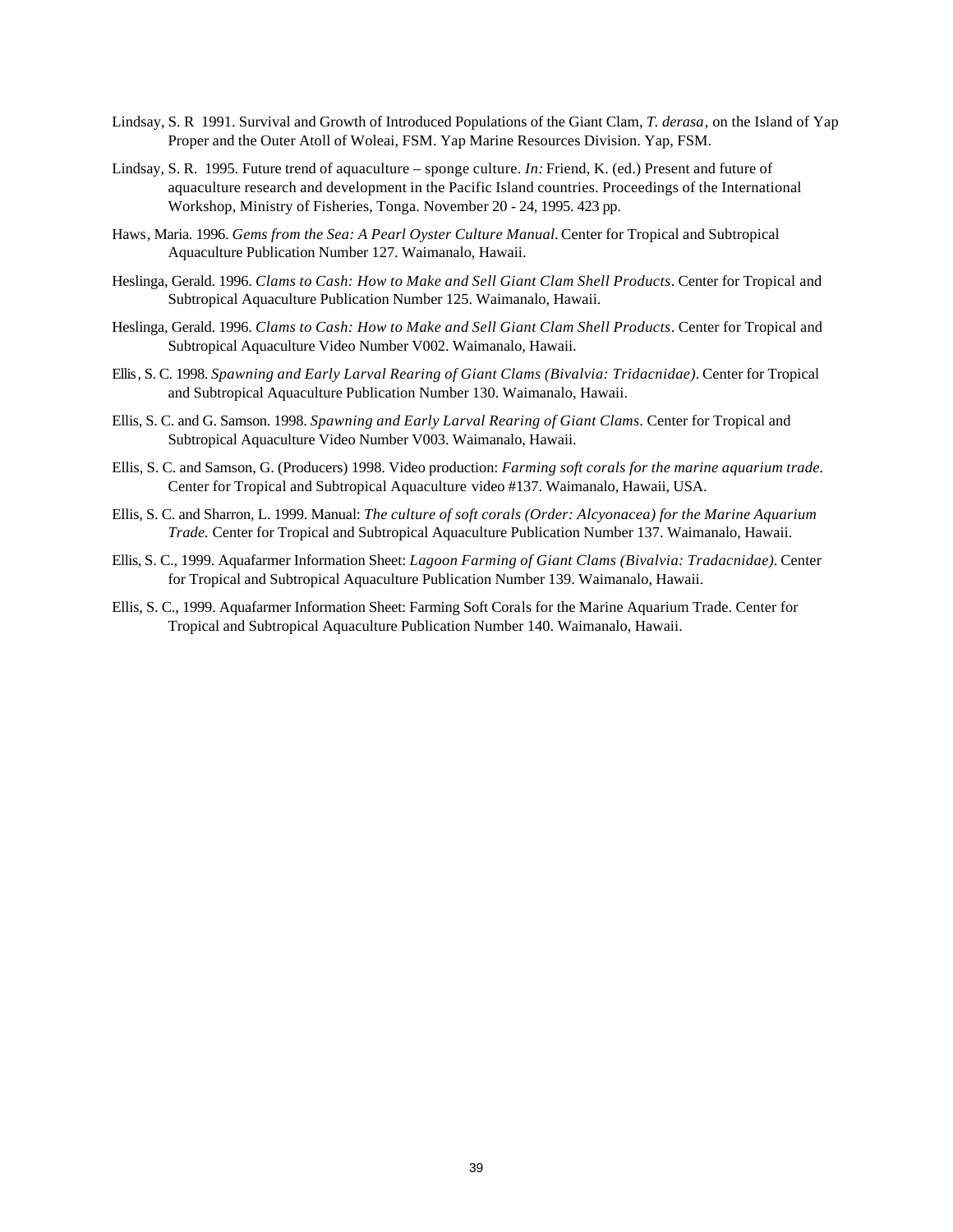- Lindsay, S. R 1991. Survival and Growth of Introduced Populations of the Giant Clam, *T. derasa*, on the Island of Yap Proper and the Outer Atoll of Woleai, FSM. Yap Marine Resources Division. Yap, FSM.
- Lindsay, S. R. 1995. Future trend of aquaculture sponge culture. *In:* Friend, K. (ed.) Present and future of aquaculture research and development in the Pacific Island countries. Proceedings of the International Workshop, Ministry of Fisheries, Tonga. November 20 - 24, 1995. 423 pp.
- Haws, Maria. 1996. *Gems from the Sea: A Pearl Oyster Culture Manual.* Center for Tropical and Subtropical Aquaculture Publication Number 127. Waimanalo, Hawaii.
- Heslinga, Gerald. 1996. *Clams to Cash: How to Make and Sell Giant Clam Shell Products*. Center for Tropical and Subtropical Aquaculture Publication Number 125. Waimanalo, Hawaii.
- Heslinga, Gerald. 1996. *Clams to Cash: How to Make and Sell Giant Clam Shell Products*. Center for Tropical and Subtropical Aquaculture Video Number V002. Waimanalo, Hawaii.
- Ellis, S. C. 1998. *Spawning and Early Larval Rearing of Giant Clams (Bivalvia: Tridacnidae).* Center for Tropical and Subtropical Aquaculture Publication Number 130. Waimanalo, Hawaii.
- Ellis, S. C. and G. Samson. 1998. *Spawning and Early Larval Rearing of Giant Clams*. Center for Tropical and Subtropical Aquaculture Video Number V003. Waimanalo, Hawaii.
- Ellis, S. C. and Samson, G. (Producers) 1998. Video production: *Farming soft corals for the marine aquarium trade.*  Center for Tropical and Subtropical Aquaculture video #137. Waimanalo, Hawaii, USA.
- Ellis, S. C. and Sharron, L. 1999. Manual: *The culture of soft corals (Order: Alcyonacea) for the Marine Aquarium Trade.* Center for Tropical and Subtropical Aquaculture Publication Number 137. Waimanalo, Hawaii.
- Ellis, S. C., 1999. Aquafarmer Information Sheet: *Lagoon Farming of Giant Clams (Bivalvia: Tradacnidae).* Center for Tropical and Subtropical Aquaculture Publication Number 139. Waimanalo, Hawaii.
- Ellis, S. C., 1999. Aquafarmer Information Sheet: Farming Soft Corals for the Marine Aquarium Trade. Center for Tropical and Subtropical Aquaculture Publication Number 140. Waimanalo, Hawaii.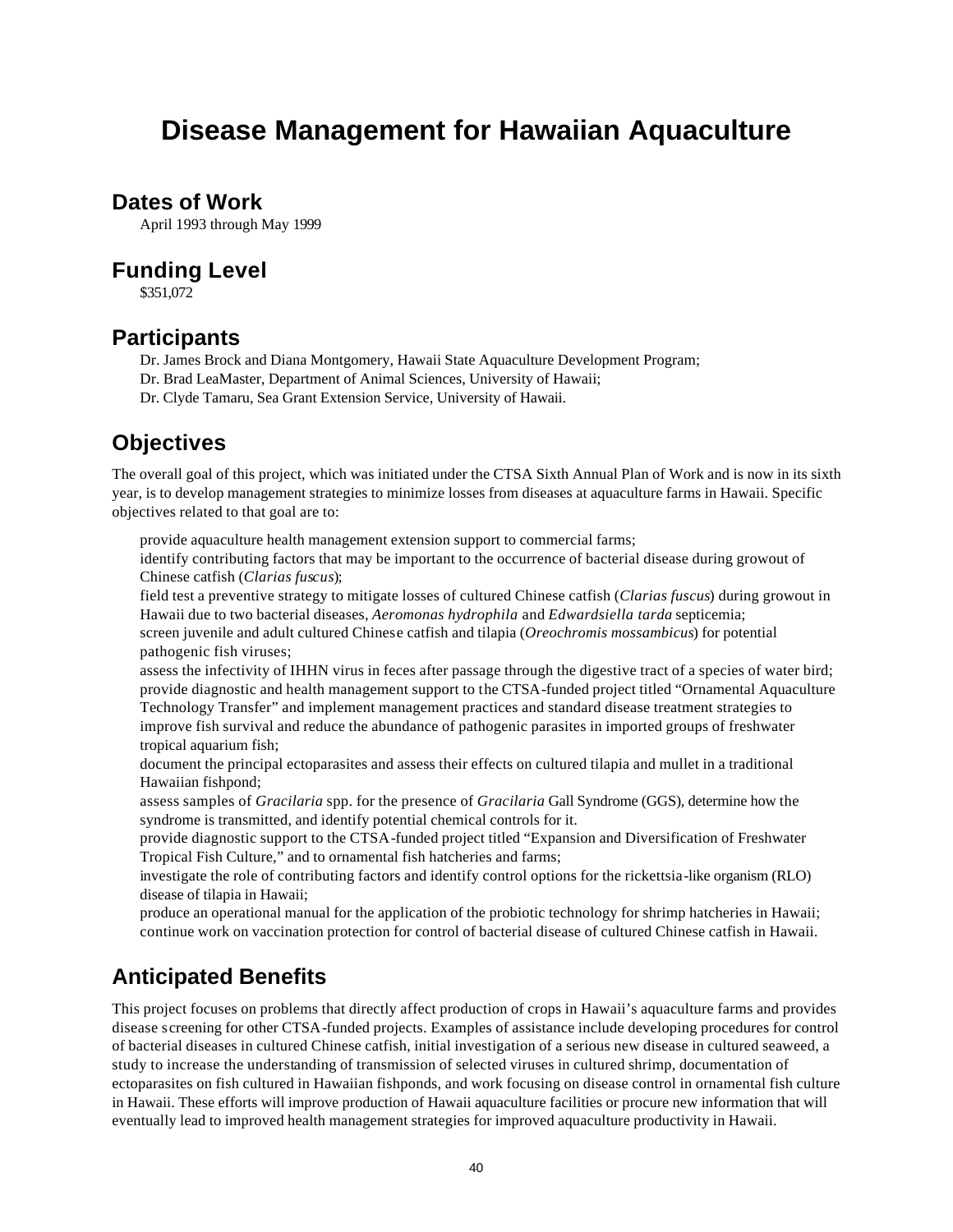# **Disease Management for Hawaiian Aquaculture**

### **Dates of Work**

April 1993 through May 1999

### **Funding Level**

\$351,072

### **Participants**

- Dr. James Brock and Diana Montgomery, Hawaii State Aquaculture Development Program;
- Dr. Brad LeaMaster, Department of Animal Sciences, University of Hawaii;
- Dr. Clyde Tamaru, Sea Grant Extension Service, University of Hawaii.

### **Objectives**

The overall goal of this project, which was initiated under the CTSA Sixth Annual Plan of Work and is now in its sixth year, is to develop management strategies to minimize losses from diseases at aquaculture farms in Hawaii. Specific objectives related to that goal are to:

provide aquaculture health management extension support to commercial farms;

identify contributing factors that may be important to the occurrence of bacterial disease during growout of Chinese catfish (*Clarias fuscus*);

field test a preventive strategy to mitigate losses of cultured Chinese catfish (*Clarias fuscus*) during growout in Hawaii due to two bacterial diseases, *Aeromonas hydrophila* and *Edwardsiella tarda* septicemia; screen juvenile and adult cultured Chinese catfish and tilapia (*Oreochromis mossambicus*) for potential pathogenic fish viruses;

assess the infectivity of IHHN virus in feces after passage through the digestive tract of a species of water bird; provide diagnostic and health management support to the CTSA-funded project titled "Ornamental Aquaculture Technology Transfer" and implement management practices and standard disease treatment strategies to improve fish survival and reduce the abundance of pathogenic parasites in imported groups of freshwater tropical aquarium fish;

document the principal ectoparasites and assess their effects on cultured tilapia and mullet in a traditional Hawaiian fishpond;

assess samples of *Gracilaria* spp. for the presence of *Gracilaria* Gall Syndrome (GGS), determine how the syndrome is transmitted, and identify potential chemical controls for it.

provide diagnostic support to the CTSA-funded project titled "Expansion and Diversification of Freshwater Tropical Fish Culture," and to ornamental fish hatcheries and farms;

investigate the role of contributing factors and identify control options for the rickettsia-like organism (RLO) disease of tilapia in Hawaii;

produce an operational manual for the application of the probiotic technology for shrimp hatcheries in Hawaii; continue work on vaccination protection for control of bacterial disease of cultured Chinese catfish in Hawaii.

## **Anticipated Benefits**

This project focuses on problems that directly affect production of crops in Hawaii's aquaculture farms and provides disease screening for other CTSA-funded projects. Examples of assistance include developing procedures for control of bacterial diseases in cultured Chinese catfish, initial investigation of a serious new disease in cultured seaweed, a study to increase the understanding of transmission of selected viruses in cultured shrimp, documentation of ectoparasites on fish cultured in Hawaiian fishponds, and work focusing on disease control in ornamental fish culture in Hawaii. These efforts will improve production of Hawaii aquaculture facilities or procure new information that will eventually lead to improved health management strategies for improved aquaculture productivity in Hawaii.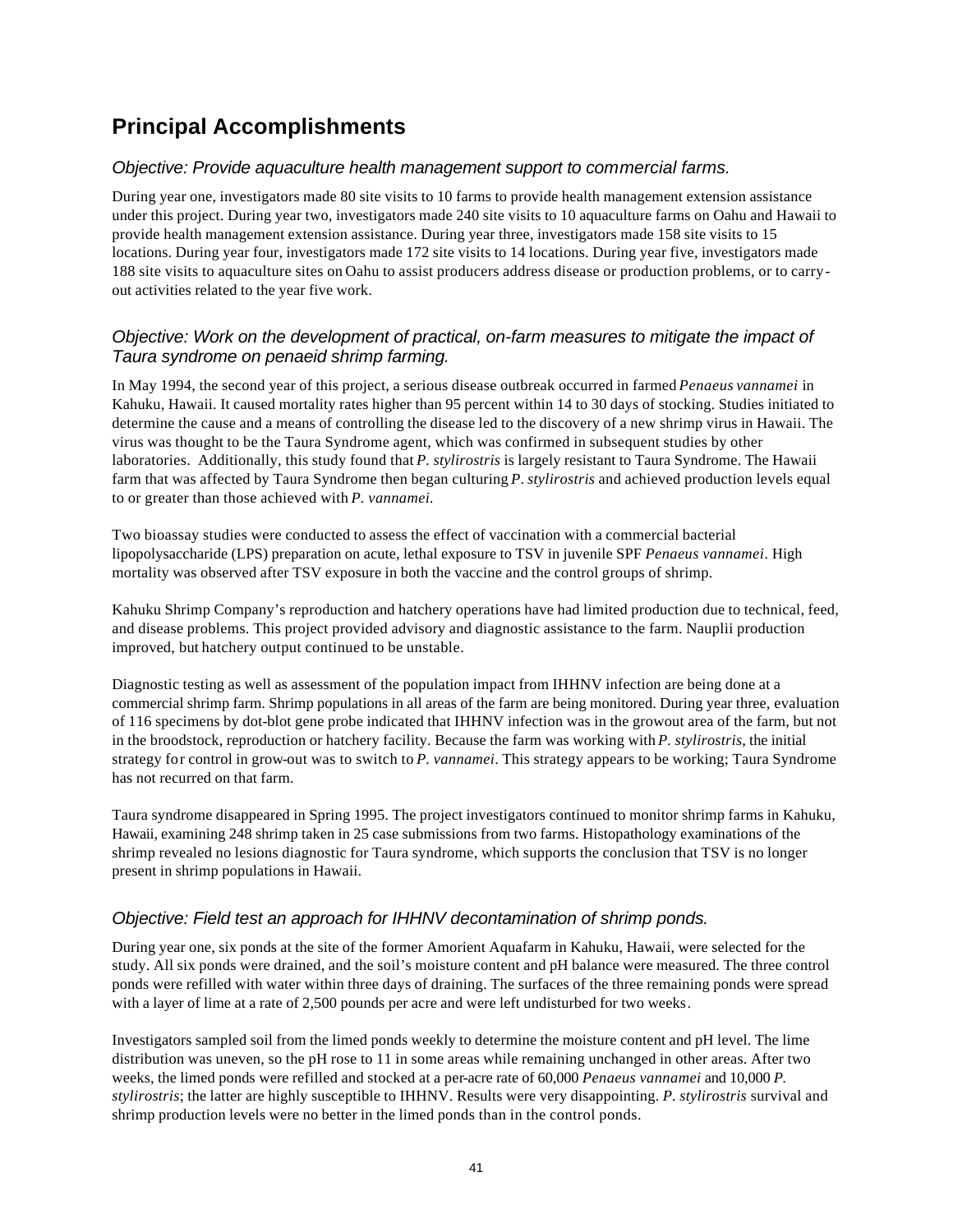## **Principal Accomplishments**

### *Objective: Provide aquaculture health management support to commercial farms.*

During year one, investigators made 80 site visits to 10 farms to provide health management extension assistance under this project. During year two, investigators made 240 site visits to 10 aquaculture farms on Oahu and Hawaii to provide health management extension assistance. During year three, investigators made 158 site visits to 15 locations. During year four, investigators made 172 site visits to 14 locations. During year five, investigators made 188 site visits to aquaculture sites on Oahu to assist producers address disease or production problems, or to carryout activities related to the year five work.

### *Objective: Work on the development of practical, on-farm measures to mitigate the impact of Taura syndrome on penaeid shrimp farming.*

In May 1994, the second year of this project, a serious disease outbreak occurred in farmed *Penaeus vannamei* in Kahuku, Hawaii. It caused mortality rates higher than 95 percent within 14 to 30 days of stocking. Studies initiated to determine the cause and a means of controlling the disease led to the discovery of a new shrimp virus in Hawaii. The virus was thought to be the Taura Syndrome agent, which was confirmed in subsequent studies by other laboratories. Additionally, this study found that *P. stylirostris* is largely resistant to Taura Syndrome. The Hawaii farm that was affected by Taura Syndrome then began culturing *P*. *stylirostris* and achieved production levels equal to or greater than those achieved with *P. vannamei.*

Two bioassay studies were conducted to assess the effect of vaccination with a commercial bacterial lipopolysaccharide (LPS) preparation on acute, lethal exposure to TSV in juvenile SPF *Penaeus vannamei*. High mortality was observed after TSV exposure in both the vaccine and the control groups of shrimp.

Kahuku Shrimp Company's reproduction and hatchery operations have had limited production due to technical, feed, and disease problems. This project provided advisory and diagnostic assistance to the farm. Nauplii production improved, but hatchery output continued to be unstable.

Diagnostic testing as well as assessment of the population impact from IHHNV infection are being done at a commercial shrimp farm. Shrimp populations in all areas of the farm are being monitored. During year three, evaluation of 116 specimens by dot-blot gene probe indicated that IHHNV infection was in the growout area of the farm, but not in the broodstock, reproduction or hatchery facility. Because the farm was working with *P. stylirostris*, the initial strategy for control in grow-out was to switch to *P. vannamei*. This strategy appears to be working; Taura Syndrome has not recurred on that farm.

Taura syndrome disappeared in Spring 1995. The project investigators continued to monitor shrimp farms in Kahuku, Hawaii, examining 248 shrimp taken in 25 case submissions from two farms. Histopathology examinations of the shrimp revealed no lesions diagnostic for Taura syndrome, which supports the conclusion that TSV is no longer present in shrimp populations in Hawaii.

#### *Objective: Field test an approach for IHHNV decontamination of shrimp ponds.*

During year one, six ponds at the site of the former Amorient Aquafarm in Kahuku, Hawaii, were selected for the study. All six ponds were drained, and the soil's moisture content and pH balance were measured. The three control ponds were refilled with water within three days of draining. The surfaces of the three remaining ponds were spread with a layer of lime at a rate of 2,500 pounds per acre and were left undisturbed for two weeks.

Investigators sampled soil from the limed ponds weekly to determine the moisture content and pH level. The lime distribution was uneven, so the pH rose to 11 in some areas while remaining unchanged in other areas. After two weeks, the limed ponds were refilled and stocked at a per-acre rate of 60,000 *Penaeus vannamei* and 10,000 *P. stylirostris*; the latter are highly susceptible to IHHNV. Results were very disappointing. *P. stylirostris* survival and shrimp production levels were no better in the limed ponds than in the control ponds.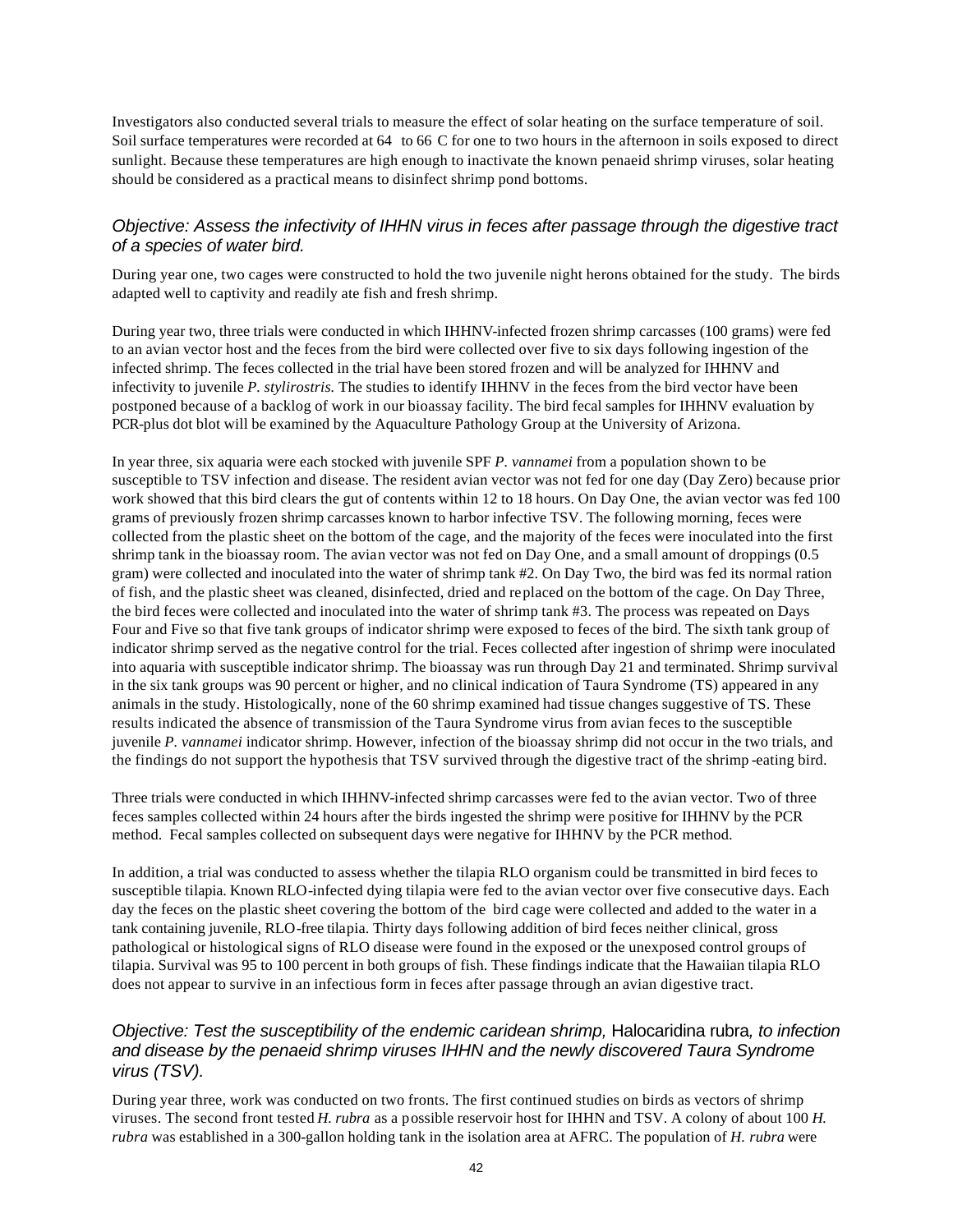Investigators also conducted several trials to measure the effect of solar heating on the surface temperature of soil. Soil surface temperatures were recorded at 64 to 66 C for one to two hours in the afternoon in soils exposed to direct sunlight. Because these temperatures are high enough to inactivate the known penaeid shrimp viruses, solar heating should be considered as a practical means to disinfect shrimp pond bottoms.

### *Objective: Assess the infectivity of IHHN virus in feces after passage through the digestive tract of a species of water bird.*

During year one, two cages were constructed to hold the two juvenile night herons obtained for the study. The birds adapted well to captivity and readily ate fish and fresh shrimp.

During year two, three trials were conducted in which IHHNV-infected frozen shrimp carcasses (100 grams) were fed to an avian vector host and the feces from the bird were collected over five to six days following ingestion of the infected shrimp. The feces collected in the trial have been stored frozen and will be analyzed for IHHNV and infectivity to juvenile *P. stylirostris.* The studies to identify IHHNV in the feces from the bird vector have been postponed because of a backlog of work in our bioassay facility. The bird fecal samples for IHHNV evaluation by PCR-plus dot blot will be examined by the Aquaculture Pathology Group at the University of Arizona.

In year three, six aquaria were each stocked with juvenile SPF *P. vannamei* from a population shown to be susceptible to TSV infection and disease. The resident avian vector was not fed for one day (Day Zero) because prior work showed that this bird clears the gut of contents within 12 to 18 hours. On Day One, the avian vector was fed 100 grams of previously frozen shrimp carcasses known to harbor infective TSV. The following morning, feces were collected from the plastic sheet on the bottom of the cage, and the majority of the feces were inoculated into the first shrimp tank in the bioassay room. The avian vector was not fed on Day One, and a small amount of droppings (0.5 gram) were collected and inoculated into the water of shrimp tank #2. On Day Two, the bird was fed its normal ration of fish, and the plastic sheet was cleaned, disinfected, dried and replaced on the bottom of the cage. On Day Three, the bird feces were collected and inoculated into the water of shrimp tank #3. The process was repeated on Days Four and Five so that five tank groups of indicator shrimp were exposed to feces of the bird. The sixth tank group of indicator shrimp served as the negative control for the trial. Feces collected after ingestion of shrimp were inoculated into aquaria with susceptible indicator shrimp. The bioassay was run through Day 21 and terminated. Shrimp survival in the six tank groups was 90 percent or higher, and no clinical indication of Taura Syndrome (TS) appeared in any animals in the study. Histologically, none of the 60 shrimp examined had tissue changes suggestive of TS. These results indicated the absence of transmission of the Taura Syndrome virus from avian feces to the susceptible juvenile *P. vannamei* indicator shrimp. However, infection of the bioassay shrimp did not occur in the two trials, and the findings do not support the hypothesis that TSV survived through the digestive tract of the shrimp -eating bird.

Three trials were conducted in which IHHNV-infected shrimp carcasses were fed to the avian vector. Two of three feces samples collected within 24 hours after the birds ingested the shrimp were positive for IHHNV by the PCR method. Fecal samples collected on subsequent days were negative for IHHNV by the PCR method.

In addition, a trial was conducted to assess whether the tilapia RLO organism could be transmitted in bird feces to susceptible tilapia. Known RLO-infected dying tilapia were fed to the avian vector over five consecutive days. Each day the feces on the plastic sheet covering the bottom of the bird cage were collected and added to the water in a tank containing juvenile, RLO-free tilapia. Thirty days following addition of bird feces neither clinical, gross pathological or histological signs of RLO disease were found in the exposed or the unexposed control groups of tilapia. Survival was 95 to 100 percent in both groups of fish. These findings indicate that the Hawaiian tilapia RLO does not appear to survive in an infectious form in feces after passage through an avian digestive tract.

### *Objective: Test the susceptibility of the endemic caridean shrimp,* Halocaridina rubra*, to infection and disease by the penaeid shrimp viruses IHHN and the newly discovered Taura Syndrome virus (TSV).*

During year three, work was conducted on two fronts. The first continued studies on birds as vectors of shrimp viruses. The second front tested *H. rubra* as a possible reservoir host for IHHN and TSV. A colony of about 100 *H. rubra* was established in a 300-gallon holding tank in the isolation area at AFRC. The population of *H. rubra* were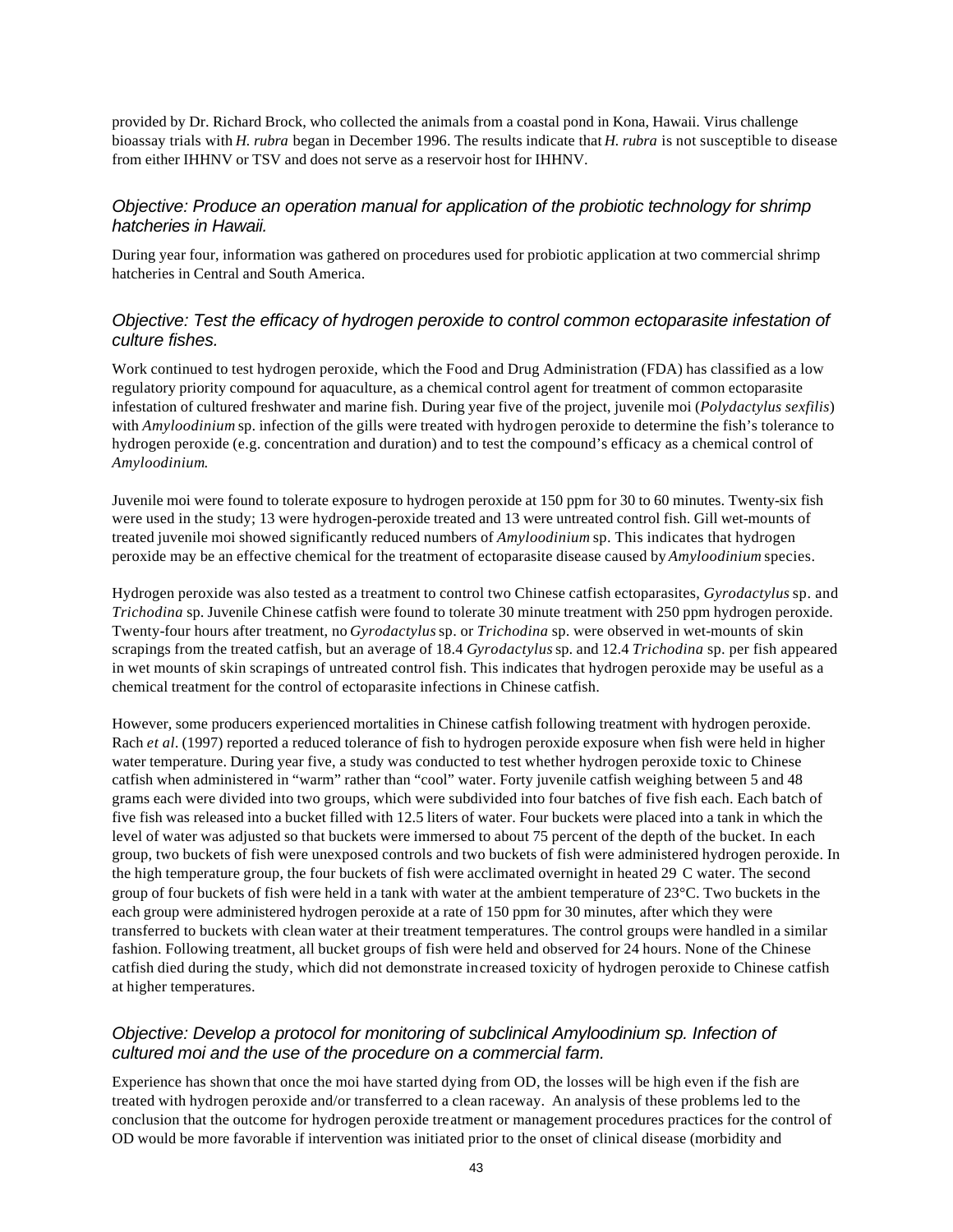provided by Dr. Richard Brock, who collected the animals from a coastal pond in Kona, Hawaii. Virus challenge bioassay trials with *H. rubra* began in December 1996. The results indicate that *H. rubra* is not susceptible to disease from either IHHNV or TSV and does not serve as a reservoir host for IHHNV.

#### *Objective: Produce an operation manual for application of the probiotic technology for shrimp hatcheries in Hawaii.*

During year four, information was gathered on procedures used for probiotic application at two commercial shrimp hatcheries in Central and South America.

### *Objective: Test the efficacy of hydrogen peroxide to control common ectoparasite infestation of culture fishes.*

Work continued to test hydrogen peroxide, which the Food and Drug Administration (FDA) has classified as a low regulatory priority compound for aquaculture, as a chemical control agent for treatment of common ectoparasite infestation of cultured freshwater and marine fish. During year five of the project, juvenile moi (*Polydactylus sexfilis*) with *Amyloodinium* sp. infection of the gills were treated with hydrogen peroxide to determine the fish's tolerance to hydrogen peroxide (e.g. concentration and duration) and to test the compound's efficacy as a chemical control of *Amyloodinium*.

Juvenile moi were found to tolerate exposure to hydrogen peroxide at 150 ppm for 30 to 60 minutes. Twenty-six fish were used in the study; 13 were hydrogen-peroxide treated and 13 were untreated control fish. Gill wet-mounts of treated juvenile moi showed significantly reduced numbers of *Amyloodinium* sp. This indicates that hydrogen peroxide may be an effective chemical for the treatment of ectoparasite disease caused by *Amyloodinium* species.

Hydrogen peroxide was also tested as a treatment to control two Chinese catfish ectoparasites, *Gyrodactylus* sp. and *Trichodina* sp. Juvenile Chinese catfish were found to tolerate 30 minute treatment with 250 ppm hydrogen peroxide. Twenty-four hours after treatment, no *Gyrodactylus* sp. or *Trichodina* sp. were observed in wet-mounts of skin scrapings from the treated catfish, but an average of 18.4 *Gyrodactylus* sp. and 12.4 *Trichodina* sp. per fish appeared in wet mounts of skin scrapings of untreated control fish. This indicates that hydrogen peroxide may be useful as a chemical treatment for the control of ectoparasite infections in Chinese catfish.

However, some producers experienced mortalities in Chinese catfish following treatment with hydrogen peroxide. Rach *et al.* (1997) reported a reduced tolerance of fish to hydrogen peroxide exposure when fish were held in higher water temperature. During year five, a study was conducted to test whether hydrogen peroxide toxic to Chinese catfish when administered in "warm" rather than "cool" water. Forty juvenile catfish weighing between 5 and 48 grams each were divided into two groups, which were subdivided into four batches of five fish each. Each batch of five fish was released into a bucket filled with 12.5 liters of water. Four buckets were placed into a tank in which the level of water was adjusted so that buckets were immersed to about 75 percent of the depth of the bucket. In each group, two buckets of fish were unexposed controls and two buckets of fish were administered hydrogen peroxide. In the high temperature group, the four buckets of fish were acclimated overnight in heated 29 C water. The second group of four buckets of fish were held in a tank with water at the ambient temperature of 23°C. Two buckets in the each group were administered hydrogen peroxide at a rate of 150 ppm for 30 minutes, after which they were transferred to buckets with clean water at their treatment temperatures. The control groups were handled in a similar fashion. Following treatment, all bucket groups of fish were held and observed for 24 hours. None of the Chinese catfish died during the study, which did not demonstrate increased toxicity of hydrogen peroxide to Chinese catfish at higher temperatures.

### *Objective: Develop a protocol for monitoring of subclinical Amyloodinium sp. Infection of cultured moi and the use of the procedure on a commercial farm.*

Experience has shown that once the moi have started dying from OD, the losses will be high even if the fish are treated with hydrogen peroxide and/or transferred to a clean raceway. An analysis of these problems led to the conclusion that the outcome for hydrogen peroxide treatment or management procedures practices for the control of OD would be more favorable if intervention was initiated prior to the onset of clinical disease (morbidity and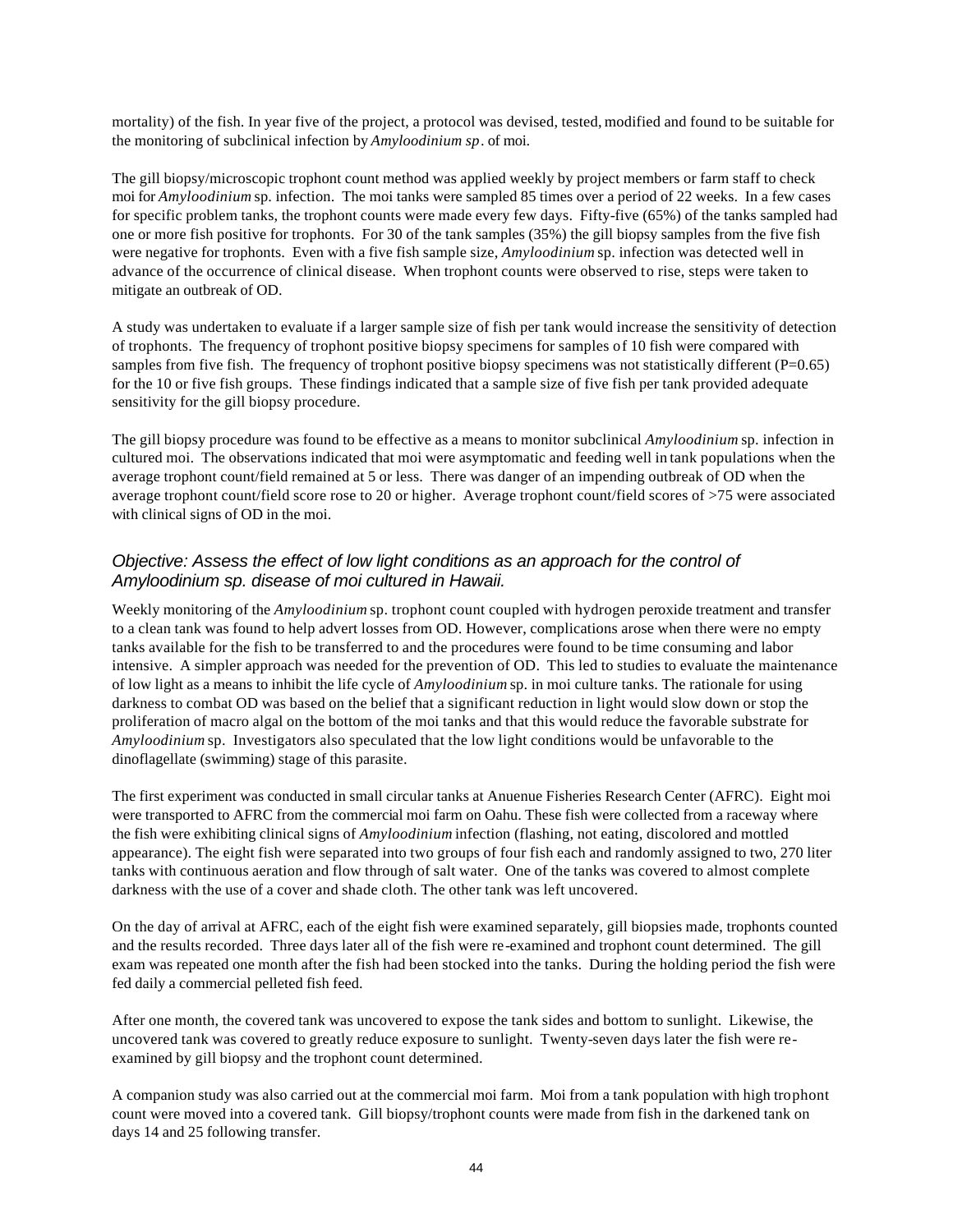mortality) of the fish. In year five of the project, a protocol was devised, tested, modified and found to be suitable for the monitoring of subclinical infection by *Amyloodinium sp*. of moi.

The gill biopsy/microscopic trophont count method was applied weekly by project members or farm staff to check moi for *Amyloodinium* sp. infection. The moi tanks were sampled 85 times over a period of 22 weeks. In a few cases for specific problem tanks, the trophont counts were made every few days. Fifty-five (65%) of the tanks sampled had one or more fish positive for trophonts. For 30 of the tank samples (35%) the gill biopsy samples from the five fish were negative for trophonts. Even with a five fish sample size, *Amyloodinium* sp. infection was detected well in advance of the occurrence of clinical disease. When trophont counts were observed to rise, steps were taken to mitigate an outbreak of OD.

A study was undertaken to evaluate if a larger sample size of fish per tank would increase the sensitivity of detection of trophonts. The frequency of trophont positive biopsy specimens for samples of 10 fish were compared with samples from five fish. The frequency of trophont positive biopsy specimens was not statistically different  $(P=0.65)$ for the 10 or five fish groups. These findings indicated that a sample size of five fish per tank provided adequate sensitivity for the gill biopsy procedure.

The gill biopsy procedure was found to be effective as a means to monitor subclinical *Amyloodinium* sp. infection in cultured moi. The observations indicated that moi were asymptomatic and feeding well in tank populations when the average trophont count/field remained at 5 or less. There was danger of an impending outbreak of OD when the average trophont count/field score rose to 20 or higher. Average trophont count/field scores of >75 were associated with clinical signs of OD in the moi.

### *Objective: Assess the effect of low light conditions as an approach for the control of Amyloodinium sp. disease of moi cultured in Hawaii.*

Weekly monitoring of the *Amyloodinium* sp. trophont count coupled with hydrogen peroxide treatment and transfer to a clean tank was found to help advert losses from OD. However, complications arose when there were no empty tanks available for the fish to be transferred to and the procedures were found to be time consuming and labor intensive. A simpler approach was needed for the prevention of OD. This led to studies to evaluate the maintenance of low light as a means to inhibit the life cycle of *Amyloodinium* sp. in moi culture tanks. The rationale for using darkness to combat OD was based on the belief that a significant reduction in light would slow down or stop the proliferation of macro algal on the bottom of the moi tanks and that this would reduce the favorable substrate for *Amyloodinium* sp. Investigators also speculated that the low light conditions would be unfavorable to the dinoflagellate (swimming) stage of this parasite.

The first experiment was conducted in small circular tanks at Anuenue Fisheries Research Center (AFRC). Eight moi were transported to AFRC from the commercial moi farm on Oahu. These fish were collected from a raceway where the fish were exhibiting clinical signs of *Amyloodinium* infection (flashing, not eating, discolored and mottled appearance). The eight fish were separated into two groups of four fish each and randomly assigned to two, 270 liter tanks with continuous aeration and flow through of salt water. One of the tanks was covered to almost complete darkness with the use of a cover and shade cloth. The other tank was left uncovered.

On the day of arrival at AFRC, each of the eight fish were examined separately, gill biopsies made, trophonts counted and the results recorded. Three days later all of the fish were re-examined and trophont count determined. The gill exam was repeated one month after the fish had been stocked into the tanks. During the holding period the fish were fed daily a commercial pelleted fish feed.

After one month, the covered tank was uncovered to expose the tank sides and bottom to sunlight. Likewise, the uncovered tank was covered to greatly reduce exposure to sunlight. Twenty-seven days later the fish were reexamined by gill biopsy and the trophont count determined.

A companion study was also carried out at the commercial moi farm. Moi from a tank population with high trophont count were moved into a covered tank. Gill biopsy/trophont counts were made from fish in the darkened tank on days 14 and 25 following transfer.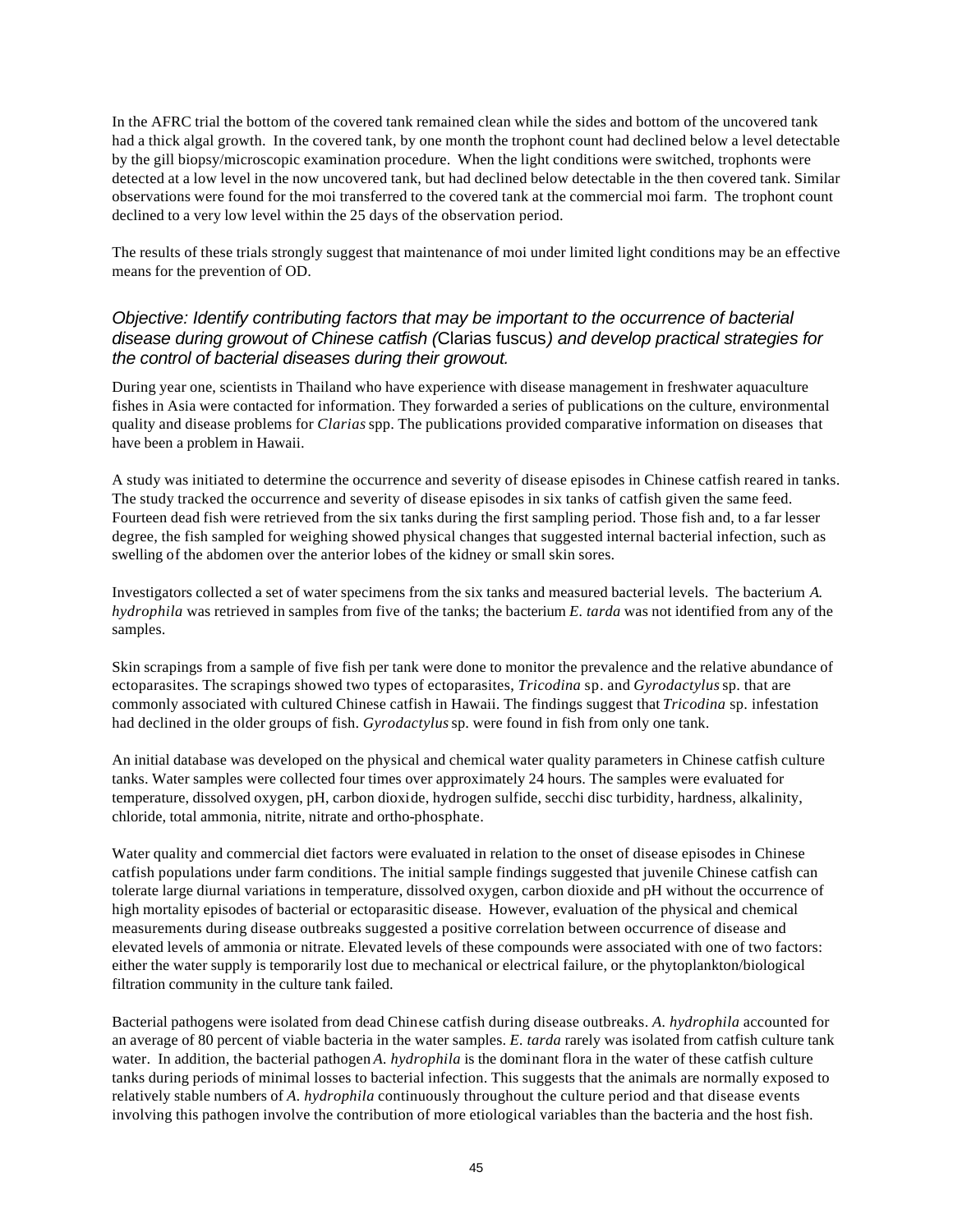In the AFRC trial the bottom of the covered tank remained clean while the sides and bottom of the uncovered tank had a thick algal growth. In the covered tank, by one month the trophont count had declined below a level detectable by the gill biopsy/microscopic examination procedure. When the light conditions were switched, trophonts were detected at a low level in the now uncovered tank, but had declined below detectable in the then covered tank. Similar observations were found for the moi transferred to the covered tank at the commercial moi farm. The trophont count declined to a very low level within the 25 days of the observation period.

The results of these trials strongly suggest that maintenance of moi under limited light conditions may be an effective means for the prevention of OD.

### *Objective: Identify contributing factors that may be important to the occurrence of bacterial disease during growout of Chinese catfish (*Clarias fuscus*) and develop practical strategies for the control of bacterial diseases during their growout.*

During year one, scientists in Thailand who have experience with disease management in freshwater aquaculture fishes in Asia were contacted for information. They forwarded a series of publications on the culture, environmental quality and disease problems for *Clarias* spp. The publications provided comparative information on diseases that have been a problem in Hawaii.

A study was initiated to determine the occurrence and severity of disease episodes in Chinese catfish reared in tanks. The study tracked the occurrence and severity of disease episodes in six tanks of catfish given the same feed. Fourteen dead fish were retrieved from the six tanks during the first sampling period. Those fish and, to a far lesser degree, the fish sampled for weighing showed physical changes that suggested internal bacterial infection, such as swelling of the abdomen over the anterior lobes of the kidney or small skin sores.

Investigators collected a set of water specimens from the six tanks and measured bacterial levels. The bacterium *A. hydrophila* was retrieved in samples from five of the tanks; the bacterium *E. tarda* was not identified from any of the samples.

Skin scrapings from a sample of five fish per tank were done to monitor the prevalence and the relative abundance of ectoparasites. The scrapings showed two types of ectoparasites, *Tricodina* sp. and *Gyrodactylus* sp. that are commonly associated with cultured Chinese catfish in Hawaii. The findings suggest that *Tricodina* sp. infestation had declined in the older groups of fish. *Gyrodactylus* sp. were found in fish from only one tank.

An initial database was developed on the physical and chemical water quality parameters in Chinese catfish culture tanks. Water samples were collected four times over approximately 24 hours. The samples were evaluated for temperature, dissolved oxygen, pH, carbon dioxide, hydrogen sulfide, secchi disc turbidity, hardness, alkalinity, chloride, total ammonia, nitrite, nitrate and ortho-phosphate.

Water quality and commercial diet factors were evaluated in relation to the onset of disease episodes in Chinese catfish populations under farm conditions. The initial sample findings suggested that juvenile Chinese catfish can tolerate large diurnal variations in temperature, dissolved oxygen, carbon dioxide and pH without the occurrence of high mortality episodes of bacterial or ectoparasitic disease. However, evaluation of the physical and chemical measurements during disease outbreaks suggested a positive correlation between occurrence of disease and elevated levels of ammonia or nitrate. Elevated levels of these compounds were associated with one of two factors: either the water supply is temporarily lost due to mechanical or electrical failure, or the phytoplankton/biological filtration community in the culture tank failed.

Bacterial pathogens were isolated from dead Chinese catfish during disease outbreaks. *A. hydrophila* accounted for an average of 80 percent of viable bacteria in the water samples. *E. tarda* rarely was isolated from catfish culture tank water. In addition, the bacterial pathogen *A. hydrophila* is the dominant flora in the water of these catfish culture tanks during periods of minimal losses to bacterial infection. This suggests that the animals are normally exposed to relatively stable numbers of *A. hydrophila* continuously throughout the culture period and that disease events involving this pathogen involve the contribution of more etiological variables than the bacteria and the host fish.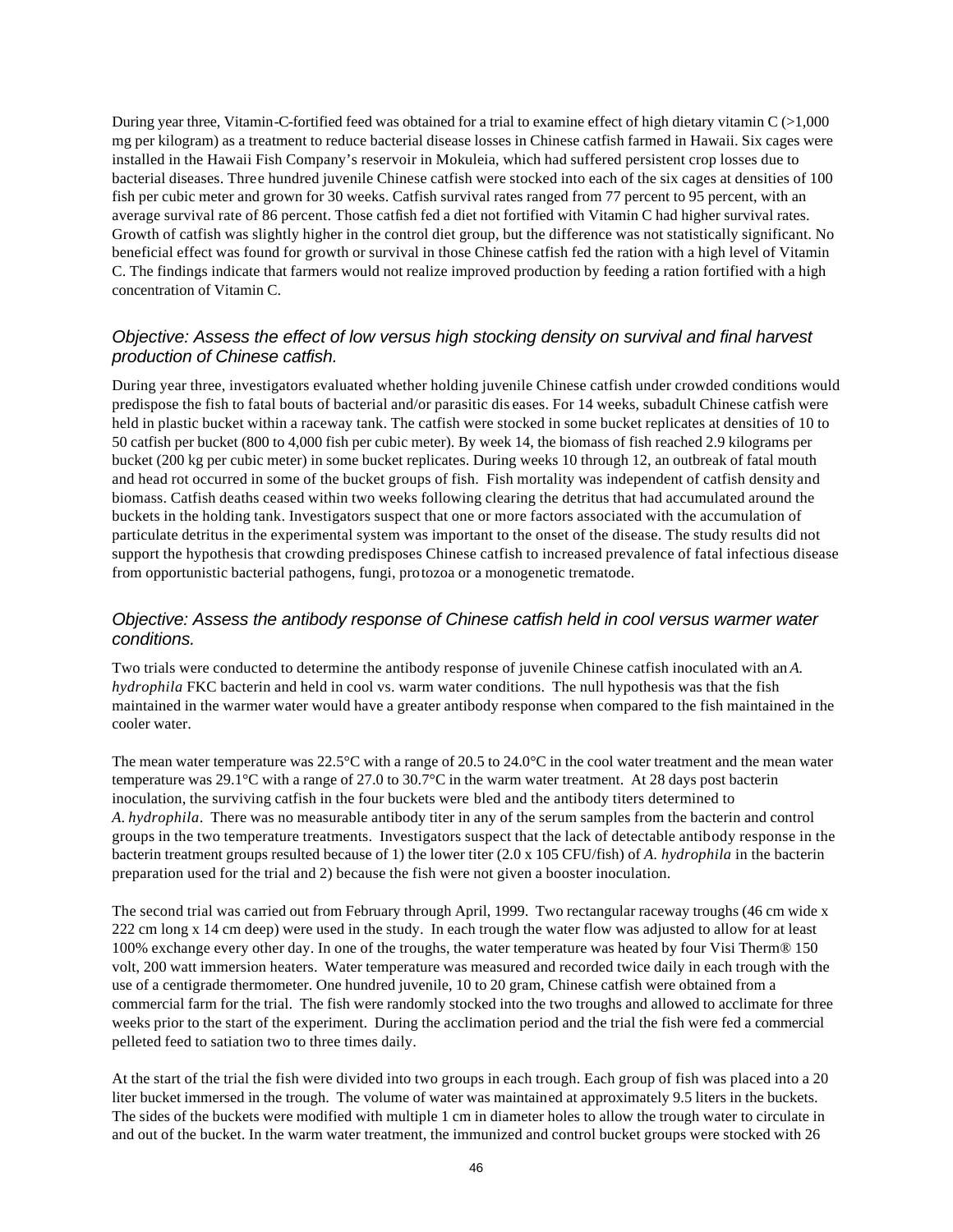During year three, Vitamin-C-fortified feed was obtained for a trial to examine effect of high dietary vitamin  $C \geq 1,000$ mg per kilogram) as a treatment to reduce bacterial disease losses in Chinese catfish farmed in Hawaii. Six cages were installed in the Hawaii Fish Company's reservoir in Mokuleia, which had suffered persistent crop losses due to bacterial diseases. Three hundred juvenile Chinese catfish were stocked into each of the six cages at densities of 100 fish per cubic meter and grown for 30 weeks. Catfish survival rates ranged from 77 percent to 95 percent, with an average survival rate of 86 percent. Those catfish fed a diet not fortified with Vitamin C had higher survival rates. Growth of catfish was slightly higher in the control diet group, but the difference was not statistically significant. No beneficial effect was found for growth or survival in those Chinese catfish fed the ration with a high level of Vitamin C. The findings indicate that farmers would not realize improved production by feeding a ration fortified with a high concentration of Vitamin C.

### *Objective: Assess the effect of low versus high stocking density on survival and final harvest production of Chinese catfish.*

During year three, investigators evaluated whether holding juvenile Chinese catfish under crowded conditions would predispose the fish to fatal bouts of bacterial and/or parasitic dis eases. For 14 weeks, subadult Chinese catfish were held in plastic bucket within a raceway tank. The catfish were stocked in some bucket replicates at densities of 10 to 50 catfish per bucket (800 to 4,000 fish per cubic meter). By week 14, the biomass of fish reached 2.9 kilograms per bucket (200 kg per cubic meter) in some bucket replicates. During weeks 10 through 12, an outbreak of fatal mouth and head rot occurred in some of the bucket groups of fish. Fish mortality was independent of catfish density and biomass. Catfish deaths ceased within two weeks following clearing the detritus that had accumulated around the buckets in the holding tank. Investigators suspect that one or more factors associated with the accumulation of particulate detritus in the experimental system was important to the onset of the disease. The study results did not support the hypothesis that crowding predisposes Chinese catfish to increased prevalence of fatal infectious disease from opportunistic bacterial pathogens, fungi, protozoa or a monogenetic trematode.

### *Objective: Assess the antibody response of Chinese catfish held in cool versus warmer water conditions.*

Two trials were conducted to determine the antibody response of juvenile Chinese catfish inoculated with an *A. hydrophila* FKC bacterin and held in cool vs. warm water conditions. The null hypothesis was that the fish maintained in the warmer water would have a greater antibody response when compared to the fish maintained in the cooler water.

The mean water temperature was 22.5°C with a range of 20.5 to 24.0°C in the cool water treatment and the mean water temperature was 29.1°C with a range of 27.0 to 30.7°C in the warm water treatment. At 28 days post bacterin inoculation, the surviving catfish in the four buckets were bled and the antibody titers determined to *A*. *hydrophila*. There was no measurable antibody titer in any of the serum samples from the bacterin and control groups in the two temperature treatments. Investigators suspect that the lack of detectable antibody response in the bacterin treatment groups resulted because of 1) the lower titer (2.0 x 105 CFU/fish) of *A. hydrophila* in the bacterin preparation used for the trial and 2) because the fish were not given a booster inoculation.

The second trial was carried out from February through April, 1999. Two rectangular raceway troughs (46 cm wide x 222 cm long x 14 cm deep) were used in the study. In each trough the water flow was adjusted to allow for at least 100% exchange every other day. In one of the troughs, the water temperature was heated by four Visi Therm® 150 volt, 200 watt immersion heaters. Water temperature was measured and recorded twice daily in each trough with the use of a centigrade thermometer. One hundred juvenile, 10 to 20 gram, Chinese catfish were obtained from a commercial farm for the trial. The fish were randomly stocked into the two troughs and allowed to acclimate for three weeks prior to the start of the experiment. During the acclimation period and the trial the fish were fed a commercial pelleted feed to satiation two to three times daily.

At the start of the trial the fish were divided into two groups in each trough. Each group of fish was placed into a 20 liter bucket immersed in the trough. The volume of water was maintained at approximately 9.5 liters in the buckets. The sides of the buckets were modified with multiple 1 cm in diameter holes to allow the trough water to circulate in and out of the bucket. In the warm water treatment, the immunized and control bucket groups were stocked with 26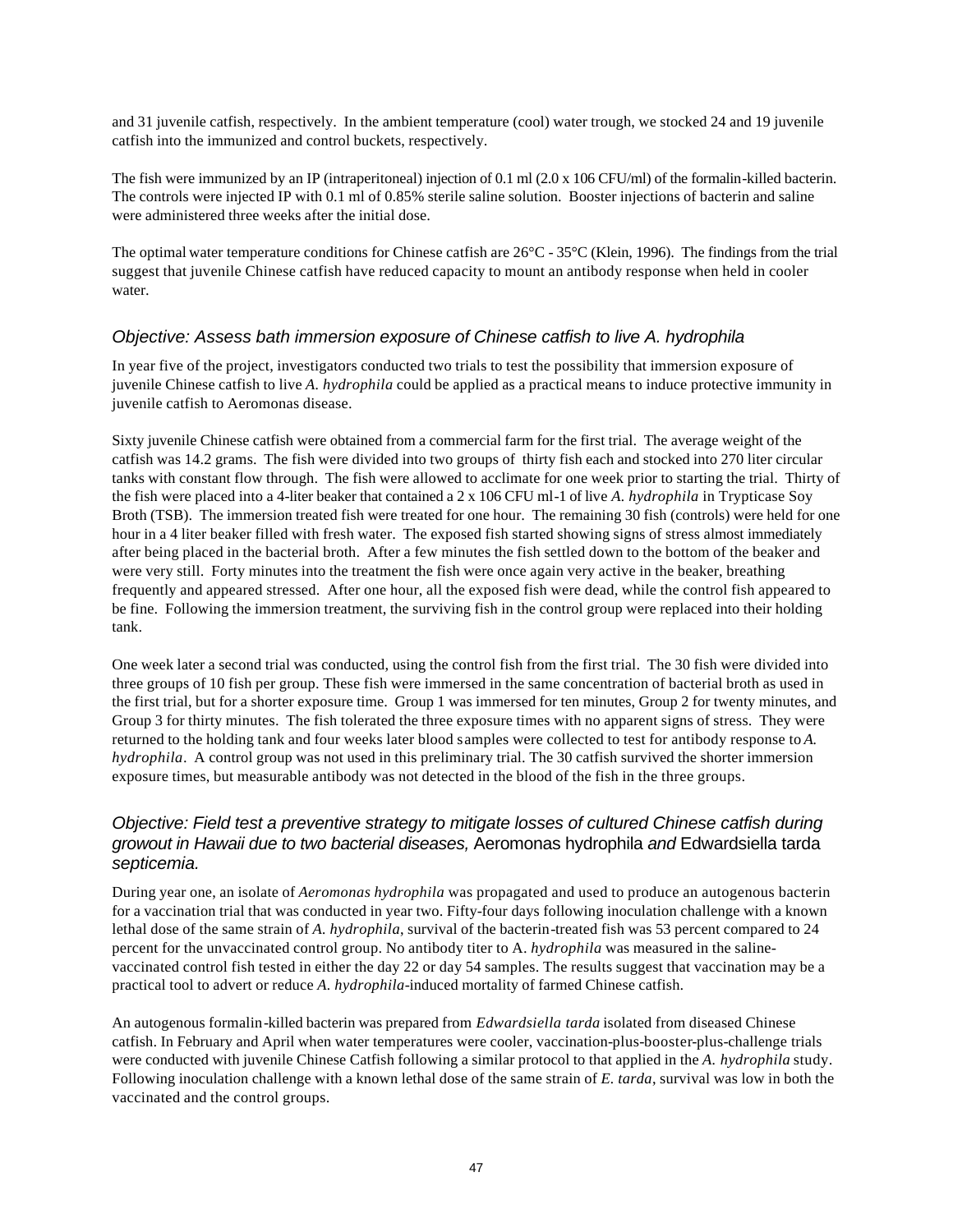and 31 juvenile catfish, respectively. In the ambient temperature (cool) water trough, we stocked 24 and 19 juvenile catfish into the immunized and control buckets, respectively.

The fish were immunized by an IP (intraperitoneal) injection of 0.1 ml (2.0 x 106 CFU/ml) of the formalin-killed bacterin. The controls were injected IP with 0.1 ml of 0.85% sterile saline solution. Booster injections of bacterin and saline were administered three weeks after the initial dose.

The optimal water temperature conditions for Chinese catfish are  $26^{\circ}$ C -  $35^{\circ}$ C (Klein, 1996). The findings from the trial suggest that juvenile Chinese catfish have reduced capacity to mount an antibody response when held in cooler water.

#### *Objective: Assess bath immersion exposure of Chinese catfish to live A. hydrophila*

In year five of the project, investigators conducted two trials to test the possibility that immersion exposure of juvenile Chinese catfish to live *A. hydrophila* could be applied as a practical means to induce protective immunity in juvenile catfish to Aeromonas disease.

Sixty juvenile Chinese catfish were obtained from a commercial farm for the first trial. The average weight of the catfish was 14.2 grams. The fish were divided into two groups of thirty fish each and stocked into 270 liter circular tanks with constant flow through. The fish were allowed to acclimate for one week prior to starting the trial. Thirty of the fish were placed into a 4-liter beaker that contained a 2 x 106 CFU ml-1 of live *A. hydrophila* in Trypticase Soy Broth (TSB). The immersion treated fish were treated for one hour. The remaining 30 fish (controls) were held for one hour in a 4 liter beaker filled with fresh water. The exposed fish started showing signs of stress almost immediately after being placed in the bacterial broth. After a few minutes the fish settled down to the bottom of the beaker and were very still. Forty minutes into the treatment the fish were once again very active in the beaker, breathing frequently and appeared stressed. After one hour, all the exposed fish were dead, while the control fish appeared to be fine. Following the immersion treatment, the surviving fish in the control group were replaced into their holding tank.

One week later a second trial was conducted, using the control fish from the first trial. The 30 fish were divided into three groups of 10 fish per group. These fish were immersed in the same concentration of bacterial broth as used in the first trial, but for a shorter exposure time. Group 1 was immersed for ten minutes, Group 2 for twenty minutes, and Group 3 for thirty minutes. The fish tolerated the three exposure times with no apparent signs of stress. They were returned to the holding tank and four weeks later blood samples were collected to test for antibody response to *A. hydrophila*. A control group was not used in this preliminary trial. The 30 catfish survived the shorter immersion exposure times, but measurable antibody was not detected in the blood of the fish in the three groups.

### *Objective: Field test a preventive strategy to mitigate losses of cultured Chinese catfish during growout in Hawaii due to two bacterial diseases,* Aeromonas hydrophila *and* Edwardsiella tarda *septicemia.*

During year one, an isolate of *Aeromonas hydrophila* was propagated and used to produce an autogenous bacterin for a vaccination trial that was conducted in year two. Fifty-four days following inoculation challenge with a known lethal dose of the same strain of *A. hydrophila*, survival of the bacterin-treated fish was 53 percent compared to 24 percent for the unvaccinated control group. No antibody titer to A. *hydrophila* was measured in the salinevaccinated control fish tested in either the day 22 or day 54 samples. The results suggest that vaccination may be a practical tool to advert or reduce *A. hydrophila*-induced mortality of farmed Chinese catfish.

An autogenous formalin-killed bacterin was prepared from *Edwardsiella tarda* isolated from diseased Chinese catfish. In February and April when water temperatures were cooler, vaccination-plus-booster-plus-challenge trials were conducted with juvenile Chinese Catfish following a similar protocol to that applied in the *A. hydrophila* study. Following inoculation challenge with a known lethal dose of the same strain of *E. tarda*, survival was low in both the vaccinated and the control groups.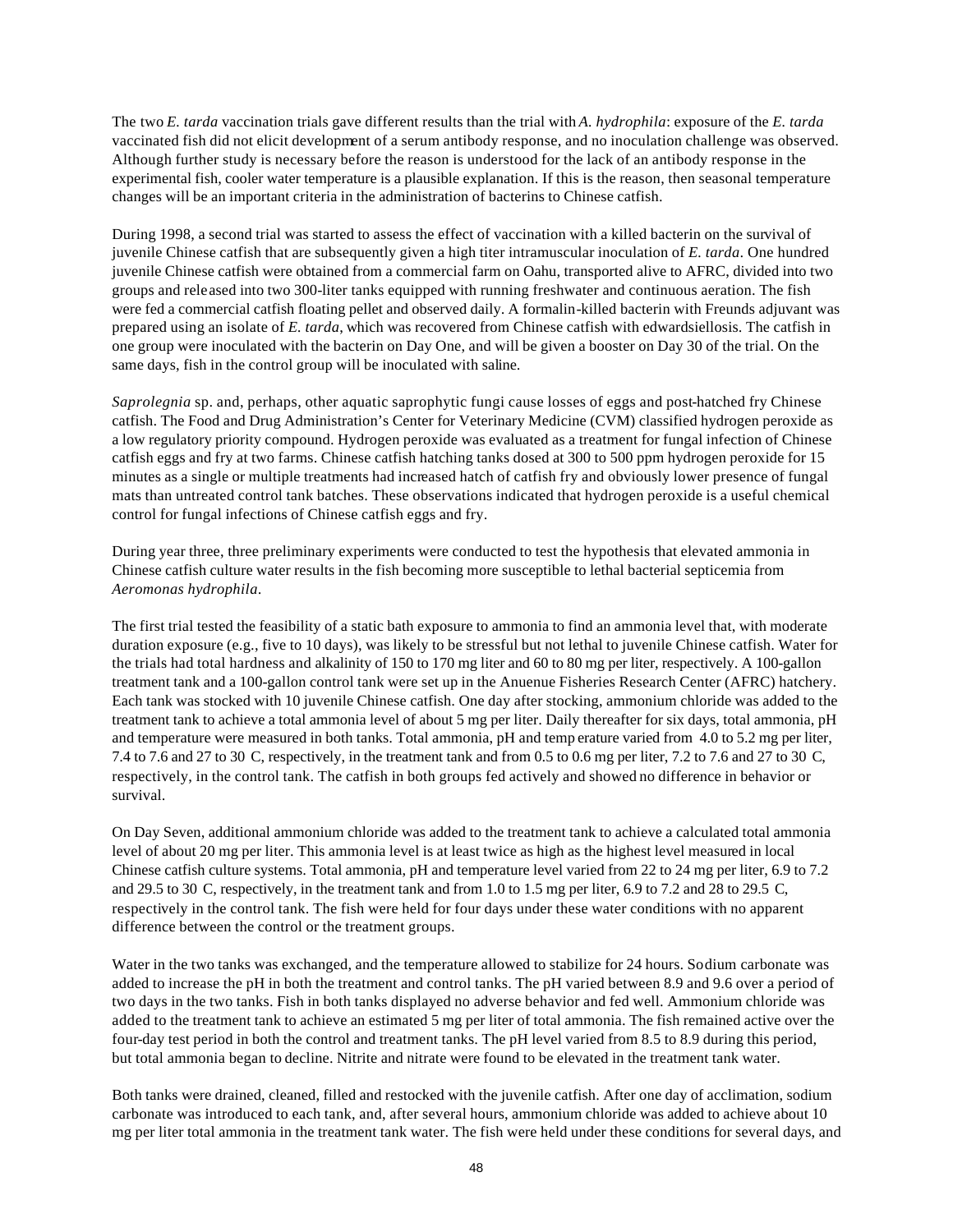The two *E. tarda* vaccination trials gave different results than the trial with *A. hydrophila*: exposure of the *E. tarda* vaccinated fish did not elicit development of a serum antibody response, and no inoculation challenge was observed. Although further study is necessary before the reason is understood for the lack of an antibody response in the experimental fish, cooler water temperature is a plausible explanation. If this is the reason, then seasonal temperature changes will be an important criteria in the administration of bacterins to Chinese catfish.

During 1998, a second trial was started to assess the effect of vaccination with a killed bacterin on the survival of juvenile Chinese catfish that are subsequently given a high titer intramuscular inoculation of *E. tarda*. One hundred juvenile Chinese catfish were obtained from a commercial farm on Oahu, transported alive to AFRC, divided into two groups and released into two 300-liter tanks equipped with running freshwater and continuous aeration. The fish were fed a commercial catfish floating pellet and observed daily. A formalin-killed bacterin with Freunds adjuvant was prepared using an isolate of *E. tarda*, which was recovered from Chinese catfish with edwardsiellosis. The catfish in one group were inoculated with the bacterin on Day One, and will be given a booster on Day 30 of the trial. On the same days, fish in the control group will be inoculated with saline.

*Saprolegnia* sp. and, perhaps, other aquatic saprophytic fungi cause losses of eggs and post-hatched fry Chinese catfish. The Food and Drug Administration's Center for Veterinary Medicine (CVM) classified hydrogen peroxide as a low regulatory priority compound. Hydrogen peroxide was evaluated as a treatment for fungal infection of Chinese catfish eggs and fry at two farms. Chinese catfish hatching tanks dosed at 300 to 500 ppm hydrogen peroxide for 15 minutes as a single or multiple treatments had increased hatch of catfish fry and obviously lower presence of fungal mats than untreated control tank batches. These observations indicated that hydrogen peroxide is a useful chemical control for fungal infections of Chinese catfish eggs and fry.

During year three, three preliminary experiments were conducted to test the hypothesis that elevated ammonia in Chinese catfish culture water results in the fish becoming more susceptible to lethal bacterial septicemia from *Aeromonas hydrophila*.

The first trial tested the feasibility of a static bath exposure to ammonia to find an ammonia level that, with moderate duration exposure (e.g., five to 10 days), was likely to be stressful but not lethal to juvenile Chinese catfish. Water for the trials had total hardness and alkalinity of 150 to 170 mg liter and 60 to 80 mg per liter, respectively. A 100-gallon treatment tank and a 100-gallon control tank were set up in the Anuenue Fisheries Research Center (AFRC) hatchery. Each tank was stocked with 10 juvenile Chinese catfish. One day after stocking, ammonium chloride was added to the treatment tank to achieve a total ammonia level of about 5 mg per liter. Daily thereafter for six days, total ammonia, pH and temperature were measured in both tanks. Total ammonia, pH and temp erature varied from 4.0 to 5.2 mg per liter, 7.4 to 7.6 and 27 to 30 C, respectively, in the treatment tank and from 0.5 to 0.6 mg per liter, 7.2 to 7.6 and 27 to 30 C, respectively, in the control tank. The catfish in both groups fed actively and showed no difference in behavior or survival.

On Day Seven, additional ammonium chloride was added to the treatment tank to achieve a calculated total ammonia level of about 20 mg per liter. This ammonia level is at least twice as high as the highest level measured in local Chinese catfish culture systems. Total ammonia, pH and temperature level varied from 22 to 24 mg per liter, 6.9 to 7.2 and 29.5 to 30 C, respectively, in the treatment tank and from 1.0 to 1.5 mg per liter, 6.9 to 7.2 and 28 to 29.5 C, respectively in the control tank. The fish were held for four days under these water conditions with no apparent difference between the control or the treatment groups.

Water in the two tanks was exchanged, and the temperature allowed to stabilize for 24 hours. Sodium carbonate was added to increase the pH in both the treatment and control tanks. The pH varied between 8.9 and 9.6 over a period of two days in the two tanks. Fish in both tanks displayed no adverse behavior and fed well. Ammonium chloride was added to the treatment tank to achieve an estimated 5 mg per liter of total ammonia. The fish remained active over the four-day test period in both the control and treatment tanks. The pH level varied from 8.5 to 8.9 during this period, but total ammonia began to decline. Nitrite and nitrate were found to be elevated in the treatment tank water.

Both tanks were drained, cleaned, filled and restocked with the juvenile catfish. After one day of acclimation, sodium carbonate was introduced to each tank, and, after several hours, ammonium chloride was added to achieve about 10 mg per liter total ammonia in the treatment tank water. The fish were held under these conditions for several days, and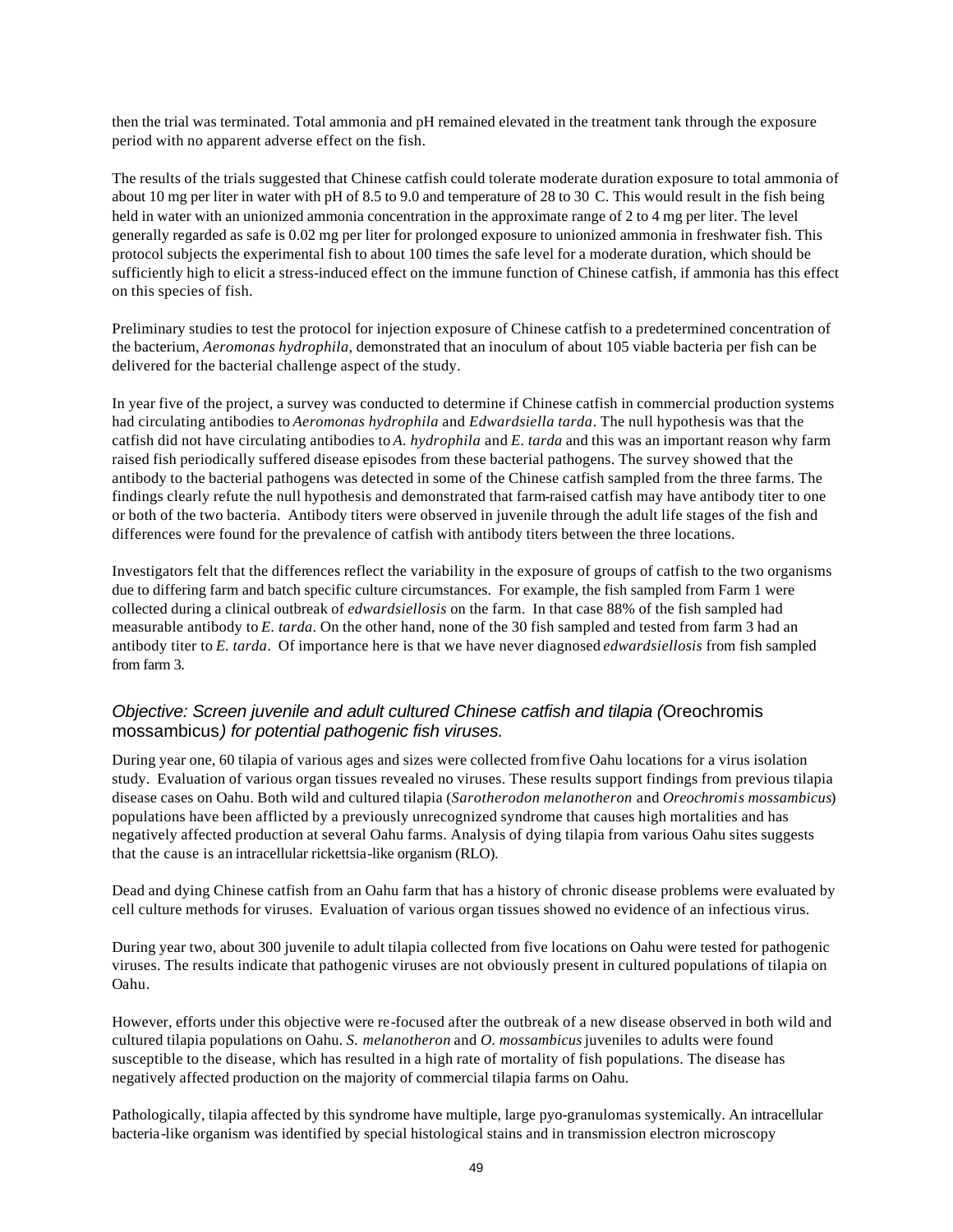then the trial was terminated. Total ammonia and pH remained elevated in the treatment tank through the exposure period with no apparent adverse effect on the fish.

The results of the trials suggested that Chinese catfish could tolerate moderate duration exposure to total ammonia of about 10 mg per liter in water with pH of 8.5 to 9.0 and temperature of 28 to 30 C. This would result in the fish being held in water with an unionized ammonia concentration in the approximate range of 2 to 4 mg per liter. The level generally regarded as safe is 0.02 mg per liter for prolonged exposure to unionized ammonia in freshwater fish. This protocol subjects the experimental fish to about 100 times the safe level for a moderate duration, which should be sufficiently high to elicit a stress-induced effect on the immune function of Chinese catfish, if ammonia has this effect on this species of fish.

Preliminary studies to test the protocol for injection exposure of Chinese catfish to a predetermined concentration of the bacterium, *Aeromonas hydrophila*, demonstrated that an inoculum of about 105 viable bacteria per fish can be delivered for the bacterial challenge aspect of the study.

In year five of the project, a survey was conducted to determine if Chinese catfish in commercial production systems had circulating antibodies to *Aeromonas hydrophila* and *Edwardsiella tarda*. The null hypothesis was that the catfish did not have circulating antibodies to *A. hydrophila* and *E. tarda* and this was an important reason why farm raised fish periodically suffered disease episodes from these bacterial pathogens. The survey showed that the antibody to the bacterial pathogens was detected in some of the Chinese catfish sampled from the three farms. The findings clearly refute the null hypothesis and demonstrated that farm-raised catfish may have antibody titer to one or both of the two bacteria. Antibody titers were observed in juvenile through the adult life stages of the fish and differences were found for the prevalence of catfish with antibody titers between the three locations.

Investigators felt that the differences reflect the variability in the exposure of groups of catfish to the two organisms due to differing farm and batch specific culture circumstances. For example, the fish sampled from Farm 1 were collected during a clinical outbreak of *edwardsiellosis* on the farm. In that case 88% of the fish sampled had measurable antibody to *E. tarda*. On the other hand, none of the 30 fish sampled and tested from farm 3 had an antibody titer to *E. tarda*. Of importance here is that we have never diagnosed *edwardsiellosis* from fish sampled from farm 3.

### *Objective: Screen juvenile and adult cultured Chinese catfish and tilapia (*Oreochromis mossambicus*) for potential pathogenic fish viruses.*

During year one, 60 tilapia of various ages and sizes were collected from five Oahu locations for a virus isolation study. Evaluation of various organ tissues revealed no viruses. These results support findings from previous tilapia disease cases on Oahu. Both wild and cultured tilapia (*Sarotherodon melanotheron* and *Oreochromis mossambicus*) populations have been afflicted by a previously unrecognized syndrome that causes high mortalities and has negatively affected production at several Oahu farms. Analysis of dying tilapia from various Oahu sites suggests that the cause is an intracellular rickettsia-like organism (RLO).

Dead and dying Chinese catfish from an Oahu farm that has a history of chronic disease problems were evaluated by cell culture methods for viruses. Evaluation of various organ tissues showed no evidence of an infectious virus.

During year two, about 300 juvenile to adult tilapia collected from five locations on Oahu were tested for pathogenic viruses. The results indicate that pathogenic viruses are not obviously present in cultured populations of tilapia on Oahu.

However, efforts under this objective were re-focused after the outbreak of a new disease observed in both wild and cultured tilapia populations on Oahu. *S. melanotheron* and *O. mossambicus* juveniles to adults were found susceptible to the disease, which has resulted in a high rate of mortality of fish populations. The disease has negatively affected production on the majority of commercial tilapia farms on Oahu.

Pathologically, tilapia affected by this syndrome have multiple, large pyo-granulomas systemically. An intracellular bacteria-like organism was identified by special histological stains and in transmission electron microscopy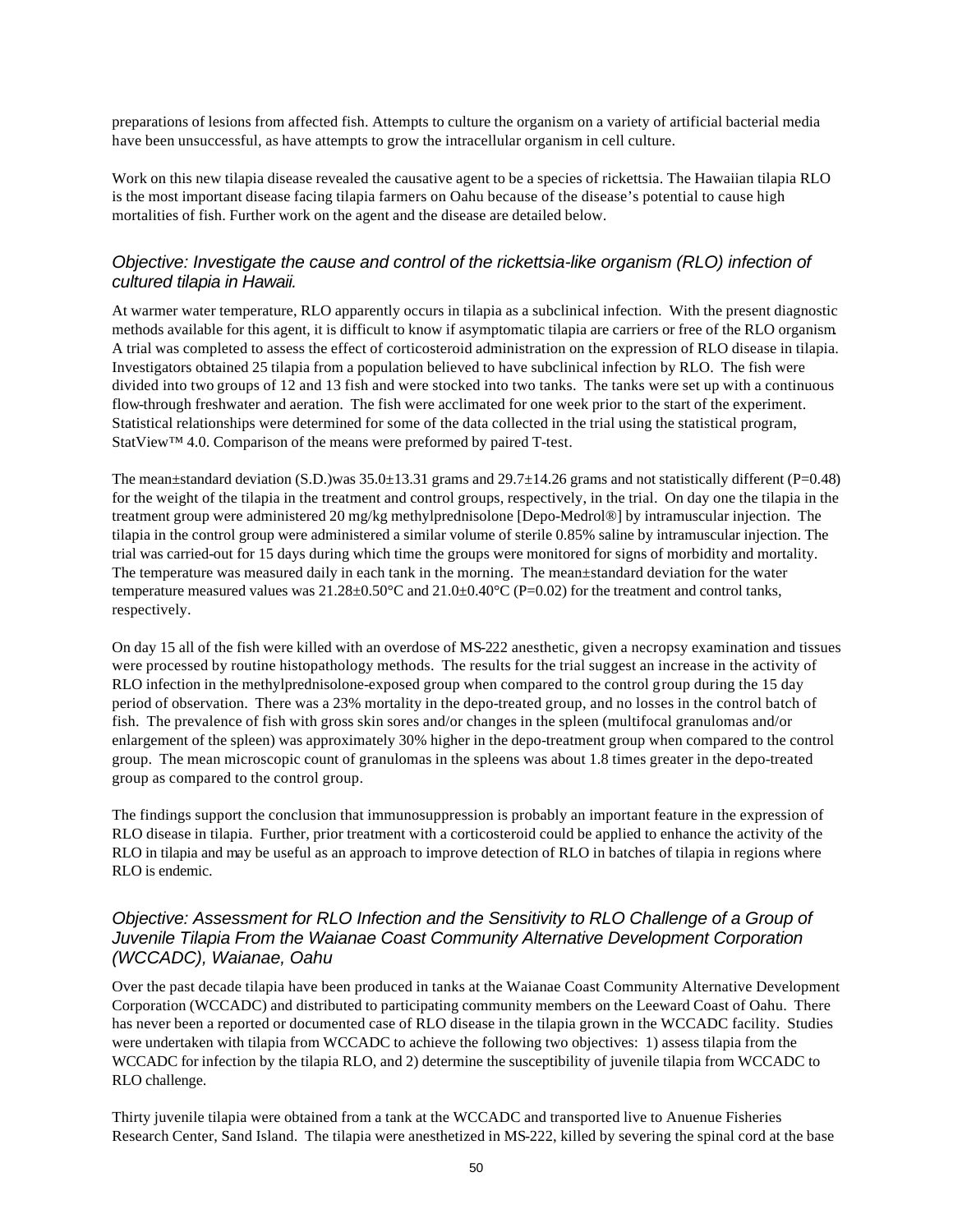preparations of lesions from affected fish. Attempts to culture the organism on a variety of artificial bacterial media have been unsuccessful, as have attempts to grow the intracellular organism in cell culture.

Work on this new tilapia disease revealed the causative agent to be a species of rickettsia. The Hawaiian tilapia RLO is the most important disease facing tilapia farmers on Oahu because of the disease's potential to cause high mortalities of fish. Further work on the agent and the disease are detailed below.

### *Objective: Investigate the cause and control of the rickettsia-like organism (RLO) infection of cultured tilapia in Hawaii.*

At warmer water temperature, RLO apparently occurs in tilapia as a subclinical infection. With the present diagnostic methods available for this agent, it is difficult to know if asymptomatic tilapia are carriers or free of the RLO organism. A trial was completed to assess the effect of corticosteroid administration on the expression of RLO disease in tilapia. Investigators obtained 25 tilapia from a population believed to have subclinical infection by RLO. The fish were divided into two groups of 12 and 13 fish and were stocked into two tanks. The tanks were set up with a continuous flow-through freshwater and aeration. The fish were acclimated for one week prior to the start of the experiment. Statistical relationships were determined for some of the data collected in the trial using the statistical program, StatView™ 4.0. Comparison of the means were preformed by paired T-test.

The mean±standard deviation (S.D.)was 35.0±13.31 grams and 29.7±14.26 grams and not statistically different (P=0.48) for the weight of the tilapia in the treatment and control groups, respectively, in the trial. On day one the tilapia in the treatment group were administered 20 mg/kg methylprednisolone [Depo-Medrol®] by intramuscular injection. The tilapia in the control group were administered a similar volume of sterile 0.85% saline by intramuscular injection. The trial was carried-out for 15 days during which time the groups were monitored for signs of morbidity and mortality. The temperature was measured daily in each tank in the morning. The mean±standard deviation for the water temperature measured values was 21.28±0.50°C and 21.0±0.40°C (P=0.02) for the treatment and control tanks, respectively.

On day 15 all of the fish were killed with an overdose of MS-222 anesthetic, given a necropsy examination and tissues were processed by routine histopathology methods. The results for the trial suggest an increase in the activity of RLO infection in the methylprednisolone-exposed group when compared to the control group during the 15 day period of observation. There was a 23% mortality in the depo-treated group, and no losses in the control batch of fish. The prevalence of fish with gross skin sores and/or changes in the spleen (multifocal granulomas and/or enlargement of the spleen) was approximately 30% higher in the depo-treatment group when compared to the control group. The mean microscopic count of granulomas in the spleens was about 1.8 times greater in the depo-treated group as compared to the control group.

The findings support the conclusion that immunosuppression is probably an important feature in the expression of RLO disease in tilapia. Further, prior treatment with a corticosteroid could be applied to enhance the activity of the RLO in tilapia and may be useful as an approach to improve detection of RLO in batches of tilapia in regions where RLO is endemic.

#### *Objective: Assessment for RLO Infection and the Sensitivity to RLO Challenge of a Group of Juvenile Tilapia From the Waianae Coast Community Alternative Development Corporation (WCCADC), Waianae, Oahu*

Over the past decade tilapia have been produced in tanks at the Waianae Coast Community Alternative Development Corporation (WCCADC) and distributed to participating community members on the Leeward Coast of Oahu. There has never been a reported or documented case of RLO disease in the tilapia grown in the WCCADC facility. Studies were undertaken with tilapia from WCCADC to achieve the following two objectives: 1) assess tilapia from the WCCADC for infection by the tilapia RLO, and 2) determine the susceptibility of juvenile tilapia from WCCADC to RLO challenge.

Thirty juvenile tilapia were obtained from a tank at the WCCADC and transported live to Anuenue Fisheries Research Center, Sand Island. The tilapia were anesthetized in MS-222, killed by severing the spinal cord at the base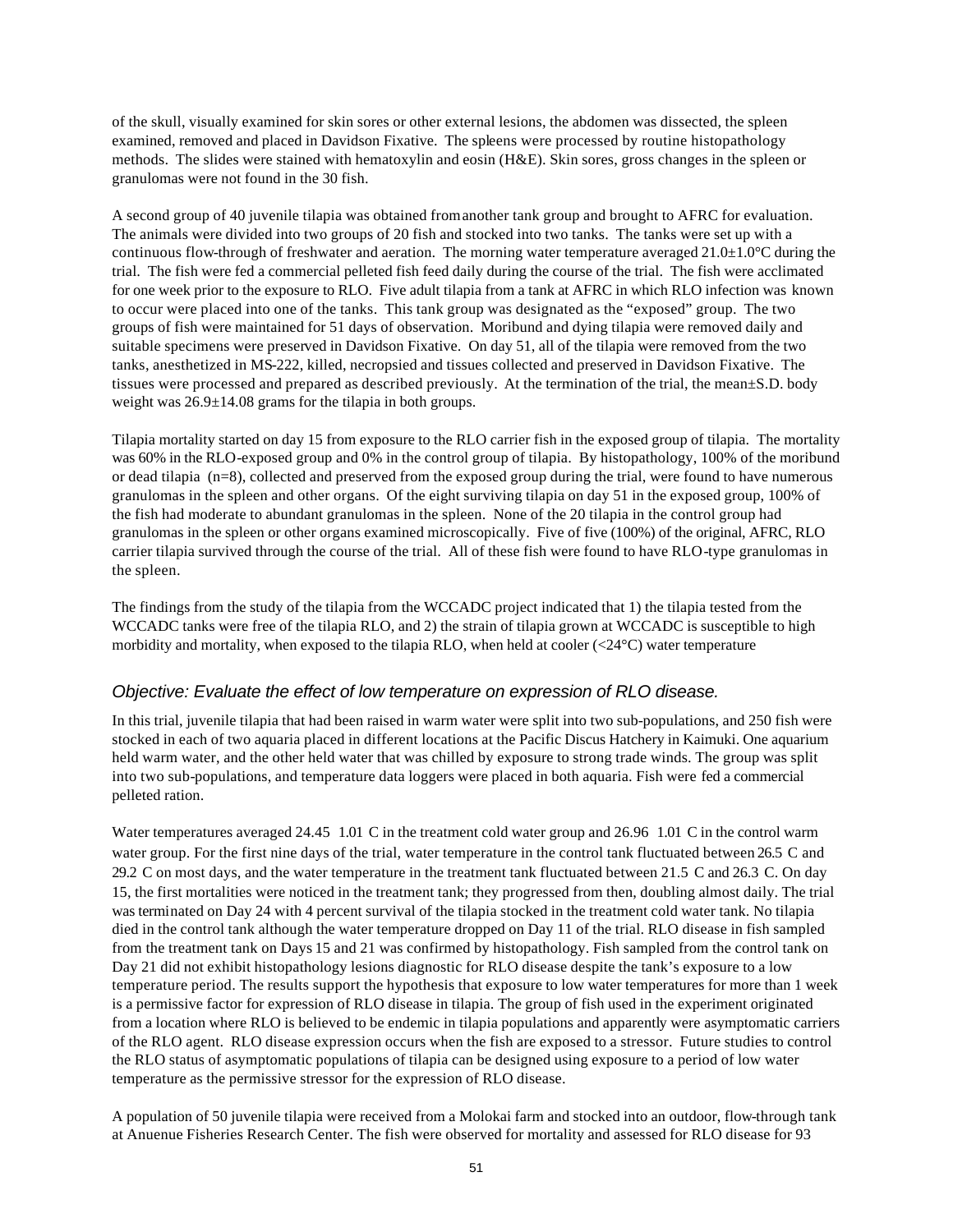of the skull, visually examined for skin sores or other external lesions, the abdomen was dissected, the spleen examined, removed and placed in Davidson Fixative. The spleens were processed by routine histopathology methods. The slides were stained with hematoxylin and eosin (H&E). Skin sores, gross changes in the spleen or granulomas were not found in the 30 fish.

A second group of 40 juvenile tilapia was obtained from another tank group and brought to AFRC for evaluation. The animals were divided into two groups of 20 fish and stocked into two tanks. The tanks were set up with a continuous flow-through of freshwater and aeration. The morning water temperature averaged  $21.0\pm1.0^{\circ}$ C during the trial. The fish were fed a commercial pelleted fish feed daily during the course of the trial. The fish were acclimated for one week prior to the exposure to RLO. Five adult tilapia from a tank at AFRC in which RLO infection was known to occur were placed into one of the tanks. This tank group was designated as the "exposed" group. The two groups of fish were maintained for 51 days of observation. Moribund and dying tilapia were removed daily and suitable specimens were preserved in Davidson Fixative. On day 51, all of the tilapia were removed from the two tanks, anesthetized in MS-222, killed, necropsied and tissues collected and preserved in Davidson Fixative. The tissues were processed and prepared as described previously. At the termination of the trial, the mean±S.D. body weight was  $26.9 \pm 14.08$  grams for the tilapia in both groups.

Tilapia mortality started on day 15 from exposure to the RLO carrier fish in the exposed group of tilapia. The mortality was 60% in the RLO-exposed group and 0% in the control group of tilapia. By histopathology, 100% of the moribund or dead tilapia (n=8), collected and preserved from the exposed group during the trial, were found to have numerous granulomas in the spleen and other organs. Of the eight surviving tilapia on day 51 in the exposed group, 100% of the fish had moderate to abundant granulomas in the spleen. None of the 20 tilapia in the control group had granulomas in the spleen or other organs examined microscopically. Five of five (100%) of the original, AFRC, RLO carrier tilapia survived through the course of the trial. All of these fish were found to have RLO-type granulomas in the spleen.

The findings from the study of the tilapia from the WCCADC project indicated that 1) the tilapia tested from the WCCADC tanks were free of the tilapia RLO, and 2) the strain of tilapia grown at WCCADC is susceptible to high morbidity and mortality, when exposed to the tilapia RLO, when held at cooler (<24°C) water temperature

#### *Objective: Evaluate the effect of low temperature on expression of RLO disease.*

In this trial, juvenile tilapia that had been raised in warm water were split into two sub-populations, and 250 fish were stocked in each of two aquaria placed in different locations at the Pacific Discus Hatchery in Kaimuki. One aquarium held warm water, and the other held water that was chilled by exposure to strong trade winds. The group was split into two sub-populations, and temperature data loggers were placed in both aquaria. Fish were fed a commercial pelleted ration.

Water temperatures averaged 24.45 1.01 C in the treatment cold water group and 26.96 1.01 C in the control warm water group. For the first nine days of the trial, water temperature in the control tank fluctuated between 26.5 C and 29.2 C on most days, and the water temperature in the treatment tank fluctuated between 21.5 C and 26.3 C. On day 15, the first mortalities were noticed in the treatment tank; they progressed from then, doubling almost daily. The trial was terminated on Day 24 with 4 percent survival of the tilapia stocked in the treatment cold water tank. No tilapia died in the control tank although the water temperature dropped on Day 11 of the trial. RLO disease in fish sampled from the treatment tank on Days 15 and 21 was confirmed by histopathology. Fish sampled from the control tank on Day 21 did not exhibit histopathology lesions diagnostic for RLO disease despite the tank's exposure to a low temperature period. The results support the hypothesis that exposure to low water temperatures for more than 1 week is a permissive factor for expression of RLO disease in tilapia. The group of fish used in the experiment originated from a location where RLO is believed to be endemic in tilapia populations and apparently were asymptomatic carriers of the RLO agent. RLO disease expression occurs when the fish are exposed to a stressor. Future studies to control the RLO status of asymptomatic populations of tilapia can be designed using exposure to a period of low water temperature as the permissive stressor for the expression of RLO disease.

A population of 50 juvenile tilapia were received from a Molokai farm and stocked into an outdoor, flow-through tank at Anuenue Fisheries Research Center. The fish were observed for mortality and assessed for RLO disease for 93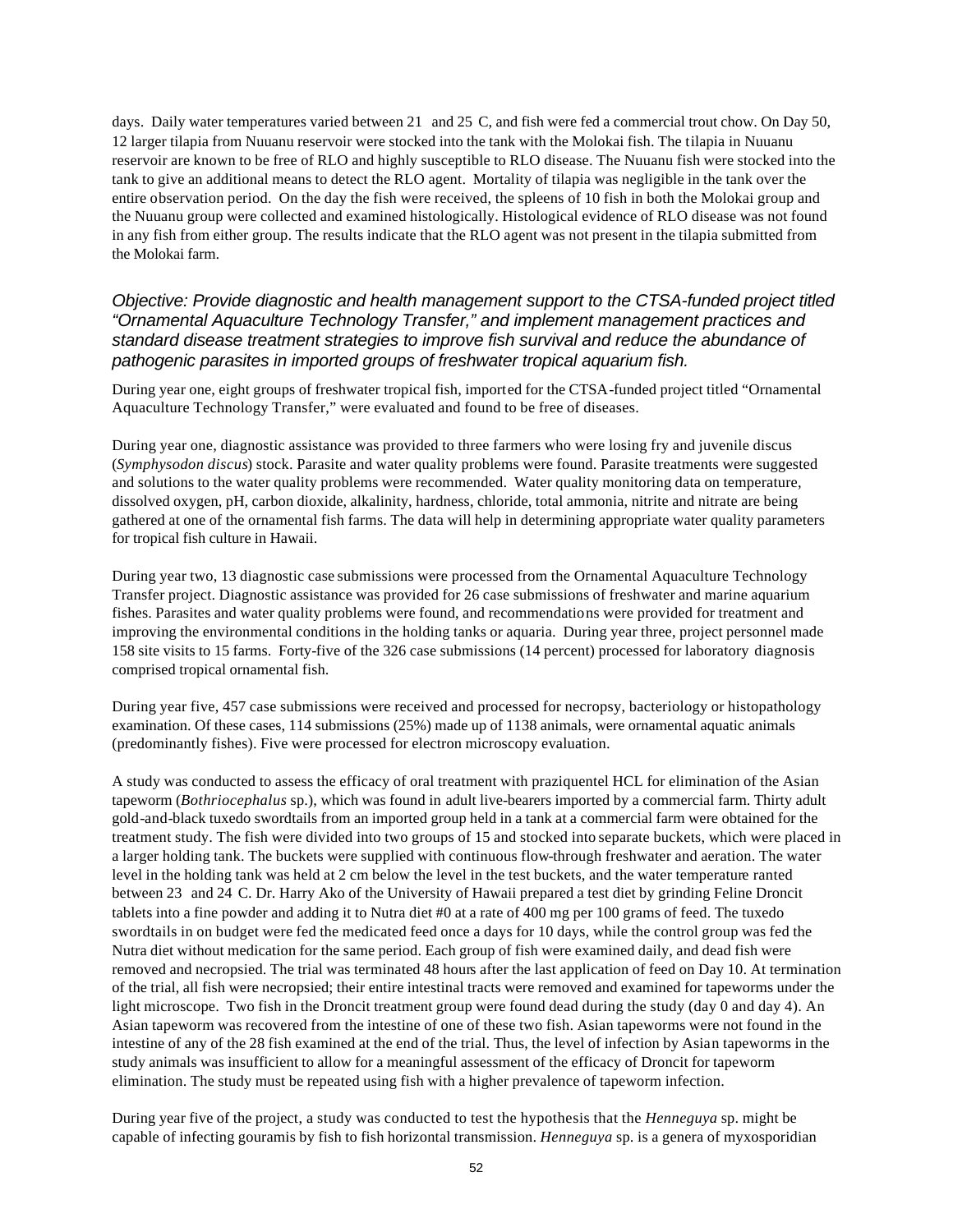days. Daily water temperatures varied between 21 and 25 C, and fish were fed a commercial trout chow. On Day 50, 12 larger tilapia from Nuuanu reservoir were stocked into the tank with the Molokai fish. The tilapia in Nuuanu reservoir are known to be free of RLO and highly susceptible to RLO disease. The Nuuanu fish were stocked into the tank to give an additional means to detect the RLO agent. Mortality of tilapia was negligible in the tank over the entire observation period. On the day the fish were received, the spleens of 10 fish in both the Molokai group and the Nuuanu group were collected and examined histologically. Histological evidence of RLO disease was not found in any fish from either group. The results indicate that the RLO agent was not present in the tilapia submitted from the Molokai farm.

#### *Objective: Provide diagnostic and health management support to the CTSA-funded project titled "Ornamental Aquaculture Technology Transfer," and implement management practices and standard disease treatment strategies to improve fish survival and reduce the abundance of pathogenic parasites in imported groups of freshwater tropical aquarium fish.*

During year one, eight groups of freshwater tropical fish, imported for the CTSA-funded project titled "Ornamental Aquaculture Technology Transfer," were evaluated and found to be free of diseases.

During year one, diagnostic assistance was provided to three farmers who were losing fry and juvenile discus (*Symphysodon discus*) stock. Parasite and water quality problems were found. Parasite treatments were suggested and solutions to the water quality problems were recommended. Water quality monitoring data on temperature, dissolved oxygen, pH, carbon dioxide, alkalinity, hardness, chloride, total ammonia, nitrite and nitrate are being gathered at one of the ornamental fish farms. The data will help in determining appropriate water quality parameters for tropical fish culture in Hawaii.

During year two, 13 diagnostic case submissions were processed from the Ornamental Aquaculture Technology Transfer project. Diagnostic assistance was provided for 26 case submissions of freshwater and marine aquarium fishes. Parasites and water quality problems were found, and recommendations were provided for treatment and improving the environmental conditions in the holding tanks or aquaria. During year three, project personnel made 158 site visits to 15 farms. Forty-five of the 326 case submissions (14 percent) processed for laboratory diagnosis comprised tropical ornamental fish.

During year five, 457 case submissions were received and processed for necropsy, bacteriology or histopathology examination. Of these cases, 114 submissions (25%) made up of 1138 animals, were ornamental aquatic animals (predominantly fishes). Five were processed for electron microscopy evaluation.

A study was conducted to assess the efficacy of oral treatment with praziquentel HCL for elimination of the Asian tapeworm (*Bothriocephalus* sp.), which was found in adult live-bearers imported by a commercial farm. Thirty adult gold-and-black tuxedo swordtails from an imported group held in a tank at a commercial farm were obtained for the treatment study. The fish were divided into two groups of 15 and stocked into separate buckets, which were placed in a larger holding tank. The buckets were supplied with continuous flow-through freshwater and aeration. The water level in the holding tank was held at 2 cm below the level in the test buckets, and the water temperature ranted between 23 and 24 C. Dr. Harry Ako of the University of Hawaii prepared a test diet by grinding Feline Droncit tablets into a fine powder and adding it to Nutra diet #0 at a rate of 400 mg per 100 grams of feed. The tuxedo swordtails in on budget were fed the medicated feed once a days for 10 days, while the control group was fed the Nutra diet without medication for the same period. Each group of fish were examined daily, and dead fish were removed and necropsied. The trial was terminated 48 hours after the last application of feed on Day 10. At termination of the trial, all fish were necropsied; their entire intestinal tracts were removed and examined for tapeworms under the light microscope. Two fish in the Droncit treatment group were found dead during the study (day 0 and day 4). An Asian tapeworm was recovered from the intestine of one of these two fish. Asian tapeworms were not found in the intestine of any of the 28 fish examined at the end of the trial. Thus, the level of infection by Asian tapeworms in the study animals was insufficient to allow for a meaningful assessment of the efficacy of Droncit for tapeworm elimination. The study must be repeated using fish with a higher prevalence of tapeworm infection.

During year five of the project, a study was conducted to test the hypothesis that the *Henneguya* sp. might be capable of infecting gouramis by fish to fish horizontal transmission. *Henneguya* sp. is a genera of myxosporidian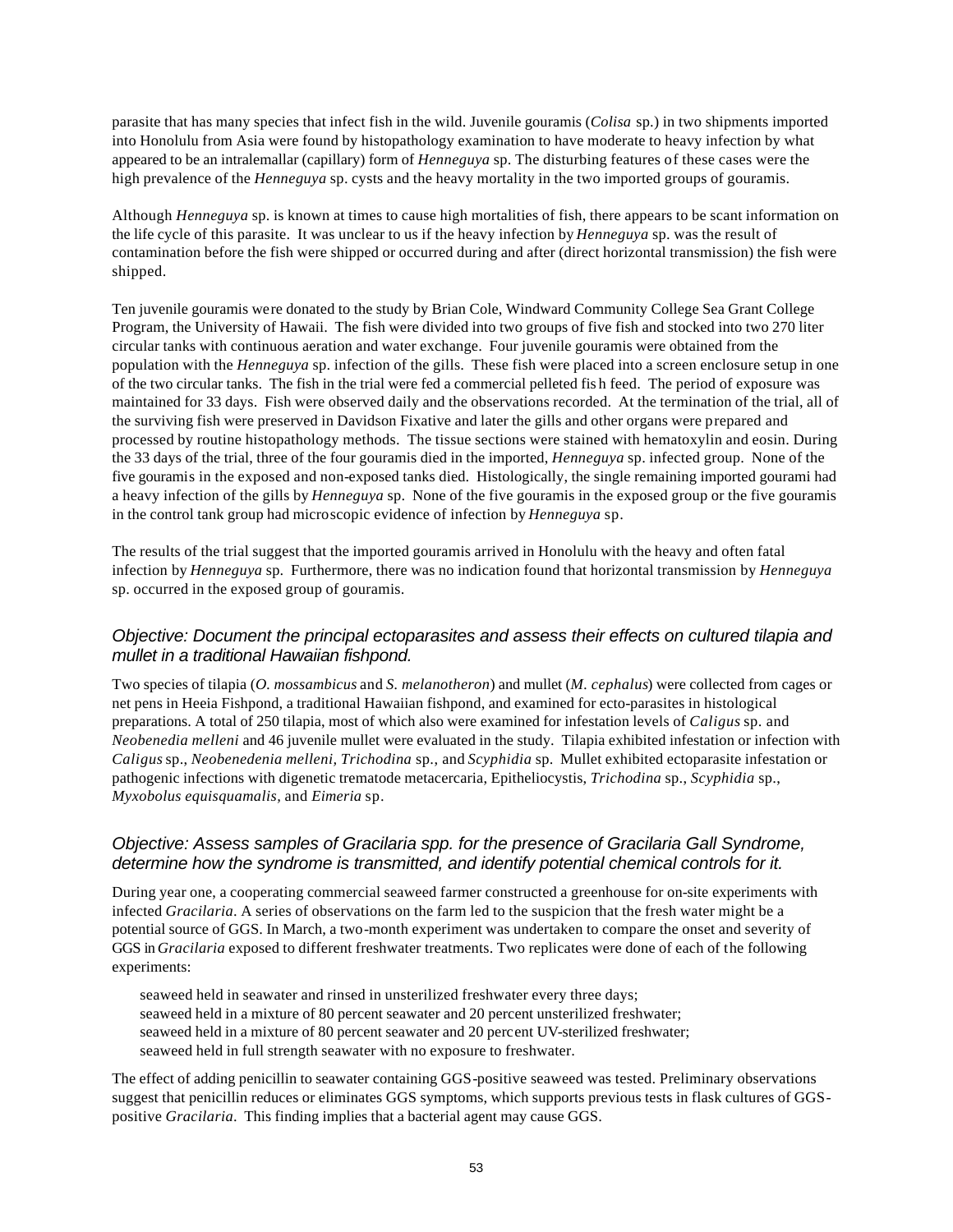parasite that has many species that infect fish in the wild. Juvenile gouramis (*Colisa* sp.) in two shipments imported into Honolulu from Asia were found by histopathology examination to have moderate to heavy infection by what appeared to be an intralemallar (capillary) form of *Henneguya* sp. The disturbing features of these cases were the high prevalence of the *Henneguya* sp. cysts and the heavy mortality in the two imported groups of gouramis.

Although *Henneguya* sp. is known at times to cause high mortalities of fish, there appears to be scant information on the life cycle of this parasite. It was unclear to us if the heavy infection by *Henneguya* sp. was the result of contamination before the fish were shipped or occurred during and after (direct horizontal transmission) the fish were shipped.

Ten juvenile gouramis were donated to the study by Brian Cole, Windward Community College Sea Grant College Program, the University of Hawaii. The fish were divided into two groups of five fish and stocked into two 270 liter circular tanks with continuous aeration and water exchange. Four juvenile gouramis were obtained from the population with the *Henneguya* sp. infection of the gills. These fish were placed into a screen enclosure setup in one of the two circular tanks. The fish in the trial were fed a commercial pelleted fis h feed. The period of exposure was maintained for 33 days. Fish were observed daily and the observations recorded. At the termination of the trial, all of the surviving fish were preserved in Davidson Fixative and later the gills and other organs were prepared and processed by routine histopathology methods. The tissue sections were stained with hematoxylin and eosin. During the 33 days of the trial, three of the four gouramis died in the imported, *Henneguya* sp. infected group. None of the five gouramis in the exposed and non-exposed tanks died. Histologically, the single remaining imported gourami had a heavy infection of the gills by *Henneguya* sp. None of the five gouramis in the exposed group or the five gouramis in the control tank group had microscopic evidence of infection by *Henneguya* sp.

The results of the trial suggest that the imported gouramis arrived in Honolulu with the heavy and often fatal infection by *Henneguya* sp. Furthermore, there was no indication found that horizontal transmission by *Henneguya* sp. occurred in the exposed group of gouramis.

### *Objective: Document the principal ectoparasites and assess their effects on cultured tilapia and mullet in a traditional Hawaiian fishpond.*

Two species of tilapia (*O. mossambicus* and *S. melanotheron*) and mullet (*M. cephalus*) were collected from cages or net pens in Heeia Fishpond, a traditional Hawaiian fishpond, and examined for ecto-parasites in histological preparations. A total of 250 tilapia, most of which also were examined for infestation levels of *Caligus* sp. and *Neobenedia melleni* and 46 juvenile mullet were evaluated in the study. Tilapia exhibited infestation or infection with *Caligus* sp., *Neobenedenia melleni, Trichodina* sp., and *Scyphidia* sp. Mullet exhibited ectoparasite infestation or pathogenic infections with digenetic trematode metacercaria, Epitheliocystis, *Trichodina* sp., *Scyphidia* sp., *Myxobolus equisquamalis,* and *Eimeria* sp.

### *Objective: Assess samples of Gracilaria spp. for the presence of Gracilaria Gall Syndrome, determine how the syndrome is transmitted, and identify potential chemical controls for it.*

During year one, a cooperating commercial seaweed farmer constructed a greenhouse for on-site experiments with infected *Gracilaria*. A series of observations on the farm led to the suspicion that the fresh water might be a potential source of GGS. In March, a two-month experiment was undertaken to compare the onset and severity of GGS in *Gracilaria* exposed to different freshwater treatments. Two replicates were done of each of the following experiments:

seaweed held in seawater and rinsed in unsterilized freshwater every three days; seaweed held in a mixture of 80 percent seawater and 20 percent unsterilized freshwater; seaweed held in a mixture of 80 percent seawater and 20 percent UV-sterilized freshwater; seaweed held in full strength seawater with no exposure to freshwater.

The effect of adding penicillin to seawater containing GGS-positive seaweed was tested. Preliminary observations suggest that penicillin reduces or eliminates GGS symptoms, which supports previous tests in flask cultures of GGSpositive *Gracilaria*. This finding implies that a bacterial agent may cause GGS.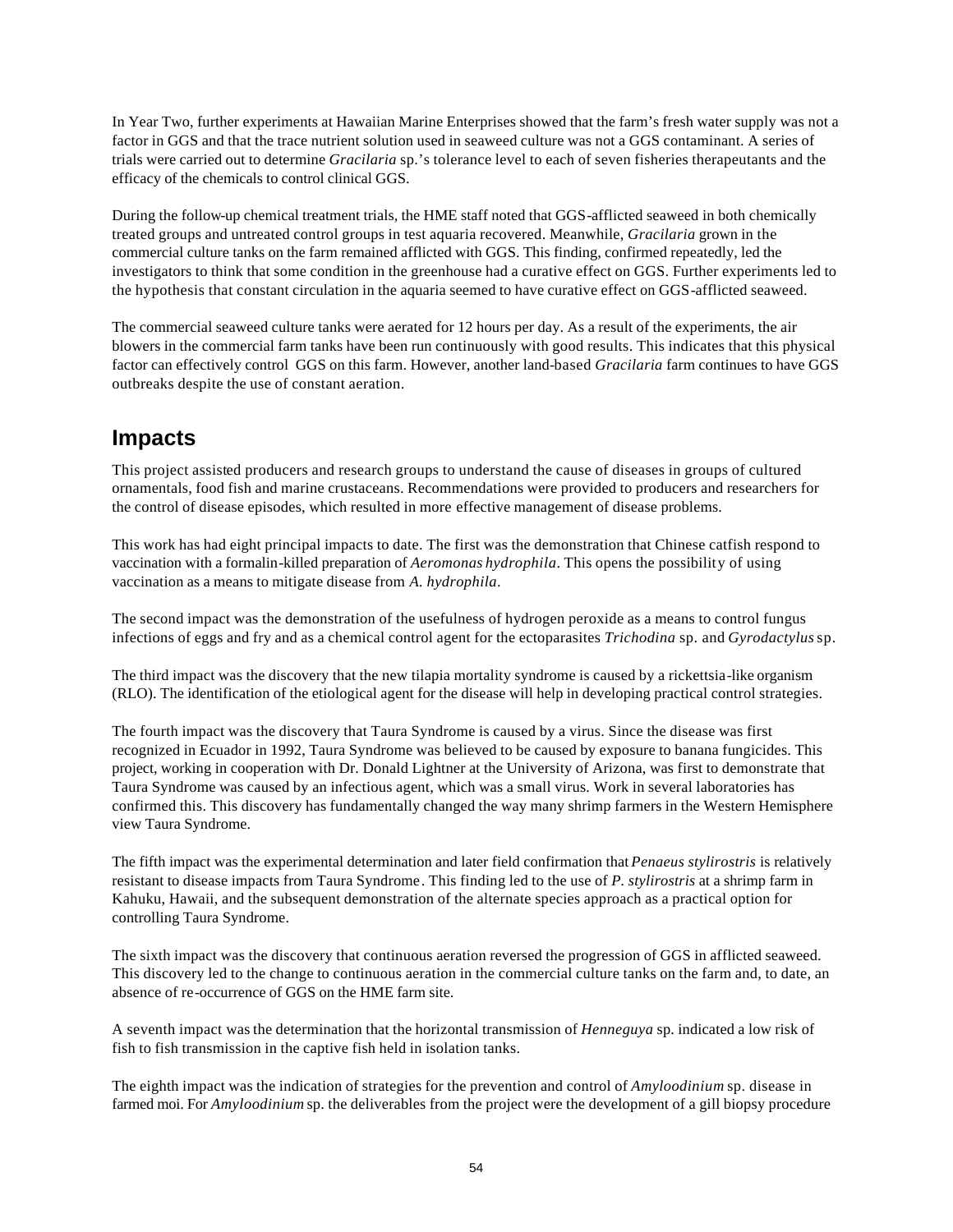In Year Two, further experiments at Hawaiian Marine Enterprises showed that the farm's fresh water supply was not a factor in GGS and that the trace nutrient solution used in seaweed culture was not a GGS contaminant. A series of trials were carried out to determine *Gracilaria* sp.'s tolerance level to each of seven fisheries therapeutants and the efficacy of the chemicals to control clinical GGS.

During the follow-up chemical treatment trials, the HME staff noted that GGS-afflicted seaweed in both chemically treated groups and untreated control groups in test aquaria recovered. Meanwhile, *Gracilaria* grown in the commercial culture tanks on the farm remained afflicted with GGS. This finding, confirmed repeatedly, led the investigators to think that some condition in the greenhouse had a curative effect on GGS. Further experiments led to the hypothesis that constant circulation in the aquaria seemed to have curative effect on GGS-afflicted seaweed.

The commercial seaweed culture tanks were aerated for 12 hours per day. As a result of the experiments, the air blowers in the commercial farm tanks have been run continuously with good results. This indicates that this physical factor can effectively control GGS on this farm. However, another land-based *Gracilaria* farm continues to have GGS outbreaks despite the use of constant aeration.

## **Impacts**

This project assisted producers and research groups to understand the cause of diseases in groups of cultured ornamentals, food fish and marine crustaceans. Recommendations were provided to producers and researchers for the control of disease episodes, which resulted in more effective management of disease problems.

This work has had eight principal impacts to date. The first was the demonstration that Chinese catfish respond to vaccination with a formalin-killed preparation of *Aeromonas hydrophila*. This opens the possibility of using vaccination as a means to mitigate disease from *A. hydrophila*.

The second impact was the demonstration of the usefulness of hydrogen peroxide as a means to control fungus infections of eggs and fry and as a chemical control agent for the ectoparasites *Trichodina* sp. and *Gyrodactylus* sp.

The third impact was the discovery that the new tilapia mortality syndrome is caused by a rickettsia-like organism (RLO). The identification of the etiological agent for the disease will help in developing practical control strategies.

The fourth impact was the discovery that Taura Syndrome is caused by a virus. Since the disease was first recognized in Ecuador in 1992, Taura Syndrome was believed to be caused by exposure to banana fungicides. This project, working in cooperation with Dr. Donald Lightner at the University of Arizona, was first to demonstrate that Taura Syndrome was caused by an infectious agent, which was a small virus. Work in several laboratories has confirmed this. This discovery has fundamentally changed the way many shrimp farmers in the Western Hemisphere view Taura Syndrome.

The fifth impact was the experimental determination and later field confirmation that *Penaeus stylirostris* is relatively resistant to disease impacts from Taura Syndrome. This finding led to the use of *P. stylirostris* at a shrimp farm in Kahuku, Hawaii, and the subsequent demonstration of the alternate species approach as a practical option for controlling Taura Syndrome.

The sixth impact was the discovery that continuous aeration reversed the progression of GGS in afflicted seaweed. This discovery led to the change to continuous aeration in the commercial culture tanks on the farm and, to date, an absence of re-occurrence of GGS on the HME farm site.

A seventh impact was the determination that the horizontal transmission of *Henneguya* sp. indicated a low risk of fish to fish transmission in the captive fish held in isolation tanks.

The eighth impact was the indication of strategies for the prevention and control of *Amyloodinium* sp. disease in farmed moi. For *Amyloodinium* sp. the deliverables from the project were the development of a gill biopsy procedure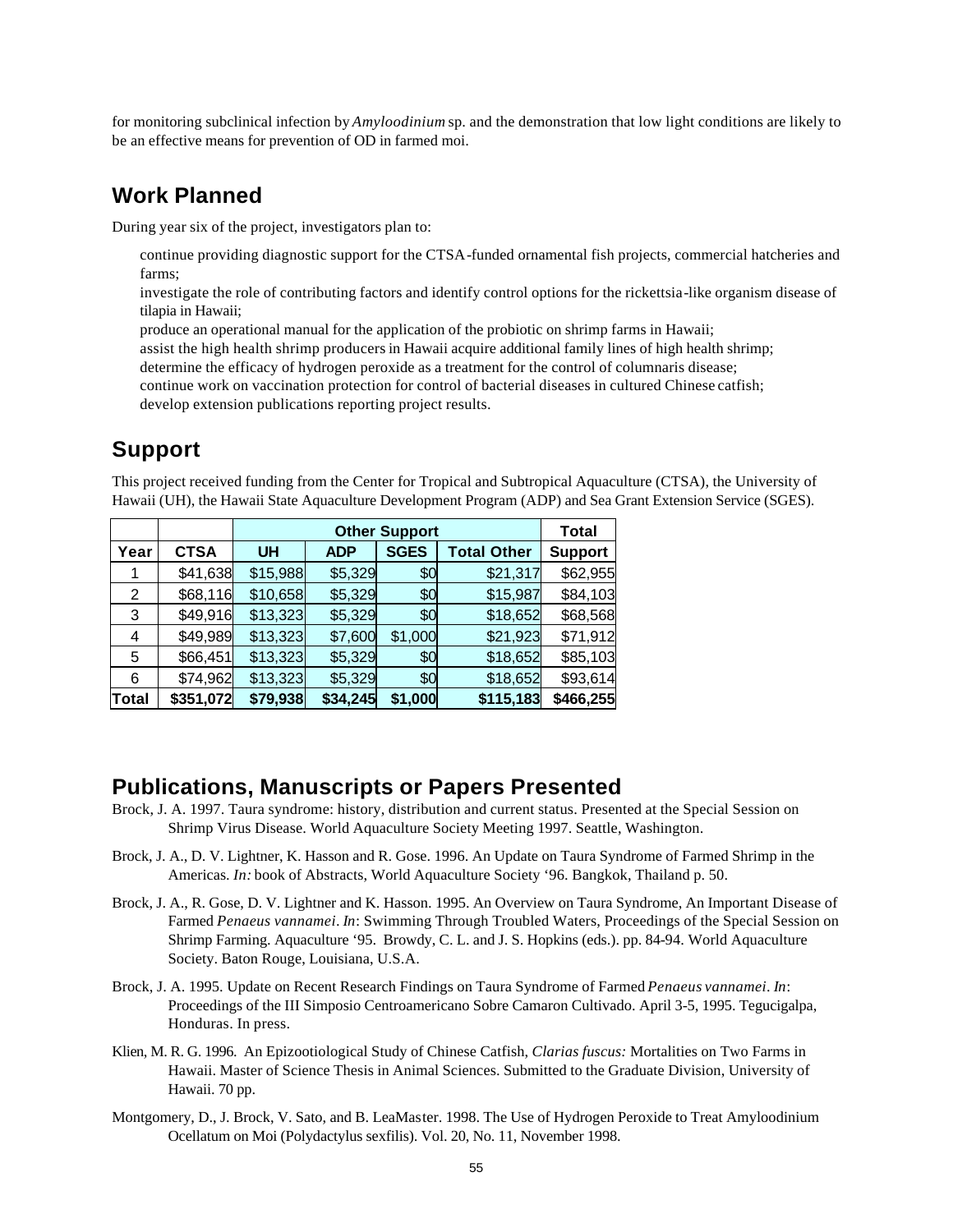for monitoring subclinical infection by *Amyloodinium* sp. and the demonstration that low light conditions are likely to be an effective means for prevention of OD in farmed moi.

### **Work Planned**

During year six of the project, investigators plan to:

- continue providing diagnostic support for the CTSA-funded ornamental fish projects, commercial hatcheries and farms;
- investigate the role of contributing factors and identify control options for the rickettsia-like organism disease of tilapia in Hawaii;
- produce an operational manual for the application of the probiotic on shrimp farms in Hawaii;
- assist the high health shrimp producers in Hawaii acquire additional family lines of high health shrimp;
- determine the efficacy of hydrogen peroxide as a treatment for the control of columnaris disease;
- continue work on vaccination protection for control of bacterial diseases in cultured Chinese catfish;
- develop extension publications reporting project results.

### **Support**

This project received funding from the Center for Tropical and Subtropical Aquaculture (CTSA), the University of Hawaii (UH), the Hawaii State Aquaculture Development Program (ADP) and Sea Grant Extension Service (SGES).

|              |             |           | Total      |             |                    |                |
|--------------|-------------|-----------|------------|-------------|--------------------|----------------|
| Year         | <b>CTSA</b> | <b>UH</b> | <b>ADP</b> | <b>SGES</b> | <b>Total Other</b> | <b>Support</b> |
|              | \$41,638    | \$15,988  | \$5,329    | \$0         | \$21,317           | \$62,955       |
| 2            | \$68,116    | \$10,658  | \$5,329    | \$0         | \$15,987           | \$84,103       |
| 3            | \$49,916    | \$13,323  | \$5,329    | \$0         | \$18,652           | \$68,568       |
| 4            | \$49,989    | \$13,323  | \$7,600    | \$1,000     | \$21,923           | \$71,912       |
| 5            | \$66,451    | \$13,323  | \$5,329    | \$0         | \$18,652           | \$85,103       |
| 6            | \$74,962    | \$13,323  | \$5,329    | \$0         | \$18,652           | \$93,614       |
| <b>Total</b> | \$351,072   | \$79,938  | \$34,245   | \$1,000     | \$115,183          | \$466,255      |

### **Publications, Manuscripts or Papers Presented**

- Brock, J. A. 1997. Taura syndrome: history, distribution and current status. Presented at the Special Session on Shrimp Virus Disease. World Aquaculture Society Meeting 1997. Seattle, Washington.
- Brock, J. A., D. V. Lightner, K. Hasson and R. Gose. 1996. An Update on Taura Syndrome of Farmed Shrimp in the Americas. *In:* book of Abstracts, World Aquaculture Society '96. Bangkok, Thailand p. 50.
- Brock, J. A., R. Gose, D. V. Lightner and K. Hasson. 1995. An Overview on Taura Syndrome, An Important Disease of Farmed *Penaeus vannamei*. *In*: Swimming Through Troubled Waters, Proceedings of the Special Session on Shrimp Farming. Aquaculture '95. Browdy, C. L. and J. S. Hopkins (eds.). pp. 84-94. World Aquaculture Society. Baton Rouge, Louisiana, U.S.A.
- Brock, J. A. 1995. Update on Recent Research Findings on Taura Syndrome of Farmed *Penaeus vannamei*. *In*: Proceedings of the III Simposio Centroamericano Sobre Camaron Cultivado. April 3-5, 1995. Tegucigalpa, Honduras. In press.
- Klien, M. R. G. 1996. An Epizootiological Study of Chinese Catfish, *Clarias fuscus:* Mortalities on Two Farms in Hawaii. Master of Science Thesis in Animal Sciences. Submitted to the Graduate Division, University of Hawaii. 70 pp.
- Montgomery, D., J. Brock, V. Sato, and B. LeaMaster. 1998. The Use of Hydrogen Peroxide to Treat Amyloodinium Ocellatum on Moi (Polydactylus sexfilis). Vol. 20, No. 11, November 1998.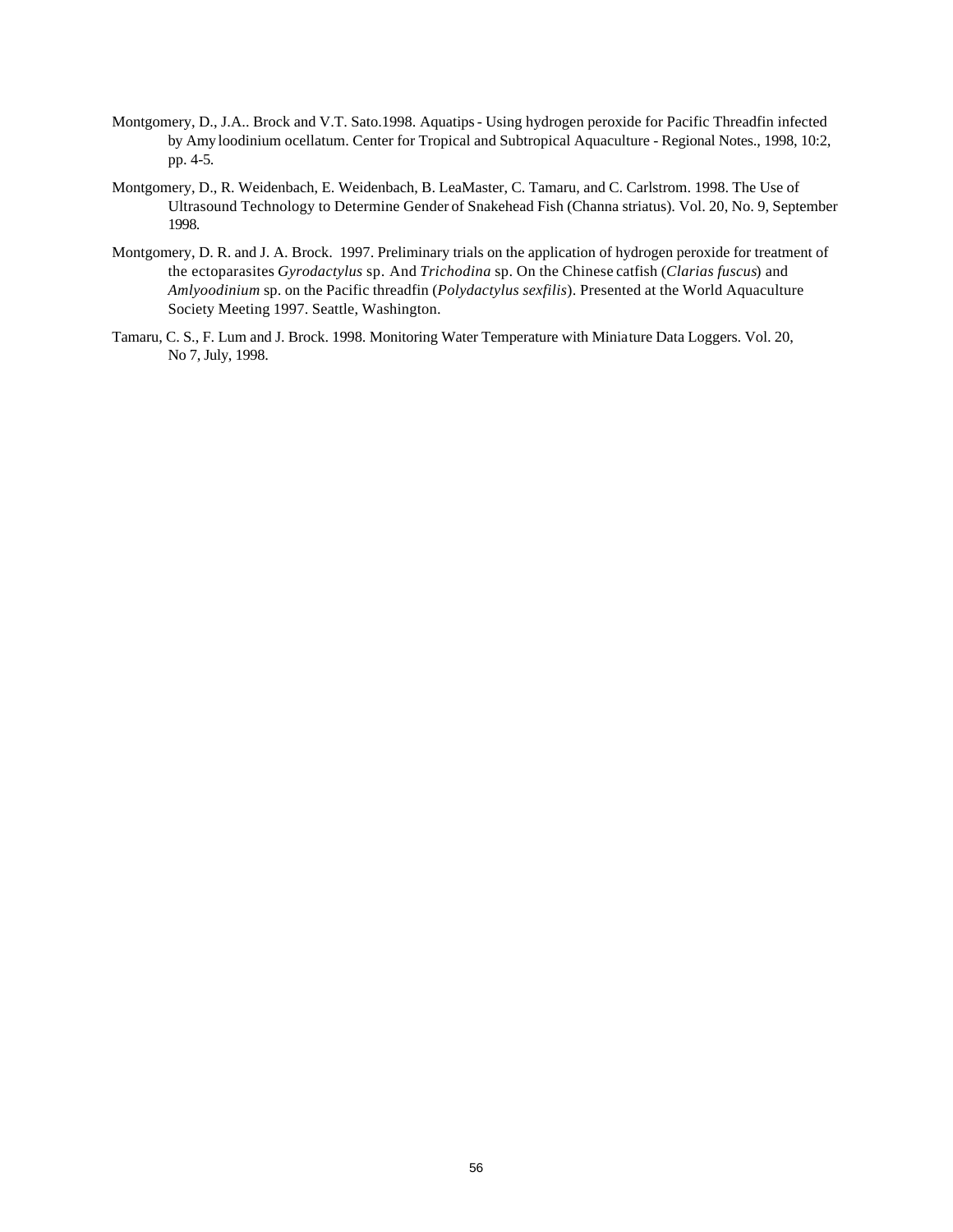- Montgomery, D., J.A.. Brock and V.T. Sato.1998. Aquatips Using hydrogen peroxide for Pacific Threadfin infected by Amy loodinium ocellatum. Center for Tropical and Subtropical Aquaculture - Regional Notes., 1998, 10:2, pp. 4-5.
- Montgomery, D., R. Weidenbach, E. Weidenbach, B. LeaMaster, C. Tamaru, and C. Carlstrom. 1998. The Use of Ultrasound Technology to Determine Gender of Snakehead Fish (Channa striatus). Vol. 20, No. 9, September 1998.
- Montgomery, D. R. and J. A. Brock. 1997. Preliminary trials on the application of hydrogen peroxide for treatment of the ectoparasites *Gyrodactylus* sp. And *Trichodina* sp. On the Chinese catfish (*Clarias fuscus*) and *Amlyoodinium* sp. on the Pacific threadfin (*Polydactylus sexfilis*). Presented at the World Aquaculture Society Meeting 1997. Seattle, Washington.
- Tamaru, C. S., F. Lum and J. Brock. 1998. Monitoring Water Temperature with Miniature Data Loggers. Vol. 20, No 7, July, 1998.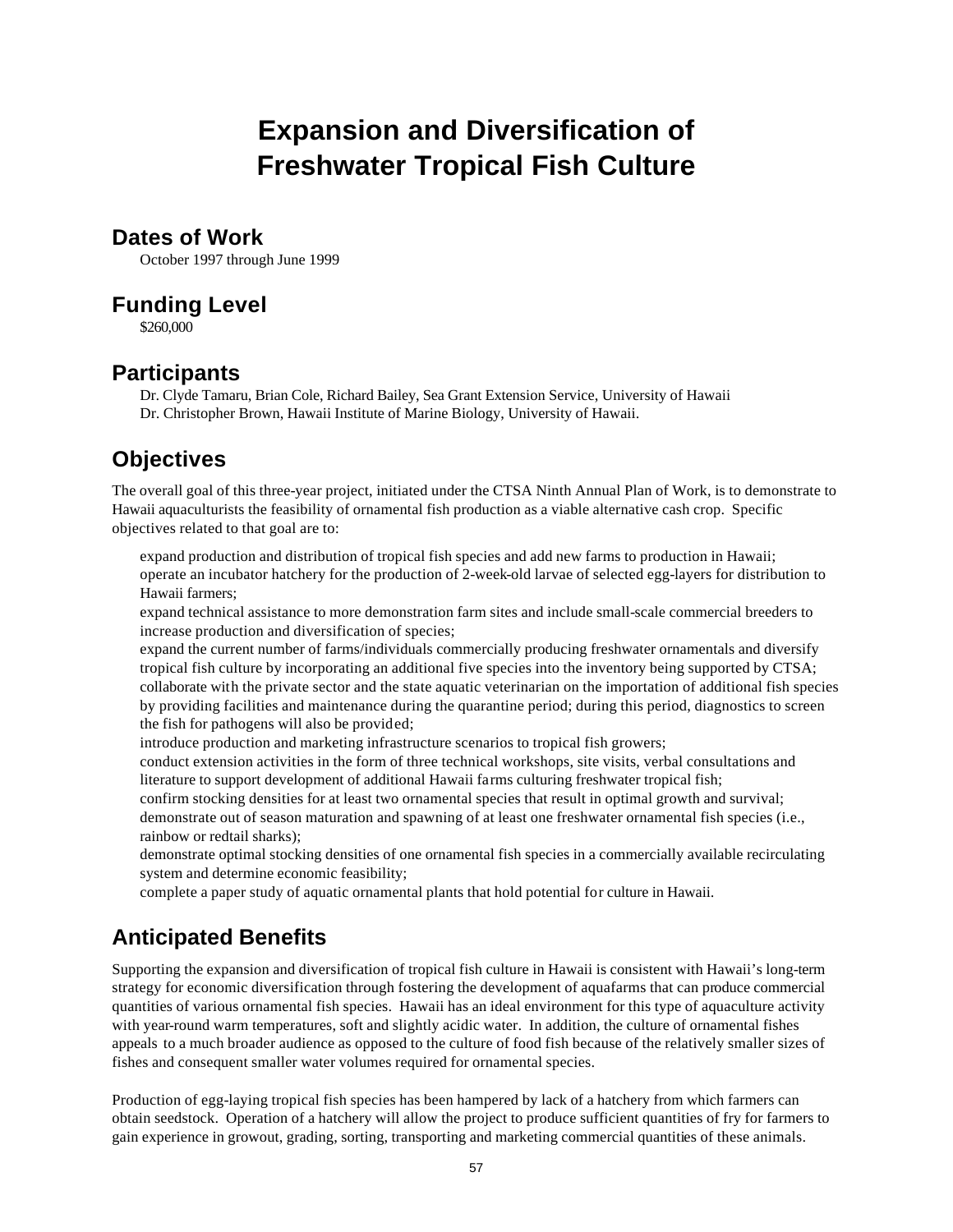# **Expansion and Diversification of Freshwater Tropical Fish Culture**

### **Dates of Work**

October 1997 through June 1999

### **Funding Level**

\$260,000

### **Participants**

Dr. Clyde Tamaru, Brian Cole, Richard Bailey, Sea Grant Extension Service, University of Hawaii Dr. Christopher Brown, Hawaii Institute of Marine Biology, University of Hawaii.

## **Objectives**

The overall goal of this three-year project, initiated under the CTSA Ninth Annual Plan of Work, is to demonstrate to Hawaii aquaculturists the feasibility of ornamental fish production as a viable alternative cash crop. Specific objectives related to that goal are to:

expand production and distribution of tropical fish species and add new farms to production in Hawaii; operate an incubator hatchery for the production of 2-week-old larvae of selected egg-layers for distribution to Hawaii farmers;

expand technical assistance to more demonstration farm sites and include small-scale commercial breeders to increase production and diversification of species;

expand the current number of farms/individuals commercially producing freshwater ornamentals and diversify tropical fish culture by incorporating an additional five species into the inventory being supported by CTSA; collaborate with the private sector and the state aquatic veterinarian on the importation of additional fish species by providing facilities and maintenance during the quarantine period; during this period, diagnostics to screen the fish for pathogens will also be provided;

- introduce production and marketing infrastructure scenarios to tropical fish growers;
- conduct extension activities in the form of three technical workshops, site visits, verbal consultations and literature to support development of additional Hawaii farms culturing freshwater tropical fish;
- confirm stocking densities for at least two ornamental species that result in optimal growth and survival; demonstrate out of season maturation and spawning of at least one freshwater ornamental fish species (i.e., rainbow or redtail sharks);

demonstrate optimal stocking densities of one ornamental fish species in a commercially available recirculating system and determine economic feasibility;

complete a paper study of aquatic ornamental plants that hold potential for culture in Hawaii.

## **Anticipated Benefits**

Supporting the expansion and diversification of tropical fish culture in Hawaii is consistent with Hawaii's long-term strategy for economic diversification through fostering the development of aquafarms that can produce commercial quantities of various ornamental fish species. Hawaii has an ideal environment for this type of aquaculture activity with year-round warm temperatures, soft and slightly acidic water. In addition, the culture of ornamental fishes appeals to a much broader audience as opposed to the culture of food fish because of the relatively smaller sizes of fishes and consequent smaller water volumes required for ornamental species.

Production of egg-laying tropical fish species has been hampered by lack of a hatchery from which farmers can obtain seedstock. Operation of a hatchery will allow the project to produce sufficient quantities of fry for farmers to gain experience in growout, grading, sorting, transporting and marketing commercial quantities of these animals.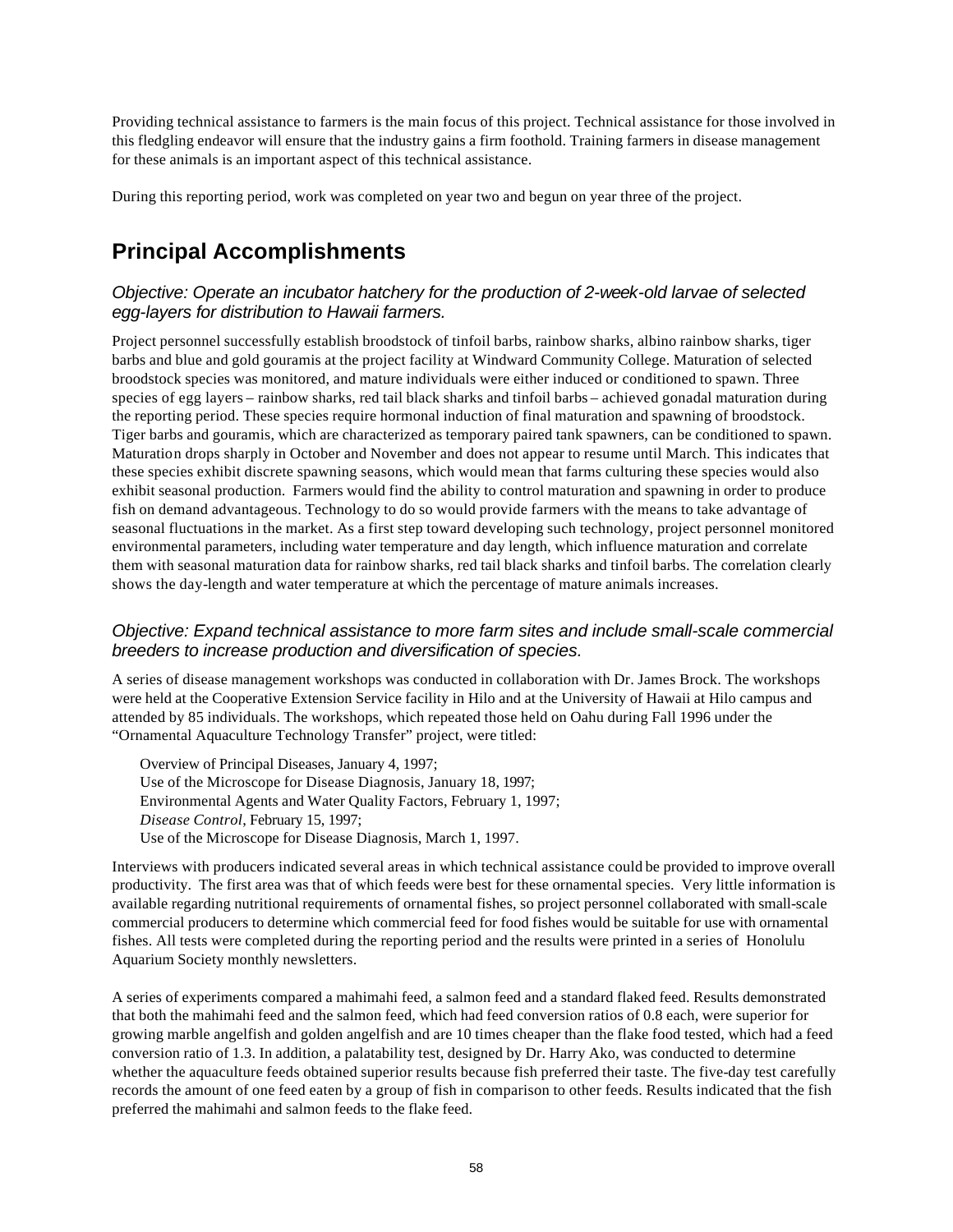Providing technical assistance to farmers is the main focus of this project. Technical assistance for those involved in this fledgling endeavor will ensure that the industry gains a firm foothold. Training farmers in disease management for these animals is an important aspect of this technical assistance.

During this reporting period, work was completed on year two and begun on year three of the project.

## **Principal Accomplishments**

### *Objective: Operate an incubator hatchery for the production of 2-week-old larvae of selected egg-layers for distribution to Hawaii farmers.*

Project personnel successfully establish broodstock of tinfoil barbs, rainbow sharks, albino rainbow sharks, tiger barbs and blue and gold gouramis at the project facility at Windward Community College. Maturation of selected broodstock species was monitored, and mature individuals were either induced or conditioned to spawn. Three species of egg layers – rainbow sharks, red tail black sharks and tinfoil barbs – achieved gonadal maturation during the reporting period. These species require hormonal induction of final maturation and spawning of broodstock. Tiger barbs and gouramis, which are characterized as temporary paired tank spawners, can be conditioned to spawn. Maturation drops sharply in October and November and does not appear to resume until March. This indicates that these species exhibit discrete spawning seasons, which would mean that farms culturing these species would also exhibit seasonal production. Farmers would find the ability to control maturation and spawning in order to produce fish on demand advantageous. Technology to do so would provide farmers with the means to take advantage of seasonal fluctuations in the market. As a first step toward developing such technology, project personnel monitored environmental parameters, including water temperature and day length, which influence maturation and correlate them with seasonal maturation data for rainbow sharks, red tail black sharks and tinfoil barbs. The correlation clearly shows the day-length and water temperature at which the percentage of mature animals increases.

### *Objective: Expand technical assistance to more farm sites and include small-scale commercial breeders to increase production and diversification of species.*

A series of disease management workshops was conducted in collaboration with Dr. James Brock. The workshops were held at the Cooperative Extension Service facility in Hilo and at the University of Hawaii at Hilo campus and attended by 85 individuals. The workshops, which repeated those held on Oahu during Fall 1996 under the "Ornamental Aquaculture Technology Transfer" project, were titled:

Overview of Principal Diseases, January 4, 1997; Use of the Microscope for Disease Diagnosis, January 18, 1997; Environmental Agents and Water Quality Factors, February 1, 1997; *Disease Control*, February 15, 1997; Use of the Microscope for Disease Diagnosis, March 1, 1997.

Interviews with producers indicated several areas in which technical assistance could be provided to improve overall productivity. The first area was that of which feeds were best for these ornamental species. Very little information is available regarding nutritional requirements of ornamental fishes, so project personnel collaborated with small-scale commercial producers to determine which commercial feed for food fishes would be suitable for use with ornamental fishes. All tests were completed during the reporting period and the results were printed in a series of Honolulu Aquarium Society monthly newsletters.

A series of experiments compared a mahimahi feed, a salmon feed and a standard flaked feed. Results demonstrated that both the mahimahi feed and the salmon feed, which had feed conversion ratios of 0.8 each, were superior for growing marble angelfish and golden angelfish and are 10 times cheaper than the flake food tested, which had a feed conversion ratio of 1.3. In addition, a palatability test, designed by Dr. Harry Ako, was conducted to determine whether the aquaculture feeds obtained superior results because fish preferred their taste. The five-day test carefully records the amount of one feed eaten by a group of fish in comparison to other feeds. Results indicated that the fish preferred the mahimahi and salmon feeds to the flake feed.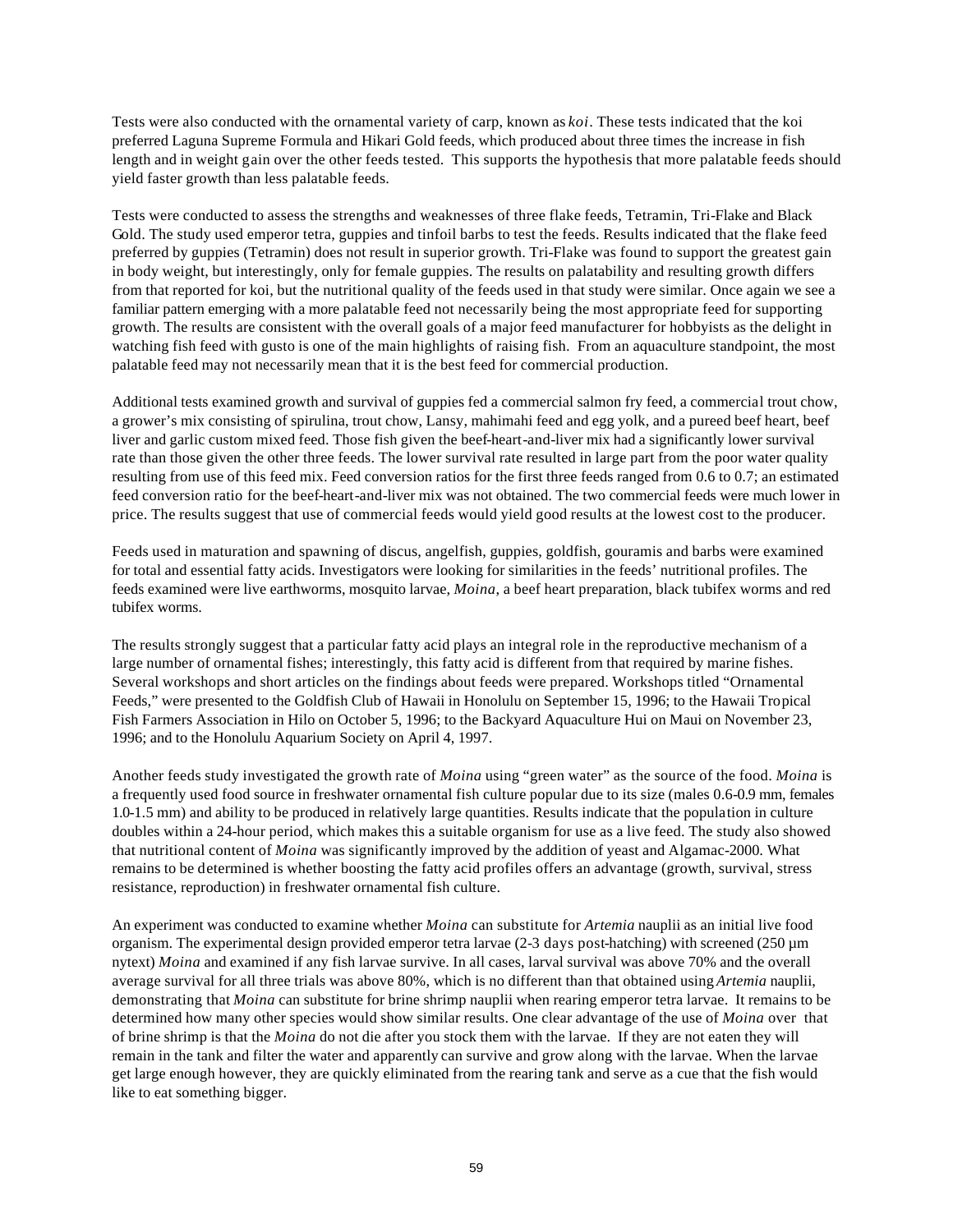Tests were also conducted with the ornamental variety of carp, known as *koi*. These tests indicated that the koi preferred Laguna Supreme Formula and Hikari Gold feeds, which produced about three times the increase in fish length and in weight gain over the other feeds tested. This supports the hypothesis that more palatable feeds should yield faster growth than less palatable feeds.

Tests were conducted to assess the strengths and weaknesses of three flake feeds, Tetramin, Tri-Flake and Black Gold. The study used emperor tetra, guppies and tinfoil barbs to test the feeds. Results indicated that the flake feed preferred by guppies (Tetramin) does not result in superior growth. Tri-Flake was found to support the greatest gain in body weight, but interestingly, only for female guppies. The results on palatability and resulting growth differs from that reported for koi, but the nutritional quality of the feeds used in that study were similar. Once again we see a familiar pattern emerging with a more palatable feed not necessarily being the most appropriate feed for supporting growth. The results are consistent with the overall goals of a major feed manufacturer for hobbyists as the delight in watching fish feed with gusto is one of the main highlights of raising fish. From an aquaculture standpoint, the most palatable feed may not necessarily mean that it is the best feed for commercial production.

Additional tests examined growth and survival of guppies fed a commercial salmon fry feed, a commercial trout chow, a grower's mix consisting of spirulina, trout chow, Lansy, mahimahi feed and egg yolk, and a pureed beef heart, beef liver and garlic custom mixed feed. Those fish given the beef-heart-and-liver mix had a significantly lower survival rate than those given the other three feeds. The lower survival rate resulted in large part from the poor water quality resulting from use of this feed mix. Feed conversion ratios for the first three feeds ranged from 0.6 to 0.7; an estimated feed conversion ratio for the beef-heart-and-liver mix was not obtained. The two commercial feeds were much lower in price. The results suggest that use of commercial feeds would yield good results at the lowest cost to the producer.

Feeds used in maturation and spawning of discus, angelfish, guppies, goldfish, gouramis and barbs were examined for total and essential fatty acids. Investigators were looking for similarities in the feeds' nutritional profiles. The feeds examined were live earthworms, mosquito larvae, *Moina*, a beef heart preparation, black tubifex worms and red tubifex worms.

The results strongly suggest that a particular fatty acid plays an integral role in the reproductive mechanism of a large number of ornamental fishes; interestingly, this fatty acid is different from that required by marine fishes. Several workshops and short articles on the findings about feeds were prepared. Workshops titled "Ornamental Feeds," were presented to the Goldfish Club of Hawaii in Honolulu on September 15, 1996; to the Hawaii Tropical Fish Farmers Association in Hilo on October 5, 1996; to the Backyard Aquaculture Hui on Maui on November 23, 1996; and to the Honolulu Aquarium Society on April 4, 1997.

Another feeds study investigated the growth rate of *Moina* using "green water" as the source of the food. *Moina* is a frequently used food source in freshwater ornamental fish culture popular due to its size (males 0.6-0.9 mm, females 1.0-1.5 mm) and ability to be produced in relatively large quantities. Results indicate that the population in culture doubles within a 24-hour period, which makes this a suitable organism for use as a live feed. The study also showed that nutritional content of *Moina* was significantly improved by the addition of yeast and Algamac-2000. What remains to be determined is whether boosting the fatty acid profiles offers an advantage (growth, survival, stress resistance, reproduction) in freshwater ornamental fish culture.

An experiment was conducted to examine whether *Moina* can substitute for *Artemia* nauplii as an initial live food organism. The experimental design provided emperor tetra larvae (2-3 days post-hatching) with screened (250 µm nytext) *Moina* and examined if any fish larvae survive. In all cases, larval survival was above 70% and the overall average survival for all three trials was above 80%, which is no different than that obtained using *Artemia* nauplii, demonstrating that *Moina* can substitute for brine shrimp nauplii when rearing emperor tetra larvae. It remains to be determined how many other species would show similar results. One clear advantage of the use of *Moina* over that of brine shrimp is that the *Moina* do not die after you stock them with the larvae. If they are not eaten they will remain in the tank and filter the water and apparently can survive and grow along with the larvae. When the larvae get large enough however, they are quickly eliminated from the rearing tank and serve as a cue that the fish would like to eat something bigger.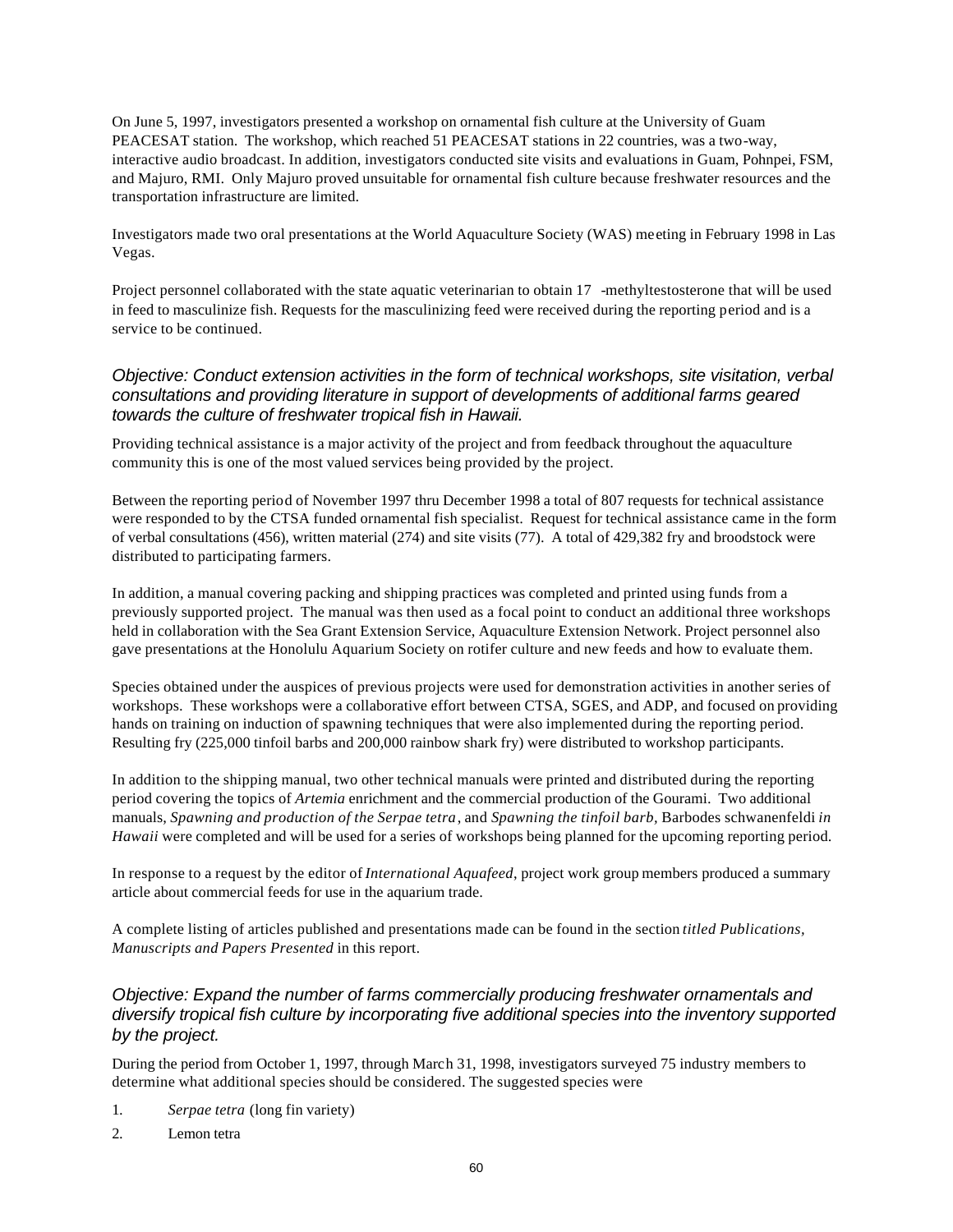On June 5, 1997, investigators presented a workshop on ornamental fish culture at the University of Guam PEACESAT station. The workshop, which reached 51 PEACESAT stations in 22 countries, was a two-way, interactive audio broadcast. In addition, investigators conducted site visits and evaluations in Guam, Pohnpei, FSM, and Majuro, RMI. Only Majuro proved unsuitable for ornamental fish culture because freshwater resources and the transportation infrastructure are limited.

Investigators made two oral presentations at the World Aquaculture Society (WAS) meeting in February 1998 in Las Vegas.

Project personnel collaborated with the state aquatic veterinarian to obtain 17 -methyltestosterone that will be used in feed to masculinize fish. Requests for the masculinizing feed were received during the reporting period and is a service to be continued.

### *Objective: Conduct extension activities in the form of technical workshops, site visitation, verbal consultations and providing literature in support of developments of additional farms geared towards the culture of freshwater tropical fish in Hawaii.*

Providing technical assistance is a major activity of the project and from feedback throughout the aquaculture community this is one of the most valued services being provided by the project.

Between the reporting period of November 1997 thru December 1998 a total of 807 requests for technical assistance were responded to by the CTSA funded ornamental fish specialist. Request for technical assistance came in the form of verbal consultations (456), written material (274) and site visits (77). A total of 429,382 fry and broodstock were distributed to participating farmers.

In addition, a manual covering packing and shipping practices was completed and printed using funds from a previously supported project. The manual was then used as a focal point to conduct an additional three workshops held in collaboration with the Sea Grant Extension Service, Aquaculture Extension Network. Project personnel also gave presentations at the Honolulu Aquarium Society on rotifer culture and new feeds and how to evaluate them.

Species obtained under the auspices of previous projects were used for demonstration activities in another series of workshops. These workshops were a collaborative effort between CTSA, SGES, and ADP, and focused on providing hands on training on induction of spawning techniques that were also implemented during the reporting period. Resulting fry (225,000 tinfoil barbs and 200,000 rainbow shark fry) were distributed to workshop participants.

In addition to the shipping manual, two other technical manuals were printed and distributed during the reporting period covering the topics of *Artemia* enrichment and the commercial production of the Gourami. Two additional manuals, *Spawning and production of the Serpae tetra*, and *Spawning the tinfoil barb,* Barbodes schwanenfeldi *in Hawaii* were completed and will be used for a series of workshops being planned for the upcoming reporting period.

In response to a request by the editor of *International Aquafeed*, project work group members produced a summary article about commercial feeds for use in the aquarium trade.

A complete listing of articles published and presentations made can be found in the section *titled Publications, Manuscripts and Papers Presented* in this report.

### *Objective: Expand the number of farms commercially producing freshwater ornamentals and diversify tropical fish culture by incorporating five additional species into the inventory supported by the project.*

During the period from October 1, 1997, through March 31, 1998, investigators surveyed 75 industry members to determine what additional species should be considered. The suggested species were

- 1. *Serpae tetra* (long fin variety)
- 2. Lemon tetra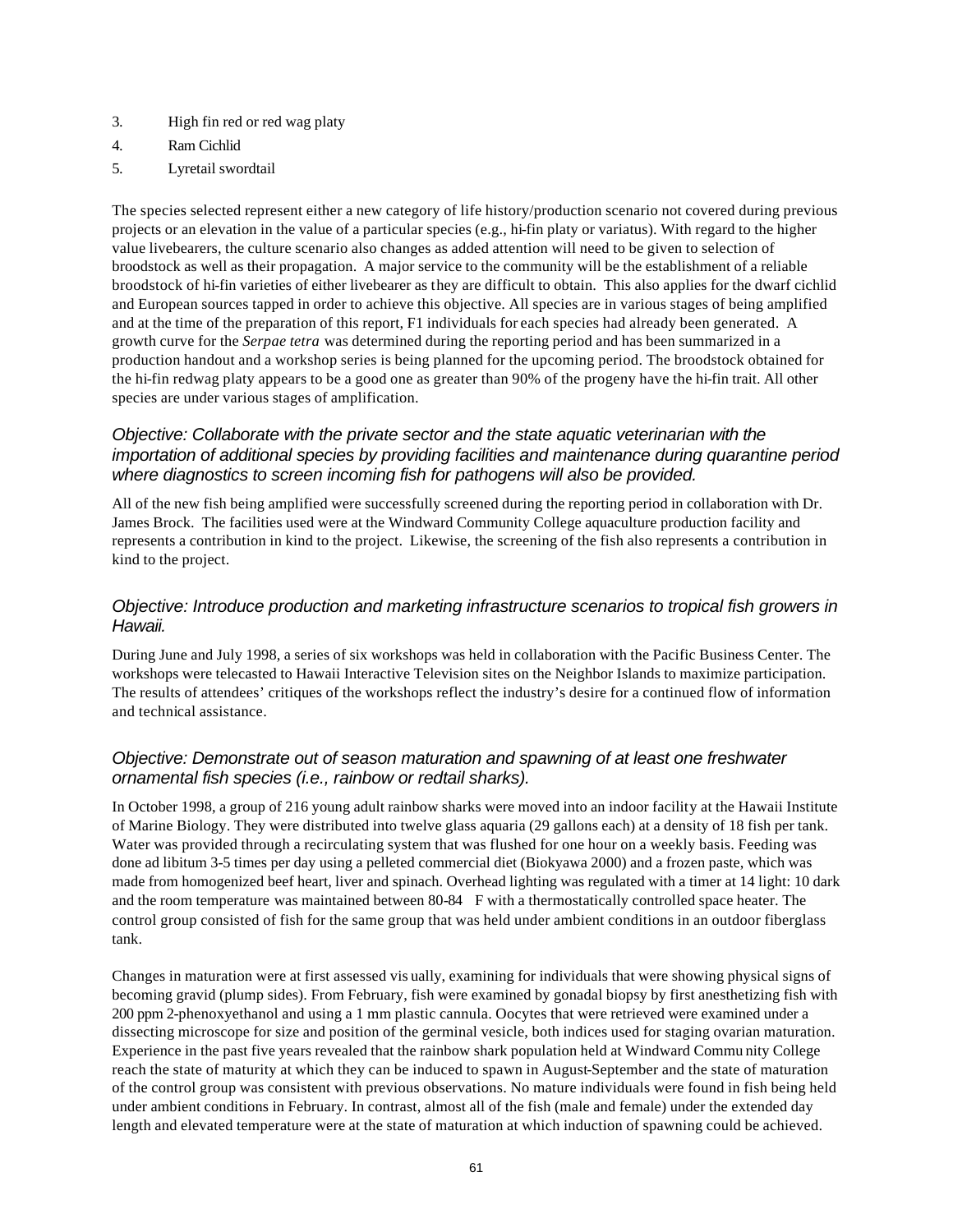- 3. High fin red or red wag platy
- 4. Ram Cichlid
- 5. Lyretail swordtail

The species selected represent either a new category of life history/production scenario not covered during previous projects or an elevation in the value of a particular species (e.g., hi-fin platy or variatus). With regard to the higher value livebearers, the culture scenario also changes as added attention will need to be given to selection of broodstock as well as their propagation. A major service to the community will be the establishment of a reliable broodstock of hi-fin varieties of either livebearer as they are difficult to obtain. This also applies for the dwarf cichlid and European sources tapped in order to achieve this objective. All species are in various stages of being amplified and at the time of the preparation of this report, F1 individuals for each species had already been generated. A growth curve for the *Serpae tetra* was determined during the reporting period and has been summarized in a production handout and a workshop series is being planned for the upcoming period. The broodstock obtained for the hi-fin redwag platy appears to be a good one as greater than 90% of the progeny have the hi-fin trait. All other species are under various stages of amplification.

#### *Objective: Collaborate with the private sector and the state aquatic veterinarian with the importation of additional species by providing facilities and maintenance during quarantine period where diagnostics to screen incoming fish for pathogens will also be provided.*

All of the new fish being amplified were successfully screened during the reporting period in collaboration with Dr. James Brock. The facilities used were at the Windward Community College aquaculture production facility and represents a contribution in kind to the project. Likewise, the screening of the fish also represents a contribution in kind to the project.

### *Objective: Introduce production and marketing infrastructure scenarios to tropical fish growers in Hawaii.*

During June and July 1998, a series of six workshops was held in collaboration with the Pacific Business Center. The workshops were telecasted to Hawaii Interactive Television sites on the Neighbor Islands to maximize participation. The results of attendees' critiques of the workshops reflect the industry's desire for a continued flow of information and technical assistance.

### *Objective: Demonstrate out of season maturation and spawning of at least one freshwater ornamental fish species (i.e., rainbow or redtail sharks).*

In October 1998, a group of 216 young adult rainbow sharks were moved into an indoor facility at the Hawaii Institute of Marine Biology. They were distributed into twelve glass aquaria (29 gallons each) at a density of 18 fish per tank. Water was provided through a recirculating system that was flushed for one hour on a weekly basis. Feeding was done ad libitum 3-5 times per day using a pelleted commercial diet (Biokyawa 2000) and a frozen paste, which was made from homogenized beef heart, liver and spinach. Overhead lighting was regulated with a timer at 14 light: 10 dark and the room temperature was maintained between 80-84 F with a thermostatically controlled space heater. The control group consisted of fish for the same group that was held under ambient conditions in an outdoor fiberglass tank.

Changes in maturation were at first assessed vis ually, examining for individuals that were showing physical signs of becoming gravid (plump sides). From February, fish were examined by gonadal biopsy by first anesthetizing fish with 200 ppm 2-phenoxyethanol and using a 1 mm plastic cannula. Oocytes that were retrieved were examined under a dissecting microscope for size and position of the germinal vesicle, both indices used for staging ovarian maturation. Experience in the past five years revealed that the rainbow shark population held at Windward Commu nity College reach the state of maturity at which they can be induced to spawn in August-September and the state of maturation of the control group was consistent with previous observations. No mature individuals were found in fish being held under ambient conditions in February. In contrast, almost all of the fish (male and female) under the extended day length and elevated temperature were at the state of maturation at which induction of spawning could be achieved.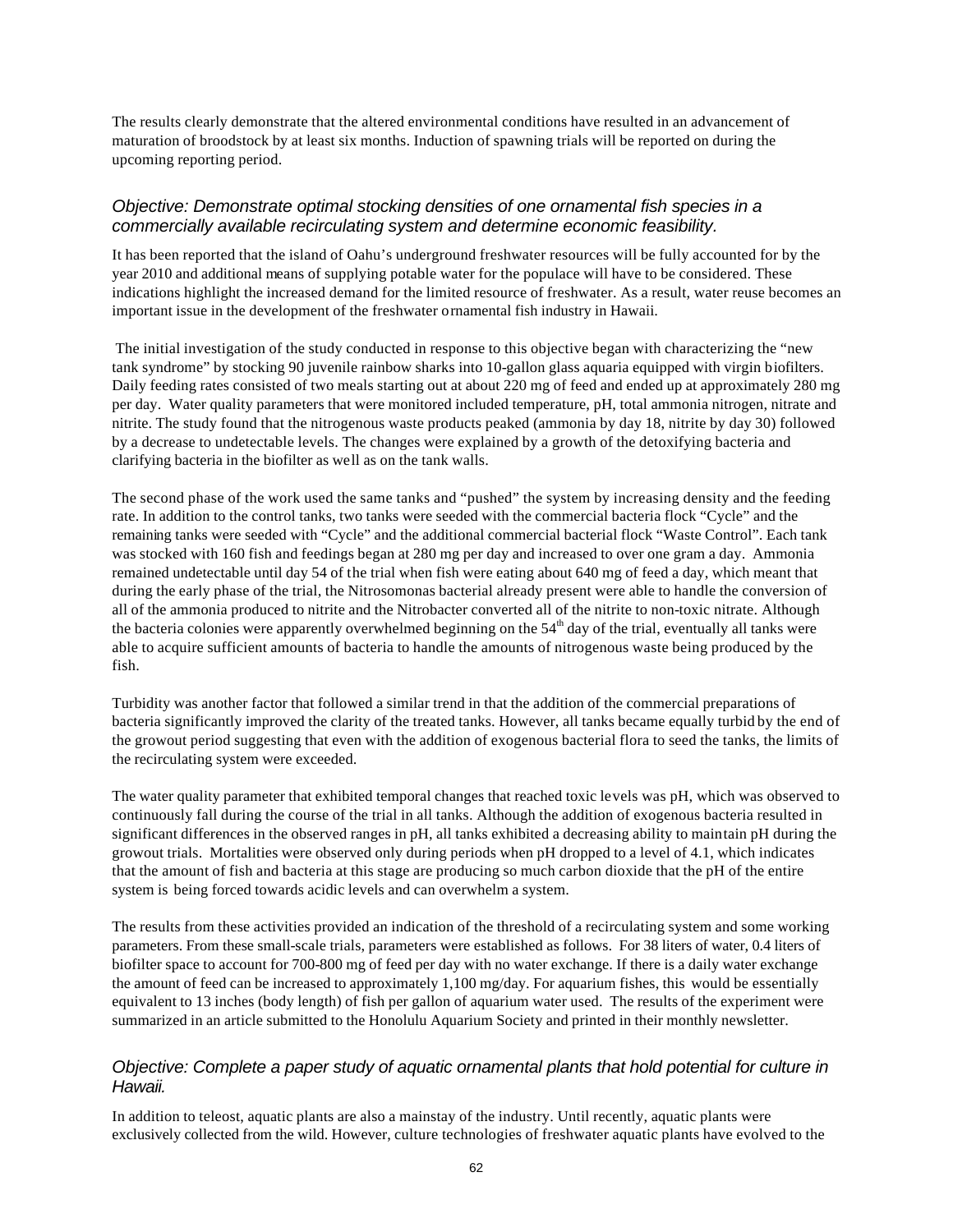The results clearly demonstrate that the altered environmental conditions have resulted in an advancement of maturation of broodstock by at least six months. Induction of spawning trials will be reported on during the upcoming reporting period.

#### *Objective: Demonstrate optimal stocking densities of one ornamental fish species in a commercially available recirculating system and determine economic feasibility.*

It has been reported that the island of Oahu's underground freshwater resources will be fully accounted for by the year 2010 and additional means of supplying potable water for the populace will have to be considered. These indications highlight the increased demand for the limited resource of freshwater. As a result, water reuse becomes an important issue in the development of the freshwater ornamental fish industry in Hawaii.

 The initial investigation of the study conducted in response to this objective began with characterizing the "new tank syndrome" by stocking 90 juvenile rainbow sharks into 10-gallon glass aquaria equipped with virgin biofilters. Daily feeding rates consisted of two meals starting out at about 220 mg of feed and ended up at approximately 280 mg per day. Water quality parameters that were monitored included temperature, pH, total ammonia nitrogen, nitrate and nitrite. The study found that the nitrogenous waste products peaked (ammonia by day 18, nitrite by day 30) followed by a decrease to undetectable levels. The changes were explained by a growth of the detoxifying bacteria and clarifying bacteria in the biofilter as well as on the tank walls.

The second phase of the work used the same tanks and "pushed" the system by increasing density and the feeding rate. In addition to the control tanks, two tanks were seeded with the commercial bacteria flock "Cycle" and the remaining tanks were seeded with "Cycle" and the additional commercial bacterial flock "Waste Control". Each tank was stocked with 160 fish and feedings began at 280 mg per day and increased to over one gram a day. Ammonia remained undetectable until day 54 of the trial when fish were eating about 640 mg of feed a day, which meant that during the early phase of the trial, the Nitrosomonas bacterial already present were able to handle the conversion of all of the ammonia produced to nitrite and the Nitrobacter converted all of the nitrite to non-toxic nitrate. Although the bacteria colonies were apparently overwhelmed beginning on the  $54<sup>th</sup>$  day of the trial, eventually all tanks were able to acquire sufficient amounts of bacteria to handle the amounts of nitrogenous waste being produced by the fish.

Turbidity was another factor that followed a similar trend in that the addition of the commercial preparations of bacteria significantly improved the clarity of the treated tanks. However, all tanks became equally turbid by the end of the growout period suggesting that even with the addition of exogenous bacterial flora to seed the tanks, the limits of the recirculating system were exceeded.

The water quality parameter that exhibited temporal changes that reached toxic levels was pH, which was observed to continuously fall during the course of the trial in all tanks. Although the addition of exogenous bacteria resulted in significant differences in the observed ranges in pH, all tanks exhibited a decreasing ability to maintain pH during the growout trials. Mortalities were observed only during periods when pH dropped to a level of 4.1, which indicates that the amount of fish and bacteria at this stage are producing so much carbon dioxide that the pH of the entire system is being forced towards acidic levels and can overwhelm a system.

The results from these activities provided an indication of the threshold of a recirculating system and some working parameters. From these small-scale trials, parameters were established as follows. For 38 liters of water, 0.4 liters of biofilter space to account for 700-800 mg of feed per day with no water exchange. If there is a daily water exchange the amount of feed can be increased to approximately 1,100 mg/day. For aquarium fishes, this would be essentially equivalent to 13 inches (body length) of fish per gallon of aquarium water used. The results of the experiment were summarized in an article submitted to the Honolulu Aquarium Society and printed in their monthly newsletter.

### *Objective: Complete a paper study of aquatic ornamental plants that hold potential for culture in Hawaii.*

In addition to teleost, aquatic plants are also a mainstay of the industry. Until recently, aquatic plants were exclusively collected from the wild. However, culture technologies of freshwater aquatic plants have evolved to the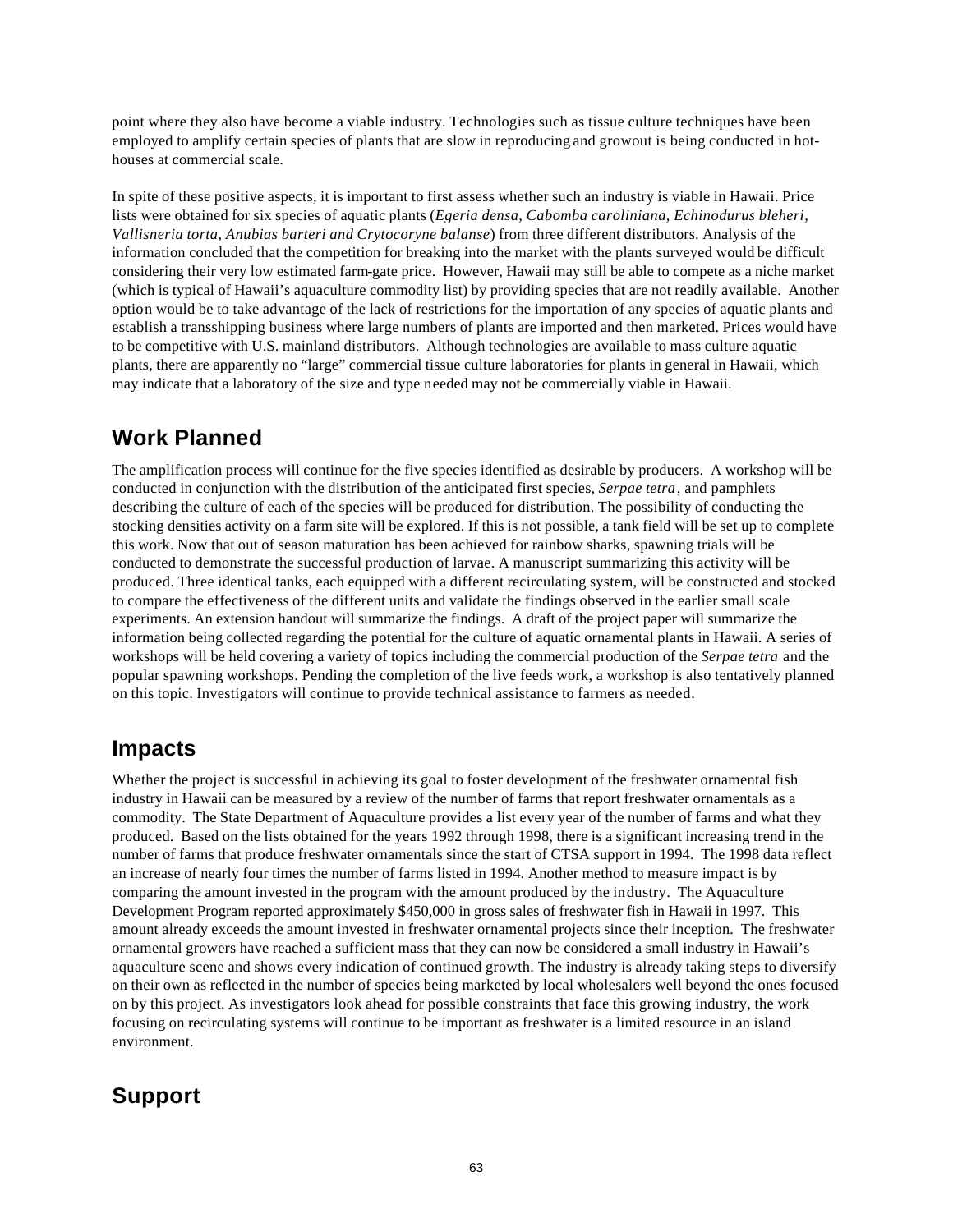point where they also have become a viable industry. Technologies such as tissue culture techniques have been employed to amplify certain species of plants that are slow in reproducing and growout is being conducted in hothouses at commercial scale.

In spite of these positive aspects, it is important to first assess whether such an industry is viable in Hawaii. Price lists were obtained for six species of aquatic plants (*Egeria densa, Cabomba caroliniana, Echinodurus bleheri, Vallisneria torta, Anubias barteri and Crytocoryne balanse*) from three different distributors. Analysis of the information concluded that the competition for breaking into the market with the plants surveyed would be difficult considering their very low estimated farm-gate price. However, Hawaii may still be able to compete as a niche market (which is typical of Hawaii's aquaculture commodity list) by providing species that are not readily available. Another option would be to take advantage of the lack of restrictions for the importation of any species of aquatic plants and establish a transshipping business where large numbers of plants are imported and then marketed. Prices would have to be competitive with U.S. mainland distributors. Although technologies are available to mass culture aquatic plants, there are apparently no "large" commercial tissue culture laboratories for plants in general in Hawaii, which may indicate that a laboratory of the size and type needed may not be commercially viable in Hawaii.

## **Work Planned**

The amplification process will continue for the five species identified as desirable by producers. A workshop will be conducted in conjunction with the distribution of the anticipated first species, *Serpae tetra*, and pamphlets describing the culture of each of the species will be produced for distribution. The possibility of conducting the stocking densities activity on a farm site will be explored. If this is not possible, a tank field will be set up to complete this work. Now that out of season maturation has been achieved for rainbow sharks, spawning trials will be conducted to demonstrate the successful production of larvae. A manuscript summarizing this activity will be produced. Three identical tanks, each equipped with a different recirculating system, will be constructed and stocked to compare the effectiveness of the different units and validate the findings observed in the earlier small scale experiments. An extension handout will summarize the findings. A draft of the project paper will summarize the information being collected regarding the potential for the culture of aquatic ornamental plants in Hawaii. A series of workshops will be held covering a variety of topics including the commercial production of the *Serpae tetra* and the popular spawning workshops. Pending the completion of the live feeds work, a workshop is also tentatively planned on this topic. Investigators will continue to provide technical assistance to farmers as needed.

## **Impacts**

Whether the project is successful in achieving its goal to foster development of the freshwater ornamental fish industry in Hawaii can be measured by a review of the number of farms that report freshwater ornamentals as a commodity. The State Department of Aquaculture provides a list every year of the number of farms and what they produced. Based on the lists obtained for the years 1992 through 1998, there is a significant increasing trend in the number of farms that produce freshwater ornamentals since the start of CTSA support in 1994. The 1998 data reflect an increase of nearly four times the number of farms listed in 1994. Another method to measure impact is by comparing the amount invested in the program with the amount produced by the industry. The Aquaculture Development Program reported approximately \$450,000 in gross sales of freshwater fish in Hawaii in 1997. This amount already exceeds the amount invested in freshwater ornamental projects since their inception. The freshwater ornamental growers have reached a sufficient mass that they can now be considered a small industry in Hawaii's aquaculture scene and shows every indication of continued growth. The industry is already taking steps to diversify on their own as reflected in the number of species being marketed by local wholesalers well beyond the ones focused on by this project. As investigators look ahead for possible constraints that face this growing industry, the work focusing on recirculating systems will continue to be important as freshwater is a limited resource in an island environment.

## **Support**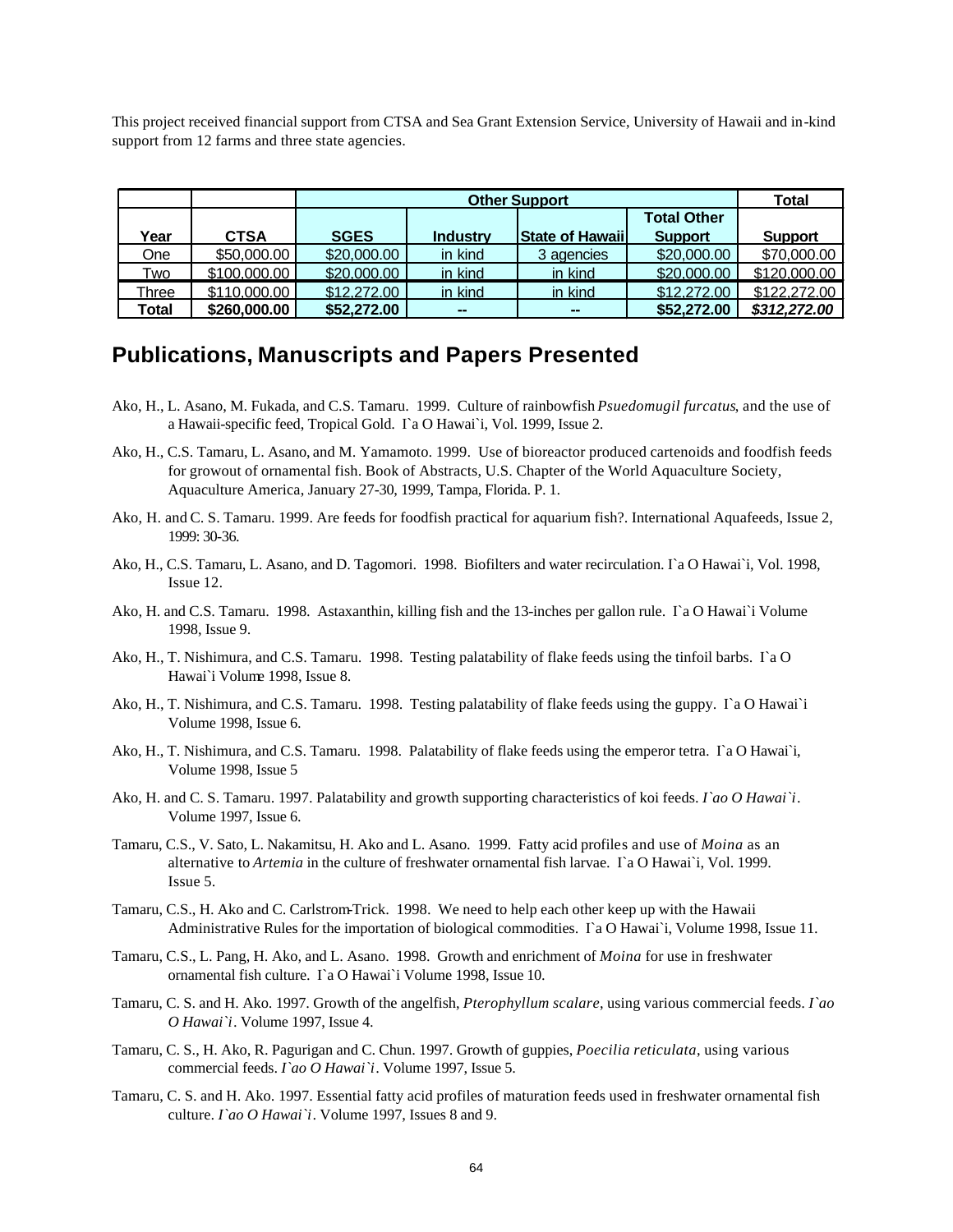This project received financial support from CTSA and Sea Grant Extension Service, University of Hawaii and in-kind support from 12 farms and three state agencies.

|       |              |                    | Total           |                        |                |                |
|-------|--------------|--------------------|-----------------|------------------------|----------------|----------------|
|       |              | <b>Total Other</b> |                 |                        |                |                |
| Year  | <b>CTSA</b>  | <b>SGES</b>        | <b>Industry</b> | <b>State of Hawaii</b> | <b>Support</b> | <b>Support</b> |
| One   | \$50,000.00  | \$20,000.00        | in kind         | 3 agencies             | \$20,000.00    | \$70,000.00    |
| Two   | \$100,000.00 | \$20,000,00        | in kind         | in kind                | \$20,000.00    | \$120,000,00   |
| Three | \$110,000.00 | \$12,272.00        | in kind         | in kind                | \$12,272.00    | \$122,272.00   |
| Total | \$260,000.00 | \$52,272.00        | $\sim$          | $\sim$                 | \$52,272,00    | \$312,272.00   |

### **Publications, Manuscripts and Papers Presented**

- Ako, H., L. Asano, M. Fukada, and C.S. Tamaru. 1999. Culture of rainbowfish *Psuedomugil furcatus*, and the use of a Hawaii-specific feed, Tropical Gold. I`a O Hawai`i, Vol. 1999, Issue 2.
- Ako, H., C.S. Tamaru, L. Asano, and M. Yamamoto. 1999. Use of bioreactor produced cartenoids and foodfish feeds for growout of ornamental fish. Book of Abstracts, U.S. Chapter of the World Aquaculture Society, Aquaculture America, January 27-30, 1999, Tampa, Florida. P. 1.
- Ako, H. and C. S. Tamaru. 1999. Are feeds for foodfish practical for aquarium fish?. International Aquafeeds, Issue 2, 1999: 30-36.
- Ako, H., C.S. Tamaru, L. Asano, and D. Tagomori. 1998. Biofilters and water recirculation. I`a O Hawai`i, Vol. 1998, Issue 12.
- Ako, H. and C.S. Tamaru. 1998. Astaxanthin, killing fish and the 13-inches per gallon rule. I`a O Hawai`i Volume 1998, Issue 9.
- Ako, H., T. Nishimura, and C.S. Tamaru. 1998. Testing palatability of flake feeds using the tinfoil barbs.  $\Gamma$ a O Hawai`i Volume 1998, Issue 8.
- Ako, H., T. Nishimura, and C.S. Tamaru. 1998. Testing palatability of flake feeds using the guppy. I`a O Hawai`i Volume 1998, Issue 6.
- Ako, H., T. Nishimura, and C.S. Tamaru. 1998. Palatability of flake feeds using the emperor tetra. I`a O Hawai`i, Volume 1998, Issue 5
- Ako, H. and C. S. Tamaru. 1997. Palatability and growth supporting characteristics of koi feeds. *I`ao O Hawai`i*. Volume 1997, Issue 6.
- Tamaru, C.S., V. Sato, L. Nakamitsu, H. Ako and L. Asano. 1999. Fatty acid profiles and use of *Moina* as an alternative to *Artemia* in the culture of freshwater ornamental fish larvae. I`a O Hawai`i, Vol. 1999. Issue 5.
- Tamaru, C.S., H. Ako and C. Carlstrom-Trick. 1998. We need to help each other keep up with the Hawaii Administrative Rules for the importation of biological commodities. I`a O Hawai`i, Volume 1998, Issue 11.
- Tamaru, C.S., L. Pang, H. Ako, and L. Asano. 1998. Growth and enrichment of *Moina* for use in freshwater ornamental fish culture. I`a O Hawai`i Volume 1998, Issue 10.
- Tamaru, C. S. and H. Ako. 1997. Growth of the angelfish, *Pterophyllum scalare*, using various commercial feeds. *I`ao O Hawai`i*. Volume 1997, Issue 4.
- Tamaru, C. S., H. Ako, R. Pagurigan and C. Chun. 1997. Growth of guppies, *Poecilia reticulata*, using various commercial feeds. *I`ao O Hawai`i*. Volume 1997, Issue 5.
- Tamaru, C. S. and H. Ako. 1997. Essential fatty acid profiles of maturation feeds used in freshwater ornamental fish culture. *I`ao O Hawai`i*. Volume 1997, Issues 8 and 9.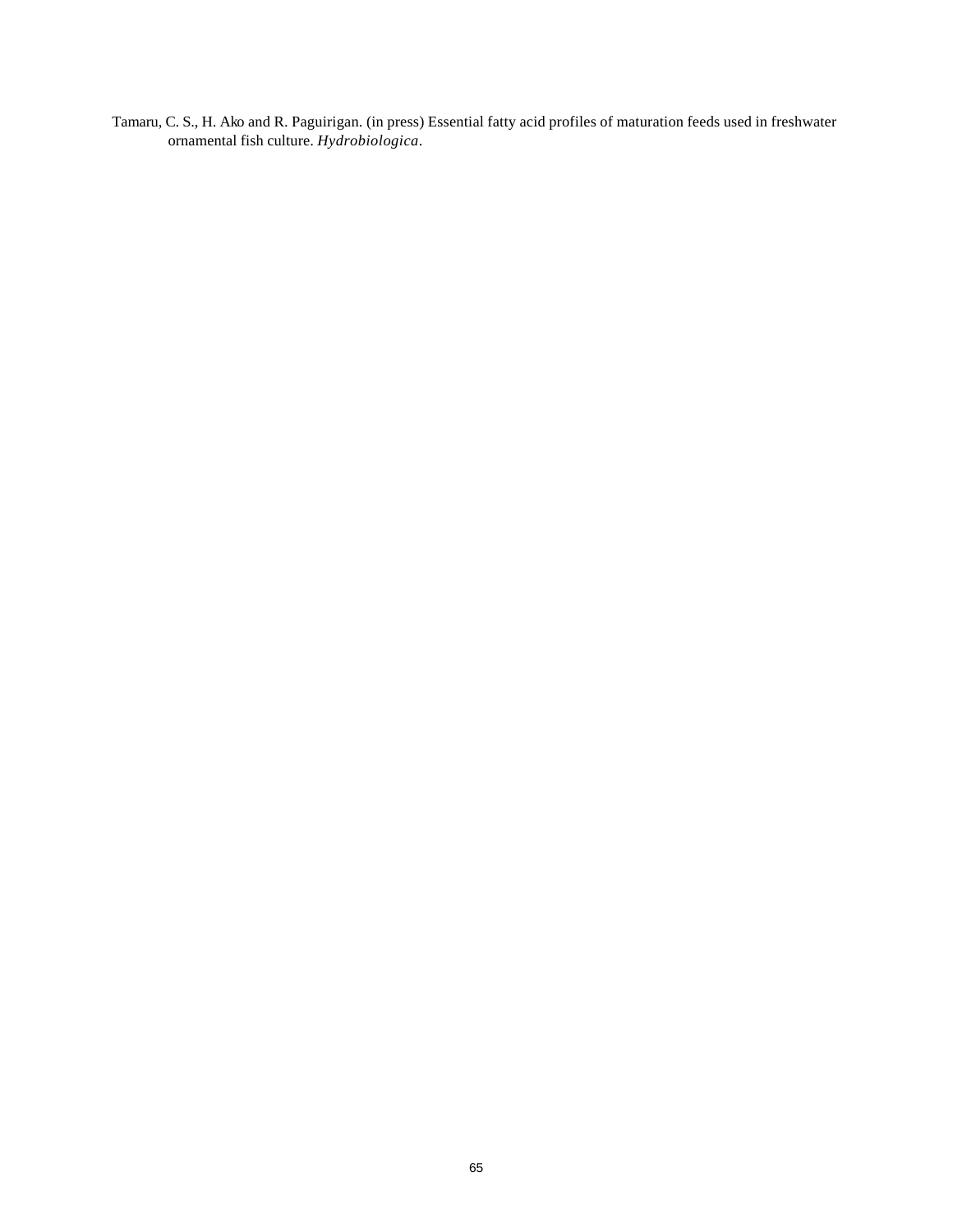Tamaru, C. S., H. Ako and R. Paguirigan. (in press) Essential fatty acid profiles of maturation feeds used in freshwater ornamental fish culture. *Hydrobiologica*.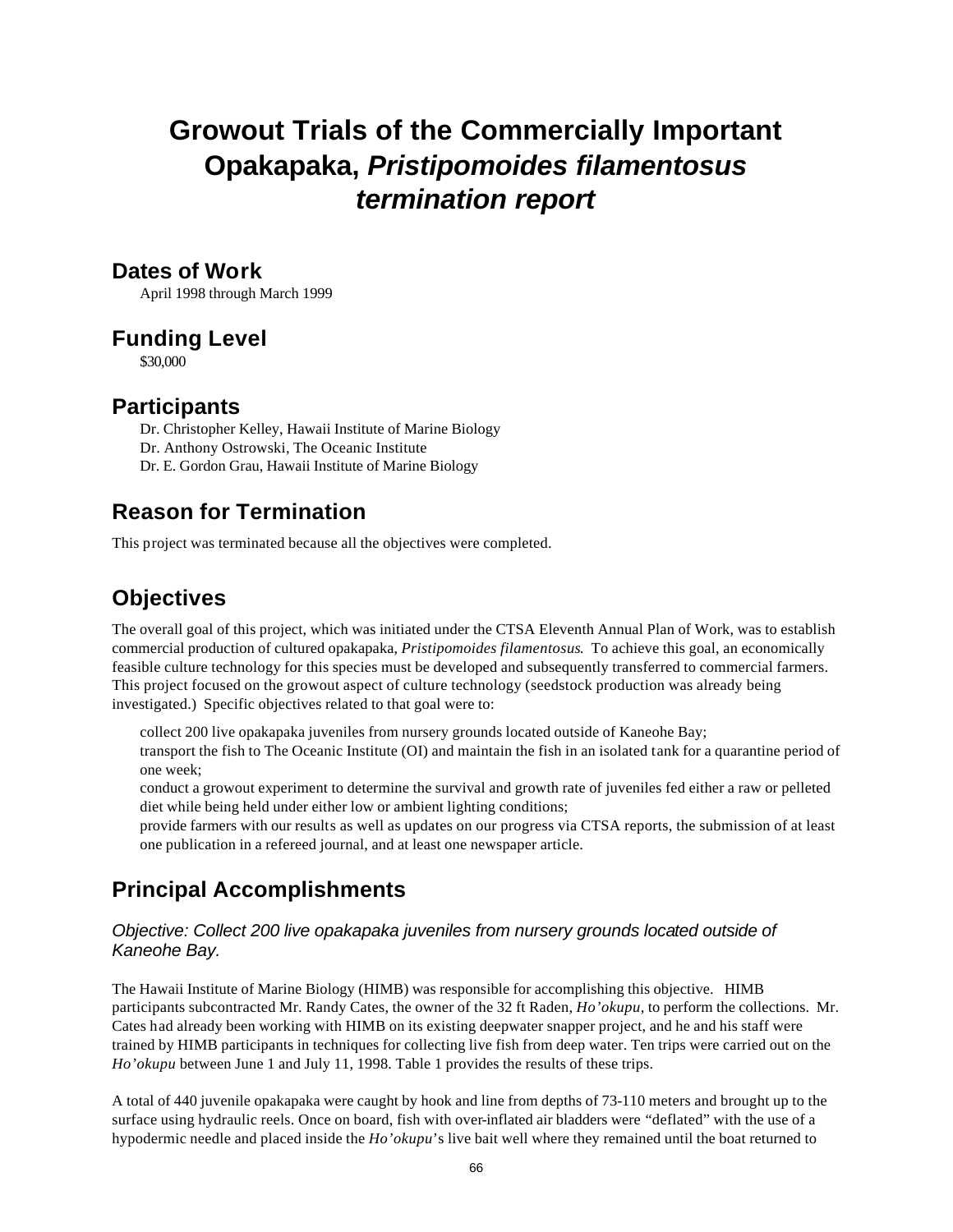# **Growout Trials of the Commercially Important Opakapaka,** *Pristipomoides filamentosus termination report*

### **Dates of Work**

April 1998 through March 1999

### **Funding Level**

\$30,000

### **Participants**

Dr. Christopher Kelley, Hawaii Institute of Marine Biology Dr. Anthony Ostrowski, The Oceanic Institute Dr. E. Gordon Grau, Hawaii Institute of Marine Biology

## **Reason for Termination**

This project was terminated because all the objectives were completed.

## **Objectives**

The overall goal of this project, which was initiated under the CTSA Eleventh Annual Plan of Work, was to establish commercial production of cultured opakapaka, *Pristipomoides filamentosus*. To achieve this goal, an economically feasible culture technology for this species must be developed and subsequently transferred to commercial farmers. This project focused on the growout aspect of culture technology (seedstock production was already being investigated.) Specific objectives related to that goal were to:

collect 200 live opakapaka juveniles from nursery grounds located outside of Kaneohe Bay;

transport the fish to The Oceanic Institute (OI) and maintain the fish in an isolated tank for a quarantine period of one week;

conduct a growout experiment to determine the survival and growth rate of juveniles fed either a raw or pelleted diet while being held under either low or ambient lighting conditions;

provide farmers with our results as well as updates on our progress via CTSA reports, the submission of at least one publication in a refereed journal, and at least one newspaper article.

## **Principal Accomplishments**

### *Objective: Collect 200 live opakapaka juveniles from nursery grounds located outside of Kaneohe Bay.*

The Hawaii Institute of Marine Biology (HIMB) was responsible for accomplishing this objective. HIMB participants subcontracted Mr. Randy Cates, the owner of the 32 ft Raden, *Ho'okupu*, to perform the collections. Mr. Cates had already been working with HIMB on its existing deepwater snapper project, and he and his staff were trained by HIMB participants in techniques for collecting live fish from deep water. Ten trips were carried out on the *Ho'okupu* between June 1 and July 11, 1998. Table 1 provides the results of these trips.

A total of 440 juvenile opakapaka were caught by hook and line from depths of 73-110 meters and brought up to the surface using hydraulic reels. Once on board, fish with over-inflated air bladders were "deflated" with the use of a hypodermic needle and placed inside the *Ho'okupu*'s live bait well where they remained until the boat returned to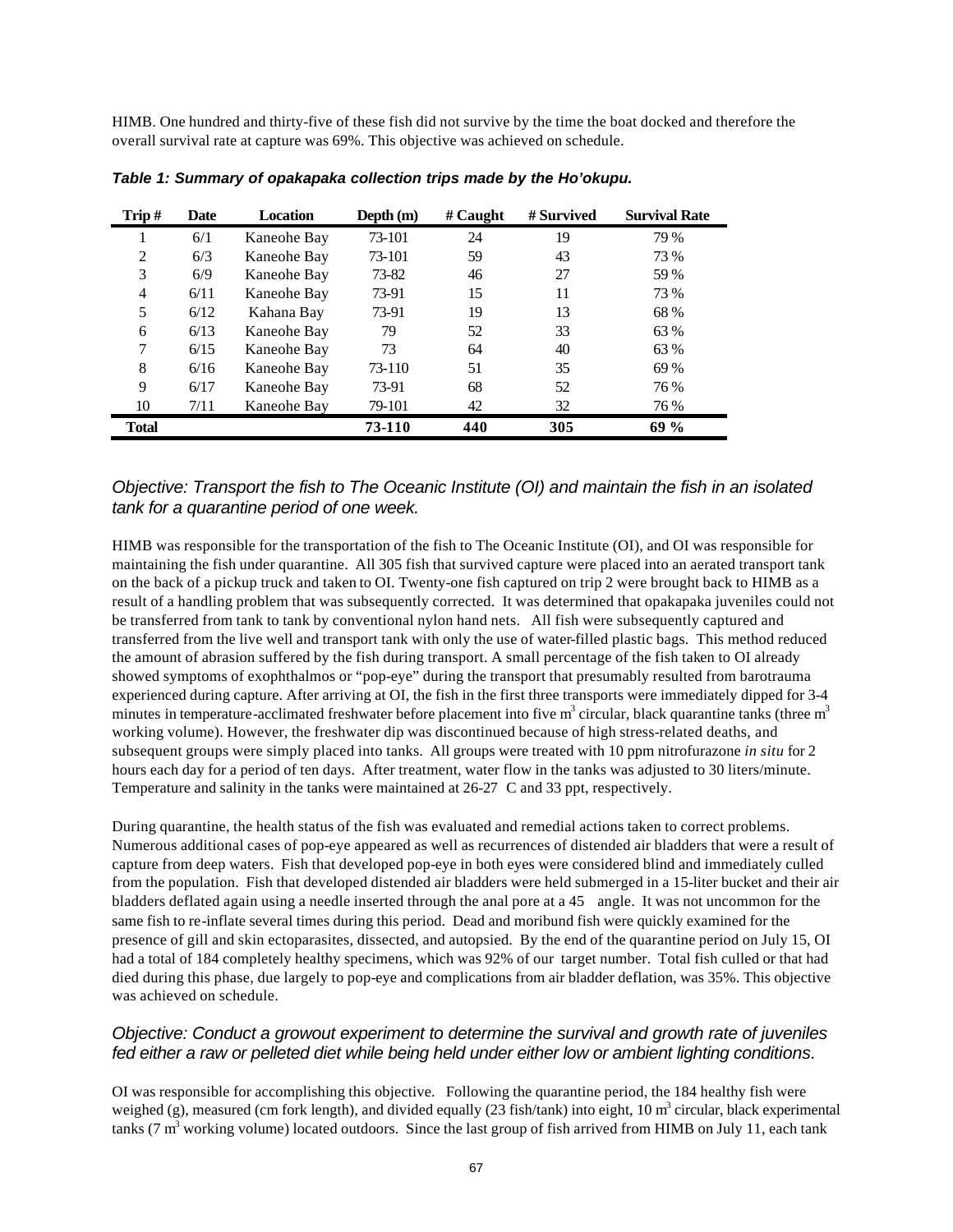HIMB. One hundred and thirty-five of these fish did not survive by the time the boat docked and therefore the overall survival rate at capture was 69%. This objective was achieved on schedule.

| Trip#        | <b>Date</b> | <b>Location</b> | Depth (m) | $#$ Caught | # Survived | <b>Survival Rate</b> |
|--------------|-------------|-----------------|-----------|------------|------------|----------------------|
|              | 6/1         | Kaneohe Bay     | 73-101    | 24         | 19         | 79 %                 |
| 2            | 6/3         | Kaneohe Bay     | 73-101    | 59         | 43         | 73 %                 |
| 3            | 6/9         | Kaneohe Bay     | 73-82     | 46         | 27         | 59 %                 |
| 4            | 6/11        | Kaneohe Bay     | 73-91     | 15         | 11         | 73 %                 |
| 5            | 6/12        | Kahana Bay      | 73-91     | 19         | 13         | 68 %                 |
| 6            | 6/13        | Kaneohe Bay     | 79        | 52         | 33         | 63 %                 |
| $\tau$       | 6/15        | Kaneohe Bay     | 73        | 64         | 40         | 63 %                 |
| 8            | 6/16        | Kaneohe Bay     | 73-110    | 51         | 35         | 69 %                 |
| 9            | 6/17        | Kaneohe Bay     | 73-91     | 68         | 52         | 76 %                 |
| 10           | 7/11        | Kaneohe Bay     | 79-101    | 42         | 32         | 76 %                 |
| <b>Total</b> |             |                 | 73-110    | 440        | 305        | 69%                  |

*Table 1: Summary of opakapaka collection trips made by the Ho'okupu.*

#### *Objective: Transport the fish to The Oceanic Institute (OI) and maintain the fish in an isolated tank for a quarantine period of one week.*

HIMB was responsible for the transportation of the fish to The Oceanic Institute (OI), and OI was responsible for maintaining the fish under quarantine. All 305 fish that survived capture were placed into an aerated transport tank on the back of a pickup truck and taken to OI. Twenty-one fish captured on trip 2 were brought back to HIMB as a result of a handling problem that was subsequently corrected. It was determined that opakapaka juveniles could not be transferred from tank to tank by conventional nylon hand nets. All fish were subsequently captured and transferred from the live well and transport tank with only the use of water-filled plastic bags. This method reduced the amount of abrasion suffered by the fish during transport. A small percentage of the fish taken to OI already showed symptoms of exophthalmos or "pop-eye" during the transport that presumably resulted from barotrauma experienced during capture. After arriving at OI, the fish in the first three transports were immediately dipped for 3-4 minutes in temperature-acclimated freshwater before placement into five m<sup>3</sup> circular, black quarantine tanks (three m<sup>3</sup> working volume). However, the freshwater dip was discontinued because of high stress-related deaths, and subsequent groups were simply placed into tanks. All groups were treated with 10 ppm nitrofurazone *in situ* for 2 hours each day for a period of ten days. After treatment, water flow in the tanks was adjusted to 30 liters/minute. Temperature and salinity in the tanks were maintained at 26-27 C and 33 ppt, respectively.

During quarantine, the health status of the fish was evaluated and remedial actions taken to correct problems. Numerous additional cases of pop-eye appeared as well as recurrences of distended air bladders that were a result of capture from deep waters. Fish that developed pop-eye in both eyes were considered blind and immediately culled from the population. Fish that developed distended air bladders were held submerged in a 15-liter bucket and their air bladders deflated again using a needle inserted through the anal pore at a 45 angle. It was not uncommon for the same fish to re-inflate several times during this period. Dead and moribund fish were quickly examined for the presence of gill and skin ectoparasites, dissected, and autopsied. By the end of the quarantine period on July 15, OI had a total of 184 completely healthy specimens, which was 92% of our target number. Total fish culled or that had died during this phase, due largely to pop-eye and complications from air bladder deflation, was 35%. This objective was achieved on schedule.

#### *Objective: Conduct a growout experiment to determine the survival and growth rate of juveniles fed either a raw or pelleted diet while being held under either low or ambient lighting conditions.*

OI was responsible for accomplishing this objective. Following the quarantine period, the 184 healthy fish were weighed (g), measured (cm fork length), and divided equally  $(23$  fish/tank) into eight, 10 m<sup>3</sup> circular, black experimental tanks (7  $m<sup>3</sup>$  working volume) located outdoors. Since the last group of fish arrived from HIMB on July 11, each tank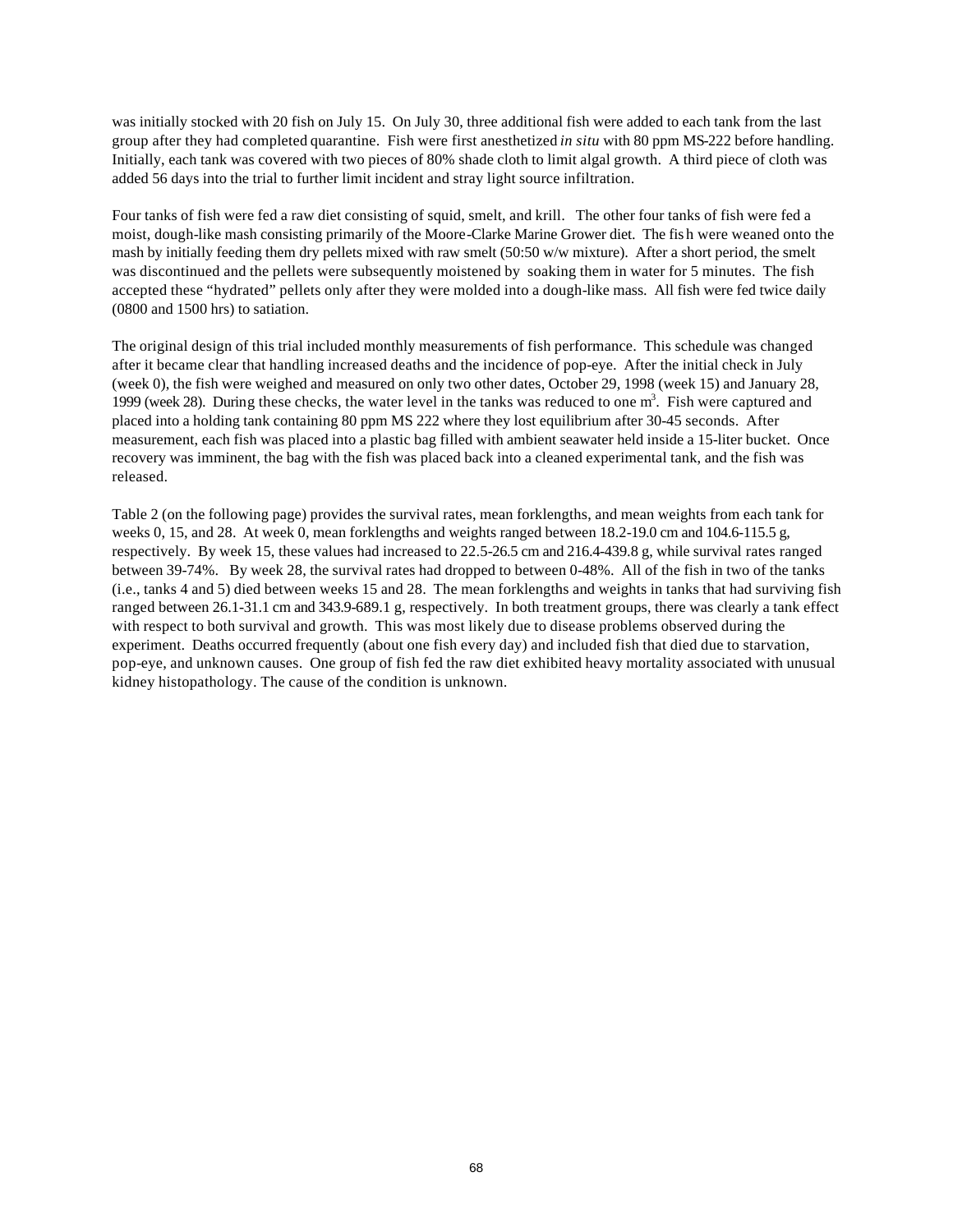was initially stocked with 20 fish on July 15. On July 30, three additional fish were added to each tank from the last group after they had completed quarantine. Fish were first anesthetized *in situ* with 80 ppm MS-222 before handling. Initially, each tank was covered with two pieces of 80% shade cloth to limit algal growth. A third piece of cloth was added 56 days into the trial to further limit incident and stray light source infiltration.

Four tanks of fish were fed a raw diet consisting of squid, smelt, and krill. The other four tanks of fish were fed a moist, dough-like mash consisting primarily of the Moore-Clarke Marine Grower diet. The fis h were weaned onto the mash by initially feeding them dry pellets mixed with raw smelt (50:50 w/w mixture). After a short period, the smelt was discontinued and the pellets were subsequently moistened by soaking them in water for 5 minutes. The fish accepted these "hydrated" pellets only after they were molded into a dough-like mass. All fish were fed twice daily (0800 and 1500 hrs) to satiation.

The original design of this trial included monthly measurements of fish performance. This schedule was changed after it became clear that handling increased deaths and the incidence of pop-eye. After the initial check in July (week 0), the fish were weighed and measured on only two other dates, October 29, 1998 (week 15) and January 28, 1999 (week 28). During these checks, the water level in the tanks was reduced to one  $m<sup>3</sup>$ . Fish were captured and placed into a holding tank containing 80 ppm MS 222 where they lost equilibrium after 30-45 seconds. After measurement, each fish was placed into a plastic bag filled with ambient seawater held inside a 15-liter bucket. Once recovery was imminent, the bag with the fish was placed back into a cleaned experimental tank, and the fish was released.

Table 2 (on the following page) provides the survival rates, mean forklengths, and mean weights from each tank for weeks 0, 15, and 28. At week 0, mean forklengths and weights ranged between 18.2-19.0 cm and 104.6-115.5 g, respectively. By week 15, these values had increased to 22.5-26.5 cm and 216.4-439.8 g, while survival rates ranged between 39-74%. By week 28, the survival rates had dropped to between 0-48%. All of the fish in two of the tanks (i.e., tanks 4 and 5) died between weeks 15 and 28. The mean forklengths and weights in tanks that had surviving fish ranged between 26.1-31.1 cm and 343.9-689.1 g, respectively. In both treatment groups, there was clearly a tank effect with respect to both survival and growth. This was most likely due to disease problems observed during the experiment. Deaths occurred frequently (about one fish every day) and included fish that died due to starvation, pop-eye, and unknown causes. One group of fish fed the raw diet exhibited heavy mortality associated with unusual kidney histopathology. The cause of the condition is unknown.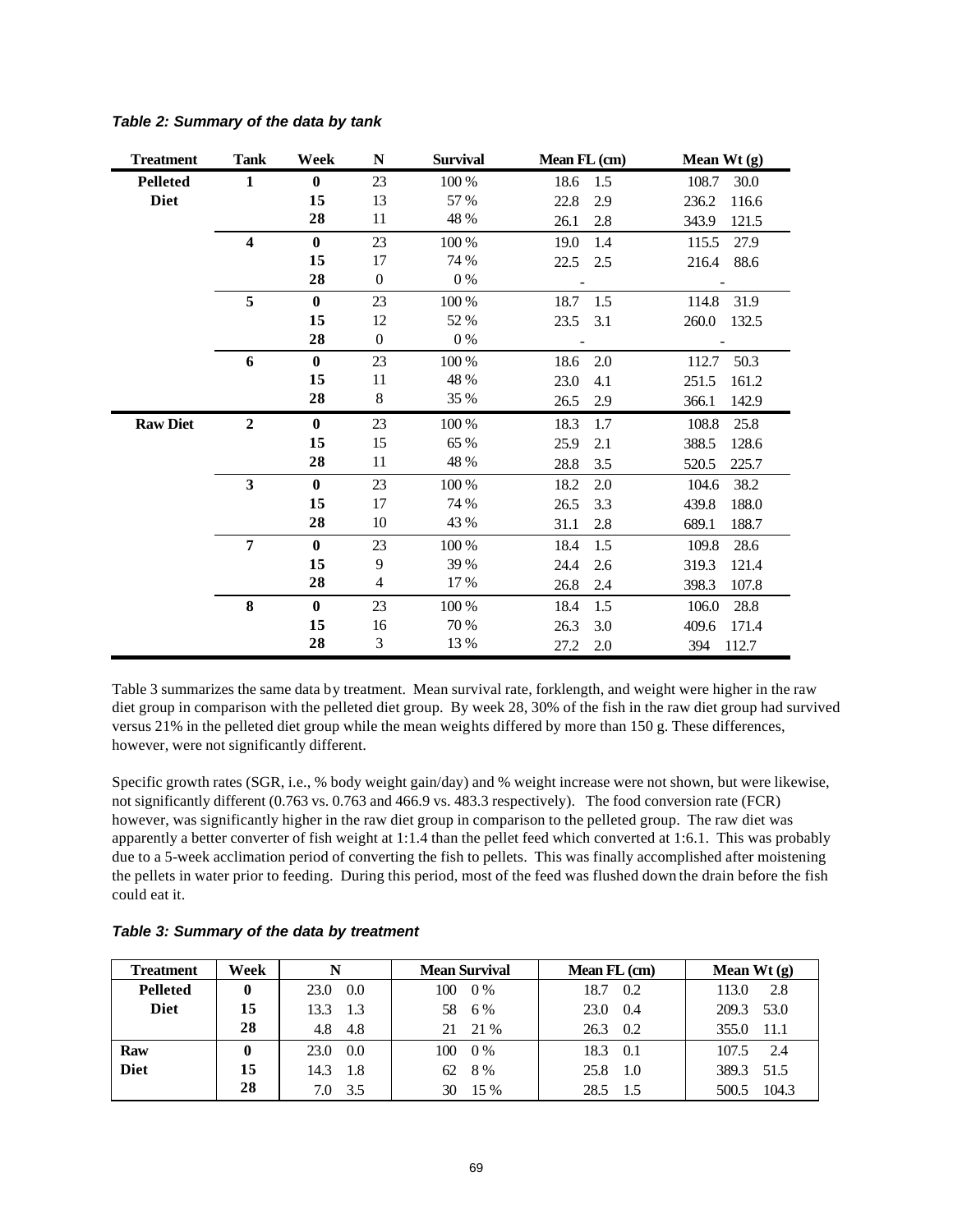| <b>Treatment</b> | <b>Tank</b>    | Week         | N                        | <b>Survival</b> | Mean FL (cm) | Mean Wt $(g)$            |
|------------------|----------------|--------------|--------------------------|-----------------|--------------|--------------------------|
| <b>Pelleted</b>  | $\mathbf{1}$   | $\bf{0}$     | 23                       | 100 %           | 18.6<br>1.5  | 108.7<br>30.0            |
| <b>Diet</b>      |                | 15           | 13                       | 57 %            | 22.8<br>2.9  | 236.2<br>116.6           |
|                  |                | 28           | 11                       | 48 %            | 2.8<br>26.1  | 121.5<br>343.9           |
|                  | 4              | $\bf{0}$     | 23                       | 100 %           | 19.0<br>1.4  | 115.5<br>27.9            |
|                  |                | 15           | 17                       | 74 %            | 22.5<br>2.5  | 216.4<br>88.6            |
|                  |                | 28           | $\boldsymbol{0}$         | 0%              |              |                          |
|                  | 5              | $\bf{0}$     | 23                       | 100 %           | 1.5<br>18.7  | 114.8<br>31.9            |
|                  |                | 15           | 12                       | 52 %            | 3.1<br>23.5  | 260.0<br>132.5           |
|                  |                | 28           | $\boldsymbol{0}$         | 0 %             |              | $\overline{\phantom{a}}$ |
|                  | 6              | $\bf{0}$     | 23                       | 100 %           | 2.0<br>18.6  | 50.3<br>112.7            |
|                  |                | 15           | 11                       | 48 %            | 23.0<br>4.1  | 251.5<br>161.2           |
|                  |                | 28           | $8\,$                    | 35 %            | 26.5<br>2.9  | 142.9<br>366.1           |
| <b>Raw Diet</b>  | $\overline{2}$ | $\mathbf{0}$ | 23                       | 100 %           | 18.3<br>1.7  | 25.8<br>108.8            |
|                  |                | 15           | 15                       | 65 %            | 25.9<br>2.1  | 388.5<br>128.6           |
|                  |                | 28           | 11                       | 48 %            | 28.8<br>3.5  | 520.5<br>225.7           |
|                  | 3              | $\bf{0}$     | 23                       | 100 %           | 18.2<br>2.0  | 104.6<br>38.2            |
|                  |                | 15           | 17                       | 74 %            | 26.5<br>3.3  | 188.0<br>439.8           |
|                  |                | 28           | 10                       | 43 %            | 31.1<br>2.8  | 689.1<br>188.7           |
|                  | $\overline{7}$ | $\mathbf{0}$ | 23                       | 100 %           | 18.4<br>1.5  | 28.6<br>109.8            |
|                  |                | 15           | 9                        | 39 %            | 24.4<br>2.6  | 319.3<br>121.4           |
|                  |                | 28           | $\overline{\mathcal{L}}$ | 17 %            | 26.8<br>2.4  | 107.8<br>398.3           |
|                  | 8              | $\bf{0}$     | 23                       | 100 %           | 1.5<br>18.4  | 106.0<br>28.8            |
|                  |                | 15           | 16                       | 70 %            | 3.0<br>26.3  | 409.6<br>171.4           |
|                  |                | 28           | 3                        | 13 %            | 27.2<br>2.0  | 394<br>112.7             |

#### *Table 2: Summary of the data by tank*

Table 3 summarizes the same data by treatment. Mean survival rate, forklength, and weight were higher in the raw diet group in comparison with the pelleted diet group. By week 28, 30% of the fish in the raw diet group had survived versus 21% in the pelleted diet group while the mean weights differed by more than 150 g. These differences, however, were not significantly different.

Specific growth rates (SGR, i.e., % body weight gain/day) and % weight increase were not shown, but were likewise, not significantly different (0.763 vs. 0.763 and 466.9 vs. 483.3 respectively). The food conversion rate (FCR) however, was significantly higher in the raw diet group in comparison to the pelleted group. The raw diet was apparently a better converter of fish weight at 1:1.4 than the pellet feed which converted at 1:6.1. This was probably due to a 5-week acclimation period of converting the fish to pellets. This was finally accomplished after moistening the pellets in water prior to feeding. During this period, most of the feed was flushed down the drain before the fish could eat it.

| <b>Treatment</b> | Week     | N            | <b>Mean Survival</b> | Mean $FL$ (cm) | Mean Wt $(g)$  |
|------------------|----------|--------------|----------------------|----------------|----------------|
| <b>Pelleted</b>  | $\bf{0}$ | 0.0<br>23.0  | 100<br>0%            | 0.2<br>18.7    | 2.8<br>113.0   |
| <b>Diet</b>      | 15       | 13.3<br>1.3  | 58<br>6 %            | - 0.4<br>23.0  | 53.0<br>209.3  |
|                  | 28       | 4.8<br>4.8   | 21 21 %              | $26.3$ 0.2     | 355.0<br>-11.1 |
| Raw              |          | 23.0<br>0.0  | 100<br>0%            | 18.3<br>0.1    | 2.4<br>107.5   |
| <b>Diet</b>      | 15       | 14.3<br>-1.8 | 8 %<br>62            | 25.8<br>1.0    | 389.3<br>51.5  |
|                  | 28       | 3.5<br>7.0   | 30<br>15 %           | 28.5 1.5       | 104.3<br>500.5 |

*Table 3: Summary of the data by treatment*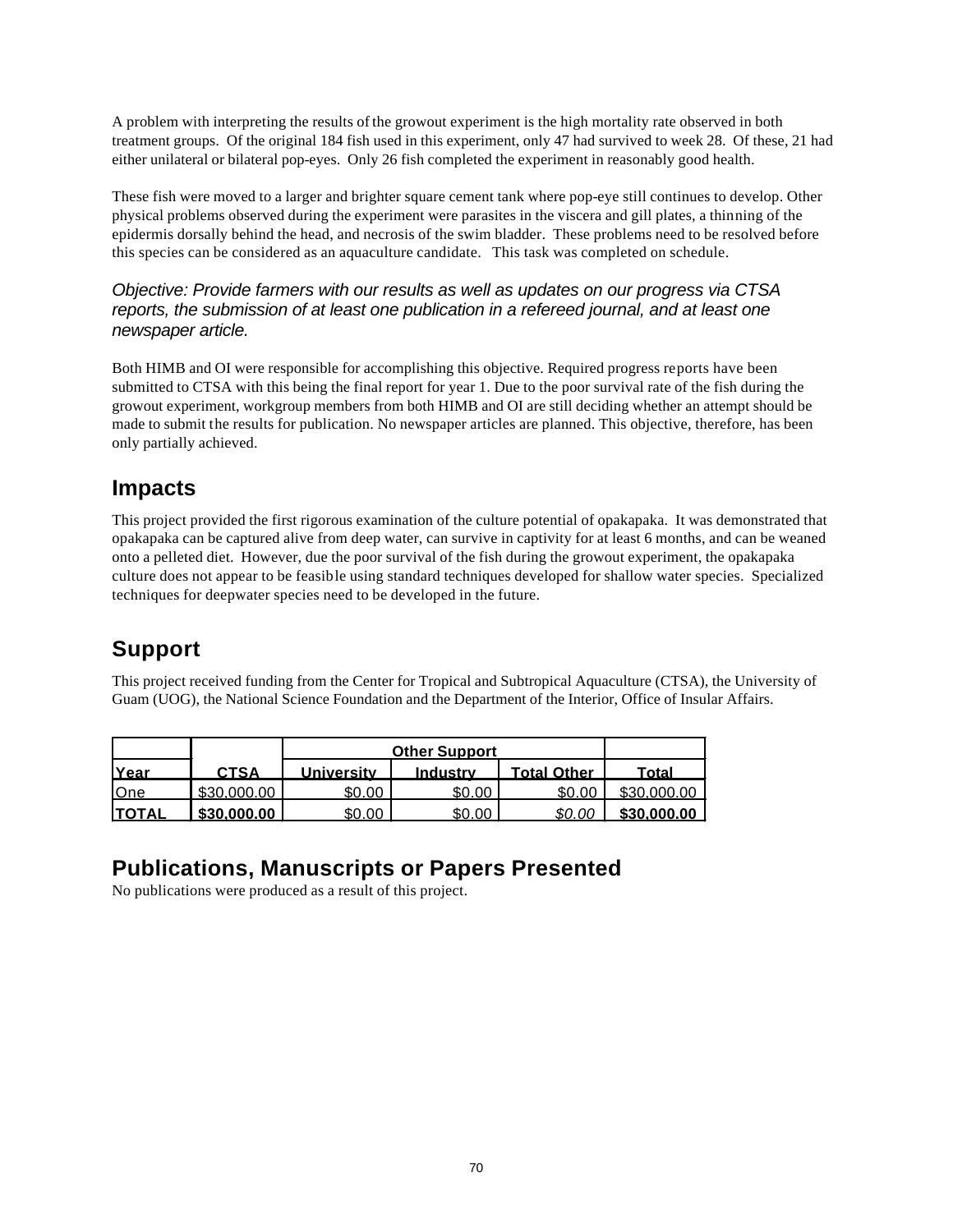A problem with interpreting the results of the growout experiment is the high mortality rate observed in both treatment groups. Of the original 184 fish used in this experiment, only 47 had survived to week 28. Of these, 21 had either unilateral or bilateral pop-eyes. Only 26 fish completed the experiment in reasonably good health.

These fish were moved to a larger and brighter square cement tank where pop-eye still continues to develop. Other physical problems observed during the experiment were parasites in the viscera and gill plates, a thinning of the epidermis dorsally behind the head, and necrosis of the swim bladder. These problems need to be resolved before this species can be considered as an aquaculture candidate. This task was completed on schedule.

*Objective: Provide farmers with our results as well as updates on our progress via CTSA reports, the submission of at least one publication in a refereed journal, and at least one newspaper article.*

Both HIMB and OI were responsible for accomplishing this objective. Required progress reports have been submitted to CTSA with this being the final report for year 1. Due to the poor survival rate of the fish during the growout experiment, workgroup members from both HIMB and OI are still deciding whether an attempt should be made to submit the results for publication. No newspaper articles are planned. This objective, therefore, has been only partially achieved.

## **Impacts**

This project provided the first rigorous examination of the culture potential of opakapaka. It was demonstrated that opakapaka can be captured alive from deep water, can survive in captivity for at least 6 months, and can be weaned onto a pelleted diet. However, due the poor survival of the fish during the growout experiment, the opakapaka culture does not appear to be feasible using standard techniques developed for shallow water species. Specialized techniques for deepwater species need to be developed in the future.

## **Support**

This project received funding from the Center for Tropical and Subtropical Aquaculture (CTSA), the University of Guam (UOG), the National Science Foundation and the Department of the Interior, Office of Insular Affairs.

|               |             | <b>Other Support</b> |          |                    |             |
|---------------|-------------|----------------------|----------|--------------------|-------------|
| Year          | <b>CTSA</b> | <b>University</b>    | Industry | <b>Total Other</b> | Total       |
| One           | \$30<br>00  | \$0.OC               | \$0.00   | \$0.00             |             |
| <b>ITOTAL</b> | \$30.000.00 | \$0.00               | \$0.00   | 00                 | \$30,000,00 |

## **Publications, Manuscripts or Papers Presented**

No publications were produced as a result of this project.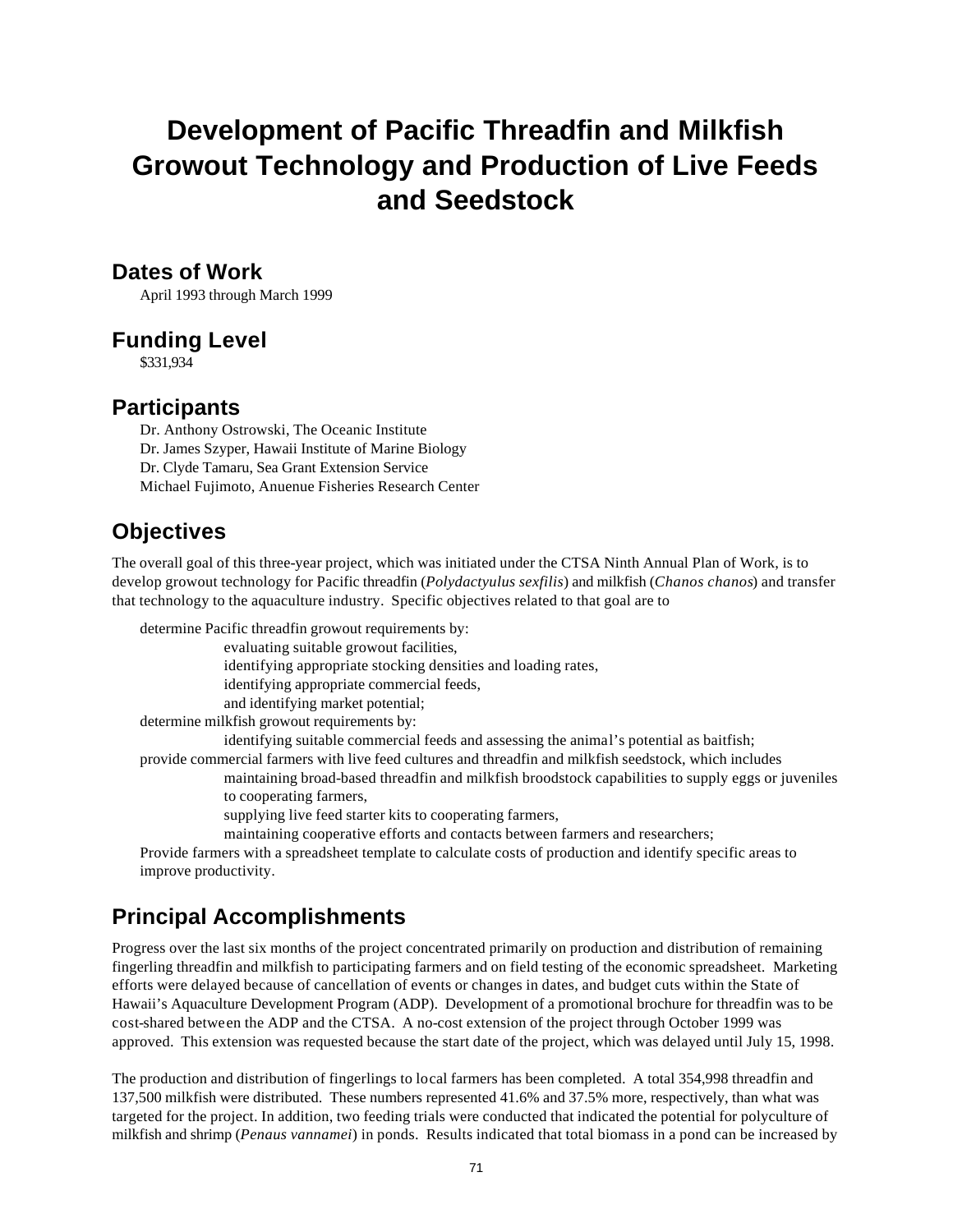# **Development of Pacific Threadfin and Milkfish Growout Technology and Production of Live Feeds and Seedstock**

### **Dates of Work**

April 1993 through March 1999

### **Funding Level**

\$331,934

### **Participants**

Dr. Anthony Ostrowski, The Oceanic Institute Dr. James Szyper, Hawaii Institute of Marine Biology Dr. Clyde Tamaru, Sea Grant Extension Service Michael Fujimoto, Anuenue Fisheries Research Center

### **Objectives**

The overall goal of this three-year project, which was initiated under the CTSA Ninth Annual Plan of Work, is to develop growout technology for Pacific threadfin (*Polydactyulus sexfilis*) and milkfish (*Chanos chanos*) and transfer that technology to the aquaculture industry. Specific objectives related to that goal are to

determine Pacific threadfin growout requirements by:

evaluating suitable growout facilities,

identifying appropriate stocking densities and loading rates,

identifying appropriate commercial feeds,

and identifying market potential;

determine milkfish growout requirements by:

identifying suitable commercial feeds and assessing the animal's potential as baitfish;

provide commercial farmers with live feed cultures and threadfin and milkfish seedstock, which includes

maintaining broad-based threadfin and milkfish broodstock capabilities to supply eggs or juveniles to cooperating farmers,

supplying live feed starter kits to cooperating farmers,

maintaining cooperative efforts and contacts between farmers and researchers;

Provide farmers with a spreadsheet template to calculate costs of production and identify specific areas to improve productivity.

## **Principal Accomplishments**

Progress over the last six months of the project concentrated primarily on production and distribution of remaining fingerling threadfin and milkfish to participating farmers and on field testing of the economic spreadsheet. Marketing efforts were delayed because of cancellation of events or changes in dates, and budget cuts within the State of Hawaii's Aquaculture Development Program (ADP). Development of a promotional brochure for threadfin was to be cost-shared between the ADP and the CTSA. A no-cost extension of the project through October 1999 was approved. This extension was requested because the start date of the project, which was delayed until July 15, 1998.

The production and distribution of fingerlings to local farmers has been completed. A total 354,998 threadfin and 137,500 milkfish were distributed. These numbers represented 41.6% and 37.5% more, respectively, than what was targeted for the project. In addition, two feeding trials were conducted that indicated the potential for polyculture of milkfish and shrimp (*Penaus vannamei*) in ponds. Results indicated that total biomass in a pond can be increased by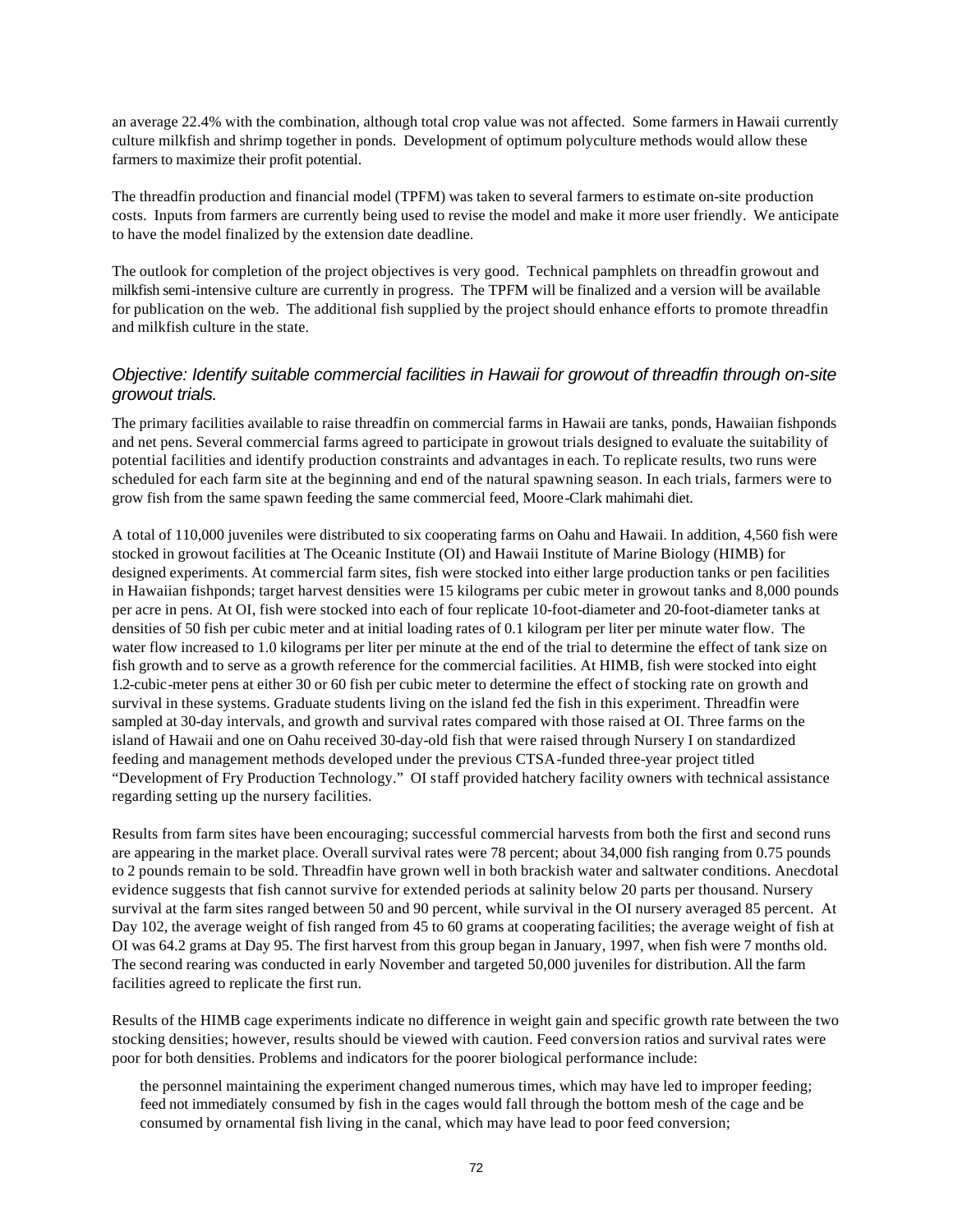an average 22.4% with the combination, although total crop value was not affected. Some farmers in Hawaii currently culture milkfish and shrimp together in ponds. Development of optimum polyculture methods would allow these farmers to maximize their profit potential.

The threadfin production and financial model (TPFM) was taken to several farmers to estimate on-site production costs. Inputs from farmers are currently being used to revise the model and make it more user friendly. We anticipate to have the model finalized by the extension date deadline.

The outlook for completion of the project objectives is very good. Technical pamphlets on threadfin growout and milkfish semi-intensive culture are currently in progress. The TPFM will be finalized and a version will be available for publication on the web. The additional fish supplied by the project should enhance efforts to promote threadfin and milkfish culture in the state.

### *Objective: Identify suitable commercial facilities in Hawaii for growout of threadfin through on-site growout trials.*

The primary facilities available to raise threadfin on commercial farms in Hawaii are tanks, ponds, Hawaiian fishponds and net pens. Several commercial farms agreed to participate in growout trials designed to evaluate the suitability of potential facilities and identify production constraints and advantages in each. To replicate results, two runs were scheduled for each farm site at the beginning and end of the natural spawning season. In each trials, farmers were to grow fish from the same spawn feeding the same commercial feed, Moore-Clark mahimahi diet.

A total of 110,000 juveniles were distributed to six cooperating farms on Oahu and Hawaii. In addition, 4,560 fish were stocked in growout facilities at The Oceanic Institute (OI) and Hawaii Institute of Marine Biology (HIMB) for designed experiments. At commercial farm sites, fish were stocked into either large production tanks or pen facilities in Hawaiian fishponds; target harvest densities were 15 kilograms per cubic meter in growout tanks and 8,000 pounds per acre in pens. At OI, fish were stocked into each of four replicate 10-foot-diameter and 20-foot-diameter tanks at densities of 50 fish per cubic meter and at initial loading rates of 0.1 kilogram per liter per minute water flow. The water flow increased to 1.0 kilograms per liter per minute at the end of the trial to determine the effect of tank size on fish growth and to serve as a growth reference for the commercial facilities. At HIMB, fish were stocked into eight 1.2-cubic-meter pens at either 30 or 60 fish per cubic meter to determine the effect of stocking rate on growth and survival in these systems. Graduate students living on the island fed the fish in this experiment. Threadfin were sampled at 30-day intervals, and growth and survival rates compared with those raised at OI. Three farms on the island of Hawaii and one on Oahu received 30-day-old fish that were raised through Nursery I on standardized feeding and management methods developed under the previous CTSA-funded three-year project titled "Development of Fry Production Technology." OI staff provided hatchery facility owners with technical assistance regarding setting up the nursery facilities.

Results from farm sites have been encouraging; successful commercial harvests from both the first and second runs are appearing in the market place. Overall survival rates were 78 percent; about 34,000 fish ranging from 0.75 pounds to 2 pounds remain to be sold. Threadfin have grown well in both brackish water and saltwater conditions. Anecdotal evidence suggests that fish cannot survive for extended periods at salinity below 20 parts per thousand. Nursery survival at the farm sites ranged between 50 and 90 percent, while survival in the OI nursery averaged 85 percent. At Day 102, the average weight of fish ranged from 45 to 60 grams at cooperating facilities; the average weight of fish at OI was 64.2 grams at Day 95. The first harvest from this group began in January, 1997, when fish were 7 months old. The second rearing was conducted in early November and targeted 50,000 juveniles for distribution. All the farm facilities agreed to replicate the first run.

Results of the HIMB cage experiments indicate no difference in weight gain and specific growth rate between the two stocking densities; however, results should be viewed with caution. Feed conversion ratios and survival rates were poor for both densities. Problems and indicators for the poorer biological performance include:

the personnel maintaining the experiment changed numerous times, which may have led to improper feeding; feed not immediately consumed by fish in the cages would fall through the bottom mesh of the cage and be consumed by ornamental fish living in the canal, which may have lead to poor feed conversion;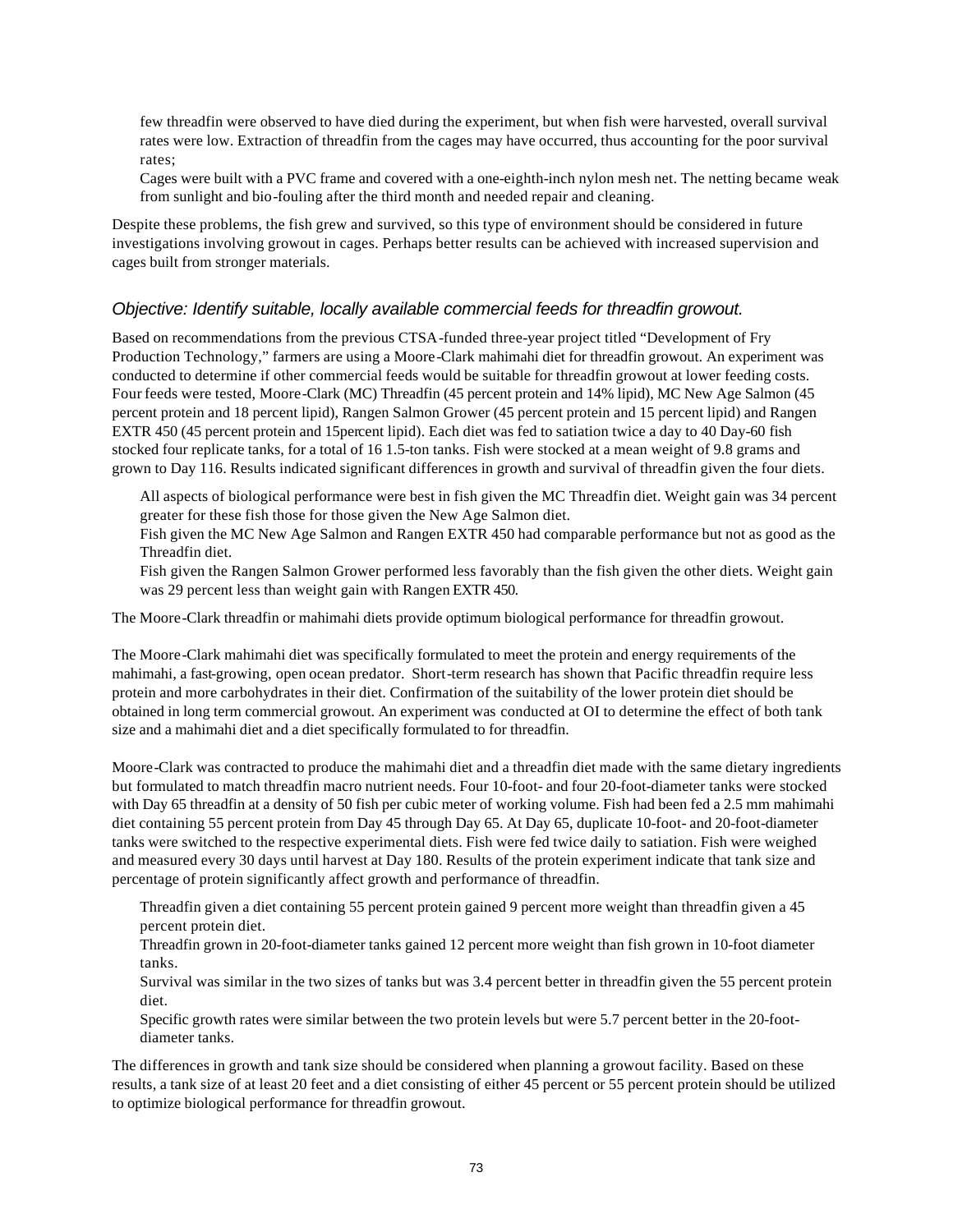few threadfin were observed to have died during the experiment, but when fish were harvested, overall survival rates were low. Extraction of threadfin from the cages may have occurred, thus accounting for the poor survival rates;

Cages were built with a PVC frame and covered with a one-eighth-inch nylon mesh net. The netting became weak from sunlight and bio-fouling after the third month and needed repair and cleaning.

Despite these problems, the fish grew and survived, so this type of environment should be considered in future investigations involving growout in cages. Perhaps better results can be achieved with increased supervision and cages built from stronger materials.

#### *Objective: Identify suitable, locally available commercial feeds for threadfin growout.*

Based on recommendations from the previous CTSA-funded three-year project titled "Development of Fry Production Technology," farmers are using a Moore-Clark mahimahi diet for threadfin growout. An experiment was conducted to determine if other commercial feeds would be suitable for threadfin growout at lower feeding costs. Four feeds were tested, Moore-Clark (MC) Threadfin (45 percent protein and 14% lipid), MC New Age Salmon (45 percent protein and 18 percent lipid), Rangen Salmon Grower (45 percent protein and 15 percent lipid) and Rangen EXTR 450 (45 percent protein and 15percent lipid). Each diet was fed to satiation twice a day to 40 Day-60 fish stocked four replicate tanks, for a total of 16 1.5-ton tanks. Fish were stocked at a mean weight of 9.8 grams and grown to Day 116. Results indicated significant differences in growth and survival of threadfin given the four diets.

All aspects of biological performance were best in fish given the MC Threadfin diet. Weight gain was 34 percent greater for these fish those for those given the New Age Salmon diet.

Fish given the MC New Age Salmon and Rangen EXTR 450 had comparable performance but not as good as the Threadfin diet.

Fish given the Rangen Salmon Grower performed less favorably than the fish given the other diets. Weight gain was 29 percent less than weight gain with Rangen EXTR 450.

The Moore-Clark threadfin or mahimahi diets provide optimum biological performance for threadfin growout.

The Moore-Clark mahimahi diet was specifically formulated to meet the protein and energy requirements of the mahimahi, a fast-growing, open ocean predator. Short-term research has shown that Pacific threadfin require less protein and more carbohydrates in their diet. Confirmation of the suitability of the lower protein diet should be obtained in long term commercial growout. An experiment was conducted at OI to determine the effect of both tank size and a mahimahi diet and a diet specifically formulated to for threadfin.

Moore-Clark was contracted to produce the mahimahi diet and a threadfin diet made with the same dietary ingredients but formulated to match threadfin macro nutrient needs. Four 10-foot- and four 20-foot-diameter tanks were stocked with Day 65 threadfin at a density of 50 fish per cubic meter of working volume. Fish had been fed a 2.5 mm mahimahi diet containing 55 percent protein from Day 45 through Day 65. At Day 65, duplicate 10-foot- and 20-foot-diameter tanks were switched to the respective experimental diets. Fish were fed twice daily to satiation. Fish were weighed and measured every 30 days until harvest at Day 180. Results of the protein experiment indicate that tank size and percentage of protein significantly affect growth and performance of threadfin.

Threadfin given a diet containing 55 percent protein gained 9 percent more weight than threadfin given a 45 percent protein diet.

Threadfin grown in 20-foot-diameter tanks gained 12 percent more weight than fish grown in 10-foot diameter tanks.

Survival was similar in the two sizes of tanks but was 3.4 percent better in threadfin given the 55 percent protein diet.

Specific growth rates were similar between the two protein levels but were 5.7 percent better in the 20-footdiameter tanks.

The differences in growth and tank size should be considered when planning a growout facility. Based on these results, a tank size of at least 20 feet and a diet consisting of either 45 percent or 55 percent protein should be utilized to optimize biological performance for threadfin growout.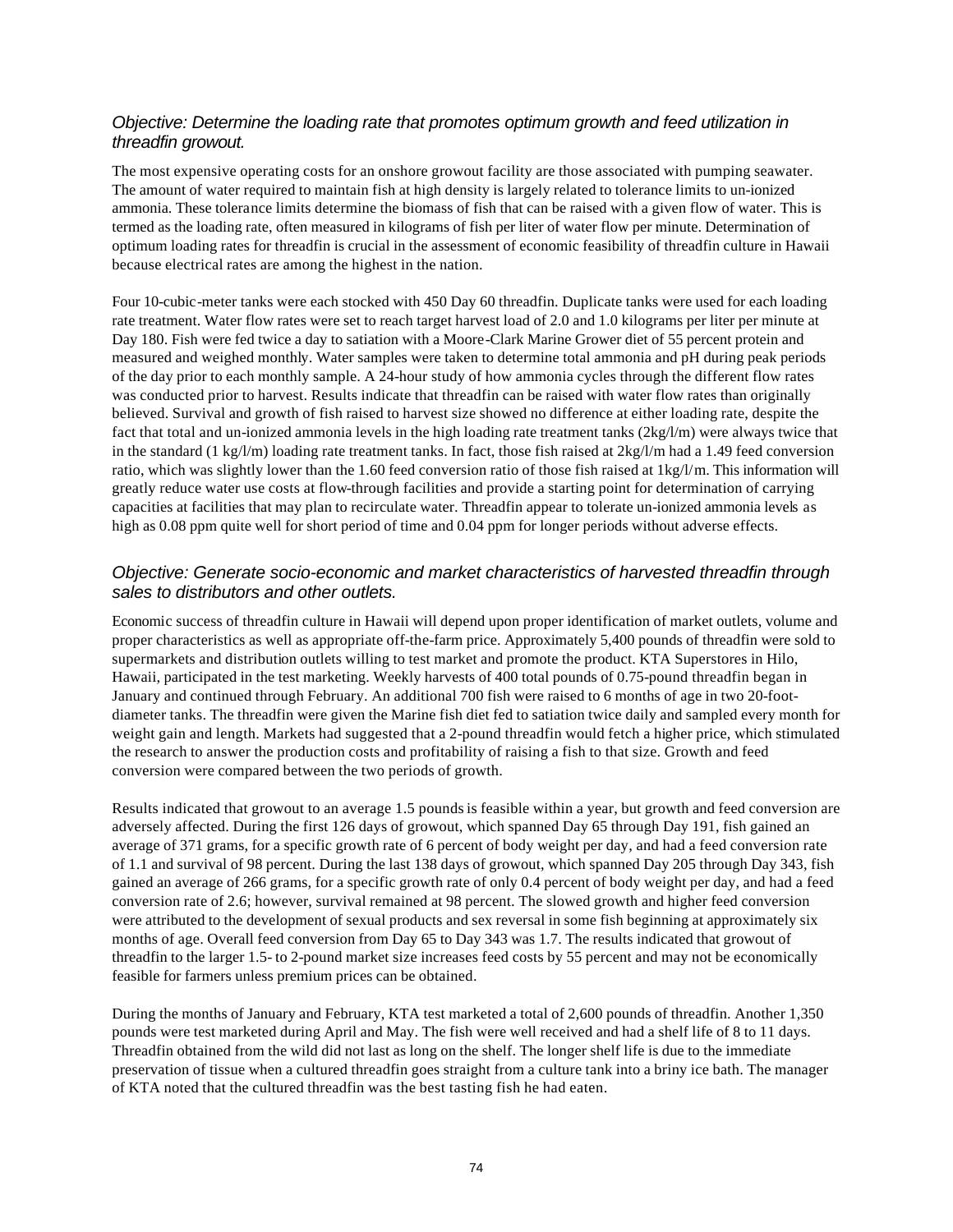#### *Objective: Determine the loading rate that promotes optimum growth and feed utilization in threadfin growout.*

The most expensive operating costs for an onshore growout facility are those associated with pumping seawater. The amount of water required to maintain fish at high density is largely related to tolerance limits to un-ionized ammonia. These tolerance limits determine the biomass of fish that can be raised with a given flow of water. This is termed as the loading rate, often measured in kilograms of fish per liter of water flow per minute. Determination of optimum loading rates for threadfin is crucial in the assessment of economic feasibility of threadfin culture in Hawaii because electrical rates are among the highest in the nation.

Four 10-cubic-meter tanks were each stocked with 450 Day 60 threadfin. Duplicate tanks were used for each loading rate treatment. Water flow rates were set to reach target harvest load of 2.0 and 1.0 kilograms per liter per minute at Day 180. Fish were fed twice a day to satiation with a Moore-Clark Marine Grower diet of 55 percent protein and measured and weighed monthly. Water samples were taken to determine total ammonia and pH during peak periods of the day prior to each monthly sample. A 24-hour study of how ammonia cycles through the different flow rates was conducted prior to harvest. Results indicate that threadfin can be raised with water flow rates than originally believed. Survival and growth of fish raised to harvest size showed no difference at either loading rate, despite the fact that total and un-ionized ammonia levels in the high loading rate treatment tanks (2kg/l/m) were always twice that in the standard (1 kg/l/m) loading rate treatment tanks. In fact, those fish raised at  $2kg/l/m$  had a 1.49 feed conversion ratio, which was slightly lower than the 1.60 feed conversion ratio of those fish raised at 1kg/l/m. This information will greatly reduce water use costs at flow-through facilities and provide a starting point for determination of carrying capacities at facilities that may plan to recirculate water. Threadfin appear to tolerate un-ionized ammonia levels as high as 0.08 ppm quite well for short period of time and 0.04 ppm for longer periods without adverse effects.

#### *Objective: Generate socio-economic and market characteristics of harvested threadfin through sales to distributors and other outlets.*

Economic success of threadfin culture in Hawaii will depend upon proper identification of market outlets, volume and proper characteristics as well as appropriate off-the-farm price. Approximately 5,400 pounds of threadfin were sold to supermarkets and distribution outlets willing to test market and promote the product. KTA Superstores in Hilo, Hawaii, participated in the test marketing. Weekly harvests of 400 total pounds of 0.75-pound threadfin began in January and continued through February. An additional 700 fish were raised to 6 months of age in two 20-footdiameter tanks. The threadfin were given the Marine fish diet fed to satiation twice daily and sampled every month for weight gain and length. Markets had suggested that a 2-pound threadfin would fetch a higher price, which stimulated the research to answer the production costs and profitability of raising a fish to that size. Growth and feed conversion were compared between the two periods of growth.

Results indicated that growout to an average 1.5 pounds is feasible within a year, but growth and feed conversion are adversely affected. During the first 126 days of growout, which spanned Day 65 through Day 191, fish gained an average of 371 grams, for a specific growth rate of 6 percent of body weight per day, and had a feed conversion rate of 1.1 and survival of 98 percent. During the last 138 days of growout, which spanned Day 205 through Day 343, fish gained an average of 266 grams, for a specific growth rate of only 0.4 percent of body weight per day, and had a feed conversion rate of 2.6; however, survival remained at 98 percent. The slowed growth and higher feed conversion were attributed to the development of sexual products and sex reversal in some fish beginning at approximately six months of age. Overall feed conversion from Day 65 to Day 343 was 1.7. The results indicated that growout of threadfin to the larger 1.5- to 2-pound market size increases feed costs by 55 percent and may not be economically feasible for farmers unless premium prices can be obtained.

During the months of January and February, KTA test marketed a total of 2,600 pounds of threadfin. Another 1,350 pounds were test marketed during April and May. The fish were well received and had a shelf life of 8 to 11 days. Threadfin obtained from the wild did not last as long on the shelf. The longer shelf life is due to the immediate preservation of tissue when a cultured threadfin goes straight from a culture tank into a briny ice bath. The manager of KTA noted that the cultured threadfin was the best tasting fish he had eaten.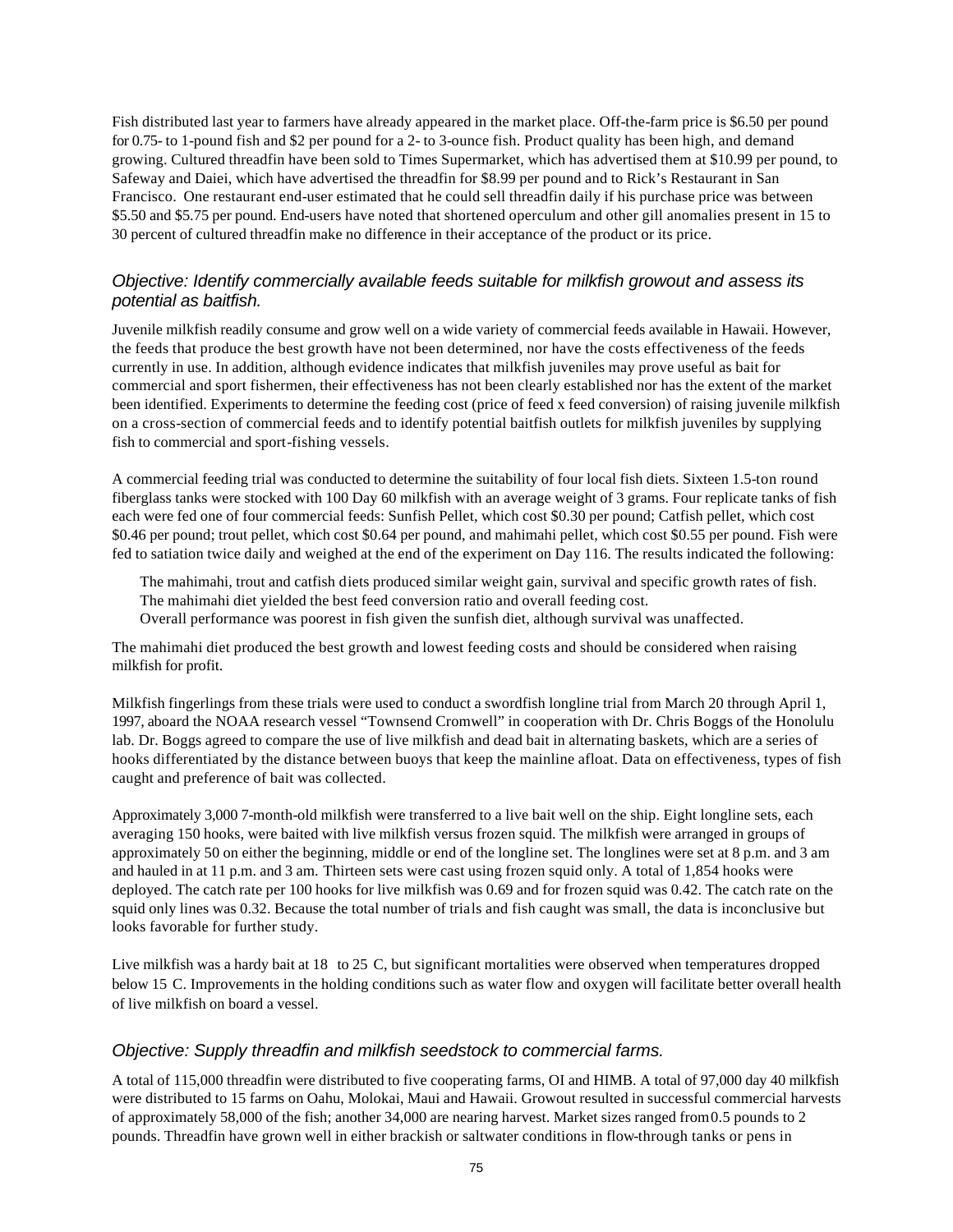Fish distributed last year to farmers have already appeared in the market place. Off-the-farm price is \$6.50 per pound for 0.75- to 1-pound fish and \$2 per pound for a 2- to 3-ounce fish. Product quality has been high, and demand growing. Cultured threadfin have been sold to Times Supermarket, which has advertised them at \$10.99 per pound, to Safeway and Daiei, which have advertised the threadfin for \$8.99 per pound and to Rick's Restaurant in San Francisco. One restaurant end-user estimated that he could sell threadfin daily if his purchase price was between \$5.50 and \$5.75 per pound. End-users have noted that shortened operculum and other gill anomalies present in 15 to 30 percent of cultured threadfin make no difference in their acceptance of the product or its price.

#### *Objective: Identify commercially available feeds suitable for milkfish growout and assess its potential as baitfish.*

Juvenile milkfish readily consume and grow well on a wide variety of commercial feeds available in Hawaii. However, the feeds that produce the best growth have not been determined, nor have the costs effectiveness of the feeds currently in use. In addition, although evidence indicates that milkfish juveniles may prove useful as bait for commercial and sport fishermen, their effectiveness has not been clearly established nor has the extent of the market been identified. Experiments to determine the feeding cost (price of feed x feed conversion) of raising juvenile milkfish on a cross-section of commercial feeds and to identify potential baitfish outlets for milkfish juveniles by supplying fish to commercial and sport-fishing vessels.

A commercial feeding trial was conducted to determine the suitability of four local fish diets. Sixteen 1.5-ton round fiberglass tanks were stocked with 100 Day 60 milkfish with an average weight of 3 grams. Four replicate tanks of fish each were fed one of four commercial feeds: Sunfish Pellet, which cost \$0.30 per pound; Catfish pellet, which cost \$0.46 per pound; trout pellet, which cost \$0.64 per pound, and mahimahi pellet, which cost \$0.55 per pound. Fish were fed to satiation twice daily and weighed at the end of the experiment on Day 116. The results indicated the following:

The mahimahi, trout and catfish diets produced similar weight gain, survival and specific growth rates of fish. The mahimahi diet yielded the best feed conversion ratio and overall feeding cost. Overall performance was poorest in fish given the sunfish diet, although survival was unaffected.

The mahimahi diet produced the best growth and lowest feeding costs and should be considered when raising milkfish for profit.

Milkfish fingerlings from these trials were used to conduct a swordfish longline trial from March 20 through April 1, 1997, aboard the NOAA research vessel "Townsend Cromwell" in cooperation with Dr. Chris Boggs of the Honolulu lab. Dr. Boggs agreed to compare the use of live milkfish and dead bait in alternating baskets, which are a series of hooks differentiated by the distance between buoys that keep the mainline afloat. Data on effectiveness, types of fish caught and preference of bait was collected.

Approximately 3,000 7-month-old milkfish were transferred to a live bait well on the ship. Eight longline sets, each averaging 150 hooks, were baited with live milkfish versus frozen squid. The milkfish were arranged in groups of approximately 50 on either the beginning, middle or end of the longline set. The longlines were set at 8 p.m. and 3 am and hauled in at 11 p.m. and 3 am. Thirteen sets were cast using frozen squid only. A total of 1,854 hooks were deployed. The catch rate per 100 hooks for live milkfish was 0.69 and for frozen squid was 0.42. The catch rate on the squid only lines was 0.32. Because the total number of trials and fish caught was small, the data is inconclusive but looks favorable for further study.

Live milkfish was a hardy bait at 18 to 25 C, but significant mortalities were observed when temperatures dropped below 15 C. Improvements in the holding conditions such as water flow and oxygen will facilitate better overall health of live milkfish on board a vessel.

#### *Objective: Supply threadfin and milkfish seedstock to commercial farms.*

A total of 115,000 threadfin were distributed to five cooperating farms, OI and HIMB. A total of 97,000 day 40 milkfish were distributed to 15 farms on Oahu, Molokai, Maui and Hawaii. Growout resulted in successful commercial harvests of approximately 58,000 of the fish; another 34,000 are nearing harvest. Market sizes ranged from 0.5 pounds to 2 pounds. Threadfin have grown well in either brackish or saltwater conditions in flow-through tanks or pens in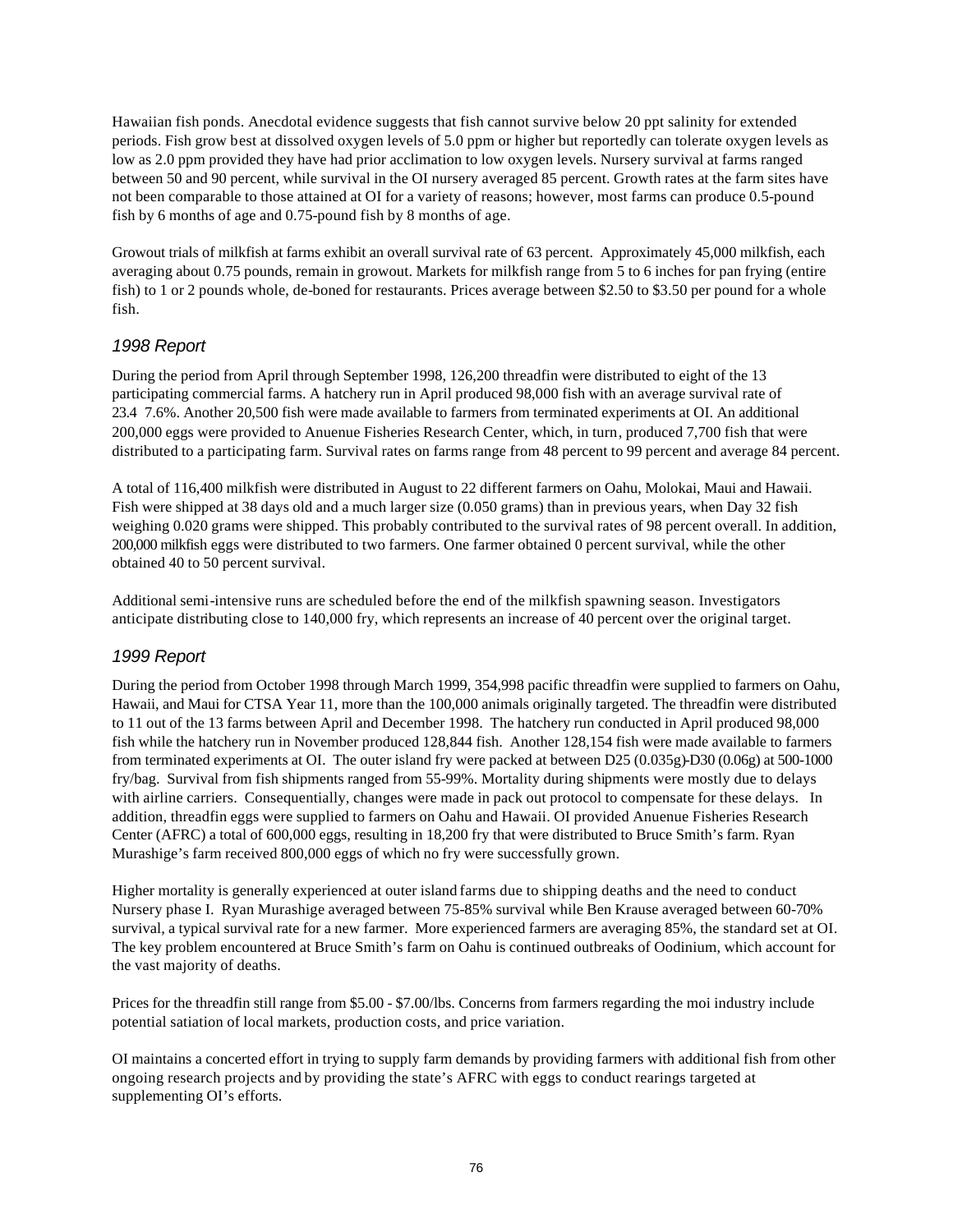Hawaiian fish ponds. Anecdotal evidence suggests that fish cannot survive below 20 ppt salinity for extended periods. Fish grow best at dissolved oxygen levels of 5.0 ppm or higher but reportedly can tolerate oxygen levels as low as 2.0 ppm provided they have had prior acclimation to low oxygen levels. Nursery survival at farms ranged between 50 and 90 percent, while survival in the OI nursery averaged 85 percent. Growth rates at the farm sites have not been comparable to those attained at OI for a variety of reasons; however, most farms can produce 0.5-pound fish by 6 months of age and 0.75-pound fish by 8 months of age.

Growout trials of milkfish at farms exhibit an overall survival rate of 63 percent. Approximately 45,000 milkfish, each averaging about 0.75 pounds, remain in growout. Markets for milkfish range from 5 to 6 inches for pan frying (entire fish) to 1 or 2 pounds whole, de-boned for restaurants. Prices average between \$2.50 to \$3.50 per pound for a whole fish.

#### *1998 Report*

During the period from April through September 1998, 126,200 threadfin were distributed to eight of the 13 participating commercial farms. A hatchery run in April produced 98,000 fish with an average survival rate of 23.4 7.6%. Another 20,500 fish were made available to farmers from terminated experiments at OI. An additional 200,000 eggs were provided to Anuenue Fisheries Research Center, which, in turn, produced 7,700 fish that were distributed to a participating farm. Survival rates on farms range from 48 percent to 99 percent and average 84 percent.

A total of 116,400 milkfish were distributed in August to 22 different farmers on Oahu, Molokai, Maui and Hawaii. Fish were shipped at 38 days old and a much larger size (0.050 grams) than in previous years, when Day 32 fish weighing 0.020 grams were shipped. This probably contributed to the survival rates of 98 percent overall. In addition, 200,000 milkfish eggs were distributed to two farmers. One farmer obtained 0 percent survival, while the other obtained 40 to 50 percent survival.

Additional semi-intensive runs are scheduled before the end of the milkfish spawning season. Investigators anticipate distributing close to 140,000 fry, which represents an increase of 40 percent over the original target.

#### *1999 Report*

During the period from October 1998 through March 1999, 354,998 pacific threadfin were supplied to farmers on Oahu, Hawaii, and Maui for CTSA Year 11, more than the 100,000 animals originally targeted. The threadfin were distributed to 11 out of the 13 farms between April and December 1998. The hatchery run conducted in April produced 98,000 fish while the hatchery run in November produced 128,844 fish. Another 128,154 fish were made available to farmers from terminated experiments at OI. The outer island fry were packed at between D25 (0.035g)-D30 (0.06g) at 500-1000 fry/bag. Survival from fish shipments ranged from 55-99%. Mortality during shipments were mostly due to delays with airline carriers. Consequentially, changes were made in pack out protocol to compensate for these delays. In addition, threadfin eggs were supplied to farmers on Oahu and Hawaii. OI provided Anuenue Fisheries Research Center (AFRC) a total of 600,000 eggs, resulting in 18,200 fry that were distributed to Bruce Smith's farm. Ryan Murashige's farm received 800,000 eggs of which no fry were successfully grown.

Higher mortality is generally experienced at outer island farms due to shipping deaths and the need to conduct Nursery phase I. Ryan Murashige averaged between 75-85% survival while Ben Krause averaged between 60-70% survival, a typical survival rate for a new farmer. More experienced farmers are averaging 85%, the standard set at OI. The key problem encountered at Bruce Smith's farm on Oahu is continued outbreaks of Oodinium, which account for the vast majority of deaths.

Prices for the threadfin still range from \$5.00 - \$7.00/lbs. Concerns from farmers regarding the moi industry include potential satiation of local markets, production costs, and price variation.

OI maintains a concerted effort in trying to supply farm demands by providing farmers with additional fish from other ongoing research projects and by providing the state's AFRC with eggs to conduct rearings targeted at supplementing OI's efforts.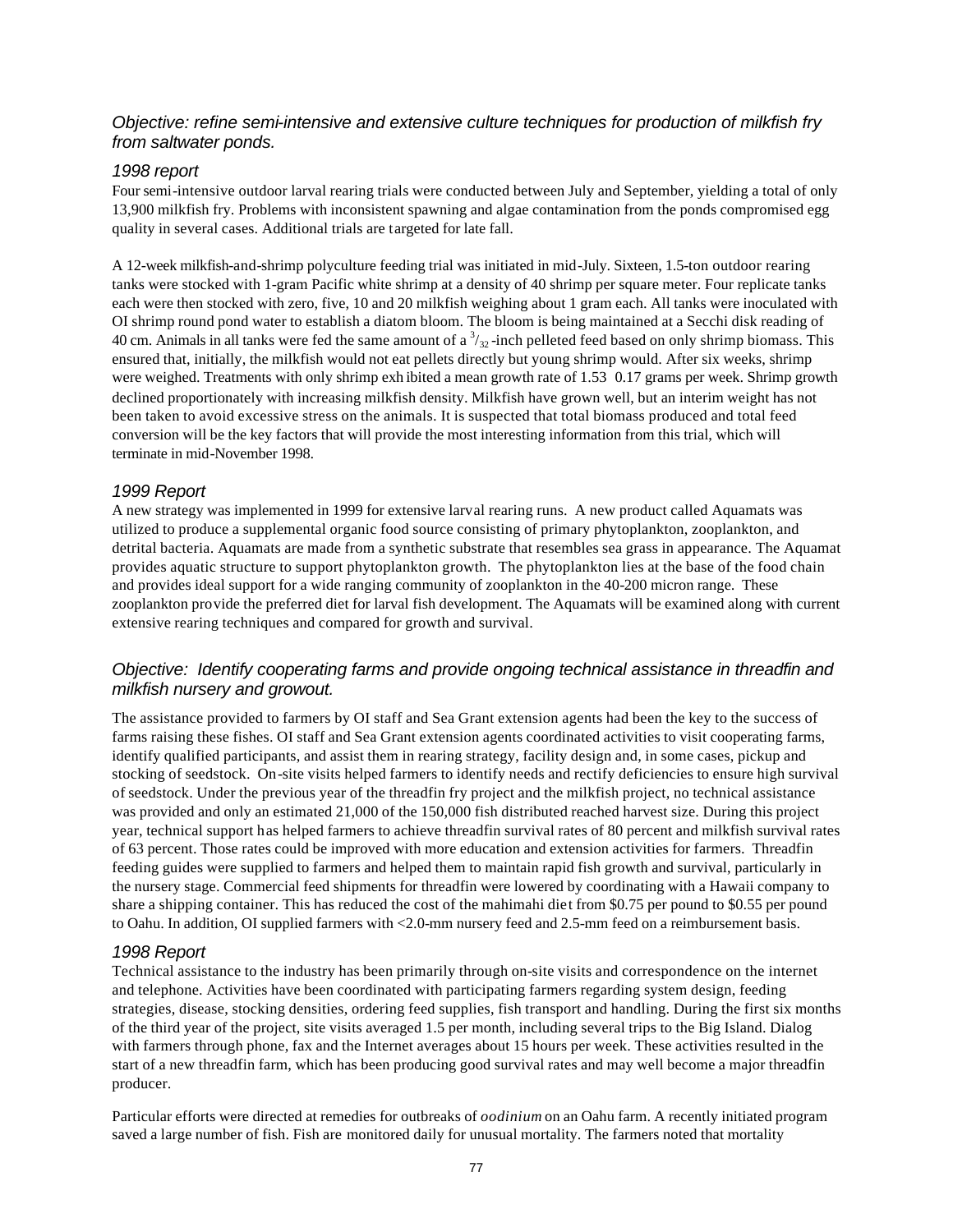#### *Objective: refine semi-intensive and extensive culture techniques for production of milkfish fry from saltwater ponds.*

#### *1998 report*

Four semi-intensive outdoor larval rearing trials were conducted between July and September, yielding a total of only 13,900 milkfish fry. Problems with inconsistent spawning and algae contamination from the ponds compromised egg quality in several cases. Additional trials are targeted for late fall.

A 12-week milkfish-and-shrimp polyculture feeding trial was initiated in mid-July. Sixteen, 1.5-ton outdoor rearing tanks were stocked with 1-gram Pacific white shrimp at a density of 40 shrimp per square meter. Four replicate tanks each were then stocked with zero, five, 10 and 20 milkfish weighing about 1 gram each. All tanks were inoculated with OI shrimp round pond water to establish a diatom bloom. The bloom is being maintained at a Secchi disk reading of 40 cm. Animals in all tanks were fed the same amount of a  $\frac{3}{32}$ -inch pelleted feed based on only shrimp biomass. This ensured that, initially, the milkfish would not eat pellets directly but young shrimp would. After six weeks, shrimp were weighed. Treatments with only shrimp exh ibited a mean growth rate of 1.53 0.17 grams per week. Shrimp growth declined proportionately with increasing milkfish density. Milkfish have grown well, but an interim weight has not been taken to avoid excessive stress on the animals. It is suspected that total biomass produced and total feed conversion will be the key factors that will provide the most interesting information from this trial, which will terminate in mid-November 1998.

#### *1999 Report*

A new strategy was implemented in 1999 for extensive larval rearing runs. A new product called Aquamats was utilized to produce a supplemental organic food source consisting of primary phytoplankton, zooplankton, and detrital bacteria. Aquamats are made from a synthetic substrate that resembles sea grass in appearance. The Aquamat provides aquatic structure to support phytoplankton growth. The phytoplankton lies at the base of the food chain and provides ideal support for a wide ranging community of zooplankton in the 40-200 micron range. These zooplankton provide the preferred diet for larval fish development. The Aquamats will be examined along with current extensive rearing techniques and compared for growth and survival.

#### *Objective: Identify cooperating farms and provide ongoing technical assistance in threadfin and milkfish nursery and growout.*

The assistance provided to farmers by OI staff and Sea Grant extension agents had been the key to the success of farms raising these fishes. OI staff and Sea Grant extension agents coordinated activities to visit cooperating farms, identify qualified participants, and assist them in rearing strategy, facility design and, in some cases, pickup and stocking of seedstock. On-site visits helped farmers to identify needs and rectify deficiencies to ensure high survival of seedstock. Under the previous year of the threadfin fry project and the milkfish project, no technical assistance was provided and only an estimated 21,000 of the 150,000 fish distributed reached harvest size. During this project year, technical support has helped farmers to achieve threadfin survival rates of 80 percent and milkfish survival rates of 63 percent. Those rates could be improved with more education and extension activities for farmers. Threadfin feeding guides were supplied to farmers and helped them to maintain rapid fish growth and survival, particularly in the nursery stage. Commercial feed shipments for threadfin were lowered by coordinating with a Hawaii company to share a shipping container. This has reduced the cost of the mahimahi diet from \$0.75 per pound to \$0.55 per pound to Oahu. In addition, OI supplied farmers with <2.0-mm nursery feed and 2.5-mm feed on a reimbursement basis.

#### *1998 Report*

Technical assistance to the industry has been primarily through on-site visits and correspondence on the internet and telephone. Activities have been coordinated with participating farmers regarding system design, feeding strategies, disease, stocking densities, ordering feed supplies, fish transport and handling. During the first six months of the third year of the project, site visits averaged 1.5 per month, including several trips to the Big Island. Dialog with farmers through phone, fax and the Internet averages about 15 hours per week. These activities resulted in the start of a new threadfin farm, which has been producing good survival rates and may well become a major threadfin producer.

Particular efforts were directed at remedies for outbreaks of *oodinium* on an Oahu farm. A recently initiated program saved a large number of fish. Fish are monitored daily for unusual mortality. The farmers noted that mortality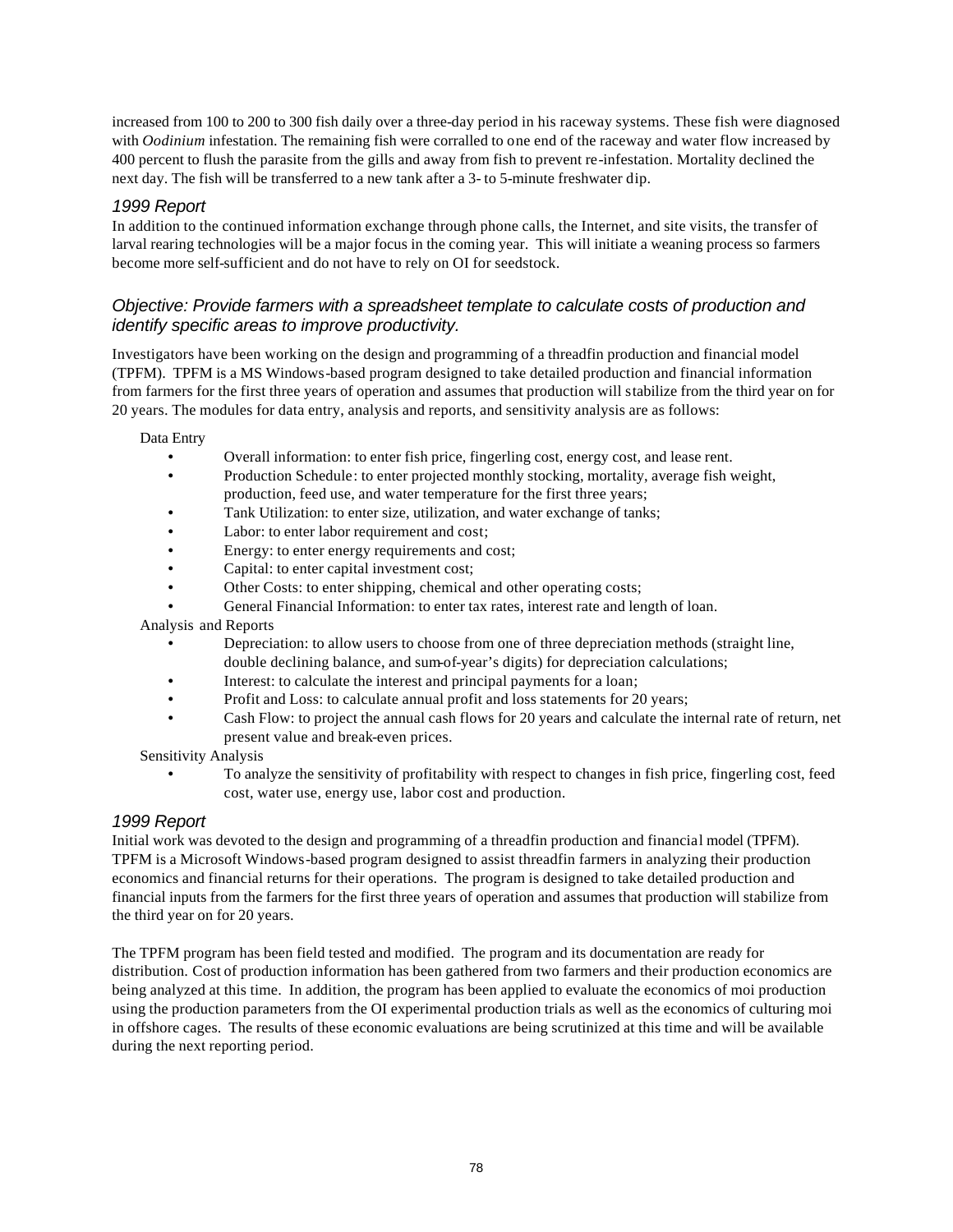increased from 100 to 200 to 300 fish daily over a three-day period in his raceway systems. These fish were diagnosed with *Oodinium* infestation. The remaining fish were corralled to one end of the raceway and water flow increased by 400 percent to flush the parasite from the gills and away from fish to prevent re-infestation. Mortality declined the next day. The fish will be transferred to a new tank after a 3- to 5-minute freshwater dip.

#### *1999 Report*

In addition to the continued information exchange through phone calls, the Internet, and site visits, the transfer of larval rearing technologies will be a major focus in the coming year. This will initiate a weaning process so farmers become more self-sufficient and do not have to rely on OI for seedstock.

#### *Objective: Provide farmers with a spreadsheet template to calculate costs of production and identify specific areas to improve productivity.*

Investigators have been working on the design and programming of a threadfin production and financial model (TPFM). TPFM is a MS Windows-based program designed to take detailed production and financial information from farmers for the first three years of operation and assumes that production will stabilize from the third year on for 20 years. The modules for data entry, analysis and reports, and sensitivity analysis are as follows:

Data Entry

- Overall information: to enter fish price, fingerling cost, energy cost, and lease rent.
- Production Schedule: to enter projected monthly stocking, mortality, average fish weight, production, feed use, and water temperature for the first three years;
- Tank Utilization: to enter size, utilization, and water exchange of tanks;
- Labor: to enter labor requirement and cost;
- Energy: to enter energy requirements and cost:
- Capital: to enter capital investment cost;
- Other Costs: to enter shipping, chemical and other operating costs;
- General Financial Information: to enter tax rates, interest rate and length of loan.

Analysis and Reports

- Depreciation: to allow users to choose from one of three depreciation methods (straight line, double declining balance, and sum-of-year's digits) for depreciation calculations;
- Interest: to calculate the interest and principal payments for a loan;
- Profit and Loss: to calculate annual profit and loss statements for 20 years;
- Cash Flow: to project the annual cash flows for 20 years and calculate the internal rate of return, net present value and break-even prices.

Sensitivity Analysis

• To analyze the sensitivity of profitability with respect to changes in fish price, fingerling cost, feed cost, water use, energy use, labor cost and production.

#### *1999 Report*

Initial work was devoted to the design and programming of a threadfin production and financial model (TPFM). TPFM is a Microsoft Windows-based program designed to assist threadfin farmers in analyzing their production economics and financial returns for their operations. The program is designed to take detailed production and financial inputs from the farmers for the first three years of operation and assumes that production will stabilize from the third year on for 20 years.

The TPFM program has been field tested and modified. The program and its documentation are ready for distribution. Cost of production information has been gathered from two farmers and their production economics are being analyzed at this time. In addition, the program has been applied to evaluate the economics of moi production using the production parameters from the OI experimental production trials as well as the economics of culturing moi in offshore cages. The results of these economic evaluations are being scrutinized at this time and will be available during the next reporting period.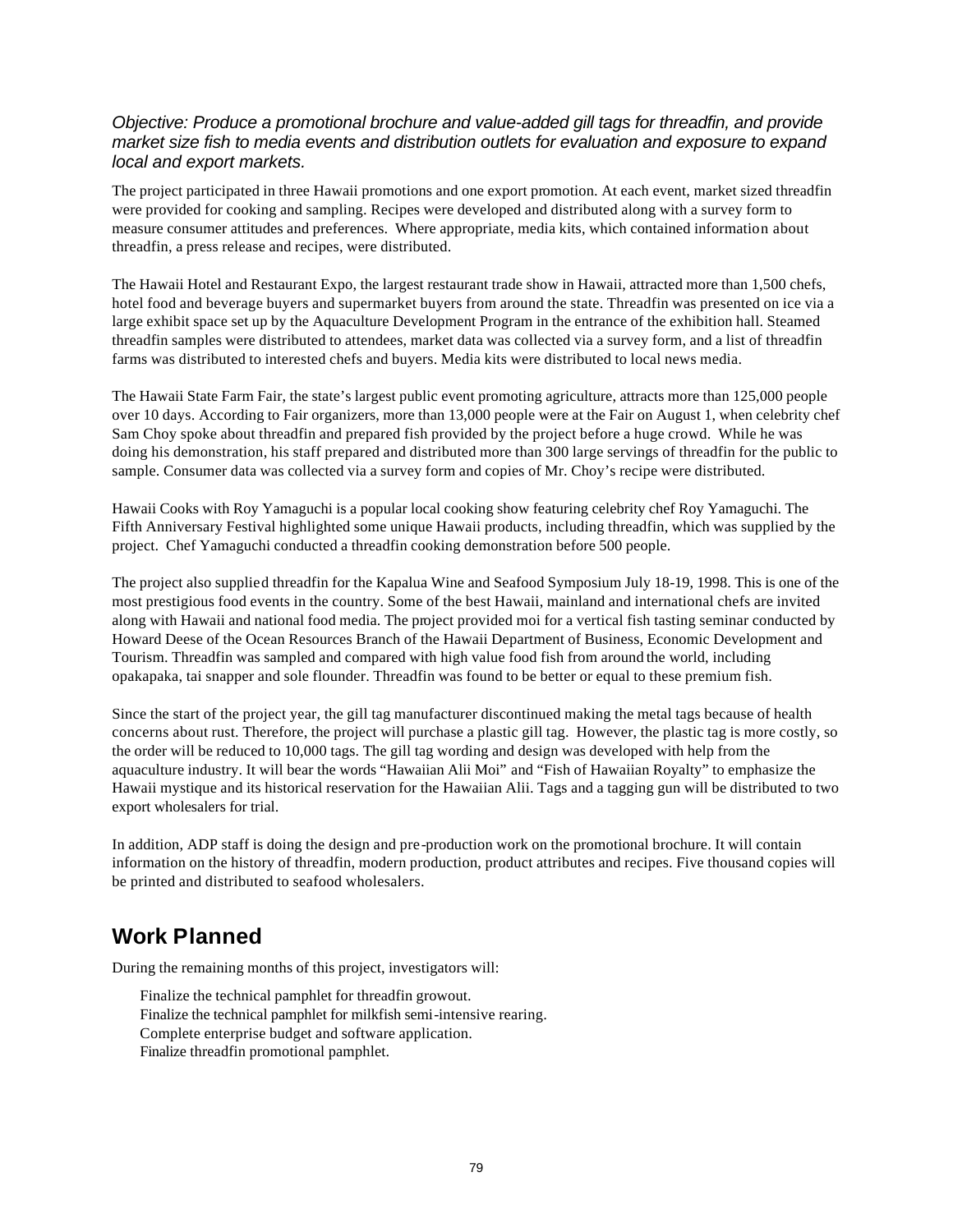#### *Objective: Produce a promotional brochure and value-added gill tags for threadfin, and provide market size fish to media events and distribution outlets for evaluation and exposure to expand local and export markets.*

The project participated in three Hawaii promotions and one export promotion. At each event, market sized threadfin were provided for cooking and sampling. Recipes were developed and distributed along with a survey form to measure consumer attitudes and preferences. Where appropriate, media kits, which contained information about threadfin, a press release and recipes, were distributed.

The Hawaii Hotel and Restaurant Expo, the largest restaurant trade show in Hawaii, attracted more than 1,500 chefs, hotel food and beverage buyers and supermarket buyers from around the state. Threadfin was presented on ice via a large exhibit space set up by the Aquaculture Development Program in the entrance of the exhibition hall. Steamed threadfin samples were distributed to attendees, market data was collected via a survey form, and a list of threadfin farms was distributed to interested chefs and buyers. Media kits were distributed to local news media.

The Hawaii State Farm Fair, the state's largest public event promoting agriculture, attracts more than 125,000 people over 10 days. According to Fair organizers, more than 13,000 people were at the Fair on August 1, when celebrity chef Sam Choy spoke about threadfin and prepared fish provided by the project before a huge crowd. While he was doing his demonstration, his staff prepared and distributed more than 300 large servings of threadfin for the public to sample. Consumer data was collected via a survey form and copies of Mr. Choy's recipe were distributed.

Hawaii Cooks with Roy Yamaguchi is a popular local cooking show featuring celebrity chef Roy Yamaguchi. The Fifth Anniversary Festival highlighted some unique Hawaii products, including threadfin, which was supplied by the project. Chef Yamaguchi conducted a threadfin cooking demonstration before 500 people.

The project also supplied threadfin for the Kapalua Wine and Seafood Symposium July 18-19, 1998. This is one of the most prestigious food events in the country. Some of the best Hawaii, mainland and international chefs are invited along with Hawaii and national food media. The project provided moi for a vertical fish tasting seminar conducted by Howard Deese of the Ocean Resources Branch of the Hawaii Department of Business, Economic Development and Tourism. Threadfin was sampled and compared with high value food fish from around the world, including opakapaka, tai snapper and sole flounder. Threadfin was found to be better or equal to these premium fish.

Since the start of the project year, the gill tag manufacturer discontinued making the metal tags because of health concerns about rust. Therefore, the project will purchase a plastic gill tag. However, the plastic tag is more costly, so the order will be reduced to 10,000 tags. The gill tag wording and design was developed with help from the aquaculture industry. It will bear the words "Hawaiian Alii Moi" and "Fish of Hawaiian Royalty" to emphasize the Hawaii mystique and its historical reservation for the Hawaiian Alii. Tags and a tagging gun will be distributed to two export wholesalers for trial.

In addition, ADP staff is doing the design and pre-production work on the promotional brochure. It will contain information on the history of threadfin, modern production, product attributes and recipes. Five thousand copies will be printed and distributed to seafood wholesalers.

### **Work Planned**

During the remaining months of this project, investigators will:

Finalize the technical pamphlet for threadfin growout. Finalize the technical pamphlet for milkfish semi-intensive rearing. Complete enterprise budget and software application. Finalize threadfin promotional pamphlet.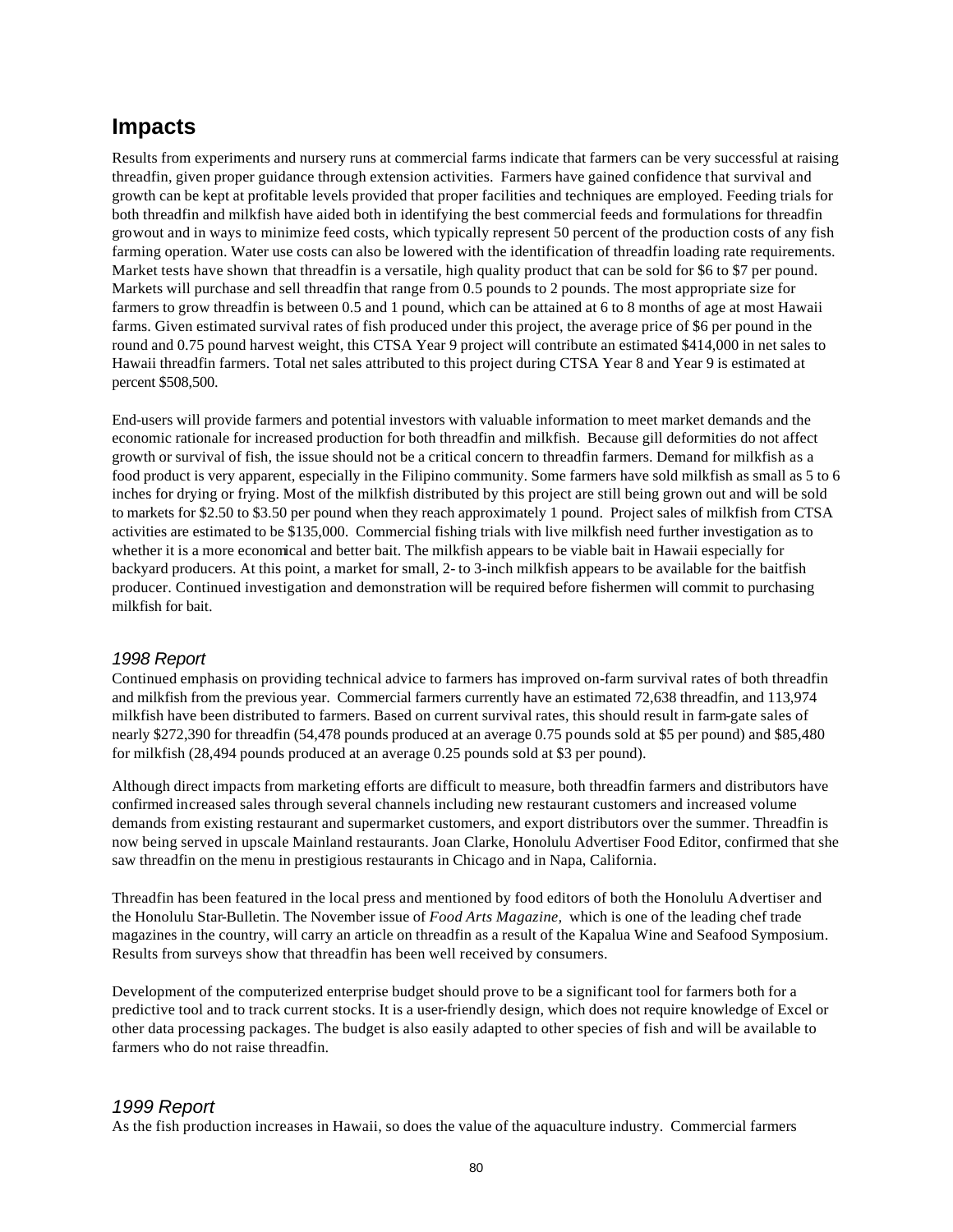### **Impacts**

Results from experiments and nursery runs at commercial farms indicate that farmers can be very successful at raising threadfin, given proper guidance through extension activities. Farmers have gained confidence that survival and growth can be kept at profitable levels provided that proper facilities and techniques are employed. Feeding trials for both threadfin and milkfish have aided both in identifying the best commercial feeds and formulations for threadfin growout and in ways to minimize feed costs, which typically represent 50 percent of the production costs of any fish farming operation. Water use costs can also be lowered with the identification of threadfin loading rate requirements. Market tests have shown that threadfin is a versatile, high quality product that can be sold for \$6 to \$7 per pound. Markets will purchase and sell threadfin that range from 0.5 pounds to 2 pounds. The most appropriate size for farmers to grow threadfin is between 0.5 and 1 pound, which can be attained at 6 to 8 months of age at most Hawaii farms. Given estimated survival rates of fish produced under this project, the average price of \$6 per pound in the round and 0.75 pound harvest weight, this CTSA Year 9 project will contribute an estimated \$414,000 in net sales to Hawaii threadfin farmers. Total net sales attributed to this project during CTSA Year 8 and Year 9 is estimated at percent \$508,500.

End-users will provide farmers and potential investors with valuable information to meet market demands and the economic rationale for increased production for both threadfin and milkfish. Because gill deformities do not affect growth or survival of fish, the issue should not be a critical concern to threadfin farmers. Demand for milkfish as a food product is very apparent, especially in the Filipino community. Some farmers have sold milkfish as small as 5 to 6 inches for drying or frying. Most of the milkfish distributed by this project are still being grown out and will be sold to markets for \$2.50 to \$3.50 per pound when they reach approximately 1 pound. Project sales of milkfish from CTSA activities are estimated to be \$135,000. Commercial fishing trials with live milkfish need further investigation as to whether it is a more economical and better bait. The milkfish appears to be viable bait in Hawaii especially for backyard producers. At this point, a market for small, 2- to 3-inch milkfish appears to be available for the baitfish producer. Continued investigation and demonstration will be required before fishermen will commit to purchasing milkfish for bait.

#### *1998 Report*

Continued emphasis on providing technical advice to farmers has improved on-farm survival rates of both threadfin and milkfish from the previous year. Commercial farmers currently have an estimated 72,638 threadfin, and 113,974 milkfish have been distributed to farmers. Based on current survival rates, this should result in farm-gate sales of nearly \$272,390 for threadfin (54,478 pounds produced at an average 0.75 pounds sold at \$5 per pound) and \$85,480 for milkfish (28,494 pounds produced at an average 0.25 pounds sold at \$3 per pound).

Although direct impacts from marketing efforts are difficult to measure, both threadfin farmers and distributors have confirmed increased sales through several channels including new restaurant customers and increased volume demands from existing restaurant and supermarket customers, and export distributors over the summer. Threadfin is now being served in upscale Mainland restaurants. Joan Clarke, Honolulu Advertiser Food Editor, confirmed that she saw threadfin on the menu in prestigious restaurants in Chicago and in Napa, California.

Threadfin has been featured in the local press and mentioned by food editors of both the Honolulu Advertiser and the Honolulu Star-Bulletin. The November issue of *Food Arts Magazine,* which is one of the leading chef trade magazines in the country, will carry an article on threadfin as a result of the Kapalua Wine and Seafood Symposium. Results from surveys show that threadfin has been well received by consumers.

Development of the computerized enterprise budget should prove to be a significant tool for farmers both for a predictive tool and to track current stocks. It is a user-friendly design, which does not require knowledge of Excel or other data processing packages. The budget is also easily adapted to other species of fish and will be available to farmers who do not raise threadfin.

#### *1999 Report*

As the fish production increases in Hawaii, so does the value of the aquaculture industry. Commercial farmers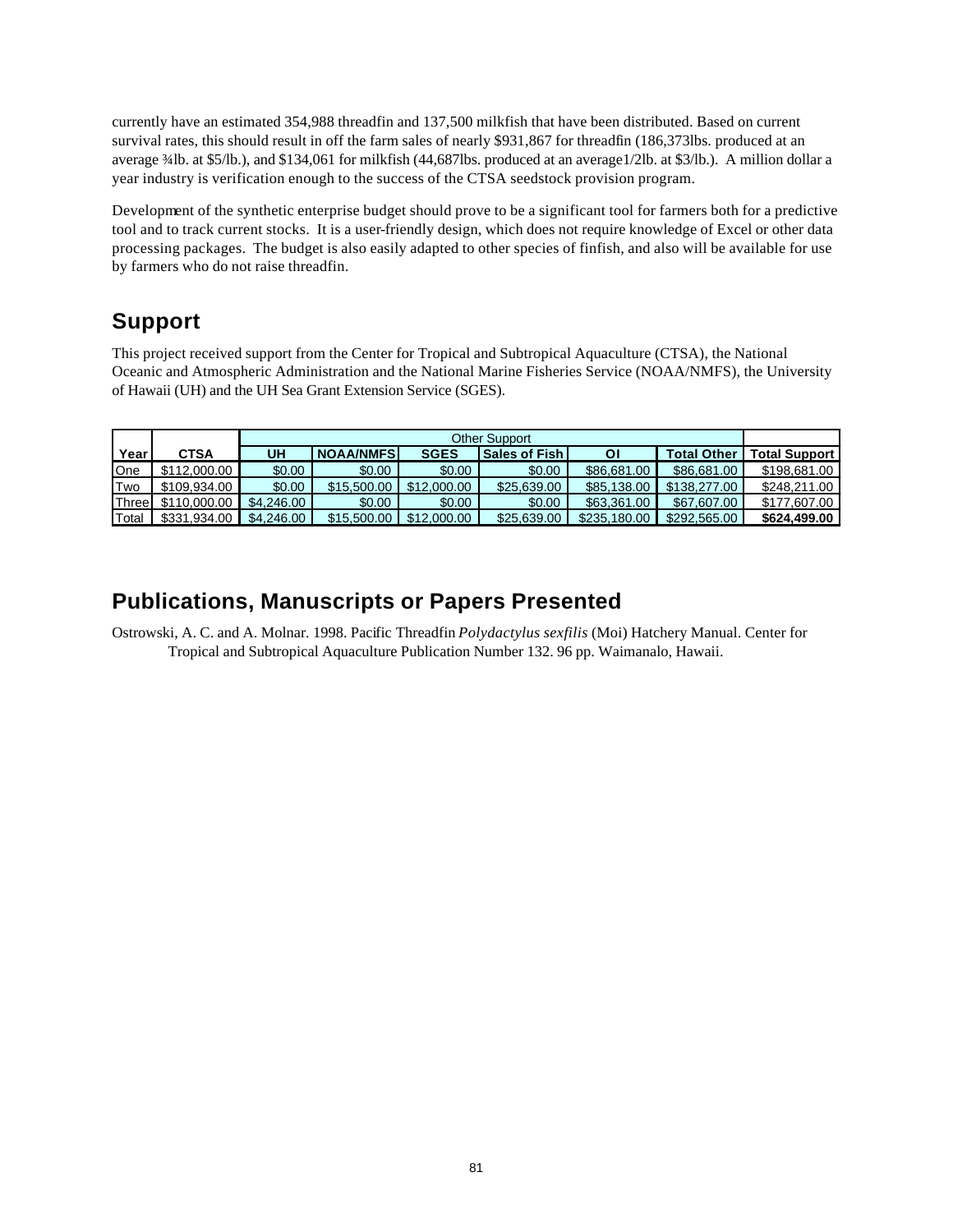currently have an estimated 354,988 threadfin and 137,500 milkfish that have been distributed. Based on current survival rates, this should result in off the farm sales of nearly \$931,867 for threadfin (186,373lbs. produced at an average ¾lb. at \$5/lb.), and \$134,061 for milkfish (44,687lbs. produced at an average1/2lb. at \$3/lb.). A million dollar a year industry is verification enough to the success of the CTSA seedstock provision program.

Development of the synthetic enterprise budget should prove to be a significant tool for farmers both for a predictive tool and to track current stocks. It is a user-friendly design, which does not require knowledge of Excel or other data processing packages. The budget is also easily adapted to other species of finfish, and also will be available for use by farmers who do not raise threadfin.

## **Support**

This project received support from the Center for Tropical and Subtropical Aquaculture (CTSA), the National Oceanic and Atmospheric Administration and the National Marine Fisheries Service (NOAA/NMFS), the University of Hawaii (UH) and the UH Sea Grant Extension Service (SGES).

| Year       | CTSA         | UH         | <b>NOAA/NMFSI</b> | <b>SGES</b> | <b>Sales of Fish I</b> | ΟI           | <b>Total Other</b> | <b>Total Support</b> |
|------------|--------------|------------|-------------------|-------------|------------------------|--------------|--------------------|----------------------|
| One        | \$112,000.00 | \$0.00     | \$0.00            | \$0.00      | \$0.00                 | \$86,681,00  | \$86,681,00        | \$198,681,00         |
| <b>Two</b> | \$109.934.00 | \$0.00     | \$15,500.00       | \$12,000.00 | \$25,639,00            | \$85,138,00  | \$138,277,00       | \$248.211.00         |
| Three      | \$110,000,00 | \$4,246,00 | \$0.00            | \$0.00      | \$0.00                 | \$63,361,00  | \$67,607.00        | \$177,607.00         |
| Total      | \$331.934.00 | \$4,246,00 | \$15,500.00       | \$12,000.00 | \$25,639,00            | \$235,180,00 | \$292,565,00       | \$624.499.00         |

## **Publications, Manuscripts or Papers Presented**

Ostrowski, A. C. and A. Molnar. 1998. Pacific Threadfin *Polydactylus sexfilis* (Moi) Hatchery Manual. Center for Tropical and Subtropical Aquaculture Publication Number 132. 96 pp. Waimanalo, Hawaii.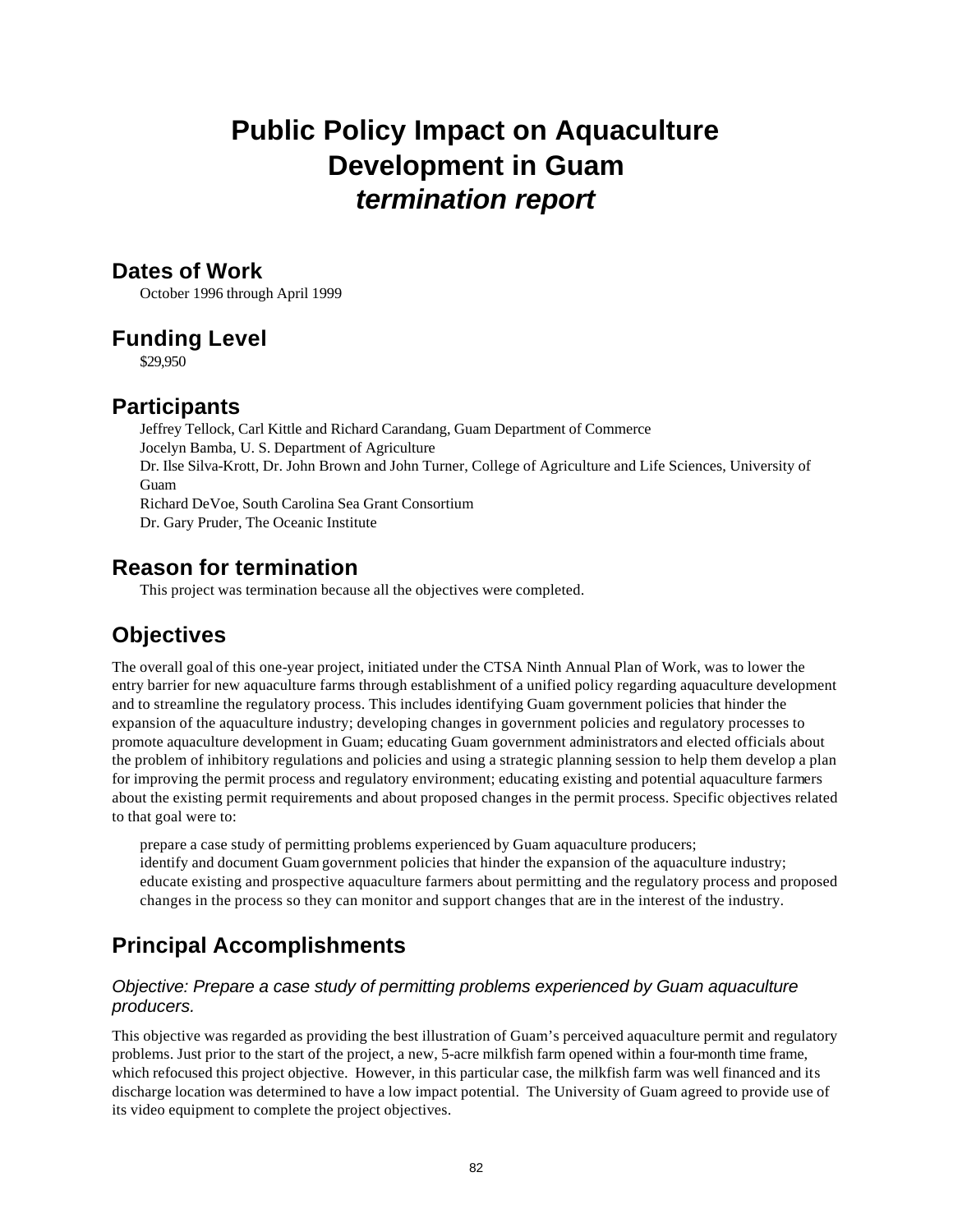# **Public Policy Impact on Aquaculture Development in Guam** *termination report*

### **Dates of Work**

October 1996 through April 1999

### **Funding Level**

\$29,950

### **Participants**

Jeffrey Tellock, Carl Kittle and Richard Carandang, Guam Department of Commerce Jocelyn Bamba, U. S. Department of Agriculture Dr. Ilse Silva-Krott, Dr. John Brown and John Turner, College of Agriculture and Life Sciences, University of Guam Richard DeVoe, South Carolina Sea Grant Consortium Dr. Gary Pruder, The Oceanic Institute

### **Reason for termination**

This project was termination because all the objectives were completed.

## **Objectives**

The overall goal of this one-year project, initiated under the CTSA Ninth Annual Plan of Work, was to lower the entry barrier for new aquaculture farms through establishment of a unified policy regarding aquaculture development and to streamline the regulatory process. This includes identifying Guam government policies that hinder the expansion of the aquaculture industry; developing changes in government policies and regulatory processes to promote aquaculture development in Guam; educating Guam government administrators and elected officials about the problem of inhibitory regulations and policies and using a strategic planning session to help them develop a plan for improving the permit process and regulatory environment; educating existing and potential aquaculture farmers about the existing permit requirements and about proposed changes in the permit process. Specific objectives related to that goal were to:

prepare a case study of permitting problems experienced by Guam aquaculture producers; identify and document Guam government policies that hinder the expansion of the aquaculture industry; educate existing and prospective aquaculture farmers about permitting and the regulatory process and proposed changes in the process so they can monitor and support changes that are in the interest of the industry.

## **Principal Accomplishments**

#### *Objective: Prepare a case study of permitting problems experienced by Guam aquaculture producers.*

This objective was regarded as providing the best illustration of Guam's perceived aquaculture permit and regulatory problems. Just prior to the start of the project, a new, 5-acre milkfish farm opened within a four-month time frame, which refocused this project objective. However, in this particular case, the milkfish farm was well financed and its discharge location was determined to have a low impact potential. The University of Guam agreed to provide use of its video equipment to complete the project objectives.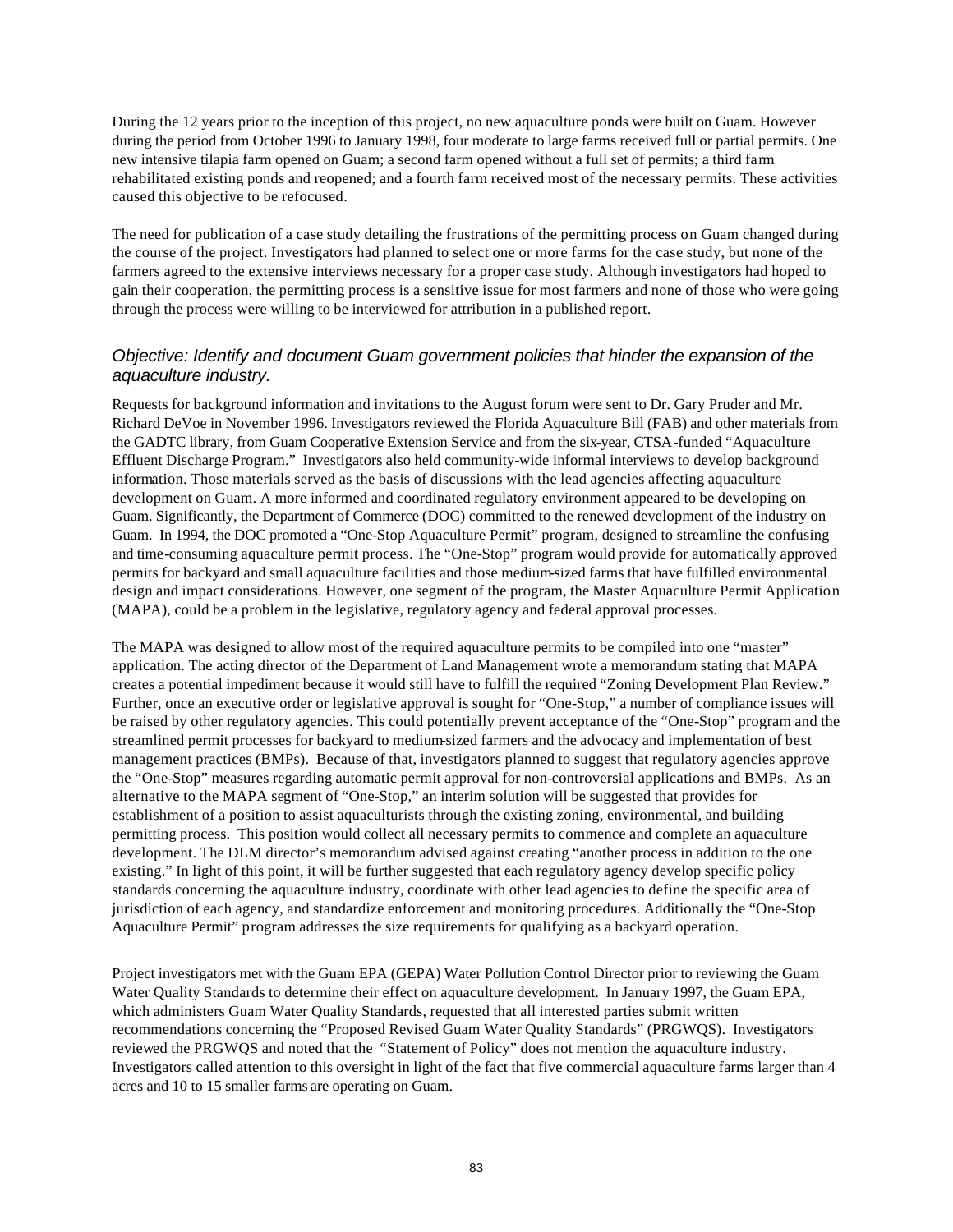During the 12 years prior to the inception of this project, no new aquaculture ponds were built on Guam. However during the period from October 1996 to January 1998, four moderate to large farms received full or partial permits. One new intensive tilapia farm opened on Guam; a second farm opened without a full set of permits; a third farm rehabilitated existing ponds and reopened; and a fourth farm received most of the necessary permits. These activities caused this objective to be refocused.

The need for publication of a case study detailing the frustrations of the permitting process on Guam changed during the course of the project. Investigators had planned to select one or more farms for the case study, but none of the farmers agreed to the extensive interviews necessary for a proper case study. Although investigators had hoped to gain their cooperation, the permitting process is a sensitive issue for most farmers and none of those who were going through the process were willing to be interviewed for attribution in a published report.

#### *Objective: Identify and document Guam government policies that hinder the expansion of the aquaculture industry.*

Requests for background information and invitations to the August forum were sent to Dr. Gary Pruder and Mr. Richard DeVoe in November 1996. Investigators reviewed the Florida Aquaculture Bill (FAB) and other materials from the GADTC library, from Guam Cooperative Extension Service and from the six-year, CTSA-funded "Aquaculture Effluent Discharge Program." Investigators also held community-wide informal interviews to develop background information. Those materials served as the basis of discussions with the lead agencies affecting aquaculture development on Guam. A more informed and coordinated regulatory environment appeared to be developing on Guam. Significantly, the Department of Commerce (DOC) committed to the renewed development of the industry on Guam. In 1994, the DOC promoted a "One-Stop Aquaculture Permit" program, designed to streamline the confusing and time-consuming aquaculture permit process. The "One-Stop" program would provide for automatically approved permits for backyard and small aquaculture facilities and those medium-sized farms that have fulfilled environmental design and impact considerations. However, one segment of the program, the Master Aquaculture Permit Application (MAPA), could be a problem in the legislative, regulatory agency and federal approval processes.

The MAPA was designed to allow most of the required aquaculture permits to be compiled into one "master" application. The acting director of the Department of Land Management wrote a memorandum stating that MAPA creates a potential impediment because it would still have to fulfill the required "Zoning Development Plan Review." Further, once an executive order or legislative approval is sought for "One-Stop," a number of compliance issues will be raised by other regulatory agencies. This could potentially prevent acceptance of the "One-Stop" program and the streamlined permit processes for backyard to medium-sized farmers and the advocacy and implementation of best management practices (BMPs). Because of that, investigators planned to suggest that regulatory agencies approve the "One-Stop" measures regarding automatic permit approval for non-controversial applications and BMPs. As an alternative to the MAPA segment of "One-Stop," an interim solution will be suggested that provides for establishment of a position to assist aquaculturists through the existing zoning, environmental, and building permitting process. This position would collect all necessary permits to commence and complete an aquaculture development. The DLM director's memorandum advised against creating "another process in addition to the one existing." In light of this point, it will be further suggested that each regulatory agency develop specific policy standards concerning the aquaculture industry, coordinate with other lead agencies to define the specific area of jurisdiction of each agency, and standardize enforcement and monitoring procedures. Additionally the "One-Stop Aquaculture Permit" program addresses the size requirements for qualifying as a backyard operation.

Project investigators met with the Guam EPA (GEPA) Water Pollution Control Director prior to reviewing the Guam Water Quality Standards to determine their effect on aquaculture development. In January 1997, the Guam EPA, which administers Guam Water Quality Standards, requested that all interested parties submit written recommendations concerning the "Proposed Revised Guam Water Quality Standards" (PRGWQS). Investigators reviewed the PRGWQS and noted that the "Statement of Policy" does not mention the aquaculture industry. Investigators called attention to this oversight in light of the fact that five commercial aquaculture farms larger than 4 acres and 10 to 15 smaller farms are operating on Guam.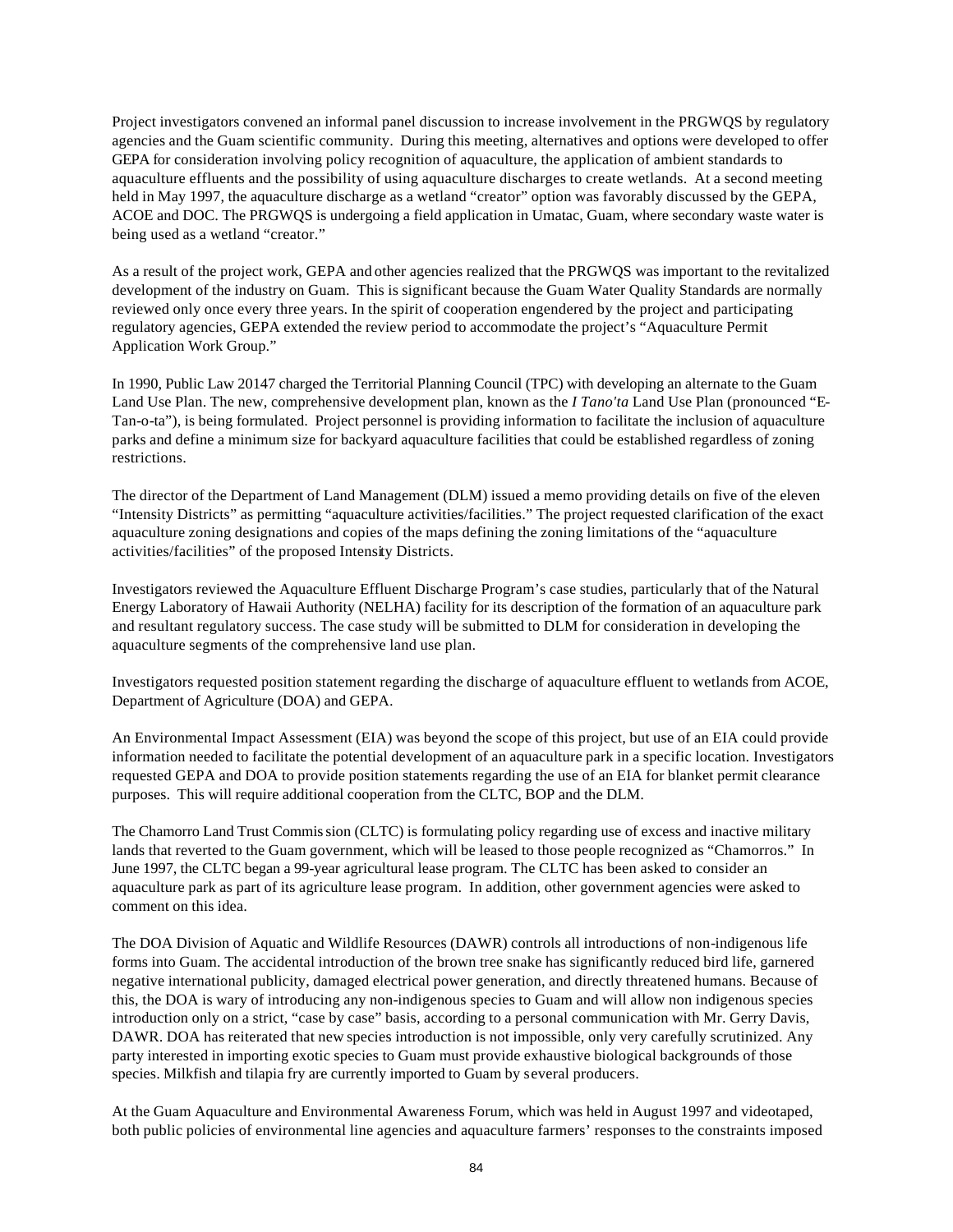Project investigators convened an informal panel discussion to increase involvement in the PRGWQS by regulatory agencies and the Guam scientific community. During this meeting, alternatives and options were developed to offer GEPA for consideration involving policy recognition of aquaculture, the application of ambient standards to aquaculture effluents and the possibility of using aquaculture discharges to create wetlands. At a second meeting held in May 1997, the aquaculture discharge as a wetland "creator" option was favorably discussed by the GEPA, ACOE and DOC. The PRGWQS is undergoing a field application in Umatac, Guam, where secondary waste water is being used as a wetland "creator."

As a result of the project work, GEPA and other agencies realized that the PRGWQS was important to the revitalized development of the industry on Guam. This is significant because the Guam Water Quality Standards are normally reviewed only once every three years. In the spirit of cooperation engendered by the project and participating regulatory agencies, GEPA extended the review period to accommodate the project's "Aquaculture Permit Application Work Group."

In 1990, Public Law 20147 charged the Territorial Planning Council (TPC) with developing an alternate to the Guam Land Use Plan. The new, comprehensive development plan, known as the *I Tano'ta* Land Use Plan (pronounced "E-Tan-o-ta"), is being formulated. Project personnel is providing information to facilitate the inclusion of aquaculture parks and define a minimum size for backyard aquaculture facilities that could be established regardless of zoning restrictions.

The director of the Department of Land Management (DLM) issued a memo providing details on five of the eleven "Intensity Districts" as permitting "aquaculture activities/facilities." The project requested clarification of the exact aquaculture zoning designations and copies of the maps defining the zoning limitations of the "aquaculture activities/facilities" of the proposed Intensity Districts.

Investigators reviewed the Aquaculture Effluent Discharge Program's case studies, particularly that of the Natural Energy Laboratory of Hawaii Authority (NELHA) facility for its description of the formation of an aquaculture park and resultant regulatory success. The case study will be submitted to DLM for consideration in developing the aquaculture segments of the comprehensive land use plan.

Investigators requested position statement regarding the discharge of aquaculture effluent to wetlands from ACOE, Department of Agriculture (DOA) and GEPA.

An Environmental Impact Assessment (EIA) was beyond the scope of this project, but use of an EIA could provide information needed to facilitate the potential development of an aquaculture park in a specific location. Investigators requested GEPA and DOA to provide position statements regarding the use of an EIA for blanket permit clearance purposes. This will require additional cooperation from the CLTC, BOP and the DLM.

The Chamorro Land Trust Commission (CLTC) is formulating policy regarding use of excess and inactive military lands that reverted to the Guam government, which will be leased to those people recognized as "Chamorros." In June 1997, the CLTC began a 99-year agricultural lease program. The CLTC has been asked to consider an aquaculture park as part of its agriculture lease program. In addition, other government agencies were asked to comment on this idea.

The DOA Division of Aquatic and Wildlife Resources (DAWR) controls all introductions of non-indigenous life forms into Guam. The accidental introduction of the brown tree snake has significantly reduced bird life, garnered negative international publicity, damaged electrical power generation, and directly threatened humans. Because of this, the DOA is wary of introducing any non-indigenous species to Guam and will allow non indigenous species introduction only on a strict, "case by case" basis, according to a personal communication with Mr. Gerry Davis, DAWR. DOA has reiterated that new species introduction is not impossible, only very carefully scrutinized. Any party interested in importing exotic species to Guam must provide exhaustive biological backgrounds of those species. Milkfish and tilapia fry are currently imported to Guam by several producers.

At the Guam Aquaculture and Environmental Awareness Forum, which was held in August 1997 and videotaped, both public policies of environmental line agencies and aquaculture farmers' responses to the constraints imposed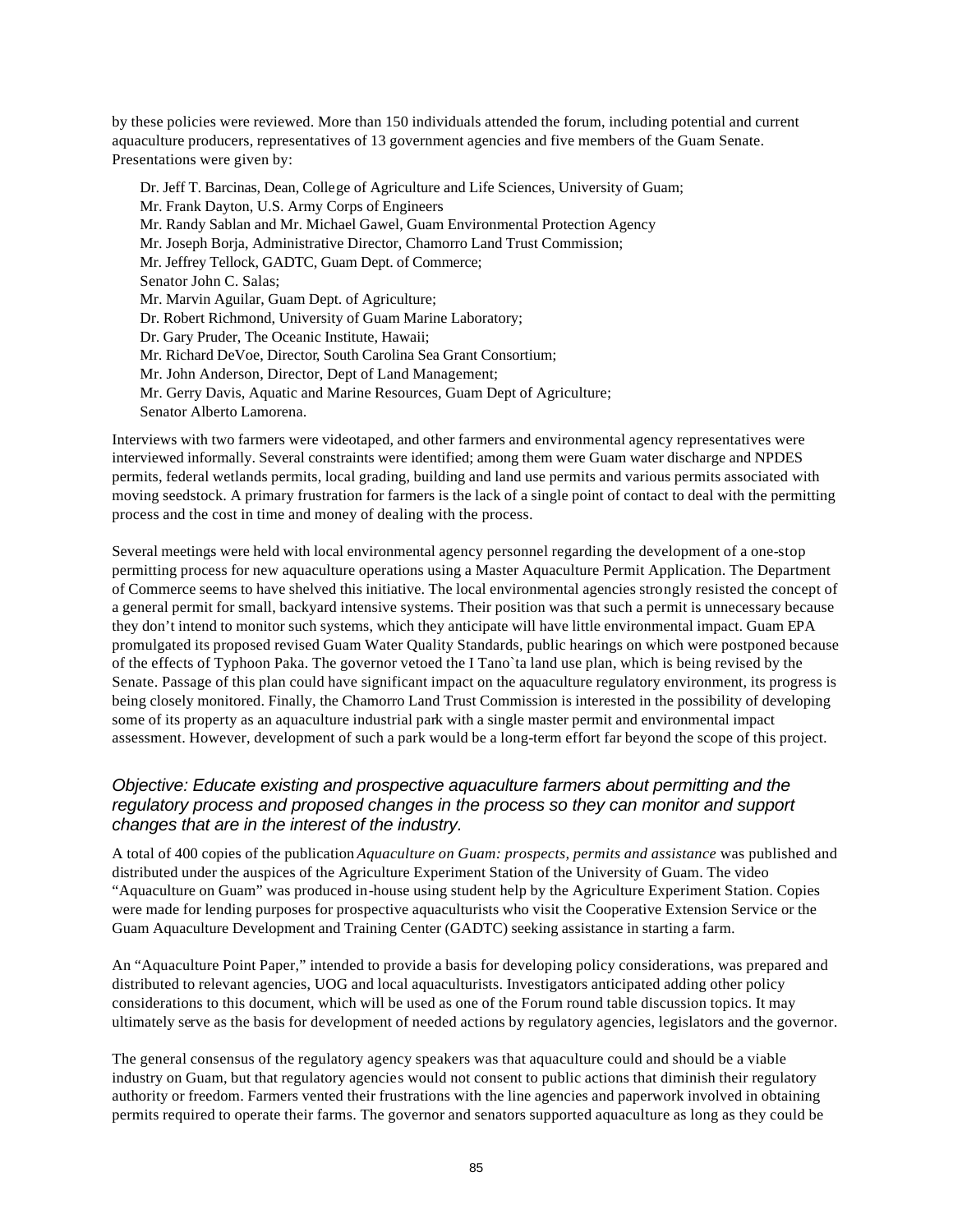by these policies were reviewed. More than 150 individuals attended the forum, including potential and current aquaculture producers, representatives of 13 government agencies and five members of the Guam Senate. Presentations were given by:

Dr. Jeff T. Barcinas, Dean, College of Agriculture and Life Sciences, University of Guam; Mr. Frank Dayton, U.S. Army Corps of Engineers Mr. Randy Sablan and Mr. Michael Gawel, Guam Environmental Protection Agency Mr. Joseph Borja, Administrative Director, Chamorro Land Trust Commission; Mr. Jeffrey Tellock, GADTC, Guam Dept. of Commerce; Senator John C. Salas; Mr. Marvin Aguilar, Guam Dept. of Agriculture; Dr. Robert Richmond, University of Guam Marine Laboratory; Dr. Gary Pruder, The Oceanic Institute, Hawaii; Mr. Richard DeVoe, Director, South Carolina Sea Grant Consortium; Mr. John Anderson, Director, Dept of Land Management; Mr. Gerry Davis, Aquatic and Marine Resources, Guam Dept of Agriculture; Senator Alberto Lamorena.

Interviews with two farmers were videotaped, and other farmers and environmental agency representatives were interviewed informally. Several constraints were identified; among them were Guam water discharge and NPDES permits, federal wetlands permits, local grading, building and land use permits and various permits associated with moving seedstock. A primary frustration for farmers is the lack of a single point of contact to deal with the permitting process and the cost in time and money of dealing with the process.

Several meetings were held with local environmental agency personnel regarding the development of a one-stop permitting process for new aquaculture operations using a Master Aquaculture Permit Application. The Department of Commerce seems to have shelved this initiative. The local environmental agencies strongly resisted the concept of a general permit for small, backyard intensive systems. Their position was that such a permit is unnecessary because they don't intend to monitor such systems, which they anticipate will have little environmental impact. Guam EPA promulgated its proposed revised Guam Water Quality Standards, public hearings on which were postponed because of the effects of Typhoon Paka. The governor vetoed the I Tano`ta land use plan, which is being revised by the Senate. Passage of this plan could have significant impact on the aquaculture regulatory environment, its progress is being closely monitored. Finally, the Chamorro Land Trust Commission is interested in the possibility of developing some of its property as an aquaculture industrial park with a single master permit and environmental impact assessment. However, development of such a park would be a long-term effort far beyond the scope of this project.

#### *Objective: Educate existing and prospective aquaculture farmers about permitting and the regulatory process and proposed changes in the process so they can monitor and support changes that are in the interest of the industry.*

A total of 400 copies of the publication *Aquaculture on Guam: prospects, permits and assistance* was published and distributed under the auspices of the Agriculture Experiment Station of the University of Guam. The video "Aquaculture on Guam" was produced in-house using student help by the Agriculture Experiment Station. Copies were made for lending purposes for prospective aquaculturists who visit the Cooperative Extension Service or the Guam Aquaculture Development and Training Center (GADTC) seeking assistance in starting a farm.

An "Aquaculture Point Paper," intended to provide a basis for developing policy considerations, was prepared and distributed to relevant agencies, UOG and local aquaculturists. Investigators anticipated adding other policy considerations to this document, which will be used as one of the Forum round table discussion topics. It may ultimately serve as the basis for development of needed actions by regulatory agencies, legislators and the governor.

The general consensus of the regulatory agency speakers was that aquaculture could and should be a viable industry on Guam, but that regulatory agencies would not consent to public actions that diminish their regulatory authority or freedom. Farmers vented their frustrations with the line agencies and paperwork involved in obtaining permits required to operate their farms. The governor and senators supported aquaculture as long as they could be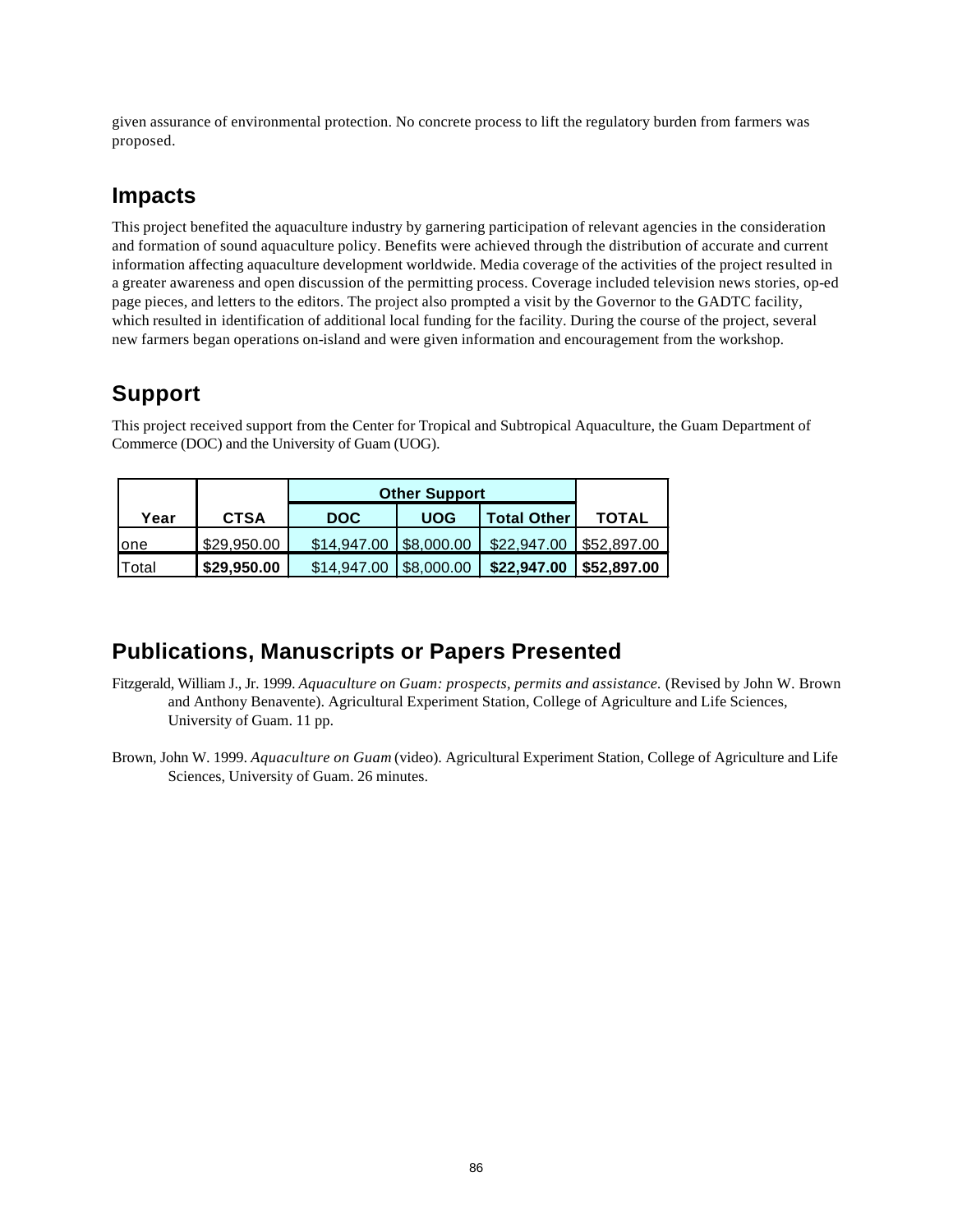given assurance of environmental protection. No concrete process to lift the regulatory burden from farmers was proposed.

### **Impacts**

This project benefited the aquaculture industry by garnering participation of relevant agencies in the consideration and formation of sound aquaculture policy. Benefits were achieved through the distribution of accurate and current information affecting aquaculture development worldwide. Media coverage of the activities of the project resulted in a greater awareness and open discussion of the permitting process. Coverage included television news stories, op-ed page pieces, and letters to the editors. The project also prompted a visit by the Governor to the GADTC facility, which resulted in identification of additional local funding for the facility. During the course of the project, several new farmers began operations on-island and were given information and encouragement from the workshop.

### **Support**

This project received support from the Center for Tropical and Subtropical Aquaculture, the Guam Department of Commerce (DOC) and the University of Guam (UOG).

|       |             | <b>Other Support</b>   |            |             |                           |
|-------|-------------|------------------------|------------|-------------|---------------------------|
| Year  | <b>CTSA</b> | <b>DOC</b>             | <b>UOG</b> | Total Other | <b>TOTAL</b>              |
| lone  | \$29,950.00 | \$14,947.00 \$8,000.00 |            | \$22,947.00 | $\frac{1}{2}$ \$52,897.00 |
| Total | \$29,950.00 | \$14,947.00            | \$8,000.00 | \$22,947.00 | \$52,897.00               |

### **Publications, Manuscripts or Papers Presented**

- Fitzgerald, William J., Jr. 1999. *Aquaculture on Guam: prospects, permits and assistance.* (Revised by John W. Brown and Anthony Benavente). Agricultural Experiment Station, College of Agriculture and Life Sciences, University of Guam. 11 pp.
- Brown, John W. 1999. *Aquaculture on Guam* (video). Agricultural Experiment Station, College of Agriculture and Life Sciences, University of Guam. 26 minutes.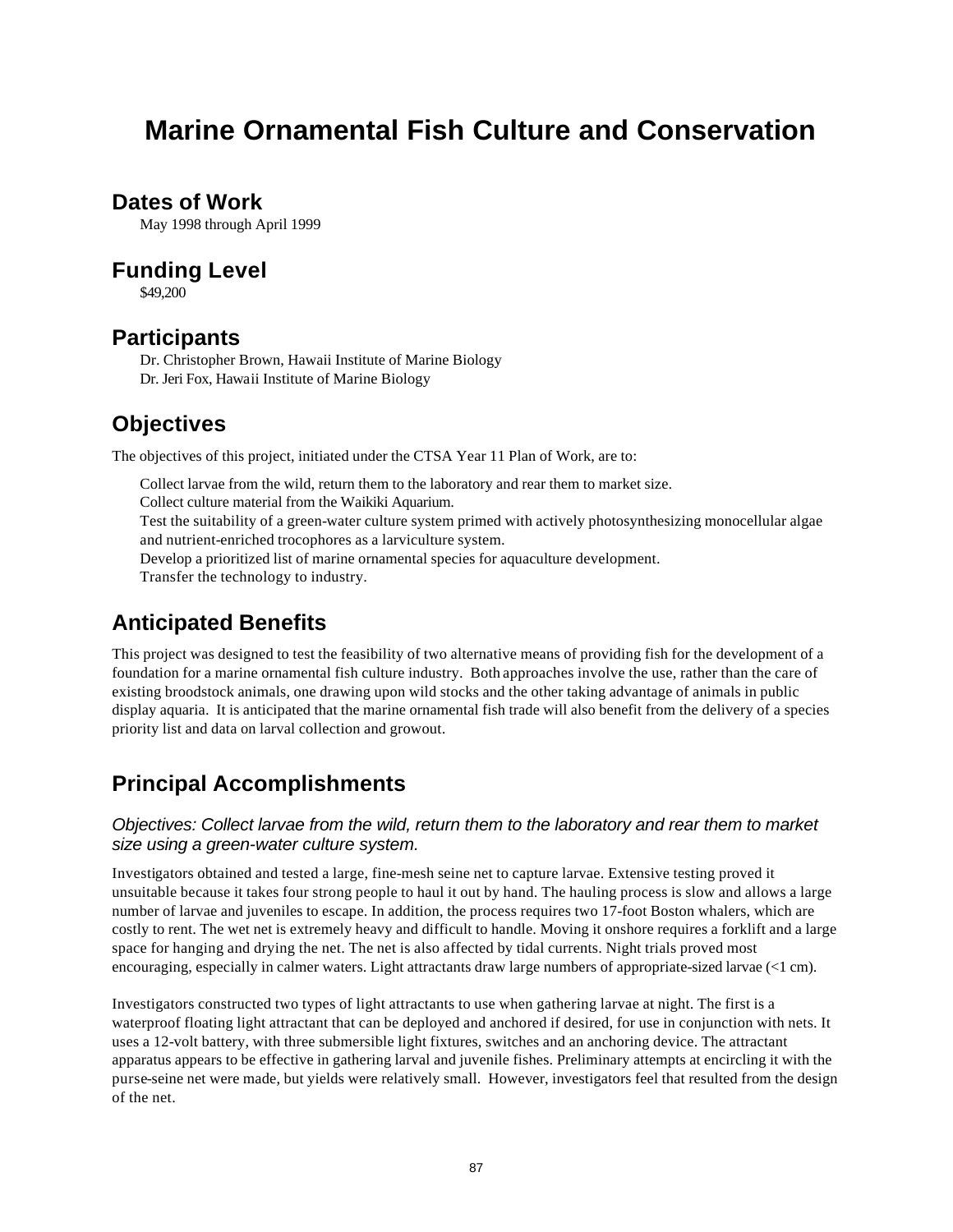# **Marine Ornamental Fish Culture and Conservation**

### **Dates of Work**

May 1998 through April 1999

### **Funding Level**

\$49,200

### **Participants**

Dr. Christopher Brown, Hawaii Institute of Marine Biology Dr. Jeri Fox, Hawaii Institute of Marine Biology

### **Objectives**

The objectives of this project, initiated under the CTSA Year 11 Plan of Work, are to:

Collect larvae from the wild, return them to the laboratory and rear them to market size. Collect culture material from the Waikiki Aquarium. Test the suitability of a green-water culture system primed with actively photosynthesizing monocellular algae and nutrient-enriched trocophores as a larviculture system. Develop a prioritized list of marine ornamental species for aquaculture development. Transfer the technology to industry.

## **Anticipated Benefits**

This project was designed to test the feasibility of two alternative means of providing fish for the development of a foundation for a marine ornamental fish culture industry. Both approaches involve the use, rather than the care of existing broodstock animals, one drawing upon wild stocks and the other taking advantage of animals in public display aquaria. It is anticipated that the marine ornamental fish trade will also benefit from the delivery of a species priority list and data on larval collection and growout.

## **Principal Accomplishments**

#### *Objectives: Collect larvae from the wild, return them to the laboratory and rear them to market size using a green-water culture system.*

Investigators obtained and tested a large, fine-mesh seine net to capture larvae. Extensive testing proved it unsuitable because it takes four strong people to haul it out by hand. The hauling process is slow and allows a large number of larvae and juveniles to escape. In addition, the process requires two 17-foot Boston whalers, which are costly to rent. The wet net is extremely heavy and difficult to handle. Moving it onshore requires a forklift and a large space for hanging and drying the net. The net is also affected by tidal currents. Night trials proved most encouraging, especially in calmer waters. Light attractants draw large numbers of appropriate-sized larvae (<1 cm).

Investigators constructed two types of light attractants to use when gathering larvae at night. The first is a waterproof floating light attractant that can be deployed and anchored if desired, for use in conjunction with nets. It uses a 12-volt battery, with three submersible light fixtures, switches and an anchoring device. The attractant apparatus appears to be effective in gathering larval and juvenile fishes. Preliminary attempts at encircling it with the purse-seine net were made, but yields were relatively small. However, investigators feel that resulted from the design of the net.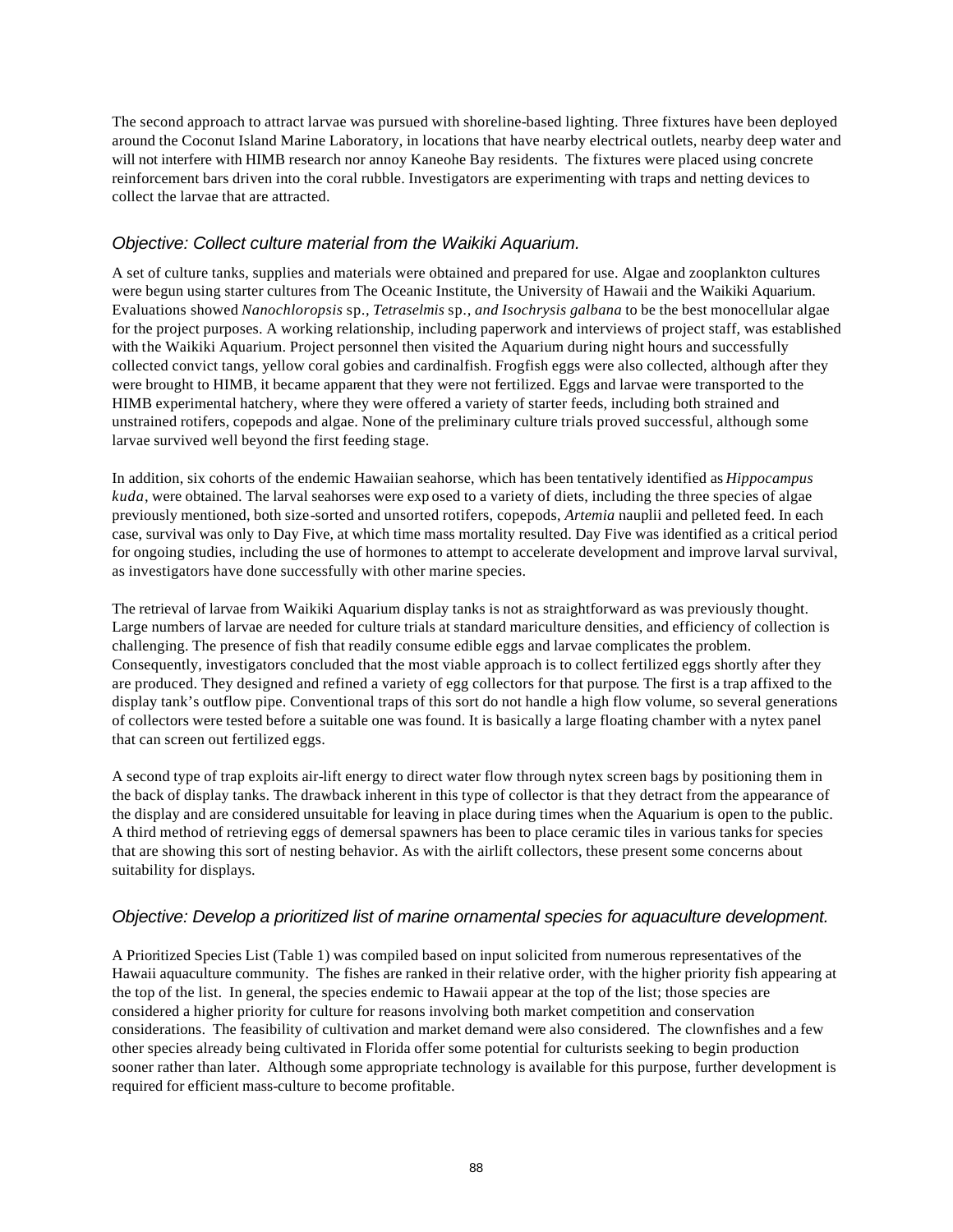The second approach to attract larvae was pursued with shoreline-based lighting. Three fixtures have been deployed around the Coconut Island Marine Laboratory, in locations that have nearby electrical outlets, nearby deep water and will not interfere with HIMB research nor annoy Kaneohe Bay residents. The fixtures were placed using concrete reinforcement bars driven into the coral rubble. Investigators are experimenting with traps and netting devices to collect the larvae that are attracted.

#### *Objective: Collect culture material from the Waikiki Aquarium.*

A set of culture tanks, supplies and materials were obtained and prepared for use. Algae and zooplankton cultures were begun using starter cultures from The Oceanic Institute, the University of Hawaii and the Waikiki Aquarium. Evaluations showed *Nanochloropsis* sp*., Tetraselmis* sp*., and Isochrysis galbana* to be the best monocellular algae for the project purposes. A working relationship, including paperwork and interviews of project staff, was established with the Waikiki Aquarium. Project personnel then visited the Aquarium during night hours and successfully collected convict tangs, yellow coral gobies and cardinalfish. Frogfish eggs were also collected, although after they were brought to HIMB, it became apparent that they were not fertilized. Eggs and larvae were transported to the HIMB experimental hatchery, where they were offered a variety of starter feeds, including both strained and unstrained rotifers, copepods and algae. None of the preliminary culture trials proved successful, although some larvae survived well beyond the first feeding stage.

In addition, six cohorts of the endemic Hawaiian seahorse, which has been tentatively identified as *Hippocampus kuda*, were obtained. The larval seahorses were exp osed to a variety of diets, including the three species of algae previously mentioned, both size-sorted and unsorted rotifers, copepods, *Artemia* nauplii and pelleted feed. In each case, survival was only to Day Five, at which time mass mortality resulted. Day Five was identified as a critical period for ongoing studies, including the use of hormones to attempt to accelerate development and improve larval survival, as investigators have done successfully with other marine species.

The retrieval of larvae from Waikiki Aquarium display tanks is not as straightforward as was previously thought. Large numbers of larvae are needed for culture trials at standard mariculture densities, and efficiency of collection is challenging. The presence of fish that readily consume edible eggs and larvae complicates the problem. Consequently, investigators concluded that the most viable approach is to collect fertilized eggs shortly after they are produced. They designed and refined a variety of egg collectors for that purpose. The first is a trap affixed to the display tank's outflow pipe. Conventional traps of this sort do not handle a high flow volume, so several generations of collectors were tested before a suitable one was found. It is basically a large floating chamber with a nytex panel that can screen out fertilized eggs.

A second type of trap exploits air-lift energy to direct water flow through nytex screen bags by positioning them in the back of display tanks. The drawback inherent in this type of collector is that they detract from the appearance of the display and are considered unsuitable for leaving in place during times when the Aquarium is open to the public. A third method of retrieving eggs of demersal spawners has been to place ceramic tiles in various tanks for species that are showing this sort of nesting behavior. As with the airlift collectors, these present some concerns about suitability for displays.

#### *Objective: Develop a prioritized list of marine ornamental species for aquaculture development.*

A Prioritized Species List (Table 1) was compiled based on input solicited from numerous representatives of the Hawaii aquaculture community. The fishes are ranked in their relative order, with the higher priority fish appearing at the top of the list. In general, the species endemic to Hawaii appear at the top of the list; those species are considered a higher priority for culture for reasons involving both market competition and conservation considerations. The feasibility of cultivation and market demand were also considered. The clownfishes and a few other species already being cultivated in Florida offer some potential for culturists seeking to begin production sooner rather than later. Although some appropriate technology is available for this purpose, further development is required for efficient mass-culture to become profitable.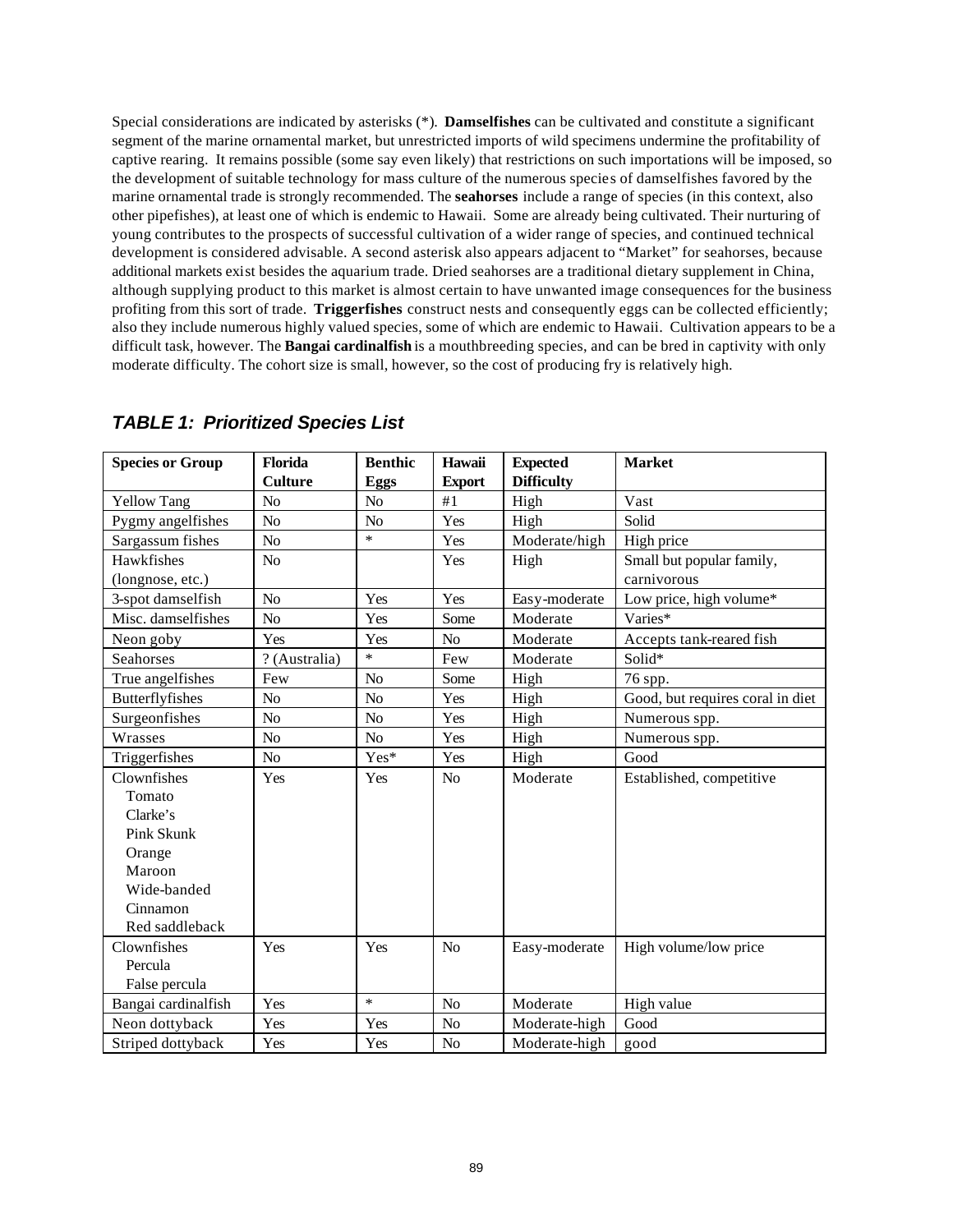Special considerations are indicated by asterisks (\*). **Damselfishes** can be cultivated and constitute a significant segment of the marine ornamental market, but unrestricted imports of wild specimens undermine the profitability of captive rearing. It remains possible (some say even likely) that restrictions on such importations will be imposed, so the development of suitable technology for mass culture of the numerous species of damselfishes favored by the marine ornamental trade is strongly recommended. The **seahorses** include a range of species (in this context, also other pipefishes), at least one of which is endemic to Hawaii. Some are already being cultivated. Their nurturing of young contributes to the prospects of successful cultivation of a wider range of species, and continued technical development is considered advisable. A second asterisk also appears adjacent to "Market" for seahorses, because additional markets exist besides the aquarium trade. Dried seahorses are a traditional dietary supplement in China, although supplying product to this market is almost certain to have unwanted image consequences for the business profiting from this sort of trade. **Triggerfishes** construct nests and consequently eggs can be collected efficiently; also they include numerous highly valued species, some of which are endemic to Hawaii. Cultivation appears to be a difficult task, however. The **Bangai cardinalfish** is a mouthbreeding species, and can be bred in captivity with only moderate difficulty. The cohort size is small, however, so the cost of producing fry is relatively high.

| <b>Species or Group</b> | Florida        | <b>Benthic</b> | Hawaii         | <b>Expected</b>   | <b>Market</b>                    |
|-------------------------|----------------|----------------|----------------|-------------------|----------------------------------|
|                         | <b>Culture</b> | <b>Eggs</b>    | <b>Export</b>  | <b>Difficulty</b> |                                  |
| <b>Yellow Tang</b>      | N <sub>o</sub> | N <sub>o</sub> | #1             | High              | Vast                             |
| Pygmy angelfishes       | No             | No             | Yes            | High              | Solid                            |
| Sargassum fishes        | No             | $\ast$         | Yes            | Moderate/high     | High price                       |
| Hawkfishes              | No             |                | Yes            | High              | Small but popular family,        |
| (longnose, etc.)        |                |                |                |                   | carnivorous                      |
| 3-spot damselfish       | N <sub>o</sub> | Yes            | Yes            | Easy-moderate     | Low price, high volume*          |
| Misc. damselfishes      | N <sub>o</sub> | Yes            | Some           | Moderate          | Varies*                          |
| Neon goby               | Yes            | Yes            | N <sub>o</sub> | Moderate          | Accepts tank-reared fish         |
| Seahorses               | ? (Australia)  | $\ast$         | Few            | Moderate          | Solid*                           |
| True angelfishes        | Few            | N <sub>o</sub> | Some           | High              | 76 spp.                          |
| Butterflyfishes         | No             | No             | Yes            | High              | Good, but requires coral in diet |
| Surgeonfishes           | N <sub>o</sub> | N <sub>o</sub> | Yes            | High              | Numerous spp.                    |
| Wrasses                 | No             | N <sub>o</sub> | Yes            | High              | Numerous spp.                    |
| Triggerfishes           | No             | Yes*           | Yes            | High              | Good                             |
| Clownfishes             | Yes            | Yes            | N <sub>o</sub> | Moderate          | Established, competitive         |
| Tomato                  |                |                |                |                   |                                  |
| Clarke's                |                |                |                |                   |                                  |
| Pink Skunk              |                |                |                |                   |                                  |
| Orange                  |                |                |                |                   |                                  |
| Maroon                  |                |                |                |                   |                                  |
| Wide-banded             |                |                |                |                   |                                  |
| Cinnamon                |                |                |                |                   |                                  |
| Red saddleback          |                |                |                |                   |                                  |
| Clownfishes             | Yes            | Yes            | N <sub>o</sub> | Easy-moderate     | High volume/low price            |
| Percula                 |                |                |                |                   |                                  |
| False percula           |                |                |                |                   |                                  |
| Bangai cardinalfish     | Yes            | $\ast$         | N <sub>o</sub> | Moderate          | High value                       |
| Neon dottyback          | Yes            | Yes            | N <sub>o</sub> | Moderate-high     | Good                             |
| Striped dottyback       | Yes            | Yes            | N <sub>o</sub> | Moderate-high     | good                             |

### *TABLE 1: Prioritized Species List*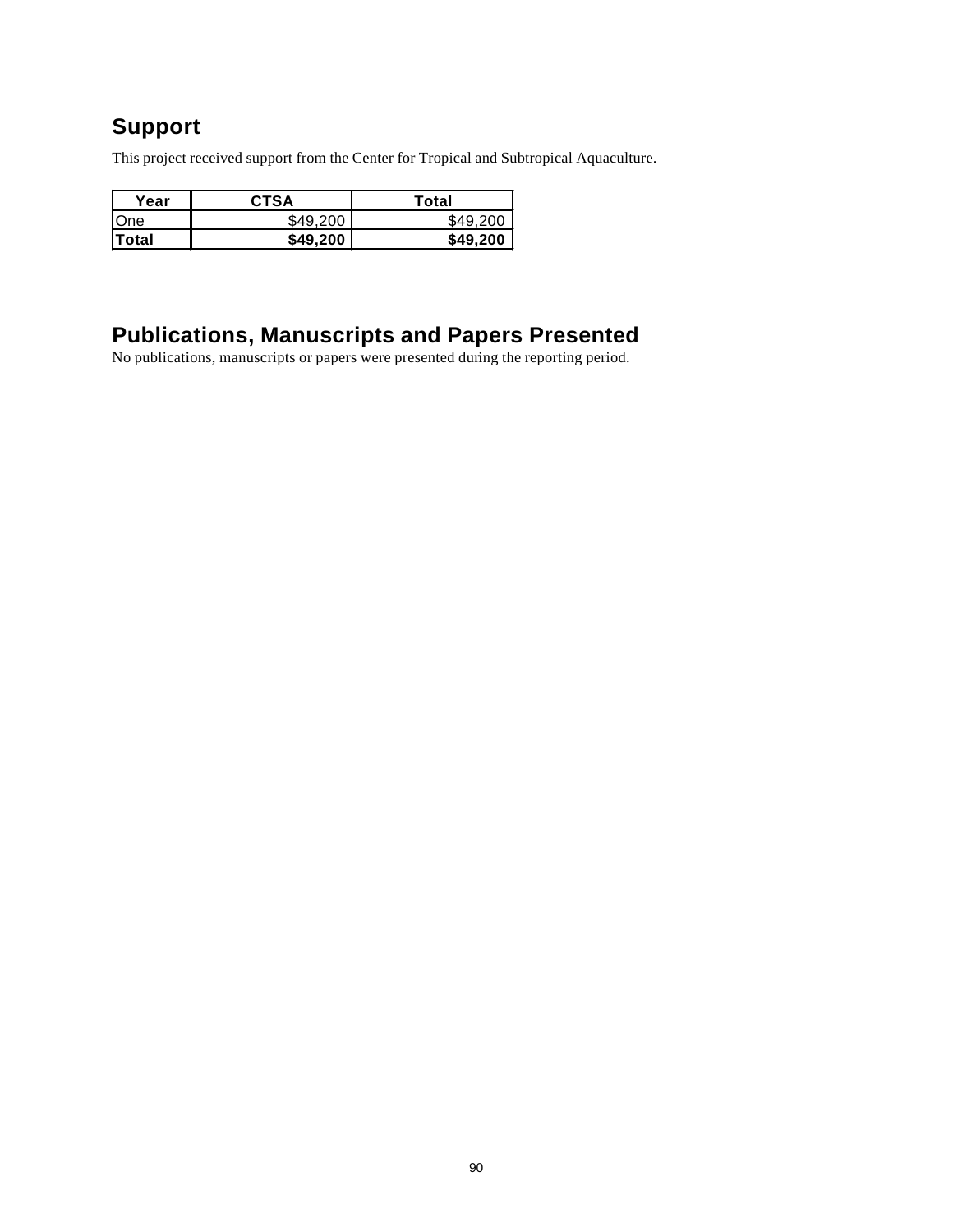## **Support**

This project received support from the Center for Tropical and Subtropical Aquaculture.

| <b>CTSA</b> | Total    |  |
|-------------|----------|--|
| \$49.200    | \$49.200 |  |
| \$49,200    | \$49,200 |  |
|             |          |  |

### **Publications, Manuscripts and Papers Presented**

No publications, manuscripts or papers were presented during the reporting period.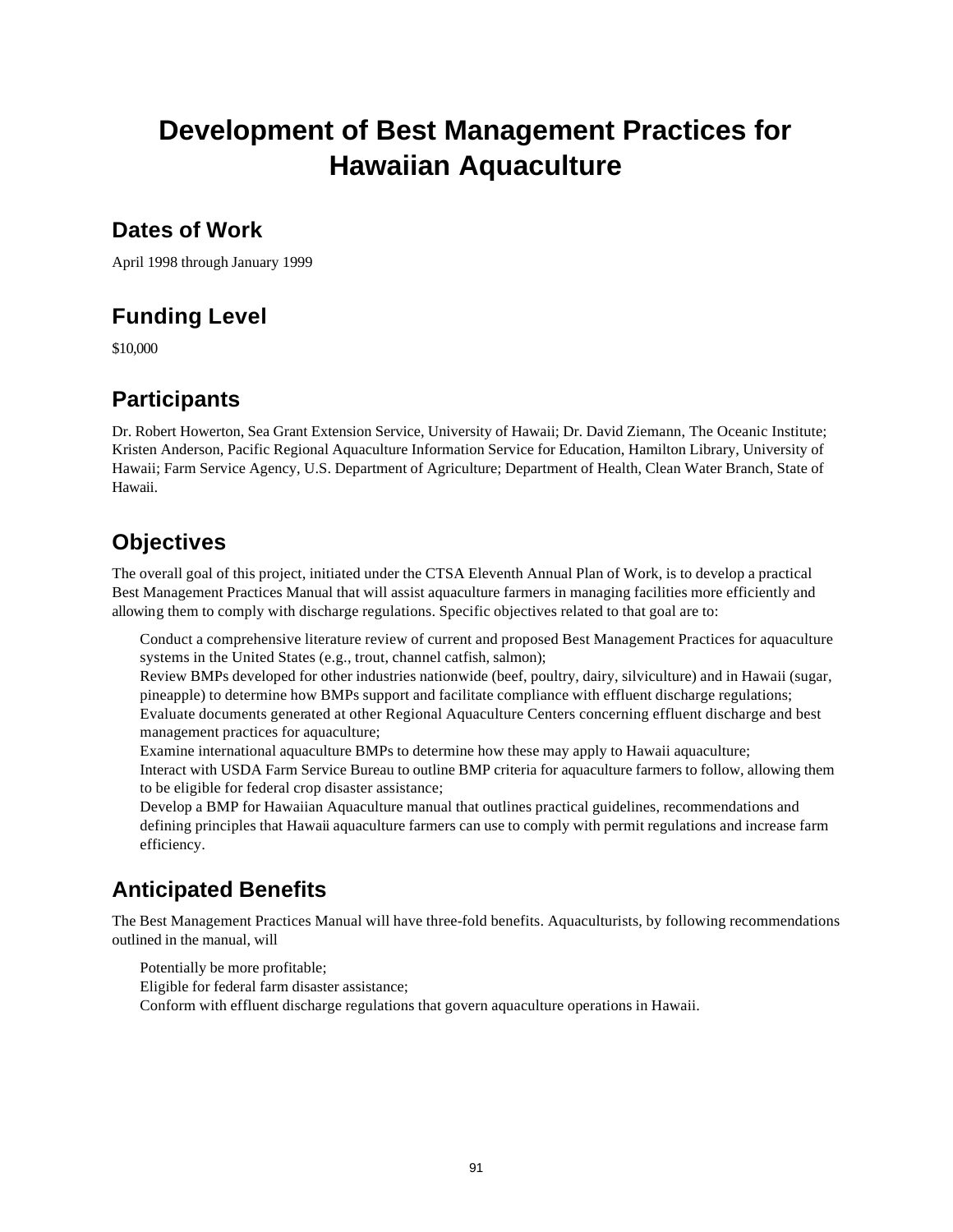# **Development of Best Management Practices for Hawaiian Aquaculture**

### **Dates of Work**

April 1998 through January 1999

## **Funding Level**

\$10,000

## **Participants**

Dr. Robert Howerton, Sea Grant Extension Service, University of Hawaii; Dr. David Ziemann, The Oceanic Institute; Kristen Anderson, Pacific Regional Aquaculture Information Service for Education, Hamilton Library, University of Hawaii; Farm Service Agency, U.S. Department of Agriculture; Department of Health, Clean Water Branch, State of Hawaii.

## **Objectives**

The overall goal of this project, initiated under the CTSA Eleventh Annual Plan of Work, is to develop a practical Best Management Practices Manual that will assist aquaculture farmers in managing facilities more efficiently and allowing them to comply with discharge regulations. Specific objectives related to that goal are to:

Conduct a comprehensive literature review of current and proposed Best Management Practices for aquaculture systems in the United States (e.g., trout, channel catfish, salmon);

Review BMPs developed for other industries nationwide (beef, poultry, dairy, silviculture) and in Hawaii (sugar, pineapple) to determine how BMPs support and facilitate compliance with effluent discharge regulations; Evaluate documents generated at other Regional Aquaculture Centers concerning effluent discharge and best management practices for aquaculture;

Examine international aquaculture BMPs to determine how these may apply to Hawaii aquaculture; Interact with USDA Farm Service Bureau to outline BMP criteria for aquaculture farmers to follow, allowing them

to be eligible for federal crop disaster assistance;

Develop a BMP for Hawaiian Aquaculture manual that outlines practical guidelines, recommendations and defining principles that Hawaii aquaculture farmers can use to comply with permit regulations and increase farm efficiency.

## **Anticipated Benefits**

The Best Management Practices Manual will have three-fold benefits. Aquaculturists, by following recommendations outlined in the manual, will

Potentially be more profitable; Eligible for federal farm disaster assistance; Conform with effluent discharge regulations that govern aquaculture operations in Hawaii.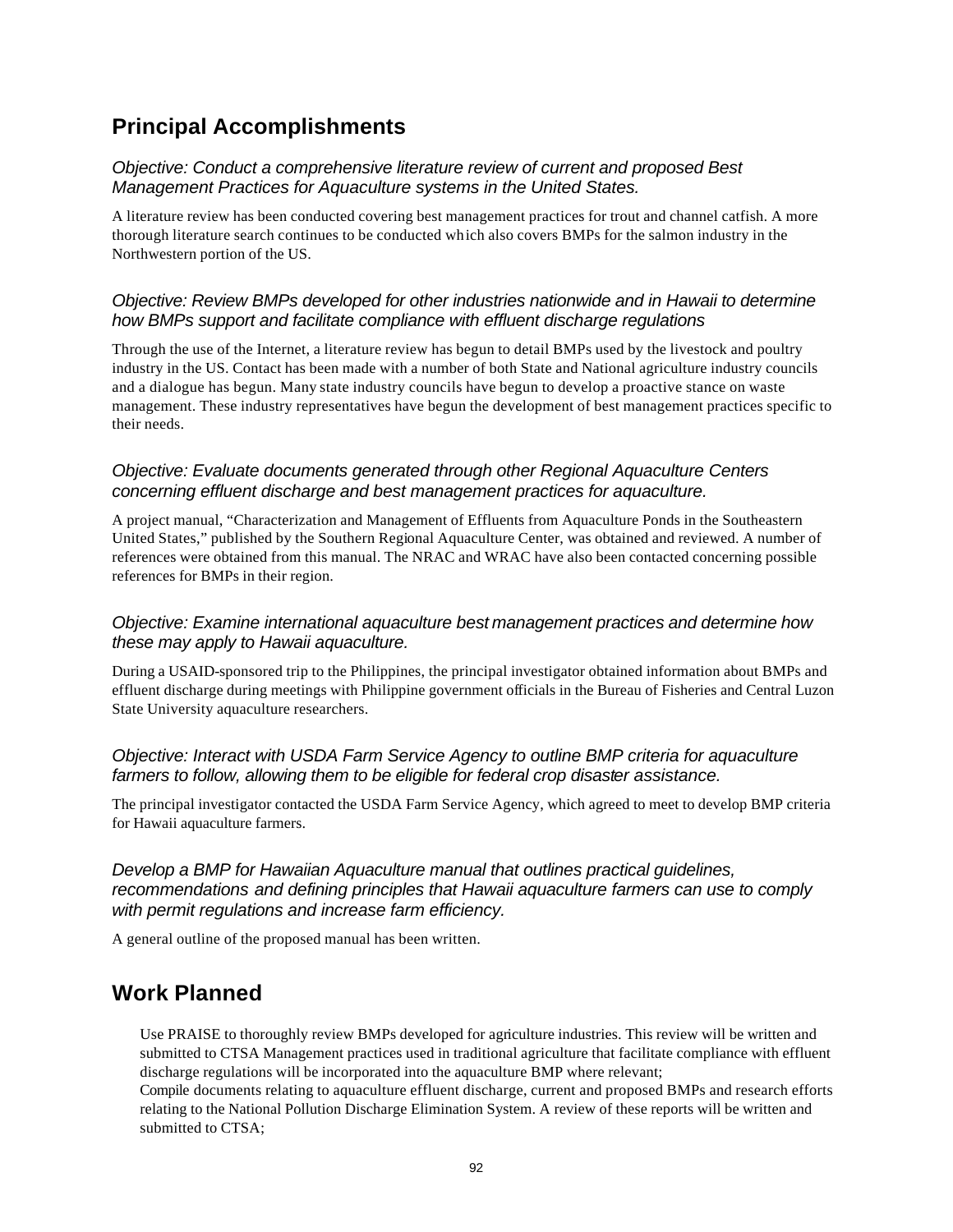## **Principal Accomplishments**

#### *Objective: Conduct a comprehensive literature review of current and proposed Best Management Practices for Aquaculture systems in the United States.*

A literature review has been conducted covering best management practices for trout and channel catfish. A more thorough literature search continues to be conducted which also covers BMPs for the salmon industry in the Northwestern portion of the US.

#### *Objective: Review BMPs developed for other industries nationwide and in Hawaii to determine how BMPs support and facilitate compliance with effluent discharge regulations*

Through the use of the Internet, a literature review has begun to detail BMPs used by the livestock and poultry industry in the US. Contact has been made with a number of both State and National agriculture industry councils and a dialogue has begun. Many state industry councils have begun to develop a proactive stance on waste management. These industry representatives have begun the development of best management practices specific to their needs.

#### *Objective: Evaluate documents generated through other Regional Aquaculture Centers concerning effluent discharge and best management practices for aquaculture.*

A project manual, "Characterization and Management of Effluents from Aquaculture Ponds in the Southeastern United States," published by the Southern Regional Aquaculture Center, was obtained and reviewed. A number of references were obtained from this manual. The NRAC and WRAC have also been contacted concerning possible references for BMPs in their region.

#### *Objective: Examine international aquaculture best management practices and determine how these may apply to Hawaii aquaculture.*

During a USAID-sponsored trip to the Philippines, the principal investigator obtained information about BMPs and effluent discharge during meetings with Philippine government officials in the Bureau of Fisheries and Central Luzon State University aquaculture researchers.

#### *Objective: Interact with USDA Farm Service Agency to outline BMP criteria for aquaculture farmers to follow, allowing them to be eligible for federal crop disaster assistance.*

The principal investigator contacted the USDA Farm Service Agency, which agreed to meet to develop BMP criteria for Hawaii aquaculture farmers.

#### *Develop a BMP for Hawaiian Aquaculture manual that outlines practical guidelines, recommendations and defining principles that Hawaii aquaculture farmers can use to comply with permit regulations and increase farm efficiency.*

A general outline of the proposed manual has been written.

### **Work Planned**

Use PRAISE to thoroughly review BMPs developed for agriculture industries. This review will be written and submitted to CTSA Management practices used in traditional agriculture that facilitate compliance with effluent discharge regulations will be incorporated into the aquaculture BMP where relevant;

Compile documents relating to aquaculture effluent discharge, current and proposed BMPs and research efforts relating to the National Pollution Discharge Elimination System. A review of these reports will be written and submitted to CTSA;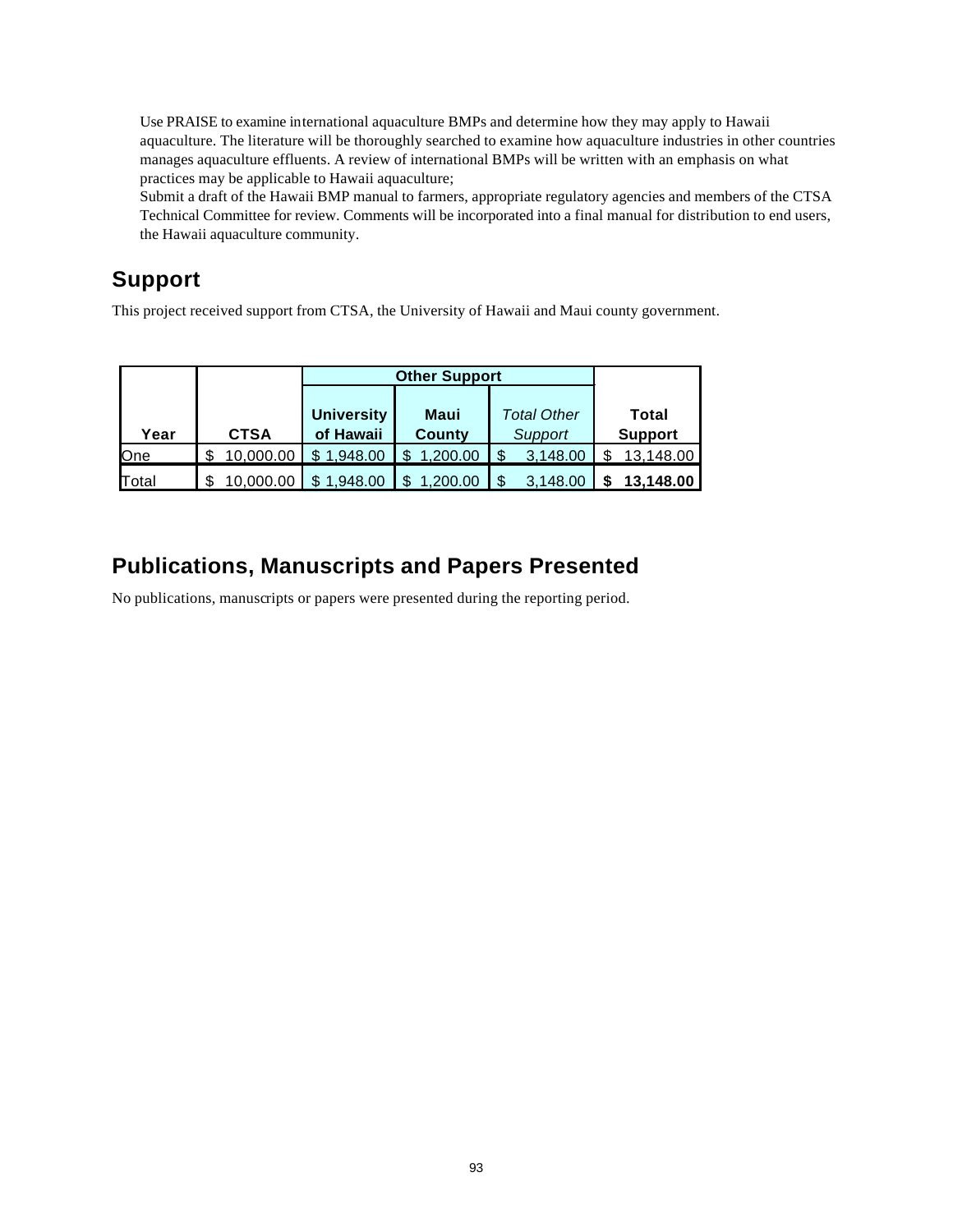Use PRAISE to examine international aquaculture BMPs and determine how they may apply to Hawaii aquaculture. The literature will be thoroughly searched to examine how aquaculture industries in other countries manages aquaculture effluents. A review of international BMPs will be written with an emphasis on what practices may be applicable to Hawaii aquaculture;

Submit a draft of the Hawaii BMP manual to farmers, appropriate regulatory agencies and members of the CTSA Technical Committee for review. Comments will be incorporated into a final manual for distribution to end users, the Hawaii aquaculture community.

## **Support**

This project received support from CTSA, the University of Hawaii and Maui county government.

|             |             | <b>Other Support</b> |          |                    |                |
|-------------|-------------|----------------------|----------|--------------------|----------------|
|             |             |                      |          |                    |                |
|             |             | <b>University</b>    | Maui     | <b>Total Other</b> | <b>Total</b>   |
| Year        | <b>CTSA</b> | of Hawaii            | County   | Support            | <b>Support</b> |
| <b>O</b> ne | 10,000.00   | \$1,948.00           | 1.200.00 | 3,148.00           | 13,148.00      |
| Total       | 10.000.00   | 1,948.00             | 1.200.00 | 3.148.00           | 13,148.00      |

## **Publications, Manuscripts and Papers Presented**

No publications, manuscripts or papers were presented during the reporting period.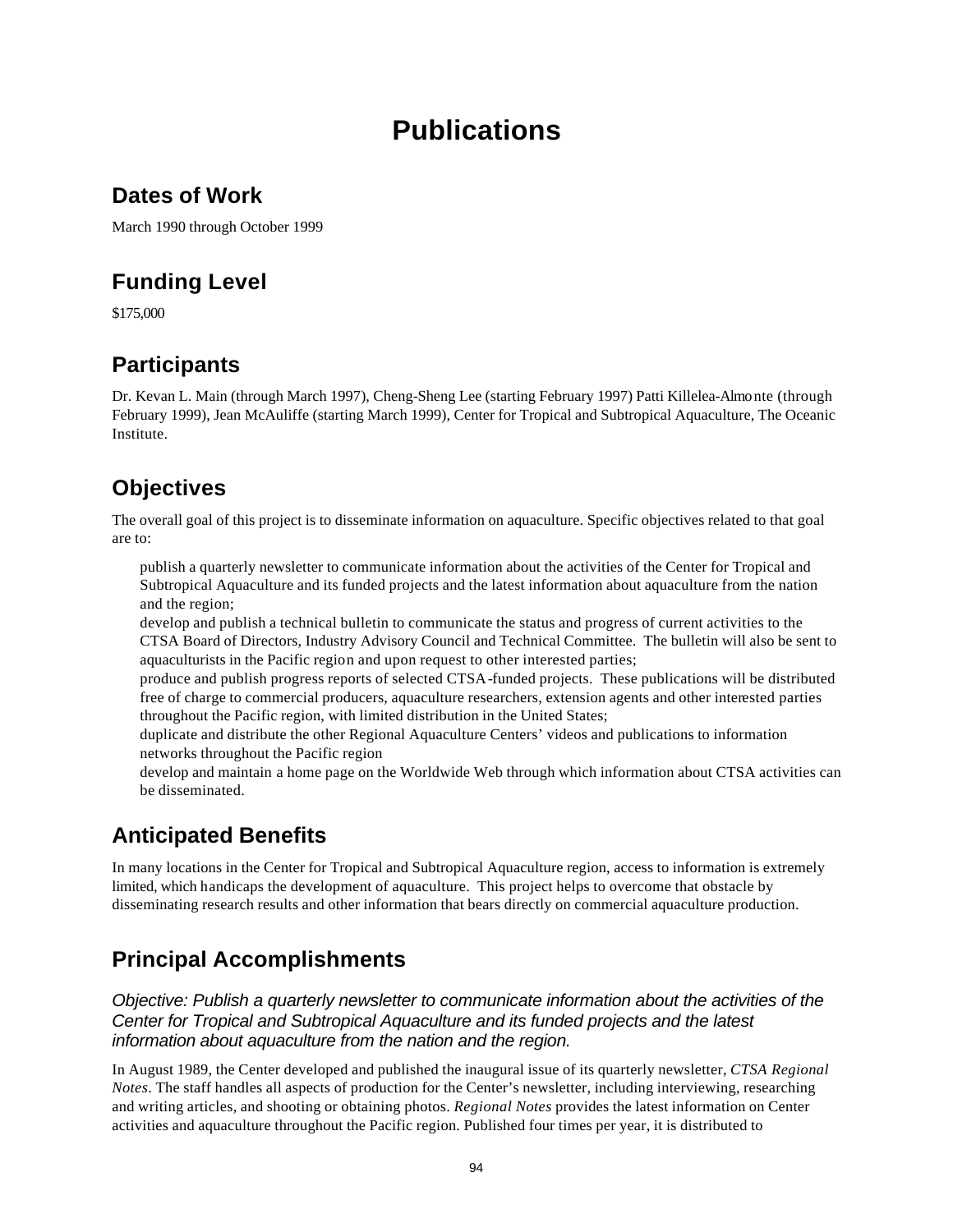# **Publications**

## **Dates of Work**

March 1990 through October 1999

## **Funding Level**

\$175,000

## **Participants**

Dr. Kevan L. Main (through March 1997), Cheng-Sheng Lee (starting February 1997) Patti Killelea-Almonte (through February 1999), Jean McAuliffe (starting March 1999), Center for Tropical and Subtropical Aquaculture, The Oceanic Institute.

## **Objectives**

The overall goal of this project is to disseminate information on aquaculture. Specific objectives related to that goal are to:

publish a quarterly newsletter to communicate information about the activities of the Center for Tropical and Subtropical Aquaculture and its funded projects and the latest information about aquaculture from the nation and the region;

develop and publish a technical bulletin to communicate the status and progress of current activities to the CTSA Board of Directors, Industry Advisory Council and Technical Committee. The bulletin will also be sent to aquaculturists in the Pacific region and upon request to other interested parties;

produce and publish progress reports of selected CTSA-funded projects. These publications will be distributed free of charge to commercial producers, aquaculture researchers, extension agents and other interested parties throughout the Pacific region, with limited distribution in the United States;

duplicate and distribute the other Regional Aquaculture Centers' videos and publications to information networks throughout the Pacific region

develop and maintain a home page on the Worldwide Web through which information about CTSA activities can be disseminated.

## **Anticipated Benefits**

In many locations in the Center for Tropical and Subtropical Aquaculture region, access to information is extremely limited, which handicaps the development of aquaculture. This project helps to overcome that obstacle by disseminating research results and other information that bears directly on commercial aquaculture production.

## **Principal Accomplishments**

*Objective: Publish a quarterly newsletter to communicate information about the activities of the Center for Tropical and Subtropical Aquaculture and its funded projects and the latest information about aquaculture from the nation and the region.*

In August 1989, the Center developed and published the inaugural issue of its quarterly newsletter, *CTSA Regional Notes*. The staff handles all aspects of production for the Center's newsletter, including interviewing, researching and writing articles, and shooting or obtaining photos. *Regional Notes* provides the latest information on Center activities and aquaculture throughout the Pacific region. Published four times per year, it is distributed to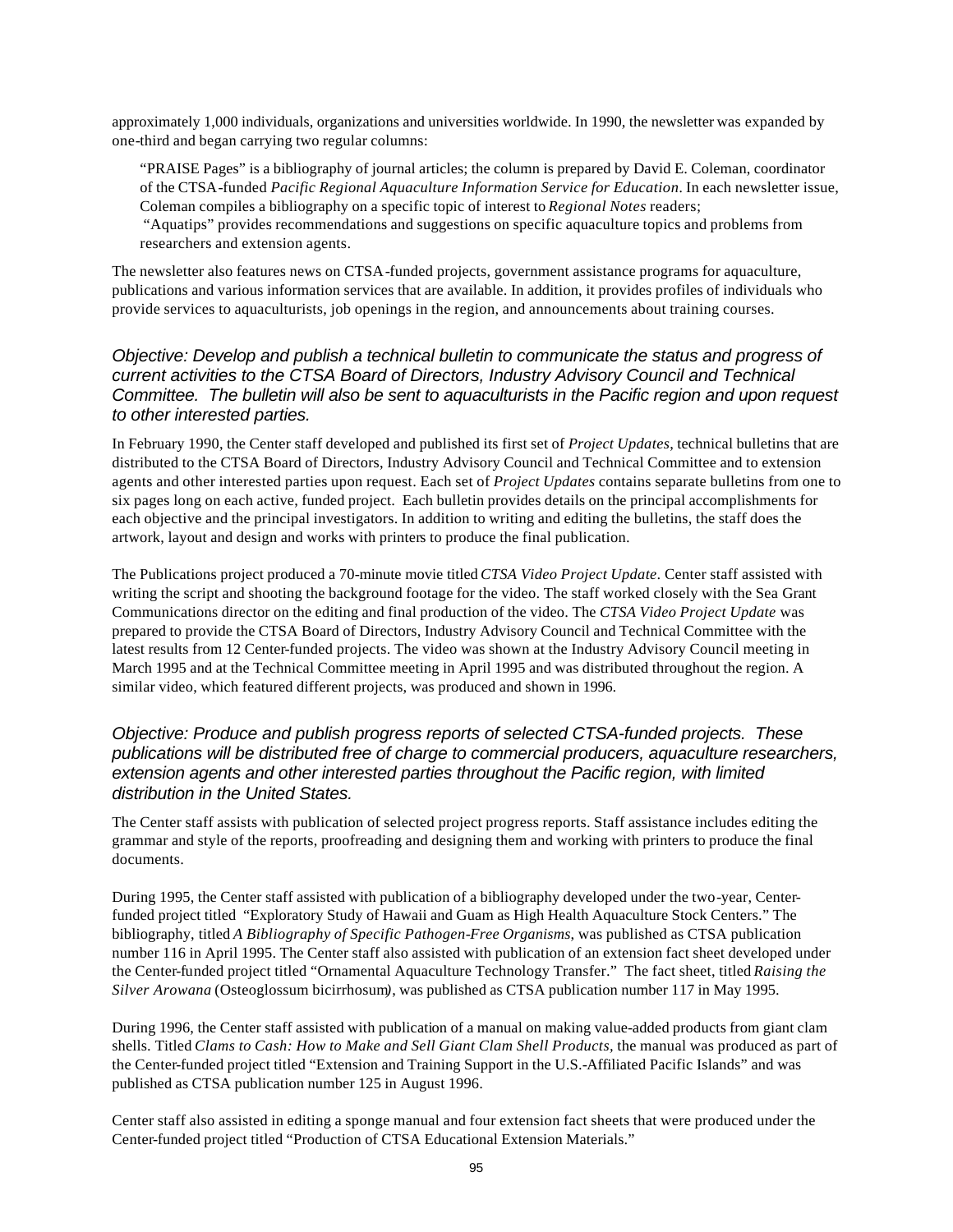approximately 1,000 individuals, organizations and universities worldwide. In 1990, the newsletter was expanded by one-third and began carrying two regular columns:

"PRAISE Pages" is a bibliography of journal articles; the column is prepared by David E. Coleman, coordinator of the CTSA-funded *Pacific Regional Aquaculture Information Service for Education.* In each newsletter issue, Coleman compiles a bibliography on a specific topic of interest to *Regional Notes* readers; "Aquatips" provides recommendations and suggestions on specific aquaculture topics and problems from

researchers and extension agents.

The newsletter also features news on CTSA-funded projects, government assistance programs for aquaculture, publications and various information services that are available. In addition, it provides profiles of individuals who provide services to aquaculturists, job openings in the region, and announcements about training courses.

#### *Objective: Develop and publish a technical bulletin to communicate the status and progress of current activities to the CTSA Board of Directors, Industry Advisory Council and Technical Committee. The bulletin will also be sent to aquaculturists in the Pacific region and upon request to other interested parties.*

In February 1990, the Center staff developed and published its first set of *Project Updates*, technical bulletins that are distributed to the CTSA Board of Directors, Industry Advisory Council and Technical Committee and to extension agents and other interested parties upon request. Each set of *Project Updates* contains separate bulletins from one to six pages long on each active, funded project. Each bulletin provides details on the principal accomplishments for each objective and the principal investigators. In addition to writing and editing the bulletins, the staff does the artwork, layout and design and works with printers to produce the final publication.

The Publications project produced a 70-minute movie titled *CTSA Video Project Update*. Center staff assisted with writing the script and shooting the background footage for the video. The staff worked closely with the Sea Grant Communications director on the editing and final production of the video. The *CTSA Video Project Update* was prepared to provide the CTSA Board of Directors, Industry Advisory Council and Technical Committee with the latest results from 12 Center-funded projects. The video was shown at the Industry Advisory Council meeting in March 1995 and at the Technical Committee meeting in April 1995 and was distributed throughout the region. A similar video, which featured different projects, was produced and shown in 1996.

#### *Objective: Produce and publish progress reports of selected CTSA-funded projects. These publications will be distributed free of charge to commercial producers, aquaculture researchers, extension agents and other interested parties throughout the Pacific region, with limited distribution in the United States.*

The Center staff assists with publication of selected project progress reports. Staff assistance includes editing the grammar and style of the reports, proofreading and designing them and working with printers to produce the final documents.

During 1995, the Center staff assisted with publication of a bibliography developed under the two-year, Centerfunded project titled "Exploratory Study of Hawaii and Guam as High Health Aquaculture Stock Centers." The bibliography, titled *A Bibliography of Specific Pathogen-Free Organisms*, was published as CTSA publication number 116 in April 1995. The Center staff also assisted with publication of an extension fact sheet developed under the Center-funded project titled "Ornamental Aquaculture Technology Transfer." The fact sheet, titled *Raising the Silver Arowana* (Osteoglossum bicirrhosum*)*, was published as CTSA publication number 117 in May 1995.

During 1996, the Center staff assisted with publication of a manual on making value-added products from giant clam shells. Titled *Clams to Cash: How to Make and Sell Giant Clam Shell Products,* the manual was produced as part of the Center-funded project titled "Extension and Training Support in the U.S.-Affiliated Pacific Islands" and was published as CTSA publication number 125 in August 1996.

Center staff also assisted in editing a sponge manual and four extension fact sheets that were produced under the Center-funded project titled "Production of CTSA Educational Extension Materials."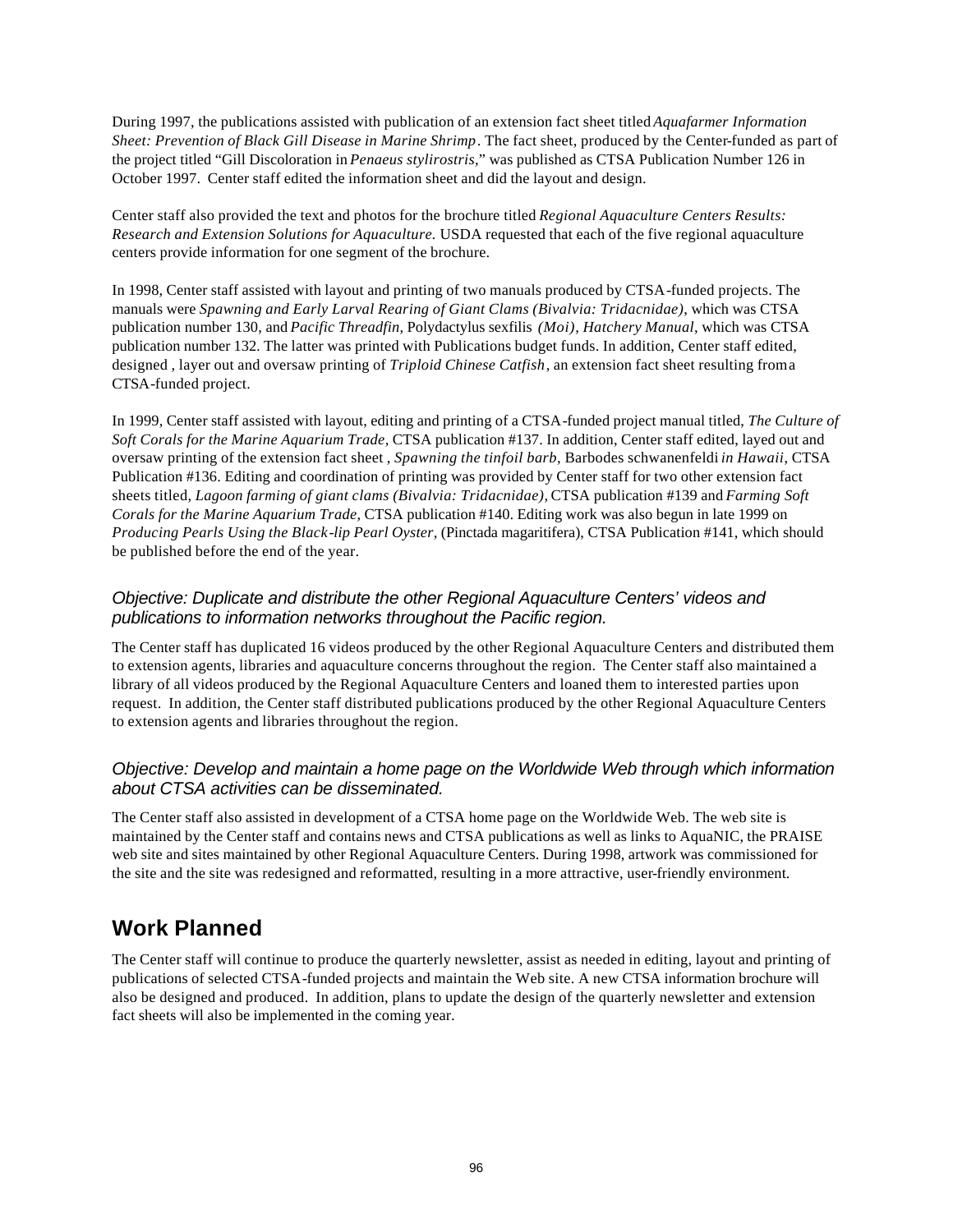During 1997, the publications assisted with publication of an extension fact sheet titled *Aquafarmer Information Sheet: Prevention of Black Gill Disease in Marine Shrimp*. The fact sheet, produced by the Center-funded as part of the project titled "Gill Discoloration in *Penaeus stylirostris*," was published as CTSA Publication Number 126 in October 1997. Center staff edited the information sheet and did the layout and design.

Center staff also provided the text and photos for the brochure titled *Regional Aquaculture Centers Results: Research and Extension Solutions for Aquaculture.* USDA requested that each of the five regional aquaculture centers provide information for one segment of the brochure.

In 1998, Center staff assisted with layout and printing of two manuals produced by CTSA-funded projects. The manuals were *Spawning and Early Larval Rearing of Giant Clams (Bivalvia: Tridacnidae)*, which was CTSA publication number 130, and *Pacific Threadfin,* Polydactylus sexfilis *(Moi), Hatchery Manual*, which was CTSA publication number 132*.* The latter was printed with Publications budget funds. In addition, Center staff edited, designed, layer out and oversaw printing of *Triploid Chinese Catfish*, an extension fact sheet resulting from a CTSA-funded project.

In 1999, Center staff assisted with layout, editing and printing of a CTSA-funded project manual titled, *The Culture of Soft Corals for the Marine Aquarium Trade*, CTSA publication #137. In addition, Center staff edited, layed out and oversaw printing of the extension fact sheet , *Spawning the tinfoil barb,* Barbodes schwanenfeldi *in Hawaii*, CTSA Publication #136. Editing and coordination of printing was provided by Center staff for two other extension fact sheets titled*, Lagoon farming of giant clams (Bivalvia: Tridacnidae),* CTSA publication #139 and *Farming Soft Corals for the Marine Aquarium Trade*, CTSA publication #140. Editing work was also begun in late 1999 on *Producing Pearls Using the Black-lip Pearl Oyster,* (Pinctada magaritifera), CTSA Publication #141, which should be published before the end of the year.

#### *Objective: Duplicate and distribute the other Regional Aquaculture Centers' videos and publications to information networks throughout the Pacific region.*

The Center staff has duplicated 16 videos produced by the other Regional Aquaculture Centers and distributed them to extension agents, libraries and aquaculture concerns throughout the region. The Center staff also maintained a library of all videos produced by the Regional Aquaculture Centers and loaned them to interested parties upon request. In addition, the Center staff distributed publications produced by the other Regional Aquaculture Centers to extension agents and libraries throughout the region.

#### *Objective: Develop and maintain a home page on the Worldwide Web through which information about CTSA activities can be disseminated.*

The Center staff also assisted in development of a CTSA home page on the Worldwide Web. The web site is maintained by the Center staff and contains news and CTSA publications as well as links to AquaNIC, the PRAISE web site and sites maintained by other Regional Aquaculture Centers. During 1998, artwork was commissioned for the site and the site was redesigned and reformatted, resulting in a more attractive, user-friendly environment.

## **Work Planned**

The Center staff will continue to produce the quarterly newsletter, assist as needed in editing, layout and printing of publications of selected CTSA-funded projects and maintain the Web site. A new CTSA information brochure will also be designed and produced. In addition, plans to update the design of the quarterly newsletter and extension fact sheets will also be implemented in the coming year.